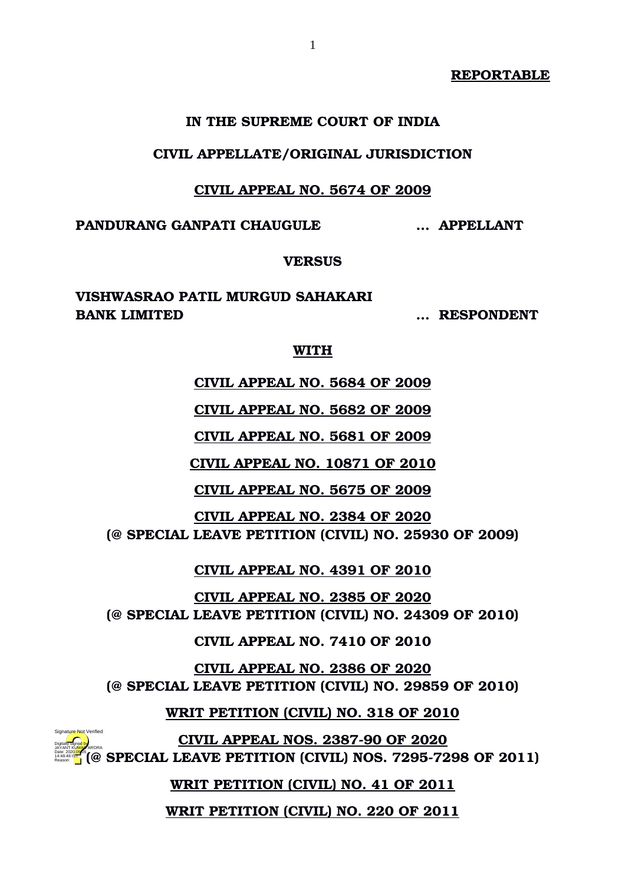**REPORTABLE**

### **IN THE SUPREME COURT OF INDIA**

### **CIVIL APPELLATE/ORIGINAL JURISDICTION**

### **CIVIL APPEAL NO. 5674 OF 2009**

**PANDURANG GANPATI CHAUGULE … APPELLANT**

## **VERSUS**

**VISHWASRAO PATIL MURGUD SAHAKARI BANK LIMITED … RESPONDENT**

#### **WITH**

**CIVIL APPEAL NO. 5684 OF 2009**

**CIVIL APPEAL NO. 5682 OF 2009**

**CIVIL APPEAL NO. 5681 OF 2009**

**CIVIL APPEAL NO. 10871 OF 2010**

**CIVIL APPEAL NO. 5675 OF 2009**

**CIVIL APPEAL NO. 2384 OF 2020 (@ SPECIAL LEAVE PETITION (CIVIL) NO. 25930 OF 2009)**

**CIVIL APPEAL NO. 4391 OF 2010**

**CIVIL APPEAL NO. 2385 OF 2020 (@ SPECIAL LEAVE PETITION (CIVIL) NO. 24309 OF 2010)**

**CIVIL APPEAL NO. 7410 OF 2010**

**CIVIL APPEAL NO. 2386 OF 2020 (@ SPECIAL LEAVE PETITION (CIVIL) NO. 29859 OF 2010)**

**WRIT PETITION (CIVIL) NO. 318 OF 2010**

**CIVIL APPEAL NOS. 2387-90 OF 2020 (@ SPECIAL LEAVE PETITION (CIVIL) NOS. 7295-7298 OF 2011)** Digitally signed by Date: 2020.05.05 14:48:48 IST Reason: Signature Not Verified

**WRIT PETITION (CIVIL) NO. 41 OF 2011**

**WRIT PETITION (CIVIL) NO. 220 OF 2011**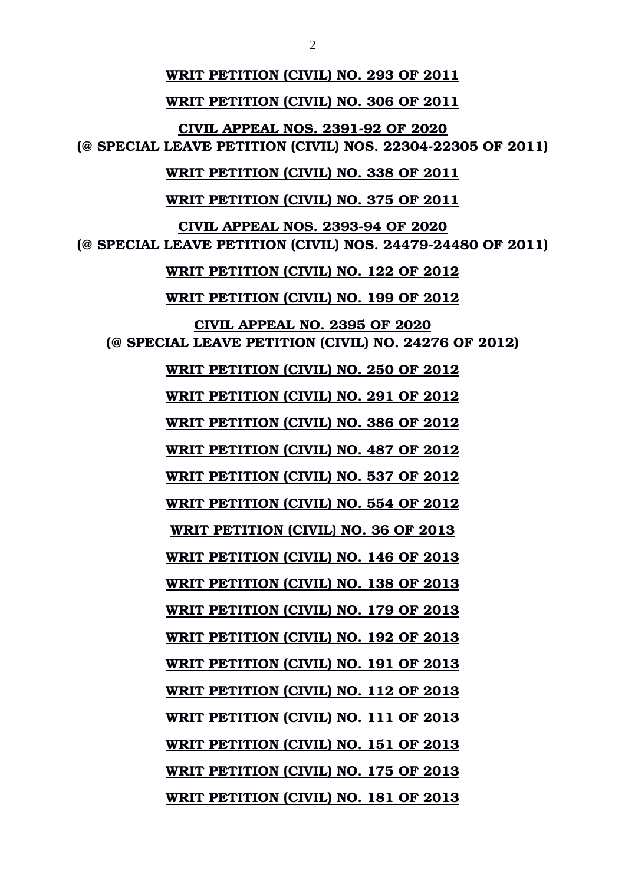**WRIT PETITION (CIVIL) NO. 293 OF 2011 WRIT PETITION (CIVIL) NO. 306 OF 2011 CIVIL APPEAL NOS. 2391-92 OF 2020 (@ SPECIAL LEAVE PETITION (CIVIL) NOS. 2230422305 OF 2011) WRIT PETITION (CIVIL) NO. 338 OF 2011 WRIT PETITION (CIVIL) NO. 375 OF 2011 CIVIL APPEAL NOS. 2393-94 OF 2020 (@ SPECIAL LEAVE PETITION (CIVIL) NOS. 24479-24480 OF 2011) WRIT PETITION (CIVIL) NO. 122 OF 2012 WRIT PETITION (CIVIL) NO. 199 OF 2012 CIVIL APPEAL NO. 2395 OF 2020 (@ SPECIAL LEAVE PETITION (CIVIL) NO. 24276 OF 2012) WRIT PETITION (CIVIL) NO. 250 OF 2012 WRIT PETITION (CIVIL) NO. 291 OF 2012 WRIT PETITION (CIVIL) NO. 386 OF 2012 WRIT PETITION (CIVIL) NO. 487 OF 2012 WRIT PETITION (CIVIL) NO. 537 OF 2012 WRIT PETITION (CIVIL) NO. 554 OF 2012 WRIT PETITION (CIVIL) NO. 36 OF 2013 WRIT PETITION (CIVIL) NO. 146 OF 2013 WRIT PETITION (CIVIL) NO. 138 OF 2013 WRIT PETITION (CIVIL) NO. 179 OF 2013 WRIT PETITION (CIVIL) NO. 192 OF 2013 WRIT PETITION (CIVIL) NO. 191 OF 2013 WRIT PETITION (CIVIL) NO. 112 OF 2013 WRIT PETITION (CIVIL) NO. 111 OF 2013 WRIT PETITION (CIVIL) NO. 151 OF 2013 WRIT PETITION (CIVIL) NO. 175 OF 2013**

**WRIT PETITION (CIVIL) NO. 181 OF 2013**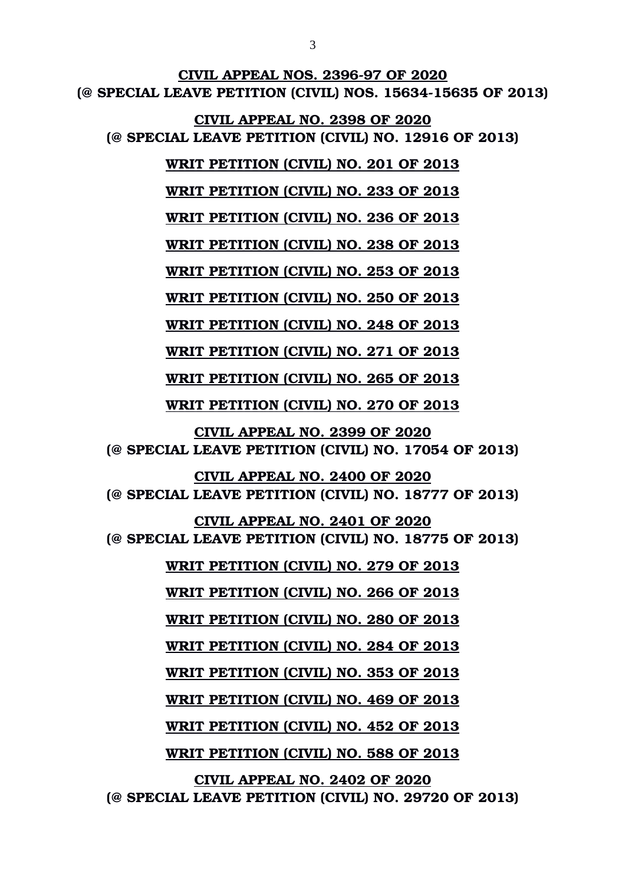**CIVIL APPEAL NOS. 2396-97 OF 2020 (@ SPECIAL LEAVE PETITION (CIVIL) NOS. 1563415635 OF 2013) CIVIL APPEAL NO. 2398 OF 2020 (@ SPECIAL LEAVE PETITION (CIVIL) NO. 12916 OF 2013) WRIT PETITION (CIVIL) NO. 201 OF 2013 WRIT PETITION (CIVIL) NO. 233 OF 2013 WRIT PETITION (CIVIL) NO. 236 OF 2013 WRIT PETITION (CIVIL) NO. 238 OF 2013 WRIT PETITION (CIVIL) NO. 253 OF 2013 WRIT PETITION (CIVIL) NO. 250 OF 2013 WRIT PETITION (CIVIL) NO. 248 OF 2013 WRIT PETITION (CIVIL) NO. 271 OF 2013 WRIT PETITION (CIVIL) NO. 265 OF 2013 WRIT PETITION (CIVIL) NO. 270 OF 2013 CIVIL APPEAL NO. 2399 OF 2020 (@ SPECIAL LEAVE PETITION (CIVIL) NO. 17054 OF 2013) CIVIL APPEAL NO. 2400 OF 2020 (@ SPECIAL LEAVE PETITION (CIVIL) NO. 18777 OF 2013) CIVIL APPEAL NO. 2401 OF 2020 (@ SPECIAL LEAVE PETITION (CIVIL) NO. 18775 OF 2013) WRIT PETITION (CIVIL) NO. 279 OF 2013 WRIT PETITION (CIVIL) NO. 266 OF 2013 WRIT PETITION (CIVIL) NO. 280 OF 2013 WRIT PETITION (CIVIL) NO. 284 OF 2013 WRIT PETITION (CIVIL) NO. 353 OF 2013 WRIT PETITION (CIVIL) NO. 469 OF 2013 WRIT PETITION (CIVIL) NO. 452 OF 2013 WRIT PETITION (CIVIL) NO. 588 OF 2013 CIVIL APPEAL NO. 2402 OF 2020**

**(@ SPECIAL LEAVE PETITION (CIVIL) NO. 29720 OF 2013)**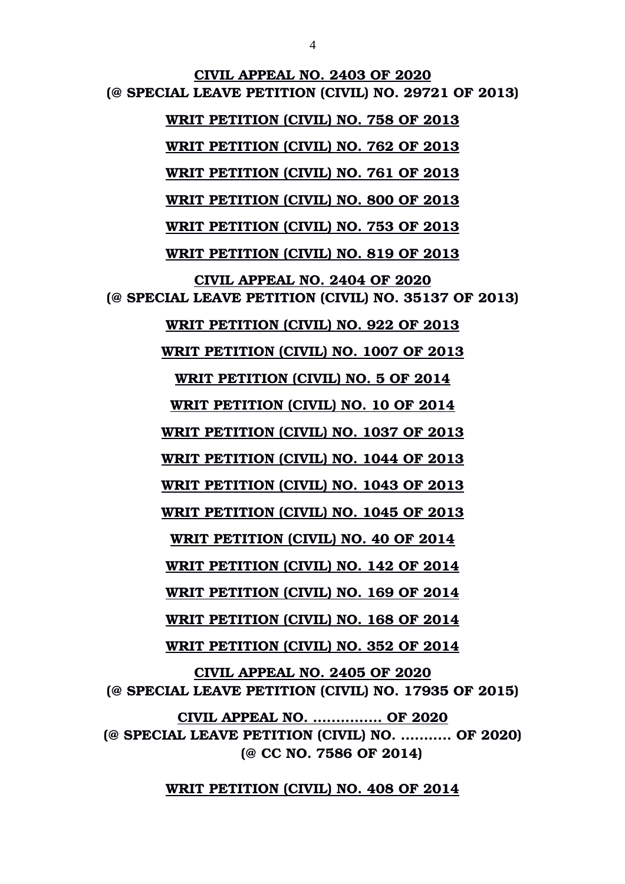**CIVIL APPEAL NO. 2403 OF 2020 (@ SPECIAL LEAVE PETITION (CIVIL) NO. 29721 OF 2013) WRIT PETITION (CIVIL) NO. 758 OF 2013 WRIT PETITION (CIVIL) NO. 762 OF 2013 WRIT PETITION (CIVIL) NO. 761 OF 2013 WRIT PETITION (CIVIL) NO. 800 OF 2013 WRIT PETITION (CIVIL) NO. 753 OF 2013 WRIT PETITION (CIVIL) NO. 819 OF 2013 CIVIL APPEAL NO. 2404 OF 2020 (@ SPECIAL LEAVE PETITION (CIVIL) NO. 35137 OF 2013) WRIT PETITION (CIVIL) NO. 922 OF 2013 WRIT PETITION (CIVIL) NO. 1007 OF 2013 WRIT PETITION (CIVIL) NO. 5 OF 2014 WRIT PETITION (CIVIL) NO. 10 OF 2014 WRIT PETITION (CIVIL) NO. 1037 OF 2013 WRIT PETITION (CIVIL) NO. 1044 OF 2013 WRIT PETITION (CIVIL) NO. 1043 OF 2013 WRIT PETITION (CIVIL) NO. 1045 OF 2013 WRIT PETITION (CIVIL) NO. 40 OF 2014 WRIT PETITION (CIVIL) NO. 142 OF 2014 WRIT PETITION (CIVIL) NO. 169 OF 2014 WRIT PETITION (CIVIL) NO. 168 OF 2014 WRIT PETITION (CIVIL) NO. 352 OF 2014 CIVIL APPEAL NO. 2405 OF 2020 (@ SPECIAL LEAVE PETITION (CIVIL) NO. 17935 OF 2015) CIVIL APPEAL NO. ............... OF 2020 (@ SPECIAL LEAVE PETITION (CIVIL) NO. ........... OF 2020)**

**(@ CC NO. 7586 OF 2014)**

**WRIT PETITION (CIVIL) NO. 408 OF 2014**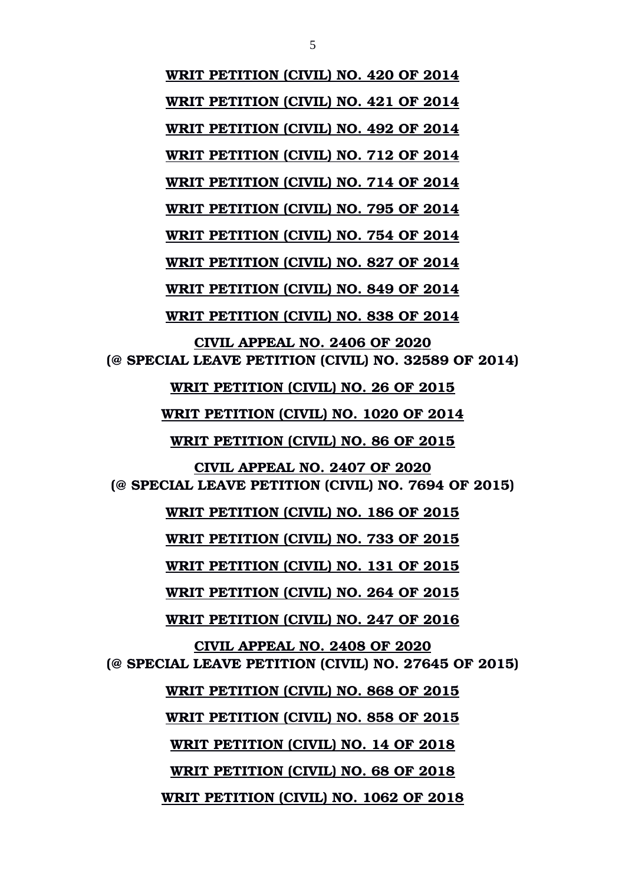**WRIT PETITION (CIVIL) NO. 420 OF 2014 WRIT PETITION (CIVIL) NO. 421 OF 2014 WRIT PETITION (CIVIL) NO. 492 OF 2014 WRIT PETITION (CIVIL) NO. 712 OF 2014 WRIT PETITION (CIVIL) NO. 714 OF 2014 WRIT PETITION (CIVIL) NO. 795 OF 2014 WRIT PETITION (CIVIL) NO. 754 OF 2014 WRIT PETITION (CIVIL) NO. 827 OF 2014 WRIT PETITION (CIVIL) NO. 849 OF 2014 WRIT PETITION (CIVIL) NO. 838 OF 2014 CIVIL APPEAL NO. 2406 OF 2020 (@ SPECIAL LEAVE PETITION (CIVIL) NO. 32589 OF 2014) WRIT PETITION (CIVIL) NO. 26 OF 2015 WRIT PETITION (CIVIL) NO. 1020 OF 2014 WRIT PETITION (CIVIL) NO. 86 OF 2015 CIVIL APPEAL NO. 2407 OF 2020 (@ SPECIAL LEAVE PETITION (CIVIL) NO. 7694 OF 2015) WRIT PETITION (CIVIL) NO. 186 OF 2015 WRIT PETITION (CIVIL) NO. 733 OF 2015 WRIT PETITION (CIVIL) NO. 131 OF 2015 WRIT PETITION (CIVIL) NO. 264 OF 2015 WRIT PETITION (CIVIL) NO. 247 OF 2016 CIVIL APPEAL NO. 2408 OF 2020 (@ SPECIAL LEAVE PETITION (CIVIL) NO. 27645 OF 2015) WRIT PETITION (CIVIL) NO. 868 OF 2015 WRIT PETITION (CIVIL) NO. 858 OF 2015 WRIT PETITION (CIVIL) NO. 14 OF 2018 WRIT PETITION (CIVIL) NO. 68 OF 2018 WRIT PETITION (CIVIL) NO. 1062 OF 2018**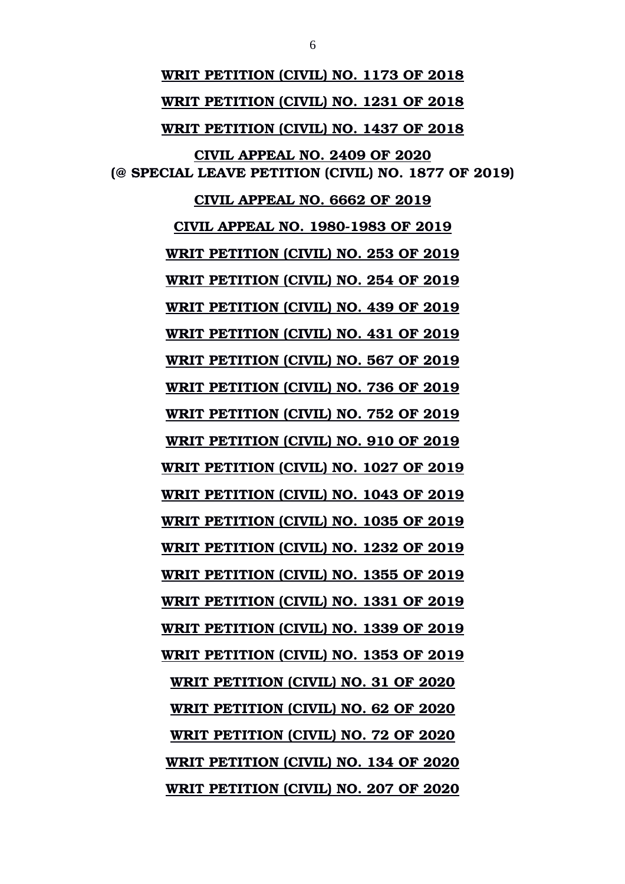**WRIT PETITION (CIVIL) NO. 1173 OF 2018 WRIT PETITION (CIVIL) NO. 1231 OF 2018 WRIT PETITION (CIVIL) NO. 1437 OF 2018 CIVIL APPEAL NO. 2409 OF 2020 (@ SPECIAL LEAVE PETITION (CIVIL) NO. 1877 OF 2019) CIVIL APPEAL NO. 6662 OF 2019 CIVIL APPEAL NO. 1980-1983 OF 2019 WRIT PETITION (CIVIL) NO. 253 OF 2019 WRIT PETITION (CIVIL) NO. 254 OF 2019 WRIT PETITION (CIVIL) NO. 439 OF 2019 WRIT PETITION (CIVIL) NO. 431 OF 2019 WRIT PETITION (CIVIL) NO. 567 OF 2019 WRIT PETITION (CIVIL) NO. 736 OF 2019 WRIT PETITION (CIVIL) NO. 752 OF 2019 WRIT PETITION (CIVIL) NO. 910 OF 2019 WRIT PETITION (CIVIL) NO. 1027 OF 2019 WRIT PETITION (CIVIL) NO. 1043 OF 2019 WRIT PETITION (CIVIL) NO. 1035 OF 2019 WRIT PETITION (CIVIL) NO. 1232 OF 2019 WRIT PETITION (CIVIL) NO. 1355 OF 2019 WRIT PETITION (CIVIL) NO. 1331 OF 2019 WRIT PETITION (CIVIL) NO. 1339 OF 2019 WRIT PETITION (CIVIL) NO. 1353 OF 2019 WRIT PETITION (CIVIL) NO. 31 OF 2020 WRIT PETITION (CIVIL) NO. 62 OF 2020 WRIT PETITION (CIVIL) NO. 72 OF 2020 WRIT PETITION (CIVIL) NO. 134 OF 2020 WRIT PETITION (CIVIL) NO. 207 OF 2020**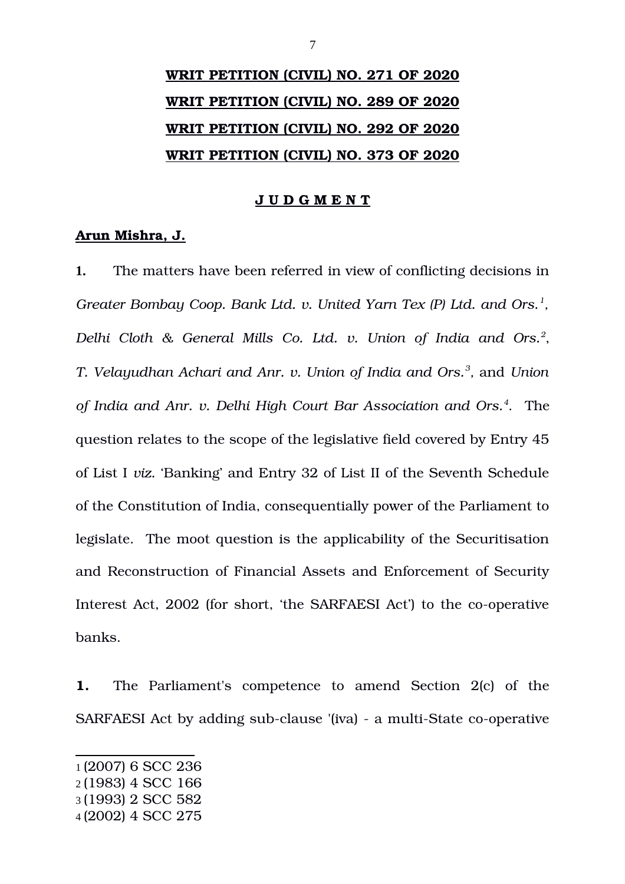# **WRIT PETITION (CIVIL) NO. 271 OF 2020 WRIT PETITION (CIVIL) NO. 289 OF 2020 WRIT PETITION (CIVIL) NO. 292 OF 2020 WRIT PETITION (CIVIL) NO. 373 OF 2020**

### **J U D G M E N T**

### **Arun Mishra, J.**

**1.** The matters have been referred in view of conflicting decisions in *Greater Bombay Coop. Bank Ltd. v. United Yarn Tex (P) Ltd. and Ors.[1](#page-6-0) , Delhi Cloth & General Mills Co. Ltd. v. Union of India and Ors.[2](#page-6-1)* , *T. Velayudhan Achari and Anr. v. Union of India and Ors.[3](#page-6-2) ,* and *Union of India and Anr. v. Delhi High Court Bar Association and Ors.[4](#page-6-3)* . The question relates to the scope of the legislative field covered by Entry 45 of List I *viz.* 'Banking' and Entry 32 of List II of the Seventh Schedule of the Constitution of India, consequentially power of the Parliament to legislate. The moot question is the applicability of the Securitisation and Reconstruction of Financial Assets and Enforcement of Security Interest Act, 2002 (for short, 'the SARFAESI Act') to the co-operative banks.

**1.** The Parliament's competence to amend Section 2(c) of the SARFAESI Act by adding sub-clause '(iva) - a multi-State co-operative

<span id="page-6-0"></span><sup>1</sup> (2007) 6 SCC 236

<span id="page-6-1"></span><sup>2</sup> (1983) 4 SCC 166

<span id="page-6-2"></span><sup>3</sup> (1993) 2 SCC 582

<span id="page-6-3"></span><sup>4</sup> (2002) 4 SCC 275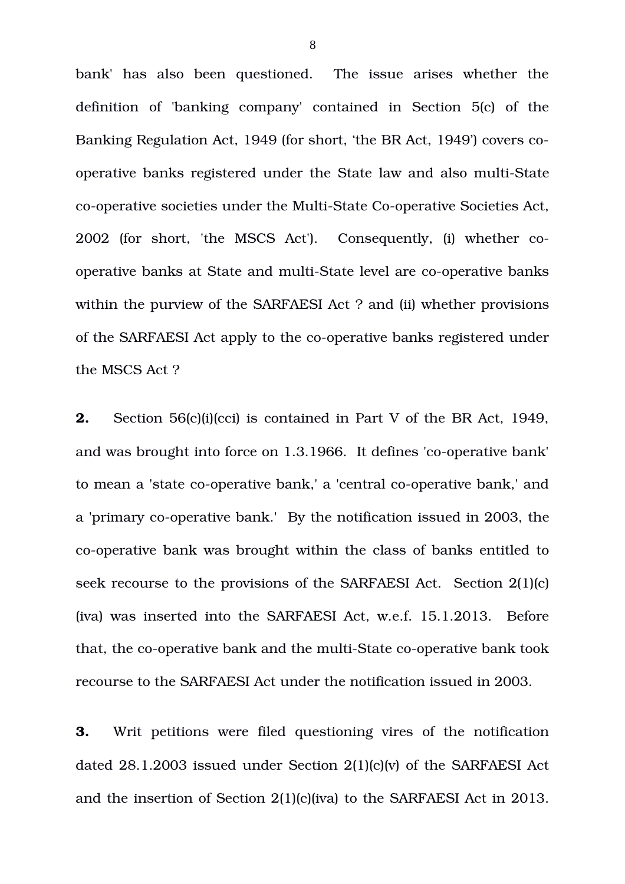bank' has also been questioned. The issue arises whether the definition of 'banking company' contained in Section 5(c) of the Banking Regulation Act, 1949 (for short, 'the BR Act, 1949') covers cooperative banks registered under the State law and also multi-State co-operative societies under the Multi-State Co-operative Societies Act, 2002 (for short, 'the MSCS Act'). Consequently, (i) whether cooperative banks at State and multi-State level are co-operative banks within the purview of the SARFAESI Act ? and (ii) whether provisions of the SARFAESI Act apply to the co-operative banks registered under the MSCS Act ?

**2.** Section 56(c)(i)(cci) is contained in Part V of the BR Act, 1949, and was brought into force on 1.3.1966. It defines 'co-operative bank' to mean a 'state co-operative bank,' a 'central co-operative bank,' and a 'primary co-operative bank.' By the notification issued in 2003, the co-operative bank was brought within the class of banks entitled to seek recourse to the provisions of the SARFAESI Act. Section 2(1)(c) (iva) was inserted into the SARFAESI Act, w.e.f. 15.1.2013. Before that, the co-operative bank and the multi-State co-operative bank took recourse to the SARFAESI Act under the notification issued in 2003.

**3.** Writ petitions were filed questioning vires of the notification dated 28.1.2003 issued under Section 2(1)(c)(v) of the SARFAESI Act and the insertion of Section 2(1)(c)(iva) to the SARFAESI Act in 2013.

8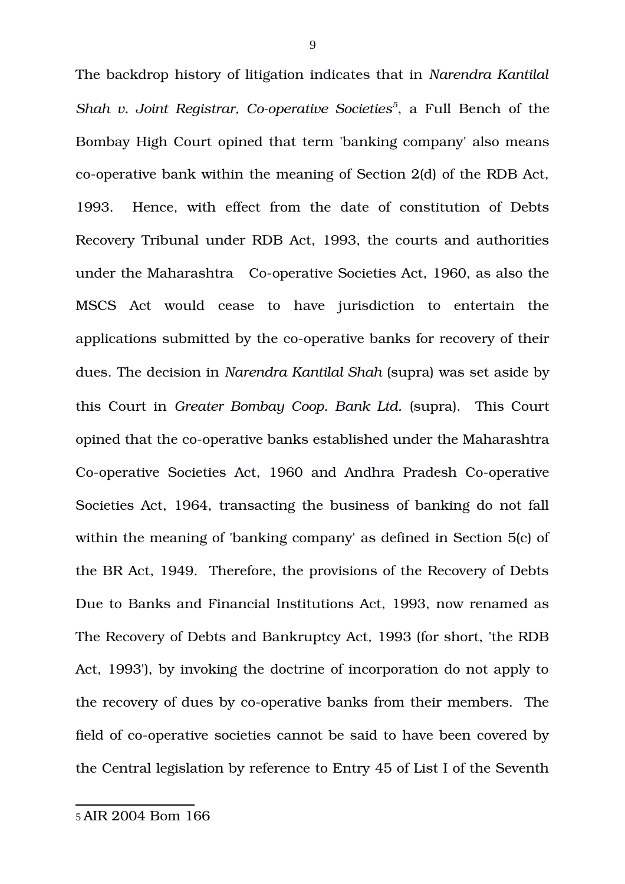<span id="page-8-0"></span>The backdrop history of litigation indicates that in *Narendra Kantilal* Shah v. Joint Registrar, Co-operative Societies<sup>[5](#page-8-0)</sup>, a Full Bench of the Bombay High Court opined that term 'banking company' also means co-operative bank within the meaning of Section  $2(d)$  of the RDB Act, 1993. Hence, with effect from the date of constitution of Debts Recovery Tribunal under RDB Act, 1993, the courts and authorities under the Maharashtra Co-operative Societies Act, 1960, as also the MSCS Act would cease to have jurisdiction to entertain the applications submitted by the co-operative banks for recovery of their dues. The decision in *Narendra Kantilal Shah* (supra) was set aside by this Court in *Greater Bombay Coop. Bank Ltd.* (supra). This Court opined that the co-operative banks established under the Maharashtra Co-operative Societies Act, 1960 and Andhra Pradesh Co-operative Societies Act, 1964, transacting the business of banking do not fall within the meaning of 'banking company' as defined in Section 5(c) of the BR Act, 1949. Therefore, the provisions of the Recovery of Debts Due to Banks and Financial Institutions Act, 1993, now renamed as The Recovery of Debts and Bankruptcy Act, 1993 (for short, 'the RDB Act, 1993'), by invoking the doctrine of incorporation do not apply to the recovery of dues by co-operative banks from their members. The field of co-operative societies cannot be said to have been covered by the Central legislation by reference to Entry 45 of List I of the Seventh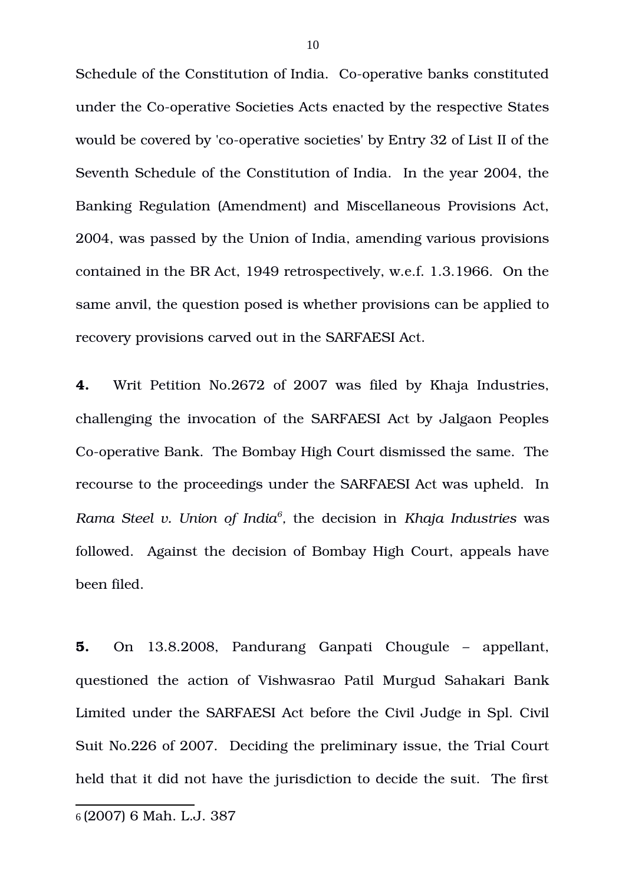Schedule of the Constitution of India. Co-operative banks constituted under the Co-operative Societies Acts enacted by the respective States would be covered by 'co-operative societies' by Entry 32 of List II of the Seventh Schedule of the Constitution of India. In the year 2004, the Banking Regulation (Amendment) and Miscellaneous Provisions Act, 2004, was passed by the Union of India, amending various provisions contained in the BR Act, 1949 retrospectively, w.e.f. 1.3.1966. On the same anvil, the question posed is whether provisions can be applied to recovery provisions carved out in the SARFAESI Act.

**4.** Writ Petition No.2672 of 2007 was filed by Khaja Industries, challenging the invocation of the SARFAESI Act by Jalgaon Peoples Co-operative Bank. The Bombay High Court dismissed the same. The recourse to the proceedings under the SARFAESI Act was upheld. In *Rama Steel v. Union of India[6](#page-9-0) ,* the decision in *Khaja Industries* was followed. Against the decision of Bombay High Court, appeals have been filed.

<span id="page-9-0"></span>**5.** On 13.8.2008, Pandurang Ganpati Chougule – appellant, questioned the action of Vishwasrao Patil Murgud Sahakari Bank Limited under the SARFAESI Act before the Civil Judge in Spl. Civil Suit No.226 of 2007. Deciding the preliminary issue, the Trial Court held that it did not have the jurisdiction to decide the suit. The first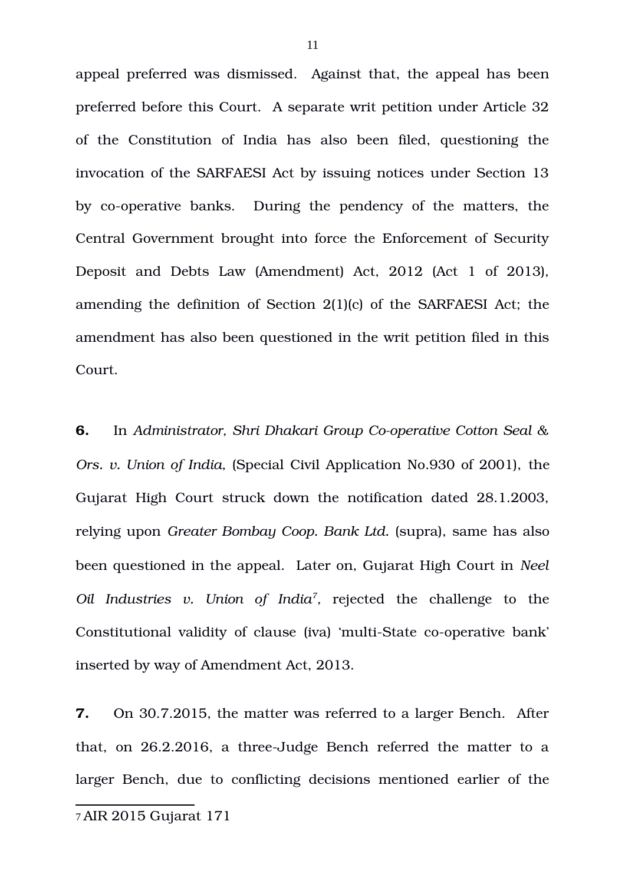appeal preferred was dismissed. Against that, the appeal has been preferred before this Court. A separate writ petition under Article 32 of the Constitution of India has also been filed, questioning the invocation of the SARFAESI Act by issuing notices under Section 13 by co-operative banks. During the pendency of the matters, the Central Government brought into force the Enforcement of Security Deposit and Debts Law (Amendment) Act, 2012 (Act 1 of 2013), amending the definition of Section 2(1)(c) of the SARFAESI Act; the amendment has also been questioned in the writ petition filed in this Court.

**6.** In *Administrator, Shri Dhakari Group Co-operative Cotton Seal & Ors. v. Union of India,* (Special Civil Application No.930 of 2001), the Gujarat High Court struck down the notification dated 28.1.2003, relying upon *Greater Bombay Coop. Bank Ltd.* (supra), same has also been questioned in the appeal. Later on, Gujarat High Court in *Neel Oil Industries v. Union of India[7](#page-10-0) ,* rejected the challenge to the Constitutional validity of clause (iva) 'multi-State co-operative bank' inserted by way of Amendment Act, 2013.

**7.** On 30.7.2015, the matter was referred to a larger Bench. After that, on 26.2.2016, a three-Judge Bench referred the matter to a larger Bench, due to conflicting decisions mentioned earlier of the

<span id="page-10-0"></span><sup>7</sup> AIR 2015 Gujarat 171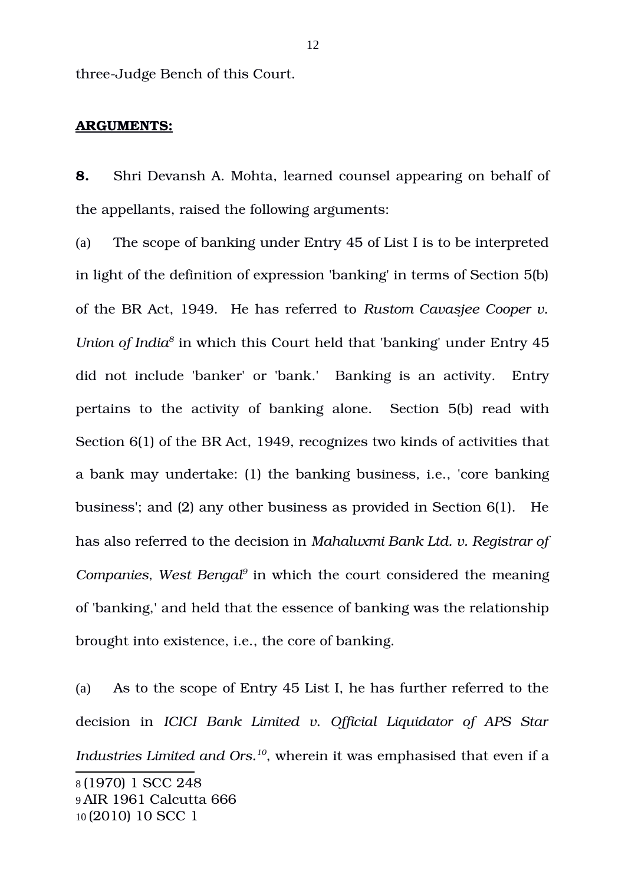three-Judge Bench of this Court.

### **ARGUMENTS:**

**8.** Shri Devansh A. Mohta, learned counsel appearing on behalf of the appellants, raised the following arguments:

(a) The scope of banking under Entry 45 of List I is to be interpreted in light of the definition of expression 'banking' in terms of Section 5(b) of the BR Act, 1949. He has referred to *Rustom Cavasjee Cooper v.* Union of India<sup>[8](#page-11-0)</sup> in which this Court held that 'banking' under Entry 45 did not include 'banker' or 'bank.' Banking is an activity. Entry pertains to the activity of banking alone. Section 5(b) read with Section 6(1) of the BR Act, 1949, recognizes two kinds of activities that a bank may undertake: (1) the banking business, i.e., 'core banking business'; and (2) any other business as provided in Section 6(1). He has also referred to the decision in *Mahaluxmi Bank Ltd. v. Registrar of Companies, West Bengal[9](#page-11-1)* in which the court considered the meaning of 'banking,' and held that the essence of banking was the relationship brought into existence, i.e., the core of banking.

<span id="page-11-2"></span><span id="page-11-1"></span><span id="page-11-0"></span>(a) As to the scope of Entry 45 List I, he has further referred to the decision in *ICICI Bank Limited v. Official Liquidator of APS Star Industries Limited and Ors.[10](#page-11-2)*, wherein it was emphasised that even if a 8 (1970) 1 SCC 248 9 AIR 1961 Calcutta 666 10 (2010) 10 SCC 1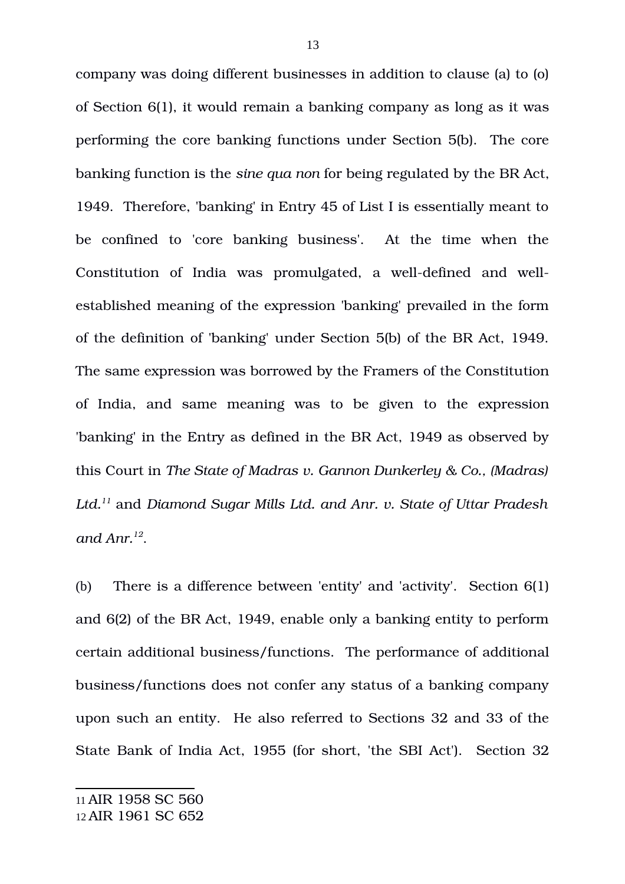company was doing different businesses in addition to clause (a) to (o) of Section 6(1), it would remain a banking company as long as it was performing the core banking functions under Section 5(b). The core banking function is the *sine qua non* for being regulated by the BR Act, 1949. Therefore, 'banking' in Entry 45 of List I is essentially meant to be confined to 'core banking business'. At the time when the Constitution of India was promulgated, a well-defined and wellestablished meaning of the expression 'banking' prevailed in the form of the definition of 'banking' under Section 5(b) of the BR Act, 1949. The same expression was borrowed by the Framers of the Constitution of India, and same meaning was to be given to the expression 'banking' in the Entry as defined in the BR Act, 1949 as observed by this Court in *The State of Madras v. Gannon Dunkerley & Co., (Madras) Ltd.[11](#page-12-0)* and *Diamond Sugar Mills Ltd. and Anr. v. State of Uttar Pradesh and Anr.[12](#page-12-1)* .

(b) There is a difference between 'entity' and 'activity'. Section 6(1) and 6(2) of the BR Act, 1949, enable only a banking entity to perform certain additional business/functions. The performance of additional business/functions does not confer any status of a banking company upon such an entity. He also referred to Sections 32 and 33 of the State Bank of India Act, 1955 (for short, 'the SBI Act'). Section 32

<span id="page-12-1"></span><span id="page-12-0"></span><sup>12</sup> AIR 1961 SC 652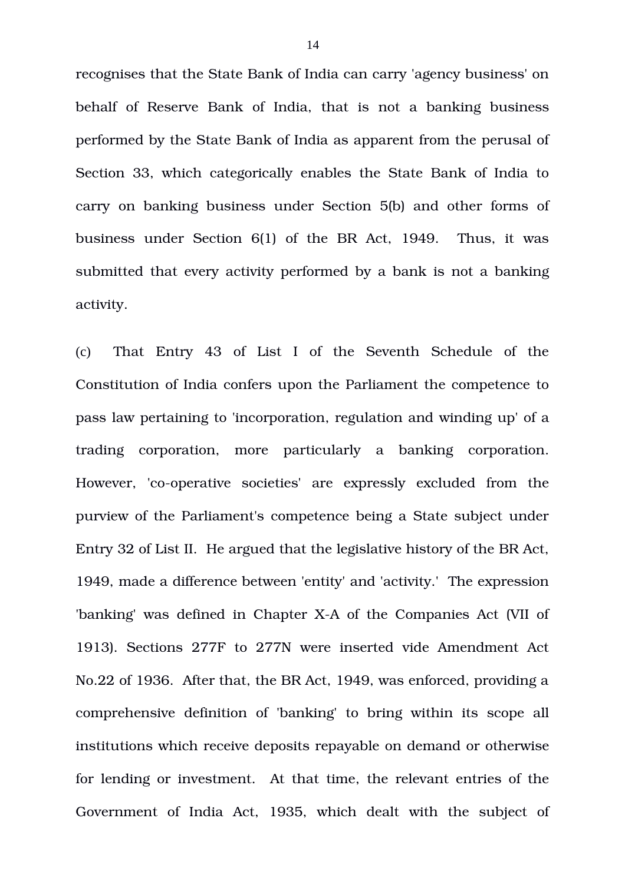recognises that the State Bank of India can carry 'agency business' on behalf of Reserve Bank of India, that is not a banking business performed by the State Bank of India as apparent from the perusal of Section 33, which categorically enables the State Bank of India to carry on banking business under Section 5(b) and other forms of business under Section 6(1) of the BR Act, 1949. Thus, it was submitted that every activity performed by a bank is not a banking activity.

(c) That Entry 43 of List I of the Seventh Schedule of the Constitution of India confers upon the Parliament the competence to pass law pertaining to 'incorporation, regulation and winding up' of a trading corporation, more particularly a banking corporation. However, 'co-operative societies' are expressly excluded from the purview of the Parliament's competence being a State subject under Entry 32 of List II. He argued that the legislative history of the BR Act, 1949, made a difference between 'entity' and 'activity.' The expression 'banking' was defined in Chapter X-A of the Companies Act (VII of 1913). Sections 277F to 277N were inserted vide Amendment Act No.22 of 1936. After that, the BR Act, 1949, was enforced, providing a comprehensive definition of 'banking' to bring within its scope all institutions which receive deposits repayable on demand or otherwise for lending or investment. At that time, the relevant entries of the Government of India Act, 1935, which dealt with the subject of

14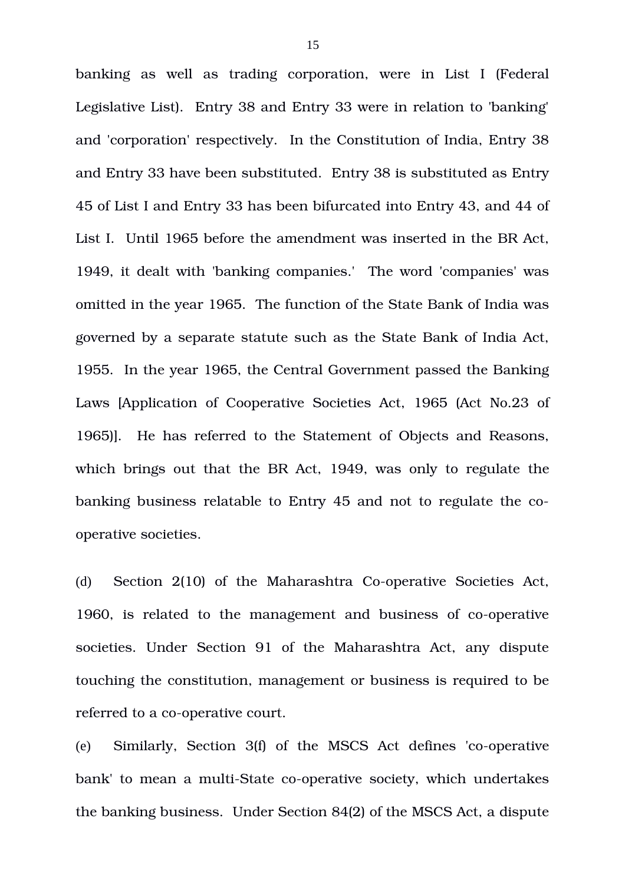banking as well as trading corporation, were in List I (Federal Legislative List). Entry 38 and Entry 33 were in relation to 'banking' and 'corporation' respectively. In the Constitution of India, Entry 38 and Entry 33 have been substituted. Entry 38 is substituted as Entry 45 of List I and Entry 33 has been bifurcated into Entry 43, and 44 of List I. Until 1965 before the amendment was inserted in the BR Act, 1949, it dealt with 'banking companies.' The word 'companies' was omitted in the year 1965. The function of the State Bank of India was governed by a separate statute such as the State Bank of India Act, 1955. In the year 1965, the Central Government passed the Banking Laws [Application of Cooperative Societies Act, 1965 (Act No.23 of 1965)]. He has referred to the Statement of Objects and Reasons, which brings out that the BR Act, 1949, was only to regulate the banking business relatable to Entry 45 and not to regulate the cooperative societies.

(d) Section 2(10) of the Maharashtra Co-operative Societies Act, 1960, is related to the management and business of co-operative societies. Under Section 91 of the Maharashtra Act, any dispute touching the constitution, management or business is required to be referred to a co-operative court.

(e) Similarly, Section  $3(f)$  of the MSCS Act defines 'co-operative bank' to mean a multi-State co-operative society, which undertakes the banking business. Under Section 84(2) of the MSCS Act, a dispute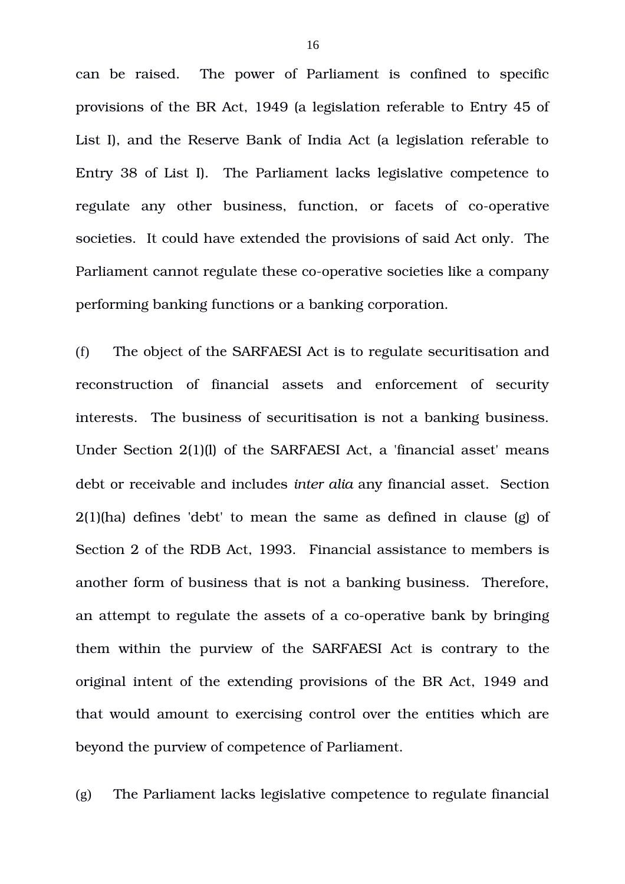can be raised. The power of Parliament is confined to specific provisions of the BR Act, 1949 (a legislation referable to Entry 45 of List I), and the Reserve Bank of India Act (a legislation referable to Entry 38 of List I). The Parliament lacks legislative competence to regulate any other business, function, or facets of co-operative societies. It could have extended the provisions of said Act only. The Parliament cannot regulate these co-operative societies like a company performing banking functions or a banking corporation.

(f) The object of the SARFAESI Act is to regulate securitisation and reconstruction of financial assets and enforcement of security interests. The business of securitisation is not a banking business. Under Section 2(1)(l) of the SARFAESI Act, a 'financial asset' means debt or receivable and includes *inter alia* any financial asset. Section 2(1)(ha) defines 'debt' to mean the same as defined in clause (g) of Section 2 of the RDB Act, 1993. Financial assistance to members is another form of business that is not a banking business. Therefore, an attempt to regulate the assets of a co-operative bank by bringing them within the purview of the SARFAESI Act is contrary to the original intent of the extending provisions of the BR Act, 1949 and that would amount to exercising control over the entities which are beyond the purview of competence of Parliament.

(g) The Parliament lacks legislative competence to regulate financial

16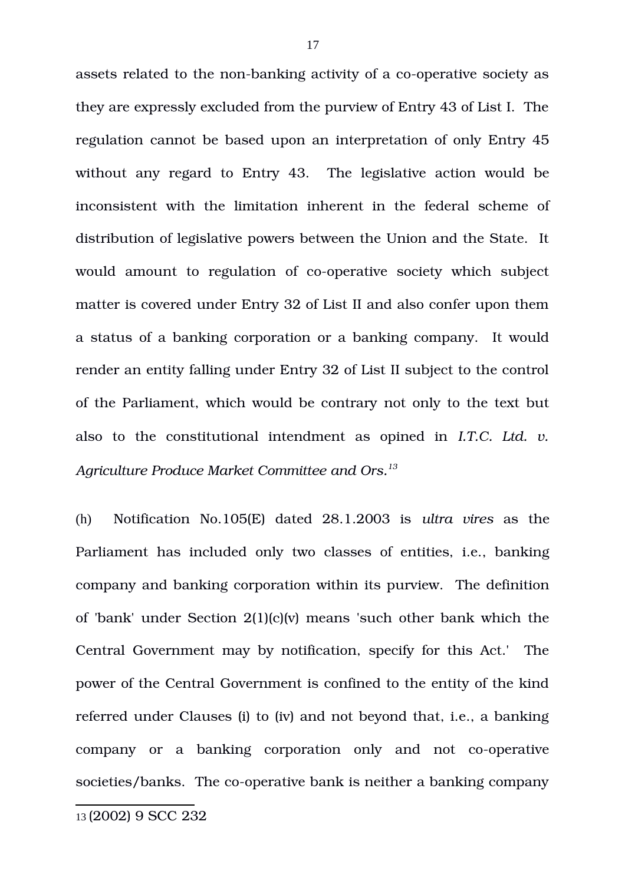assets related to the non-banking activity of a co-operative society as they are expressly excluded from the purview of Entry 43 of List I. The regulation cannot be based upon an interpretation of only Entry 45 without any regard to Entry 43. The legislative action would be inconsistent with the limitation inherent in the federal scheme of distribution of legislative powers between the Union and the State. It would amount to regulation of co-operative society which subject matter is covered under Entry 32 of List II and also confer upon them a status of a banking corporation or a banking company. It would render an entity falling under Entry 32 of List II subject to the control of the Parliament, which would be contrary not only to the text but also to the constitutional intendment as opined in *I.T.C. Ltd. v. Agriculture Produce Market Committee and Ors.[13](#page-16-0)*

(h) Notification No.105(E) dated 28.1.2003 is *ultra vires* as the Parliament has included only two classes of entities, i.e., banking company and banking corporation within its purview. The definition of 'bank' under Section 2(1)(c)(v) means 'such other bank which the Central Government may by notification, specify for this Act.' The power of the Central Government is confined to the entity of the kind referred under Clauses (i) to (iv) and not beyond that, i.e., a banking company or a banking corporation only and not co-operative societies/banks. The co-operative bank is neither a banking company

<span id="page-16-0"></span><sup>13</sup> (2002) 9 SCC 232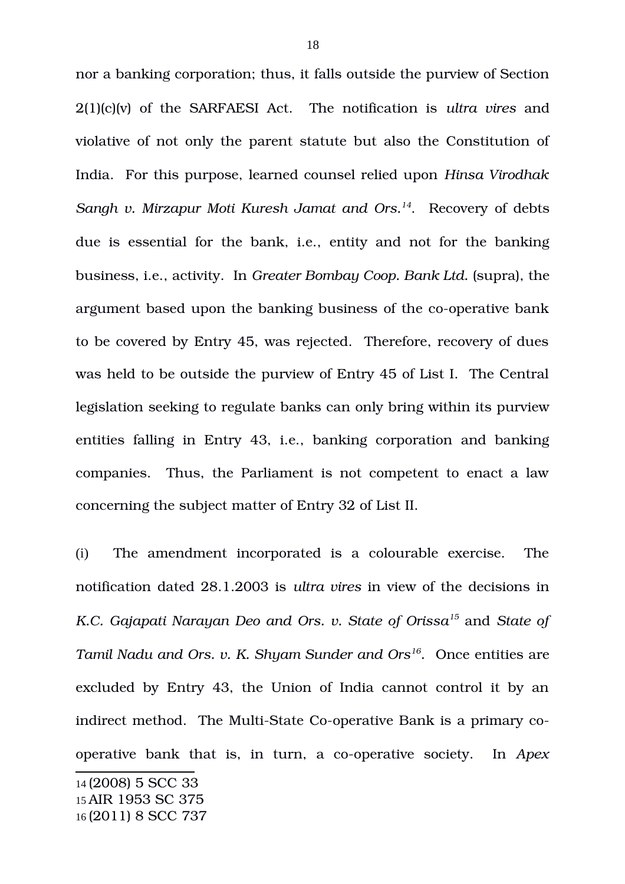nor a banking corporation; thus, it falls outside the purview of Section 2(1)(c)(v) of the SARFAESI Act. The notification is *ultra vires* and violative of not only the parent statute but also the Constitution of India. For this purpose, learned counsel relied upon *Hinsa Virodhak Sangh v. Mirzapur Moti Kuresh Jamat and Ors.[14](#page-17-0)*. Recovery of debts due is essential for the bank, i.e., entity and not for the banking business, i.e., activity. In *Greater Bombay Coop. Bank Ltd.* (supra), the argument based upon the banking business of the co-operative bank to be covered by Entry 45, was rejected. Therefore, recovery of dues was held to be outside the purview of Entry 45 of List I. The Central legislation seeking to regulate banks can only bring within its purview entities falling in Entry 43, i.e., banking corporation and banking companies. Thus, the Parliament is not competent to enact a law concerning the subject matter of Entry 32 of List II.

(i) The amendment incorporated is a colourable exercise. The notification dated 28.1.2003 is *ultra vires* in view of the decisions in *K.C. Gajapati Narayan Deo and Ors. v. State of Orissa[15](#page-17-1)* and *State of Tamil Nadu and Ors. v. K. Shyam Sunder and Ors[16](#page-17-2) .*Once entities are excluded by Entry 43, the Union of India cannot control it by an indirect method. The Multi-State Co-operative Bank is a primary cooperative bank that is, in turn, a co-operative society. In *Apex* 

<span id="page-17-2"></span><span id="page-17-1"></span><span id="page-17-0"></span><sup>14</sup> (2008) 5 SCC 33 15 AIR 1953 SC 375 16 (2011) 8 SCC 737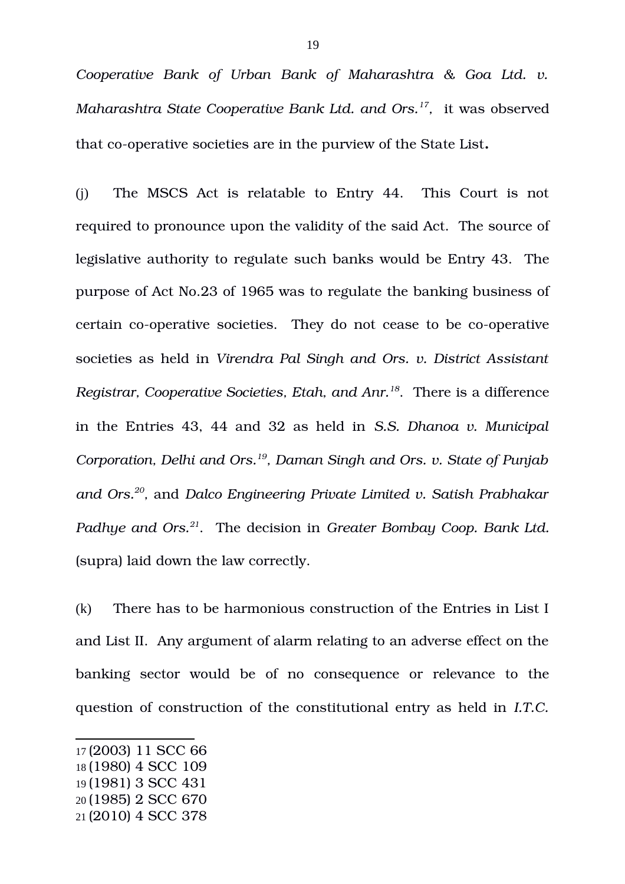*Cooperative Bank of Urban Bank of Maharashtra & Goa Ltd. v. Maharashtra State Cooperative Bank Ltd. and Ors.[17](#page-18-0) ,* it was observed that co-operative societies are in the purview of the State List.

(i) The MSCS Act is relatable to Entry 44. This Court is not required to pronounce upon the validity of the said Act. The source of legislative authority to regulate such banks would be Entry 43. The purpose of Act No.23 of 1965 was to regulate the banking business of certain co-operative societies. They do not cease to be co-operative societies as held in *Virendra Pal Singh and Ors. v. District Assistant Registrar, Cooperative Societies, Etah, and Anr.[18](#page-18-1)*. There is a difference in the Entries 43, 44 and 32 as held in *S.S. Dhanoa v. Municipal Corporation, Delhi and Ors.[19](#page-18-2), Daman Singh and Ors. v. State of Punjab and Ors.[20](#page-18-3) ,* and *Dalco Engineering Private Limited v. Satish Prabhakar* Padhye and Ors.<sup>[21](#page-18-4)</sup>. The decision in *Greater Bombay Coop. Bank Ltd.* (supra) laid down the law correctly.

(k) There has to be harmonious construction of the Entries in List I and List II. Any argument of alarm relating to an adverse effect on the banking sector would be of no consequence or relevance to the question of construction of the constitutional entry as held in *I.T.C.*

<span id="page-18-0"></span><sup>17</sup> (2003) 11 SCC 66

<span id="page-18-1"></span><sup>18</sup> (1980) 4 SCC 109

<span id="page-18-2"></span><sup>19</sup> (1981) 3 SCC 431

<span id="page-18-3"></span><sup>20</sup> (1985) 2 SCC 670

<span id="page-18-4"></span><sup>21</sup> (2010) 4 SCC 378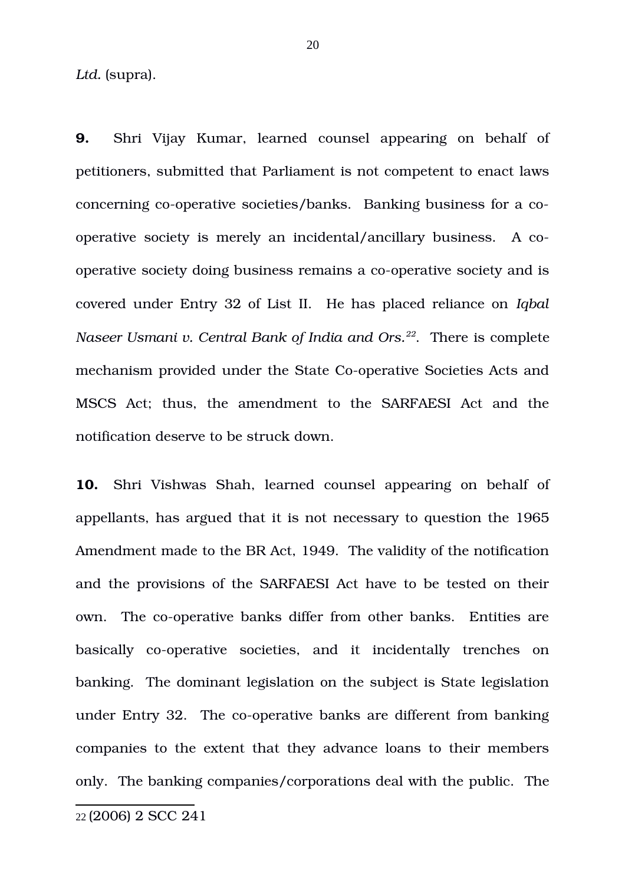Ltd. (supra).

**9.** Shri Vijay Kumar, learned counsel appearing on behalf of petitioners, submitted that Parliament is not competent to enact laws concerning co-operative societies/banks. Banking business for a cooperative society is merely an incidental/ancillary business. A cooperative society doing business remains a co-operative society and is covered under Entry 32 of List II. He has placed reliance on *Iqbal Naseer Usmani v. Central Bank of India and Ors.[22](#page-19-0)*. There is complete mechanism provided under the State Co-operative Societies Acts and MSCS Act; thus, the amendment to the SARFAESI Act and the notification deserve to be struck down.

**10.** Shri Vishwas Shah, learned counsel appearing on behalf of appellants, has argued that it is not necessary to question the 1965 Amendment made to the BR Act, 1949. The validity of the notification and the provisions of the SARFAESI Act have to be tested on their own. The co-operative banks differ from other banks. Entities are basically co-operative societies, and it incidentally trenches on banking. The dominant legislation on the subject is State legislation under Entry 32. The co-operative banks are different from banking companies to the extent that they advance loans to their members only. The banking companies/corporations deal with the public. The

<span id="page-19-0"></span><sup>22</sup> (2006) 2 SCC 241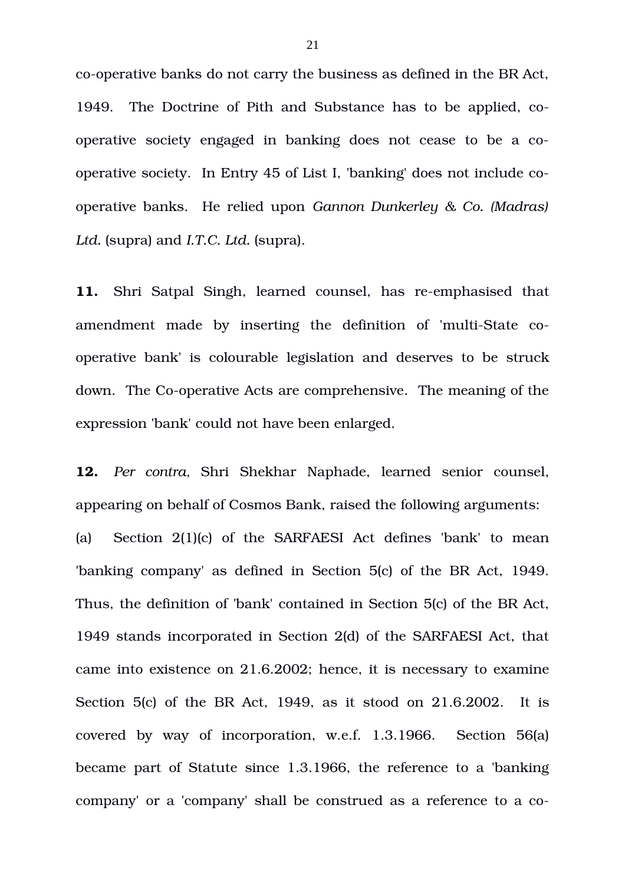co-operative banks do not carry the business as defined in the BR Act, 1949. The Doctrine of Pith and Substance has to be applied, cooperative society engaged in banking does not cease to be a cooperative society. In Entry 45 of List I, 'banking' does not include cooperative banks. He relied upon *Gannon Dunkerley & Co. (Madras) Ltd.* (supra) and *I.T.C. Ltd.* (supra).

**11.** Shri Satpal Singh, learned counsel, has re-emphasised that amendment made by inserting the definition of 'multi-State cooperative bank' is colourable legislation and deserves to be struck down. The Co-operative Acts are comprehensive. The meaning of the expression 'bank' could not have been enlarged.

12. *Per contra*, Shri Shekhar Naphade, learned senior counsel, appearing on behalf of Cosmos Bank, raised the following arguments: (a) Section 2(1)(c) of the SARFAESI Act defines 'bank' to mean 'banking company' as defined in Section 5(c) of the BR Act, 1949. Thus, the definition of 'bank' contained in Section 5(c) of the BR Act, 1949 stands incorporated in Section 2(d) of the SARFAESI Act, that came into existence on 21.6.2002; hence, it is necessary to examine Section 5(c) of the BR Act, 1949, as it stood on 21.6.2002. It is covered by way of incorporation, w.e.f. 1.3.1966. Section 56(a) became part of Statute since 1.3.1966, the reference to a 'banking company' or a 'company' shall be construed as a reference to a co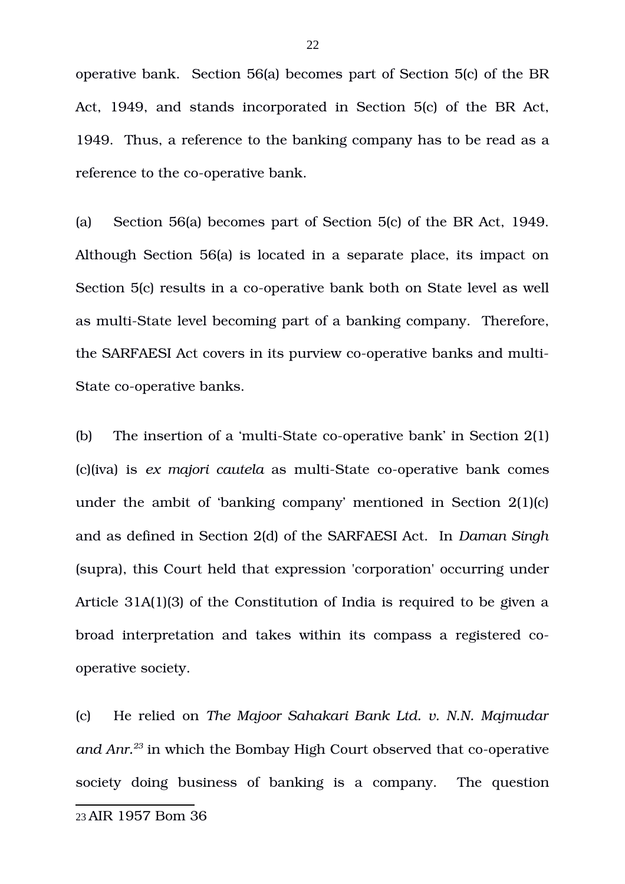operative bank. Section 56(a) becomes part of Section 5(c) of the BR Act, 1949, and stands incorporated in Section 5(c) of the BR Act, 1949. Thus, a reference to the banking company has to be read as a reference to the co-operative bank.

(a) Section 56(a) becomes part of Section 5(c) of the BR Act, 1949. Although Section 56(a) is located in a separate place, its impact on Section 5(c) results in a co-operative bank both on State level as well as multi-State level becoming part of a banking company. Therefore, the SARFAESI Act covers in its purview co-operative banks and multi-State co-operative banks.

(b) The insertion of a 'multi-State co-operative bank' in Section  $2(1)$ (c)(iva) is ex majori cautela as multi-State co-operative bank comes under the ambit of 'banking company' mentioned in Section 2(1)(c) and as defined in Section 2(d) of the SARFAESI Act. In *Daman Singh* (supra), this Court held that expression 'corporation' occurring under Article 31A(1)(3) of the Constitution of India is required to be given a broad interpretation and takes within its compass a registered cooperative society.

<span id="page-21-0"></span>(c) He relied on *The Majoor Sahakari Bank Ltd. v. N.N. Majmudar and Anr.*<sup>[23](#page-21-0)</sup> in which the Bombay High Court observed that co-operative society doing business of banking is a company. The question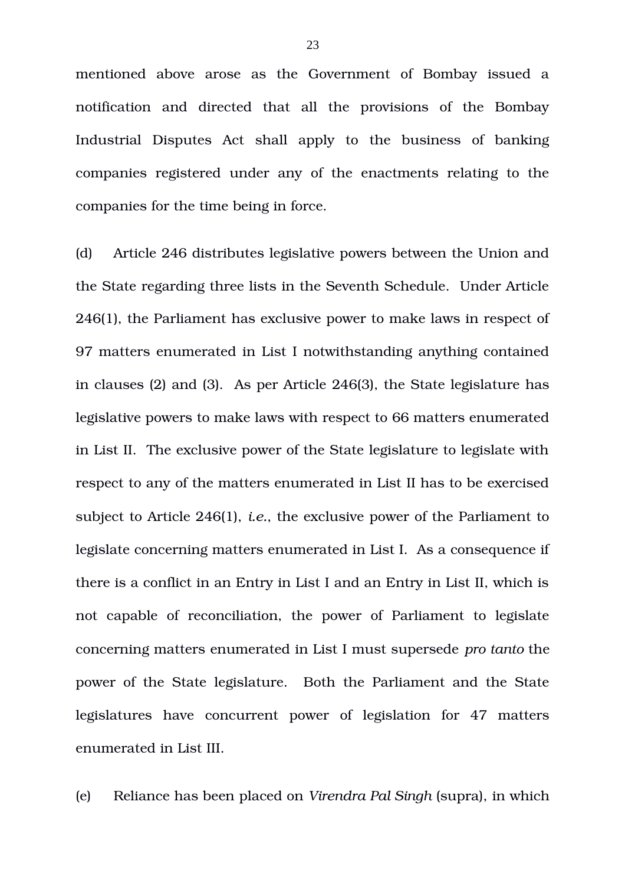mentioned above arose as the Government of Bombay issued a notification and directed that all the provisions of the Bombay Industrial Disputes Act shall apply to the business of banking companies registered under any of the enactments relating to the companies for the time being in force.

(d) Article 246 distributes legislative powers between the Union and the State regarding three lists in the Seventh Schedule. Under Article 246(1), the Parliament has exclusive power to make laws in respect of 97 matters enumerated in List I notwithstanding anything contained in clauses (2) and (3). As per Article 246(3), the State legislature has legislative powers to make laws with respect to 66 matters enumerated in List II. The exclusive power of the State legislature to legislate with respect to any of the matters enumerated in List II has to be exercised subject to Article 246(1), *i.e.*, the exclusive power of the Parliament to legislate concerning matters enumerated in List I. As a consequence if there is a conflict in an Entry in List I and an Entry in List II, which is not capable of reconciliation, the power of Parliament to legislate concerning matters enumerated in List I must supersede *pro tanto* the power of the State legislature. Both the Parliament and the State legislatures have concurrent power of legislation for 47 matters enumerated in List III.

(e) Reliance has been placed on *Virendra Pal Singh* (supra), in which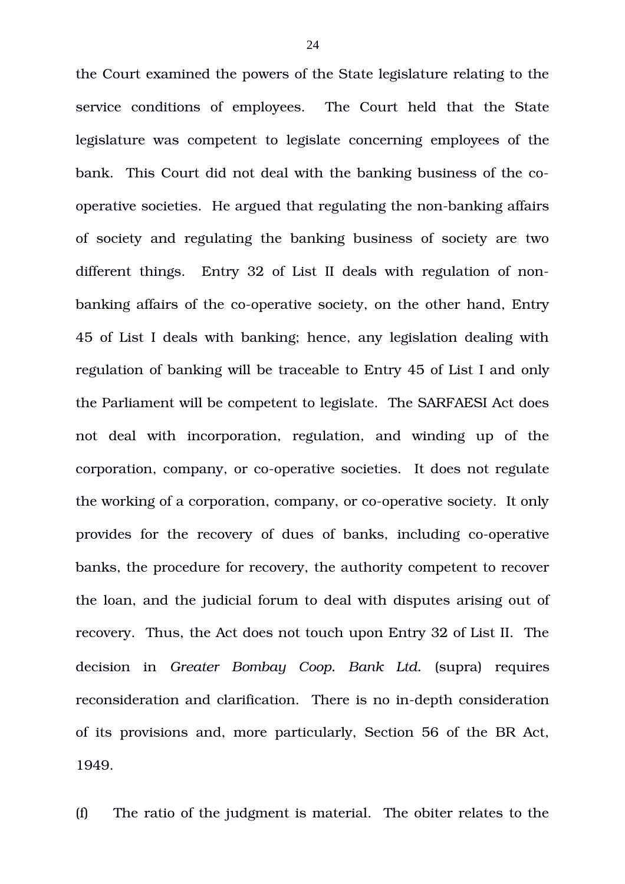the Court examined the powers of the State legislature relating to the service conditions of employees. The Court held that the State legislature was competent to legislate concerning employees of the bank. This Court did not deal with the banking business of the cooperative societies. He argued that regulating the non-banking affairs of society and regulating the banking business of society are two different things. Entry 32 of List II deals with regulation of nonbanking affairs of the co-operative society, on the other hand, Entry 45 of List I deals with banking; hence, any legislation dealing with regulation of banking will be traceable to Entry 45 of List I and only the Parliament will be competent to legislate. The SARFAESI Act does not deal with incorporation, regulation, and winding up of the corporation, company, or co-operative societies. It does not regulate the working of a corporation, company, or co-operative society. It only provides for the recovery of dues of banks, including co-operative banks, the procedure for recovery, the authority competent to recover the loan, and the judicial forum to deal with disputes arising out of recovery. Thus, the Act does not touch upon Entry 32 of List II. The decision in *Greater Bombay Coop. Bank Ltd.* (supra) requires reconsideration and clarification. There is no in-depth consideration of its provisions and, more particularly, Section 56 of the BR Act, 1949.

(f) The ratio of the judgment is material. The obiter relates to the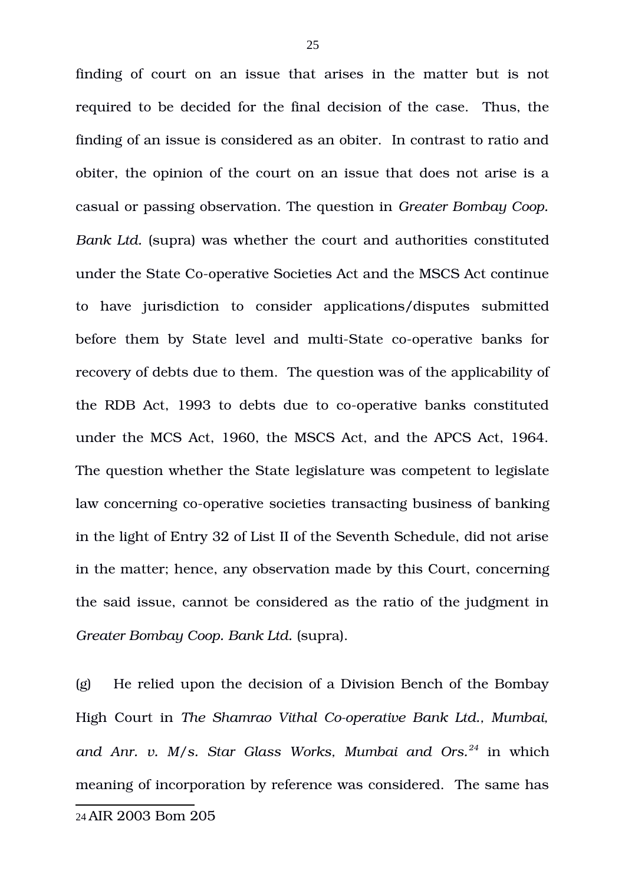finding of court on an issue that arises in the matter but is not required to be decided for the final decision of the case. Thus, the finding of an issue is considered as an obiter. In contrast to ratio and obiter, the opinion of the court on an issue that does not arise is a casual or passing observation. The question in *Greater Bombay Coop. Bank Ltd.* (supra) was whether the court and authorities constituted under the State Co-operative Societies Act and the MSCS Act continue to have jurisdiction to consider applications/disputes submitted before them by State level and multi-State co-operative banks for recovery of debts due to them. The question was of the applicability of the RDB Act, 1993 to debts due to co-operative banks constituted under the MCS Act, 1960, the MSCS Act, and the APCS Act, 1964. The question whether the State legislature was competent to legislate law concerning co-operative societies transacting business of banking in the light of Entry 32 of List II of the Seventh Schedule, did not arise in the matter; hence, any observation made by this Court, concerning the said issue, cannot be considered as the ratio of the judgment in *Greater Bombay Coop. Bank Ltd.* (supra).

(g) He relied upon the decision of a Division Bench of the Bombay High Court in The Shamrao Vithal Co-operative Bank Ltd., Mumbai, *and Anr. v. M/s. Star Glass Works, Mumbai and Ors.[24](#page-24-0)* in which meaning of incorporation by reference was considered. The same has

<span id="page-24-0"></span><sup>24</sup> AIR 2003 Bom 205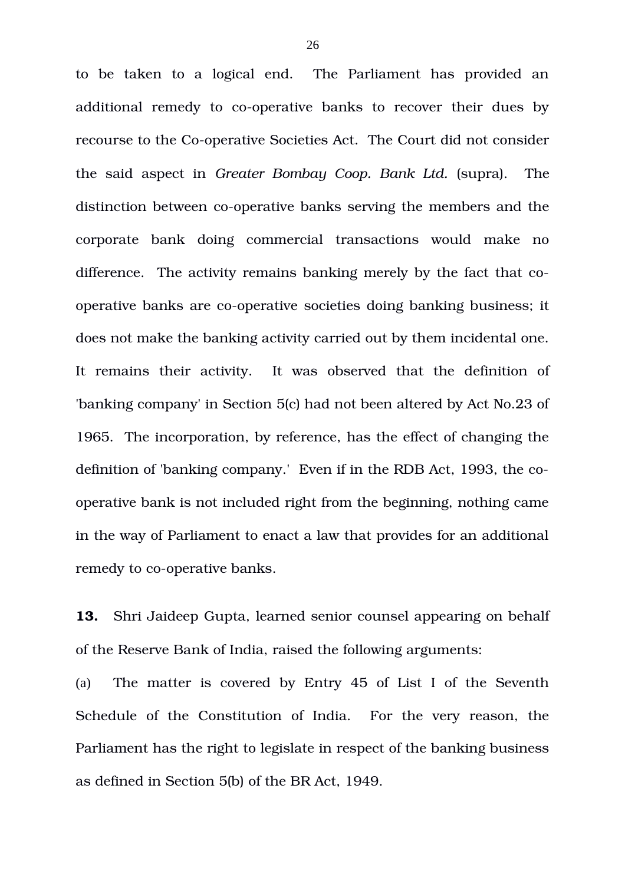to be taken to a logical end. The Parliament has provided an additional remedy to co-operative banks to recover their dues by recourse to the Co-operative Societies Act. The Court did not consider the said aspect in *Greater Bombay Coop. Bank Ltd.* (supra). The distinction between co-operative banks serving the members and the corporate bank doing commercial transactions would make no difference. The activity remains banking merely by the fact that cooperative banks are co-operative societies doing banking business; it does not make the banking activity carried out by them incidental one. It remains their activity. It was observed that the definition of 'banking company' in Section 5(c) had not been altered by Act No.23 of 1965. The incorporation, by reference, has the effect of changing the definition of 'banking company.' Even if in the RDB Act, 1993, the cooperative bank is not included right from the beginning, nothing came in the way of Parliament to enact a law that provides for an additional remedy to co-operative banks.

**13.** Shri Jaideep Gupta, learned senior counsel appearing on behalf of the Reserve Bank of India, raised the following arguments:

(a) The matter is covered by Entry 45 of List I of the Seventh Schedule of the Constitution of India. For the very reason, the Parliament has the right to legislate in respect of the banking business as defined in Section 5(b) of the BR Act, 1949.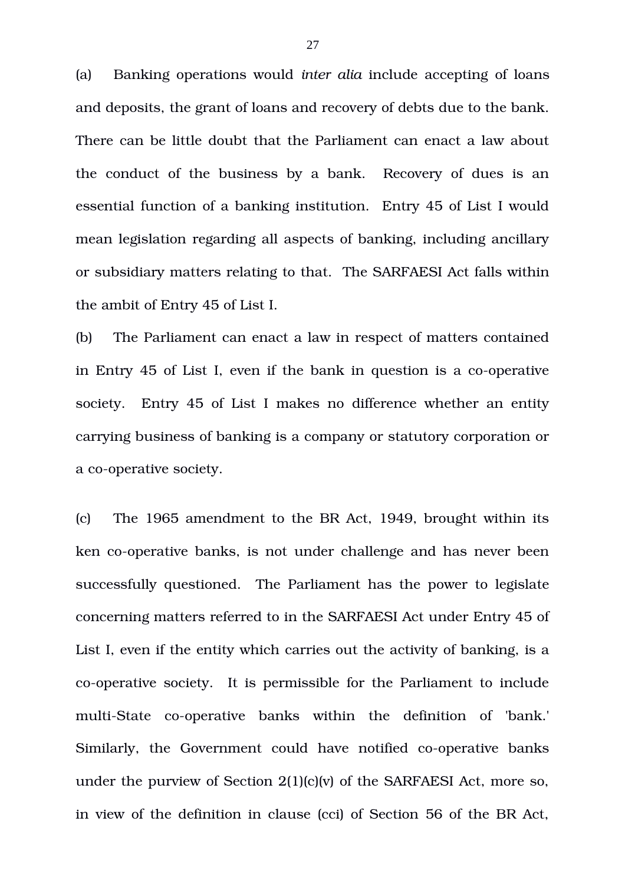(a) Banking operations would *inter alia* include accepting of loans and deposits, the grant of loans and recovery of debts due to the bank. There can be little doubt that the Parliament can enact a law about the conduct of the business by a bank. Recovery of dues is an essential function of a banking institution. Entry 45 of List I would mean legislation regarding all aspects of banking, including ancillary or subsidiary matters relating to that. The SARFAESI Act falls within the ambit of Entry 45 of List I.

(b) The Parliament can enact a law in respect of matters contained in Entry 45 of List I, even if the bank in question is a co-operative society. Entry 45 of List I makes no difference whether an entity carrying business of banking is a company or statutory corporation or a co-operative society.

(c) The 1965 amendment to the BR Act, 1949, brought within its ken co-operative banks, is not under challenge and has never been successfully questioned. The Parliament has the power to legislate concerning matters referred to in the SARFAESI Act under Entry 45 of List I, even if the entity which carries out the activity of banking, is a co-operative society. It is permissible for the Parliament to include multi-State co-operative banks within the definition of 'bank.' Similarly, the Government could have notified co-operative banks under the purview of Section 2(1)(c)(v) of the SARFAESI Act, more so, in view of the definition in clause (cci) of Section 56 of the BR Act,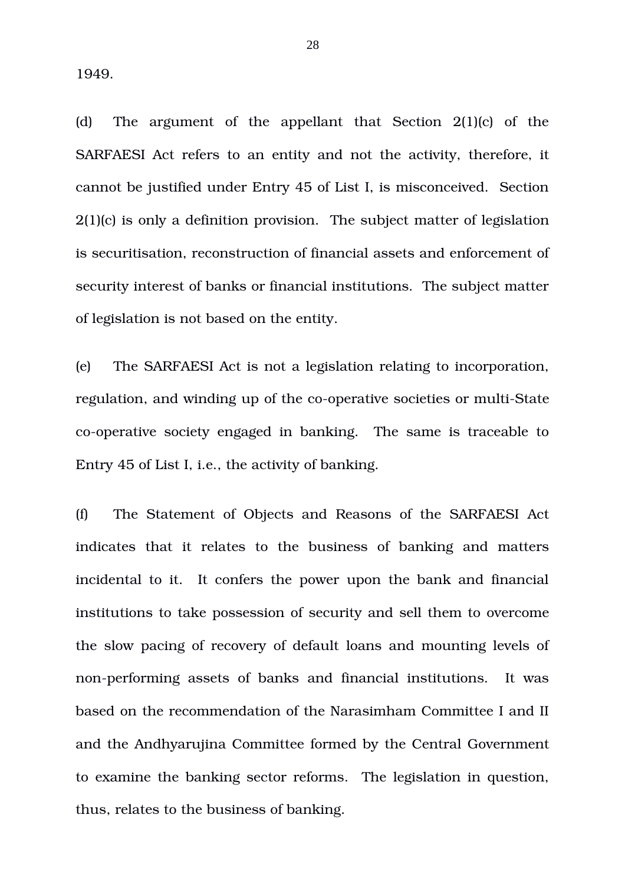1949.

(d) The argument of the appellant that Section  $2(1)(c)$  of the SARFAESI Act refers to an entity and not the activity, therefore, it cannot be justified under Entry 45 of List I, is misconceived. Section 2(1)(c) is only a definition provision. The subject matter of legislation is securitisation, reconstruction of financial assets and enforcement of security interest of banks or financial institutions. The subject matter of legislation is not based on the entity.

(e) The SARFAESI Act is not a legislation relating to incorporation, regulation, and winding up of the co-operative societies or multi-State co-operative society engaged in banking. The same is traceable to Entry 45 of List I, i.e., the activity of banking.

(f) The Statement of Objects and Reasons of the SARFAESI Act indicates that it relates to the business of banking and matters incidental to it. It confers the power upon the bank and financial institutions to take possession of security and sell them to overcome the slow pacing of recovery of default loans and mounting levels of non-performing assets of banks and financial institutions. It was based on the recommendation of the Narasimham Committee I and II and the Andhyarujina Committee formed by the Central Government to examine the banking sector reforms. The legislation in question, thus, relates to the business of banking.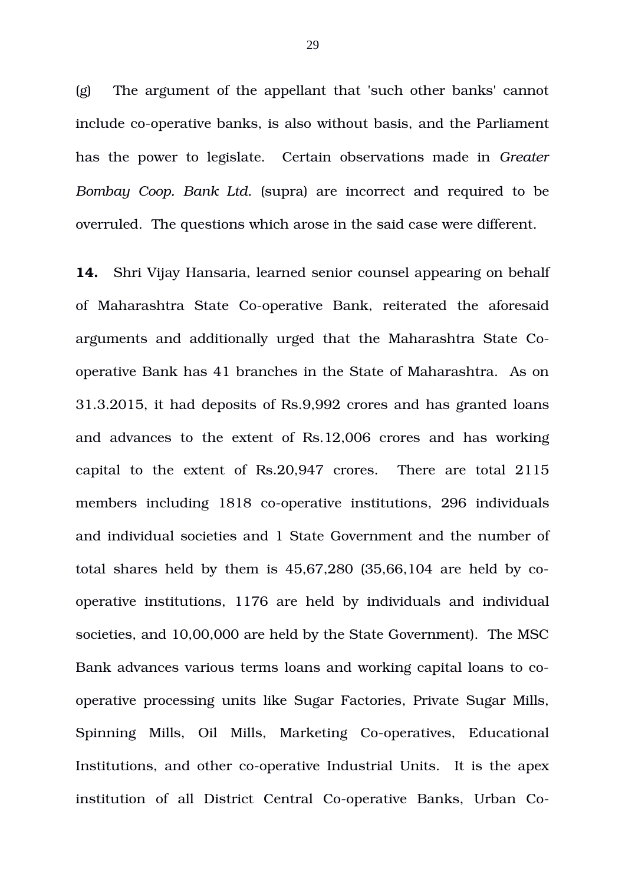(g) The argument of the appellant that 'such other banks' cannot include co-operative banks, is also without basis, and the Parliament has the power to legislate. Certain observations made in *Greater Bombay Coop. Bank Ltd.* (supra) are incorrect and required to be overruled. The questions which arose in the said case were different.

**14.** Shri Vijay Hansaria, learned senior counsel appearing on behalf of Maharashtra State Co-operative Bank, reiterated the aforesaid arguments and additionally urged that the Maharashtra State Cooperative Bank has 41 branches in the State of Maharashtra. As on 31.3.2015, it had deposits of Rs.9,992 crores and has granted loans and advances to the extent of Rs.12,006 crores and has working capital to the extent of  $Rs.20,947$  crores. There are total  $2115$ members including 1818 co-operative institutions, 296 individuals and individual societies and 1 State Government and the number of total shares held by them is 45,67,280 (35,66,104 are held by cooperative institutions, 1176 are held by individuals and individual societies, and 10,00,000 are held by the State Government). The MSC Bank advances various terms loans and working capital loans to cooperative processing units like Sugar Factories, Private Sugar Mills, Spinning Mills, Oil Mills, Marketing Co-operatives, Educational Institutions, and other co-operative Industrial Units. It is the apex institution of all District Central Co-operative Banks, Urban Co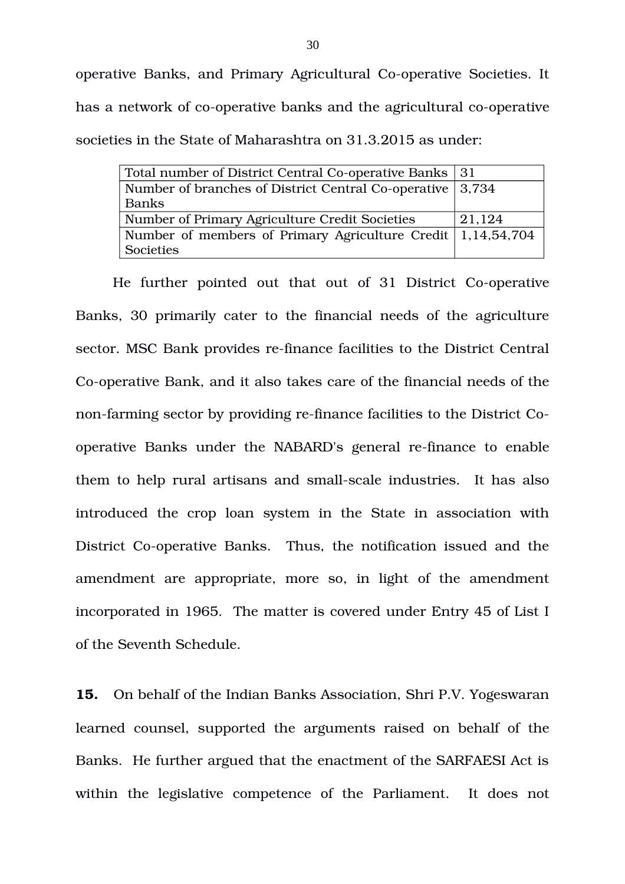operative Banks, and Primary Agricultural Co-operative Societies. It has a network of co-operative banks and the agricultural co-operative societies in the State of Maharashtra on 31.3.2015 as under:

| Total number of District Central Co-operative Banks 31                      |        |
|-----------------------------------------------------------------------------|--------|
| Number of branches of District Central Co-operative 3,734                   |        |
| Banks                                                                       |        |
| Number of Primary Agriculture Credit Societies                              | 21,124 |
| Number of members of Primary Agriculture Credit $\vert 1,14,54,704 \rangle$ |        |
| Societies                                                                   |        |

He further pointed out that out of 31 District Co-operative Banks, 30 primarily cater to the financial needs of the agriculture sector. MSC Bank provides re-finance facilities to the District Central Co-operative Bank, and it also takes care of the financial needs of the non-farming sector by providing re-finance facilities to the District Cooperative Banks under the NABARD's general re-finance to enable them to help rural artisans and small-scale industries. It has also introduced the crop loan system in the State in association with District Co-operative Banks. Thus, the notification issued and the amendment are appropriate, more so, in light of the amendment incorporated in 1965. The matter is covered under Entry 45 of List I of the Seventh Schedule.

**15.** On behalf of the Indian Banks Association, Shri P.V. Yogeswaran learned counsel, supported the arguments raised on behalf of the Banks. He further argued that the enactment of the SARFAESI Act is within the legislative competence of the Parliament. It does not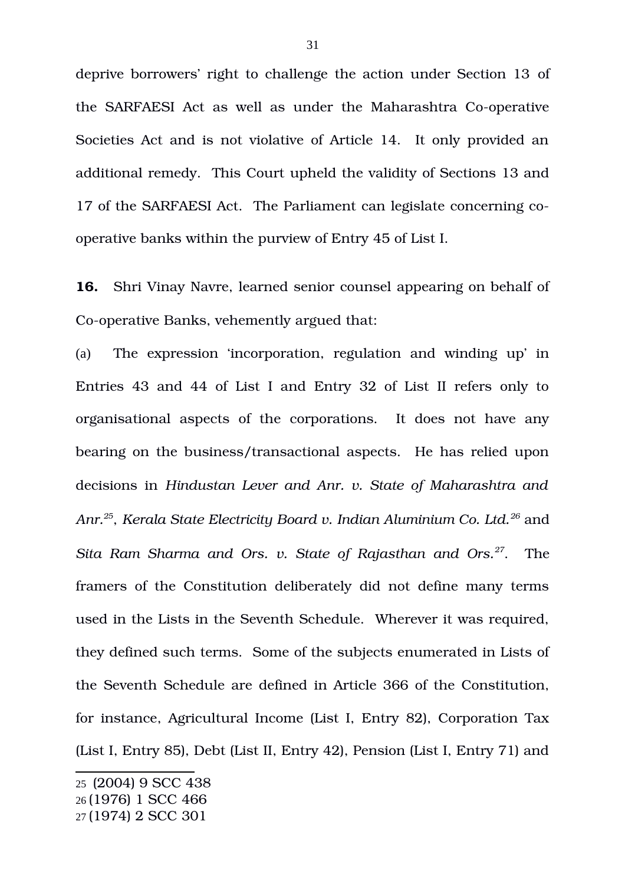deprive borrowers' right to challenge the action under Section 13 of the SARFAESI Act as well as under the Maharashtra Co-operative Societies Act and is not violative of Article 14. It only provided an additional remedy. This Court upheld the validity of Sections 13 and 17 of the SARFAESI Act. The Parliament can legislate concerning cooperative banks within the purview of Entry 45 of List I.

**16.** Shri Vinay Navre, learned senior counsel appearing on behalf of Co-operative Banks, vehemently argued that:

(a) The expression 'incorporation, regulation and winding up' in Entries 43 and 44 of List I and Entry 32 of List II refers only to organisational aspects of the corporations. It does not have any bearing on the business/transactional aspects. He has relied upon decisions in *Hindustan Lever and Anr. v. State of Maharashtra and Anr.[25](#page-30-0)* , *Kerala State Electricity Board v. Indian Aluminium Co. Ltd.[26](#page-30-1)* and *Sita Ram Sharma and Ors. v. State of Rajasthan and Ors.[27](#page-30-2)*. The framers of the Constitution deliberately did not define many terms used in the Lists in the Seventh Schedule. Wherever it was required, they defined such terms. Some of the subjects enumerated in Lists of the Seventh Schedule are defined in Article 366 of the Constitution, for instance, Agricultural Income (List I, Entry 82), Corporation Tax (List I, Entry 85), Debt (List II, Entry 42), Pension (List I, Entry 71) and

<span id="page-30-1"></span><span id="page-30-0"></span><sup>25</sup> (2004) 9 SCC 438 26 (1976) 1 SCC 466

<span id="page-30-2"></span><sup>27</sup> (1974) 2 SCC 301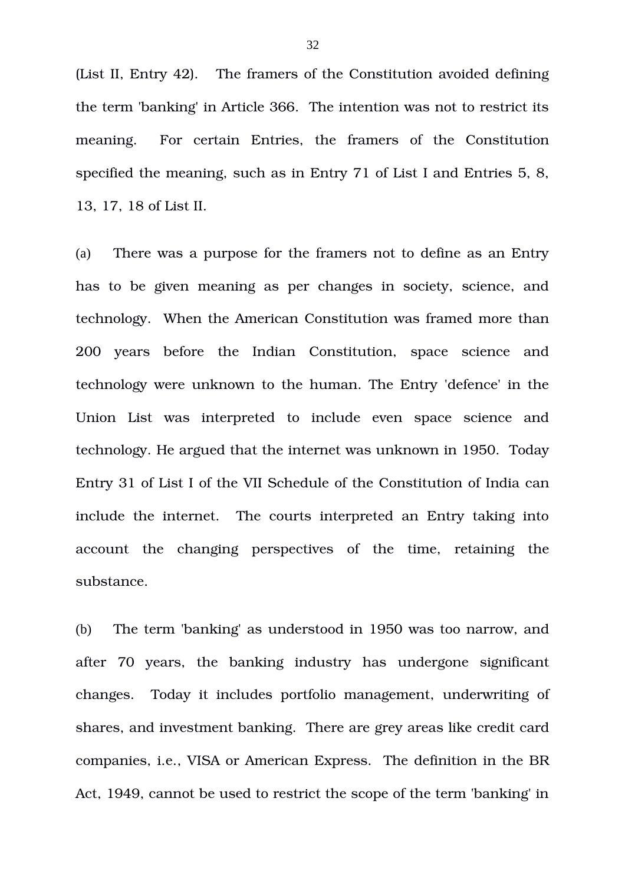(List II, Entry 42). The framers of the Constitution avoided defining the term 'banking' in Article 366. The intention was not to restrict its meaning. For certain Entries, the framers of the Constitution specified the meaning, such as in Entry 71 of List I and Entries 5, 8, 13, 17, 18 of List II.

(a) There was a purpose for the framers not to define as an Entry has to be given meaning as per changes in society, science, and technology. When the American Constitution was framed more than 200 vears before the Indian Constitution, space science and technology were unknown to the human. The Entry 'defence' in the Union List was interpreted to include even space science and technology. He argued that the internet was unknown in 1950. Today Entry 31 of List I of the VII Schedule of the Constitution of India can include the internet. The courts interpreted an Entry taking into account the changing perspectives of the time, retaining the substance.

(b) The term 'banking' as understood in 1950 was too narrow, and after 70 years, the banking industry has undergone significant changes. Today it includes portfolio management, underwriting of shares, and investment banking. There are grey areas like credit card companies, i.e., VISA or American Express. The definition in the BR Act, 1949, cannot be used to restrict the scope of the term 'banking' in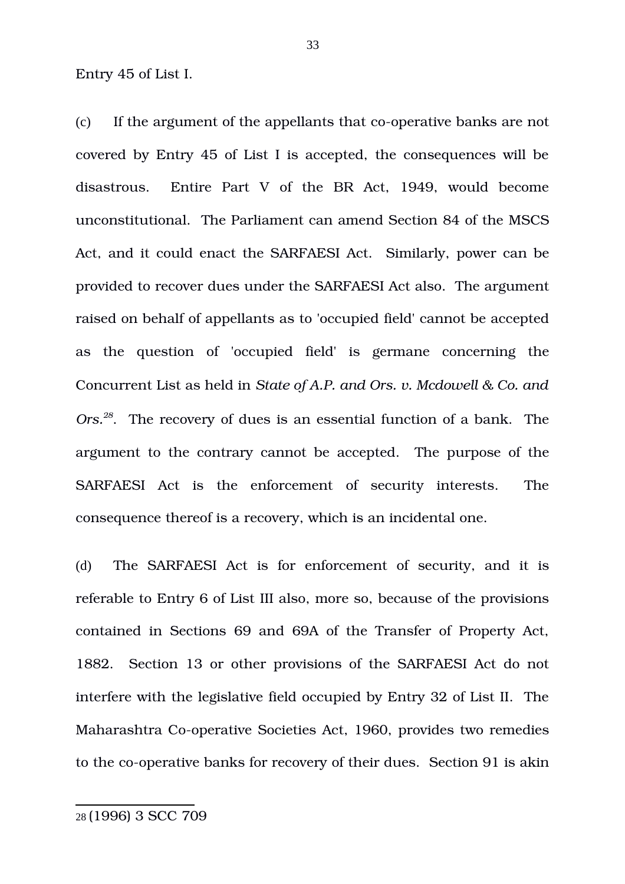Entry 45 of List I.

 $(c)$  If the argument of the appellants that co-operative banks are not covered by Entry 45 of List I is accepted, the consequences will be disastrous. Entire Part V of the BR Act, 1949, would become unconstitutional. The Parliament can amend Section 84 of the MSCS Act, and it could enact the SARFAESI Act. Similarly, power can be provided to recover dues under the SARFAESI Act also. The argument raised on behalf of appellants as to 'occupied field' cannot be accepted as the question of 'occupied field' is germane concerning the Concurrent List as held in *State of A.P. and Ors. v. Mcdowell & Co. and Ors.[28](#page-32-0)*. The recovery of dues is an essential function of a bank. The argument to the contrary cannot be accepted. The purpose of the SARFAESI Act is the enforcement of security interests. The consequence thereof is a recovery, which is an incidental one.

<span id="page-32-0"></span>(d) The SARFAESI Act is for enforcement of security, and it is referable to Entry 6 of List III also, more so, because of the provisions contained in Sections 69 and 69A of the Transfer of Property Act, 1882. Section 13 or other provisions of the SARFAESI Act do not interfere with the legislative field occupied by Entry 32 of List II. The Maharashtra Co-operative Societies Act, 1960, provides two remedies to the co-operative banks for recovery of their dues. Section 91 is akin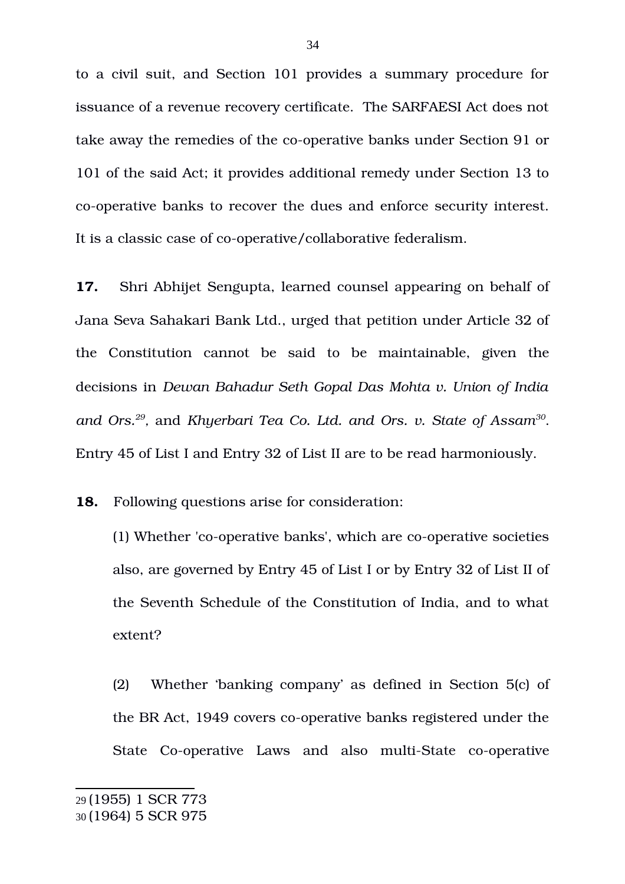to a civil suit, and Section 101 provides a summary procedure for issuance of a revenue recovery certificate. The SARFAESI Act does not take away the remedies of the co-operative banks under Section 91 or 101 of the said Act; it provides additional remedy under Section 13 to co-operative banks to recover the dues and enforce security interest. It is a classic case of co-operative/collaborative federalism.

**17.** Shri Abhijet Sengupta, learned counsel appearing on behalf of Jana Seva Sahakari Bank Ltd., urged that petition under Article 32 of the Constitution cannot be said to be maintainable, given the decisions in *Dewan Bahadur Seth Gopal Das Mohta v. Union of India* and Ors.<sup>[29](#page-33-0)</sup>, and Khyerbari Tea Co. Ltd. and Ors. v. State of Assam<sup>[30](#page-33-1)</sup>. Entry 45 of List I and Entry 32 of List II are to be read harmoniously.

**18.** Following questions arise for consideration:

(1) Whether 'co-operative banks', which are co-operative societies also, are governed by Entry 45 of List I or by Entry 32 of List II of the Seventh Schedule of the Constitution of India, and to what extent?

<span id="page-33-1"></span><span id="page-33-0"></span>(2) Whether 'banking company' as defined in Section 5(c) of the BR Act, 1949 covers co-operative banks registered under the State Co-operative Laws and also multi-State co-operative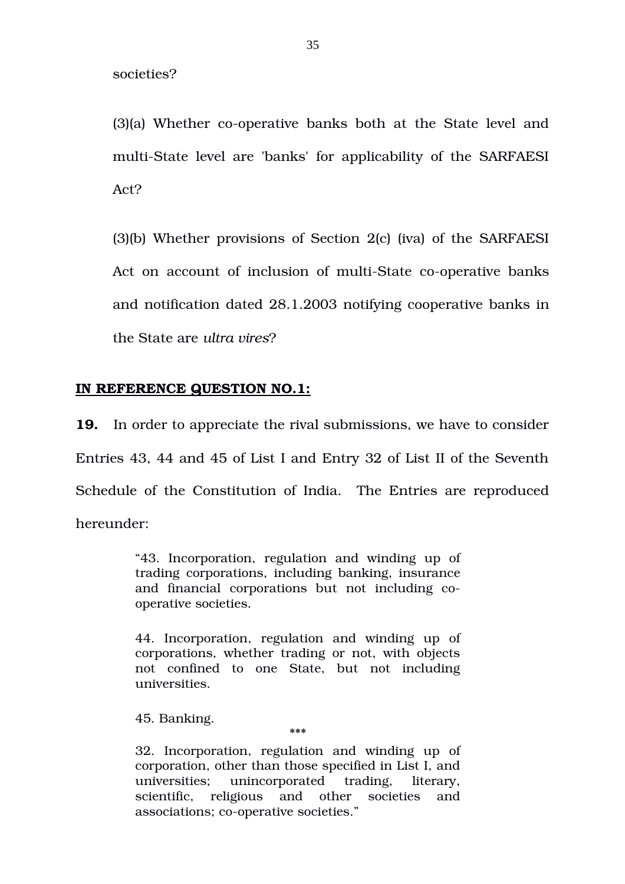societies?

(3)(a) Whether co-operative banks both at the State level and multi-State level are 'banks' for applicability of the SARFAESI Act?

(3)(b) Whether provisions of Section 2(c) (iva) of the SARFAESI Act on account of inclusion of multi-State co-operative banks and notification dated 28.1.2003 notifying cooperative banks in the State are *ultra vires*?

## **IN REFERENCE QUESTION NO.1:**

**19.** In order to appreciate the rival submissions, we have to consider Entries 43, 44 and 45 of List I and Entry 32 of List II of the Seventh Schedule of the Constitution of India. The Entries are reproduced hereunder:

> "43. Incorporation, regulation and winding up of trading corporations, including banking, insurance and financial corporations but not including cooperative societies.

> 44. Incorporation, regulation and winding up of corporations, whether trading or not, with objects not confined to one State, but not including universities.

45. Banking.

32. Incorporation, regulation and winding up of corporation, other than those specified in List I, and universities; unincorporated trading, literary, scientific, religious and other societies and associations; co-operative societies."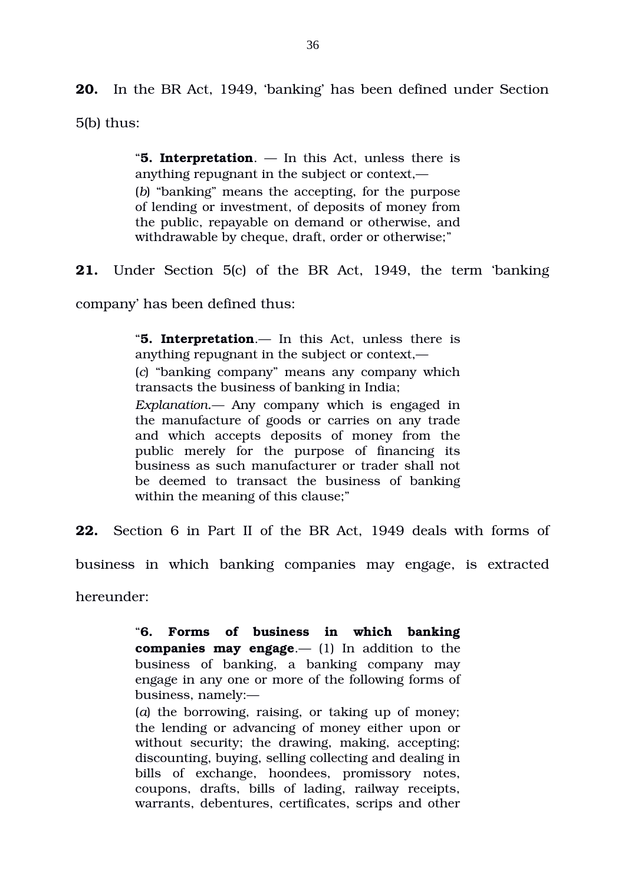**20.** In the BR Act, 1949, 'banking' has been defined under Section 5(b) thus:

> "**5. Interpretation**. — In this Act, unless there is anything repugnant in the subject or context,— (*b*) "banking" means the accepting, for the purpose of lending or investment, of deposits of money from the public, repayable on demand or otherwise, and withdrawable by cheque, draft, order or otherwise;"

**21.** Under Section 5(c) of the BR Act, 1949, the term 'banking

company' has been defined thus:

"**5. Interpretation**.— In this Act, unless there is anything repugnant in the subject or context,— (*c*) "banking company" means any company which transacts the business of banking in India; *Explanation.—* Any company which is engaged in the manufacture of goods or carries on any trade and which accepts deposits of money from the public merely for the purpose of financing its business as such manufacturer or trader shall not be deemed to transact the business of banking within the meaning of this clause;"

**22.** Section 6 in Part II of the BR Act, 1949 deals with forms of

business in which banking companies may engage, is extracted

hereunder:

"**6. Forms of business in which banking companies may engage.**— (1) In addition to the business of banking, a banking company may engage in any one or more of the following forms of business, namely:—

(*a*) the borrowing, raising, or taking up of money; the lending or advancing of money either upon or without security; the drawing, making, accepting; discounting, buying, selling collecting and dealing in bills of exchange, hoondees, promissory notes, coupons, drafts, bills of lading, railway receipts, warrants, debentures, certificates, scrips and other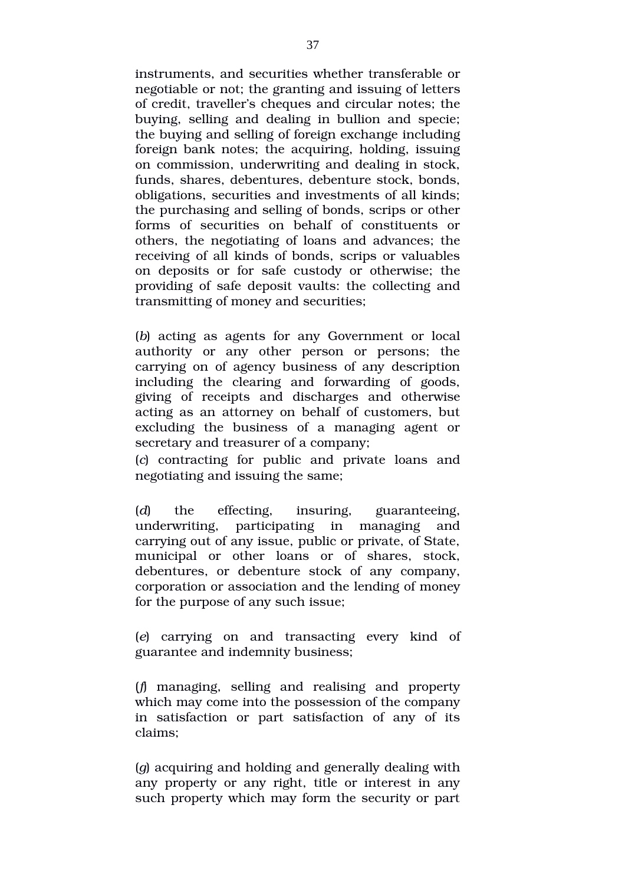instruments, and securities whether transferable or negotiable or not; the granting and issuing of letters of credit, traveller's cheques and circular notes; the buying, selling and dealing in bullion and specie; the buying and selling of foreign exchange including foreign bank notes; the acquiring, holding, issuing on commission, underwriting and dealing in stock, funds, shares, debentures, debenture stock, bonds, obligations, securities and investments of all kinds; the purchasing and selling of bonds, scrips or other forms of securities on behalf of constituents or others, the negotiating of loans and advances; the receiving of all kinds of bonds, scrips or valuables on deposits or for safe custody or otherwise; the providing of safe deposit vaults: the collecting and transmitting of money and securities;

(*b*) acting as agents for any Government or local authority or any other person or persons; the carrying on of agency business of any description including the clearing and forwarding of goods, giving of receipts and discharges and otherwise acting as an attorney on behalf of customers, but excluding the business of a managing agent or secretary and treasurer of a company;

(*c*) contracting for public and private loans and negotiating and issuing the same;

(*d*) the effecting, insuring, guaranteeing, underwriting, participating in managing and carrying out of any issue, public or private, of State, municipal or other loans or of shares, stock, debentures, or debenture stock of any company, corporation or association and the lending of money for the purpose of any such issue;

(*e*) carrying on and transacting every kind of guarantee and indemnity business;

(*f*) managing, selling and realising and property which may come into the possession of the company in satisfaction or part satisfaction of any of its claims;

(*g*) acquiring and holding and generally dealing with any property or any right, title or interest in any such property which may form the security or part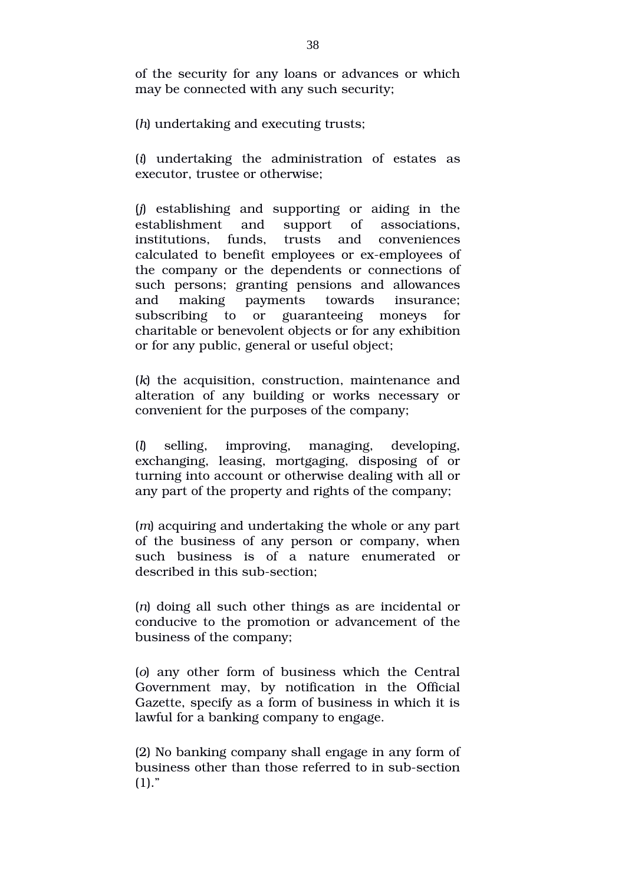of the security for any loans or advances or which may be connected with any such security;

(*h*) undertaking and executing trusts;

(*i*) undertaking the administration of estates as executor, trustee or otherwise;

(*j*) establishing and supporting or aiding in the establishment and support of associations, institutions, funds, trusts and conveniences calculated to benefit employees or ex-employees of the company or the dependents or connections of such persons; granting pensions and allowances and making payments towards insurance; subscribing to or guaranteeing moneys for charitable or benevolent objects or for any exhibition or for any public, general or useful object;

(*k*) the acquisition, construction, maintenance and alteration of any building or works necessary or convenient for the purposes of the company;

(*l*) selling, improving, managing, developing, exchanging, leasing, mortgaging, disposing of or turning into account or otherwise dealing with all or any part of the property and rights of the company;

(*m*) acquiring and undertaking the whole or any part of the business of any person or company, when such business is of a nature enumerated or described in this sub-section:

(*n*) doing all such other things as are incidental or conducive to the promotion or advancement of the business of the company;

(*o*) any other form of business which the Central Government may, by notification in the Official Gazette, specify as a form of business in which it is lawful for a banking company to engage.

(2) No banking company shall engage in any form of business other than those referred to in sub-section  $(1)."$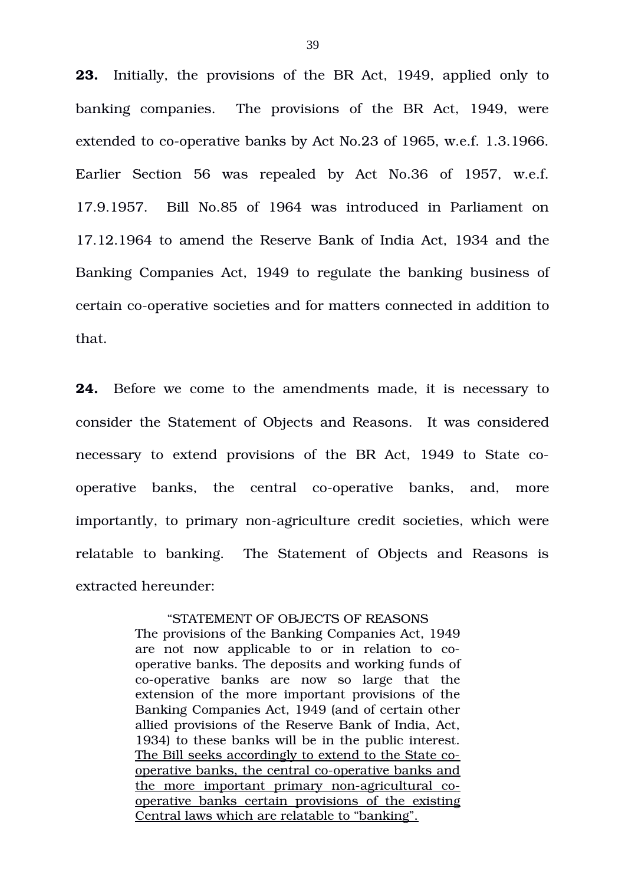**23.** Initially, the provisions of the BR Act, 1949, applied only to banking companies. The provisions of the BR Act, 1949, were extended to co-operative banks by Act No.23 of 1965, w.e.f. 1.3.1966. Earlier Section 56 was repealed by Act No.36 of 1957, w.e.f. 17.9.1957. Bill No.85 of 1964 was introduced in Parliament on 17.12.1964 to amend the Reserve Bank of India Act, 1934 and the Banking Companies Act, 1949 to regulate the banking business of certain co-operative societies and for matters connected in addition to that.

**24.** Before we come to the amendments made, it is necessary to consider the Statement of Objects and Reasons. It was considered necessary to extend provisions of the BR Act, 1949 to State cooperative banks, the central co-operative banks, and, more importantly, to primary non-agriculture credit societies, which were relatable to banking. The Statement of Objects and Reasons is extracted hereunder:

## "STATEMENT OF OBJECTS OF REASONS

The provisions of the Banking Companies Act, 1949 are not now applicable to or in relation to cooperative banks. The deposits and working funds of co-operative banks are now so large that the extension of the more important provisions of the Banking Companies Act, 1949 (and of certain other allied provisions of the Reserve Bank of India, Act, 1934) to these banks will be in the public interest. The Bill seeks accordingly to extend to the State cooperative banks, the central co-operative banks and the more important primary non-agricultural cooperative banks certain provisions of the existing Central laws which are relatable to "banking".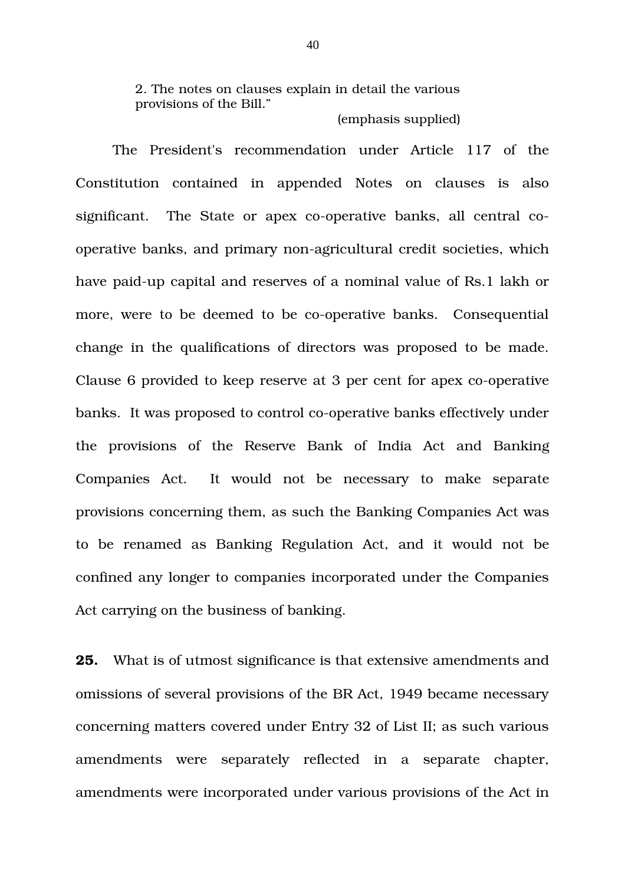2. The notes on clauses explain in detail the various provisions of the Bill."

(emphasis supplied)

The President's recommendation under Article 117 of the Constitution contained in appended Notes on clauses is also significant. The State or apex co-operative banks, all central cooperative banks, and primary non-agricultural credit societies, which have paid-up capital and reserves of a nominal value of Rs.1 lakh or more, were to be deemed to be co-operative banks. Consequential change in the qualifications of directors was proposed to be made. Clause 6 provided to keep reserve at 3 per cent for apex co-operative banks. It was proposed to control co-operative banks effectively under the provisions of the Reserve Bank of India Act and Banking Companies Act. It would not be necessary to make separate provisions concerning them, as such the Banking Companies Act was to be renamed as Banking Regulation Act, and it would not be confined any longer to companies incorporated under the Companies Act carrying on the business of banking.

**25.** What is of utmost significance is that extensive amendments and omissions of several provisions of the BR Act, 1949 became necessary concerning matters covered under Entry 32 of List II; as such various amendments were separately reflected in a separate chapter, amendments were incorporated under various provisions of the Act in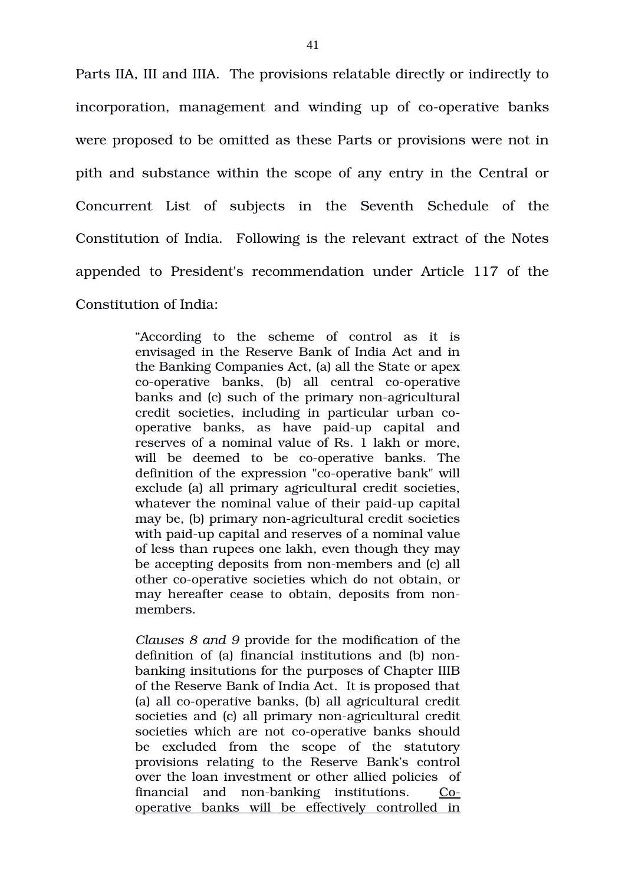Parts IIA, III and IIIA. The provisions relatable directly or indirectly to incorporation, management and winding up of co-operative banks were proposed to be omitted as these Parts or provisions were not in pith and substance within the scope of any entry in the Central or Concurrent List of subjects in the Seventh Schedule of the Constitution of India. Following is the relevant extract of the Notes appended to President's recommendation under Article 117 of the Constitution of India:

> "According to the scheme of control as it is envisaged in the Reserve Bank of India Act and in the Banking Companies Act, (a) all the State or apex co-operative banks, (b) all central co-operative banks and (c) such of the primary non-agricultural credit societies, including in particular urban cooperative banks, as have paid-up capital and reserves of a nominal value of Rs. 1 lakh or more, will be deemed to be co-operative banks. The definition of the expression "co-operative bank" will exclude (a) all primary agricultural credit societies, whatever the nominal value of their paid-up capital may be, (b) primary non-agricultural credit societies with paid-up capital and reserves of a nominal value of less than rupees one lakh, even though they may be accepting deposits from non-members and (c) all other co-operative societies which do not obtain, or may hereafter cease to obtain, deposits from nonmembers.

> *Clauses 8 and 9* provide for the modification of the definition of (a) financial institutions and (b) nonbanking insitutions for the purposes of Chapter IIIB of the Reserve Bank of India Act. It is proposed that (a) all co-operative banks,  $(b)$  all agricultural credit societies and (c) all primary non-agricultural credit societies which are not co-operative banks should be excluded from the scope of the statutory provisions relating to the Reserve Bank's control over the loan investment or other allied policies of financial and non-banking institutions.  $Co$ operative banks will be effectively controlled in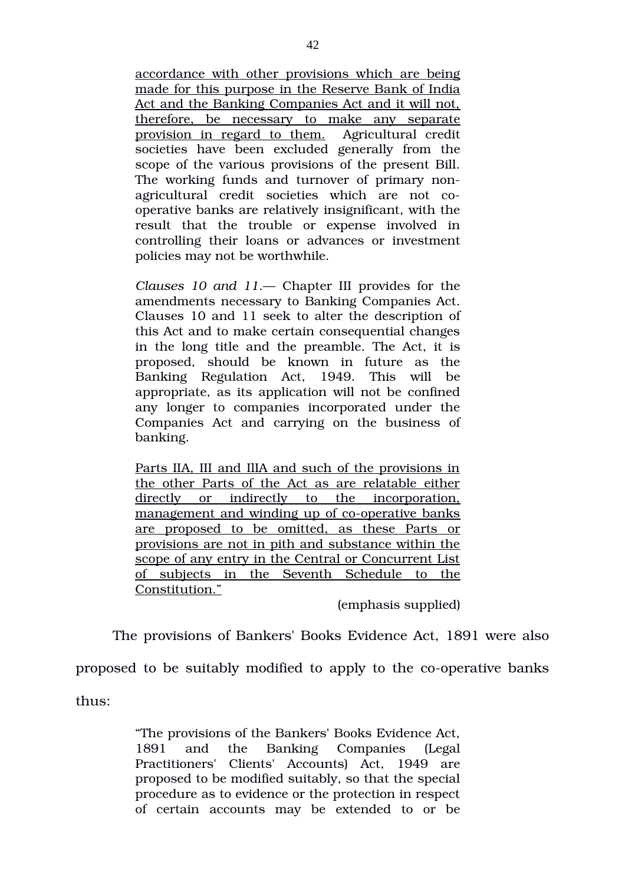accordance with other provisions which are being made for this purpose in the Reserve Bank of India Act and the Banking Companies Act and it will not, therefore, be necessary to make any separate provision in regard to them. Agricultural credit societies have been excluded generally from the scope of the various provisions of the present Bill. The working funds and turnover of primary nonagricultural credit societies which are not cooperative banks are relatively insignificant, with the result that the trouble or expense involved in controlling their loans or advances or investment policies may not be worthwhile.

*Clauses 10 and 11*.— Chapter III provides for the amendments necessary to Banking Companies Act. Clauses 10 and 11 seek to alter the description of this Act and to make certain consequential changes in the long title and the preamble. The Act, it is proposed, should be known in future as the Banking Regulation Act, 1949. This will be appropriate, as its application will not be confined any longer to companies incorporated under the Companies Act and carrying on the business of banking.

Parts IIA, III and IlIA and such of the provisions in the other Parts of the Act as are relatable either directly or indirectly to the incorporation, management and winding up of co-operative banks are proposed to be omitted, as these Parts or provisions are not in pith and substance within the scope of any entry in the Central or Concurrent List of subjects in the Seventh Schedule to the Constitution."

(emphasis supplied)

The provisions of Bankers' Books Evidence Act, 1891 were also

proposed to be suitably modified to apply to the co-operative banks

thus:

"The provisions of the Bankers' Books Evidence Act, 1891 and the Banking Companies (Legal Practitioners' Clients' Accounts) Act, 1949 are proposed to be modified suitably, so that the special procedure as to evidence or the protection in respect of certain accounts may be extended to or be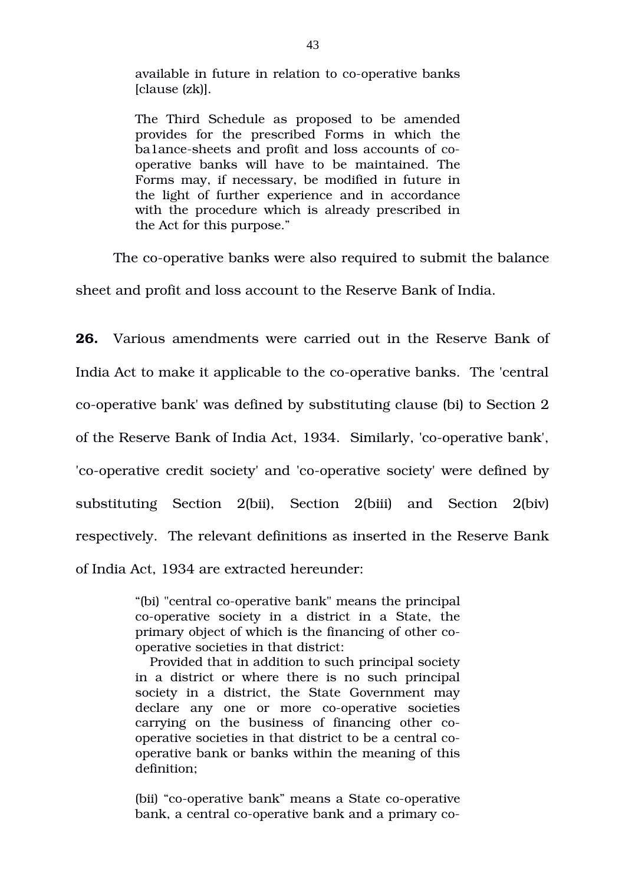available in future in relation to co-operative banks [clause (zk)].

The Third Schedule as proposed to be amended provides for the prescribed Forms in which the ba1ance-sheets and profit and loss accounts of cooperative banks will have to be maintained. The Forms may, if necessary, be modified in future in the light of further experience and in accordance with the procedure which is already prescribed in the Act for this purpose."

The co-operative banks were also required to submit the balance

sheet and profit and loss account to the Reserve Bank of India.

**26.** Various amendments were carried out in the Reserve Bank of India Act to make it applicable to the co-operative banks. The 'central co-operative bank' was defined by substituting clause (bi) to Section 2 of the Reserve Bank of India Act, 1934. Similarly, 'co-operative bank', 'co-operative credit society' and 'co-operative society' were defined by substituting Section 2(bii), Section 2(biii) and Section 2(biv) respectively. The relevant definitions as inserted in the Reserve Bank of India Act, 1934 are extracted hereunder:

> "(bi) "central co-operative bank" means the principal co-operative society in a district in a State, the primary object of which is the financing of other cooperative societies in that district:

> Provided that in addition to such principal society in a district or where there is no such principal society in a district, the State Government may declare any one or more co-operative societies carrying on the business of financing other cooperative societies in that district to be a central cooperative bank or banks within the meaning of this definition;

> (bii) "co-operative bank" means a State co-operative bank, a central co-operative bank and a primary co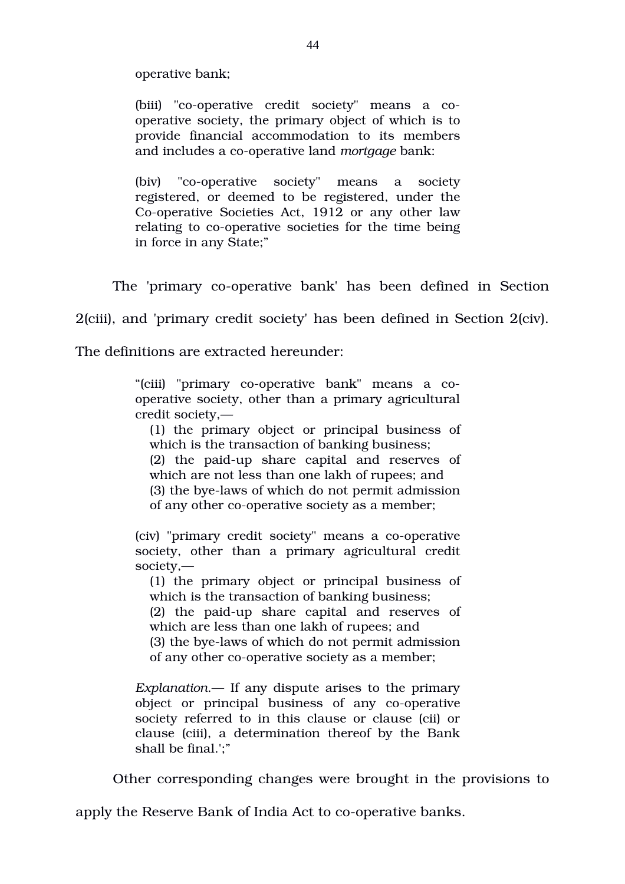operative bank;

(biii) "co-operative credit society" means a cooperative society, the primary object of which is to provide financial accommodation to its members and includes a co-operative land *mortgage* bank:

(biv) "co-operative society" means a society registered, or deemed to be registered, under the Co-operative Societies Act, 1912 or any other law relating to co-operative societies for the time being in force in any State;"

The 'primary co-operative bank' has been defined in Section

2(ciii), and 'primary credit society' has been defined in Section 2(civ).

The definitions are extracted hereunder:

"(ciii) "primary co-operative bank" means a cooperative society, other than a primary agricultural credit society,—

(1) the primary object or principal business of which is the transaction of banking business;  $(2)$  the paid-up share capital and reserves of which are not less than one lakh of rupees; and (3) the bye-laws of which do not permit admission of any other co-operative society as a member;

(civ) "primary credit society" means a co-operative society, other than a primary agricultural credit society,—

(1) the primary object or principal business of which is the transaction of banking business;

 $(2)$  the paid-up share capital and reserves of which are less than one lakh of rupees; and (3) the bye-laws of which do not permit admission of any other co-operative society as a member;

*Explanation*.— If any dispute arises to the primary object or principal business of any co-operative society referred to in this clause or clause (cii) or clause (ciii), a determination thereof by the Bank shall be final.';"

Other corresponding changes were brought in the provisions to

apply the Reserve Bank of India Act to co-operative banks.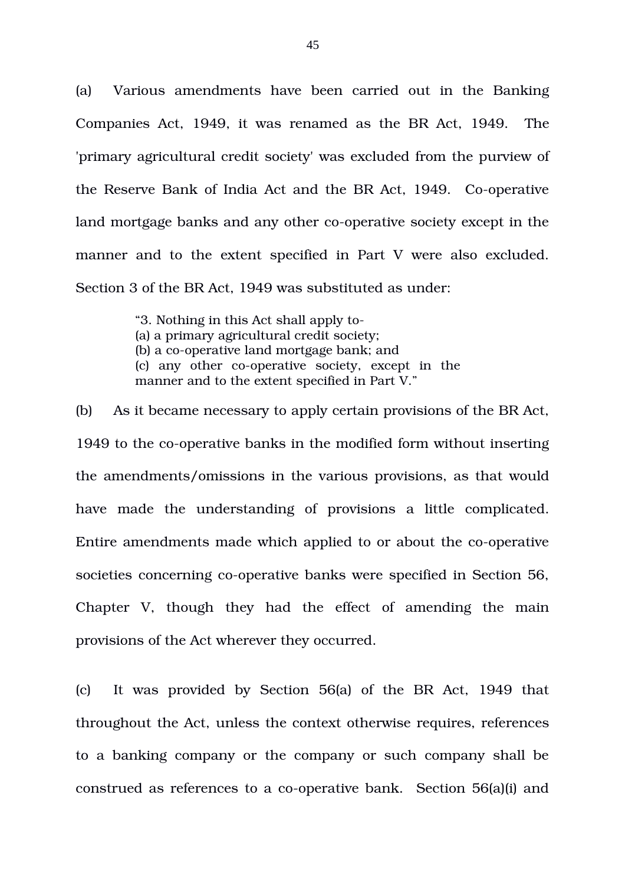(a) Various amendments have been carried out in the Banking Companies Act, 1949, it was renamed as the BR Act, 1949. The 'primary agricultural credit society' was excluded from the purview of the Reserve Bank of India Act and the BR Act, 1949. Co-operative land mortgage banks and any other co-operative society except in the manner and to the extent specified in Part V were also excluded. Section 3 of the BR Act, 1949 was substituted as under:

> "3. Nothing in this Act shall apply to (a) a primary agricultural credit society; (b) a co-operative land mortgage bank; and (c) any other co-operative society, except in the manner and to the extent specified in Part V."

(b) As it became necessary to apply certain provisions of the BR Act, 1949 to the co-operative banks in the modified form without inserting the amendments/omissions in the various provisions, as that would have made the understanding of provisions a little complicated. Entire amendments made which applied to or about the co-operative societies concerning co-operative banks were specified in Section 56, Chapter V, though they had the effect of amending the main provisions of the Act wherever they occurred.

(c) It was provided by Section 56(a) of the BR Act, 1949 that throughout the Act, unless the context otherwise requires, references to a banking company or the company or such company shall be construed as references to a co-operative bank. Section 56(a)(i) and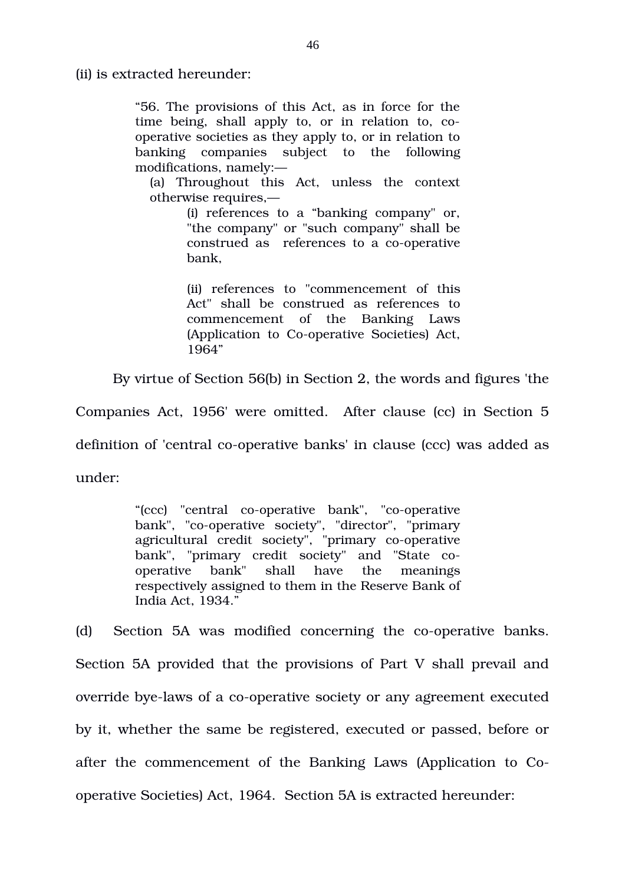(ii) is extracted hereunder:

"56. The provisions of this Act, as in force for the time being, shall apply to, or in relation to, cooperative societies as they apply to, or in relation to banking companies subject to the following modifications, namely:—

(a) Throughout this Act, unless the context otherwise requires,—

> (i) references to a "banking company" or, "the company" or "such company" shall be construed as references to a co-operative bank,

> (ii) references to "commencement of this Act" shall be construed as references to commencement of the Banking Laws (Application to Co-operative Societies) Act, 1964"

By virtue of Section 56(b) in Section 2, the words and figures 'the

Companies Act, 1956' were omitted. After clause (cc) in Section 5

definition of 'central co-operative banks' in clause (ccc) was added as

under:

"(ccc) "central co-operative bank", "co-operative" bank", "co-operative society", "director", "primary agricultural credit society", "primary co-operative bank", "primary credit society" and "State cooperative bank" shall have the meanings respectively assigned to them in the Reserve Bank of India Act, 1934."

(d) Section 5A was modified concerning the co-operative banks. Section 5A provided that the provisions of Part V shall prevail and override bye-laws of a co-operative society or any agreement executed by it, whether the same be registered, executed or passed, before or after the commencement of the Banking Laws (Application to Cooperative Societies) Act, 1964. Section 5A is extracted hereunder: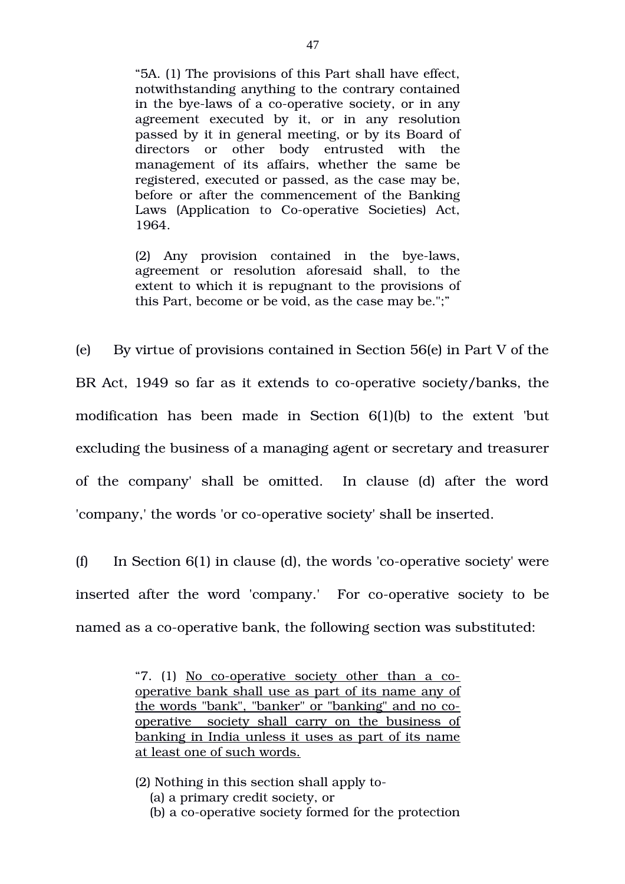"5A. (1) The provisions of this Part shall have effect, notwithstanding anything to the contrary contained in the bye-laws of a co-operative society, or in any agreement executed by it, or in any resolution passed by it in general meeting, or by its Board of directors or other body entrusted with the management of its affairs, whether the same be registered, executed or passed, as the case may be, before or after the commencement of the Banking Laws (Application to Co-operative Societies) Act, 1964.

 $(2)$  Any provision contained in the bye-laws, agreement or resolution aforesaid shall, to the extent to which it is repugnant to the provisions of this Part, become or be void, as the case may be.";"

(e) By virtue of provisions contained in Section 56(e) in Part V of the BR Act, 1949 so far as it extends to co-operative society/banks, the modification has been made in Section  $6(1)(b)$  to the extent but excluding the business of a managing agent or secretary and treasurer of the company' shall be omitted. In clause (d) after the word 'company,' the words 'or co-operative society' shall be inserted.

(f) In Section  $6(1)$  in clause (d), the words 'co-operative society' were inserted after the word 'company.' For co-operative society to be named as a co-operative bank, the following section was substituted:

> "7.  $(1)$  No co-operative society other than a cooperative bank shall use as part of its name any of the words "bank", "banker" or "banking" and no cooperative society shall carry on the business of banking in India unless it uses as part of its name at least one of such words.

- (2) Nothing in this section shall apply to
	- (a) a primary credit society, or
	- (b) a co-operative society formed for the protection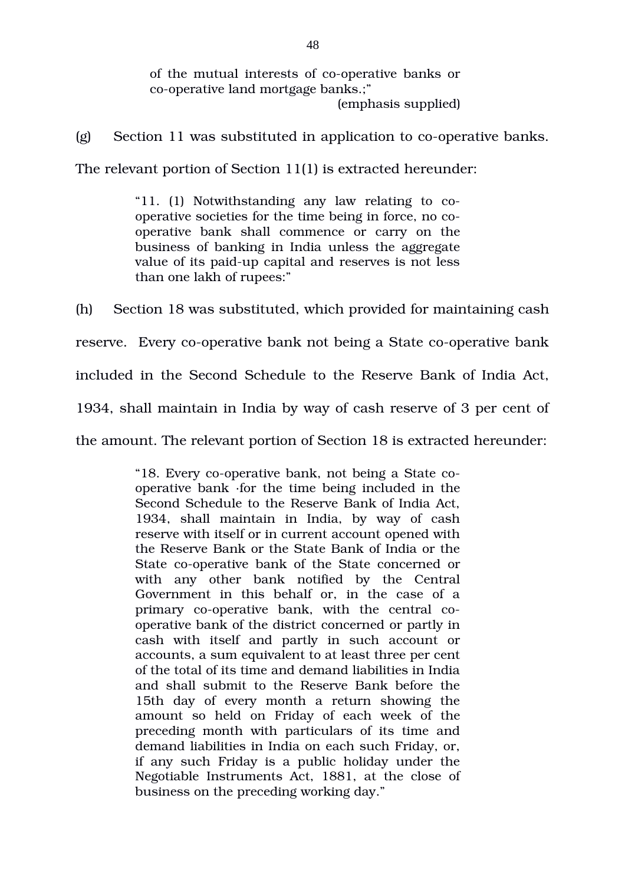of the mutual interests of co-operative banks or co-operative land mortgage banks.:" (emphasis supplied)

(g) Section 11 was substituted in application to co-operative banks.

The relevant portion of Section 11(1) is extracted hereunder:

"11.  $(1)$  Notwithstanding any law relating to  $co$ operative societies for the time being in force, no cooperative bank shall commence or carry on the business of banking in India unless the aggregate value of its paid-up capital and reserves is not less than one lakh of rupees:"

(h) Section 18 was substituted, which provided for maintaining cash reserve. Every co-operative bank not being a State co-operative bank included in the Second Schedule to the Reserve Bank of India Act, 1934, shall maintain in India by way of cash reserve of 3 per cent of the amount. The relevant portion of Section 18 is extracted hereunder:

> "18. Every co-operative bank, not being a State cooperative bank ∙for the time being included in the Second Schedule to the Reserve Bank of India Act, 1934, shall maintain in India, by way of cash reserve with itself or in current account opened with the Reserve Bank or the State Bank of India or the State co-operative bank of the State concerned or with any other bank notified by the Central Government in this behalf or, in the case of a primary co-operative bank, with the central cooperative bank of the district concerned or partly in cash with itself and partly in such account or accounts, a sum equivalent to at least three per cent of the total of its time and demand liabilities in India and shall submit to the Reserve Bank before the 15th day of every month a return showing the amount so held on Friday of each week of the preceding month with particulars of its time and demand liabilities in India on each such Friday, or, if any such Friday is a public holiday under the Negotiable Instruments Act, 1881, at the close of business on the preceding working day."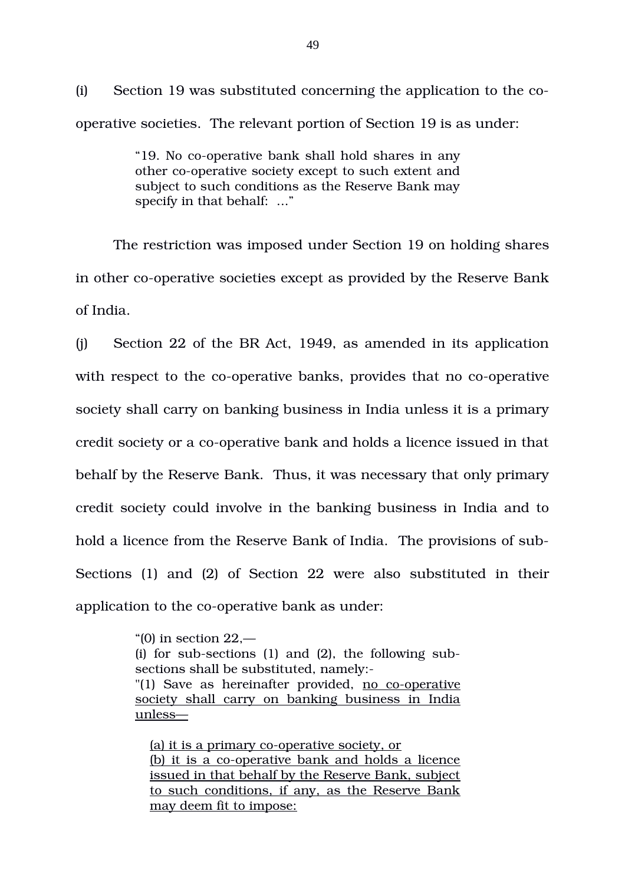(i) Section 19 was substituted concerning the application to the cooperative societies. The relevant portion of Section 19 is as under:

> "19. No co-operative bank shall hold shares in any other co-operative society except to such extent and subject to such conditions as the Reserve Bank may specify in that behalf: ..."

The restriction was imposed under Section 19 on holding shares in other co-operative societies except as provided by the Reserve Bank of India.

(j) Section 22 of the BR Act, 1949, as amended in its application with respect to the co-operative banks, provides that no co-operative society shall carry on banking business in India unless it is a primary credit society or a co-operative bank and holds a licence issued in that behalf by the Reserve Bank. Thus, it was necessary that only primary credit society could involve in the banking business in India and to hold a licence from the Reserve Bank of India. The provisions of sub-Sections (1) and (2) of Section 22 were also substituted in their application to the co-operative bank as under:

> "(0) in section 22,— (i) for sub-sections  $(1)$  and  $(2)$ , the following subsections shall be substituted, namely: " $(1)$  Save as hereinafter provided, no co-operative society shall carry on banking business in India unless—

(a) it is a primary co-operative society, or (b) it is a co-operative bank and holds a licence issued in that behalf by the Reserve Bank, subject to such conditions, if any, as the Reserve Bank may deem fit to impose: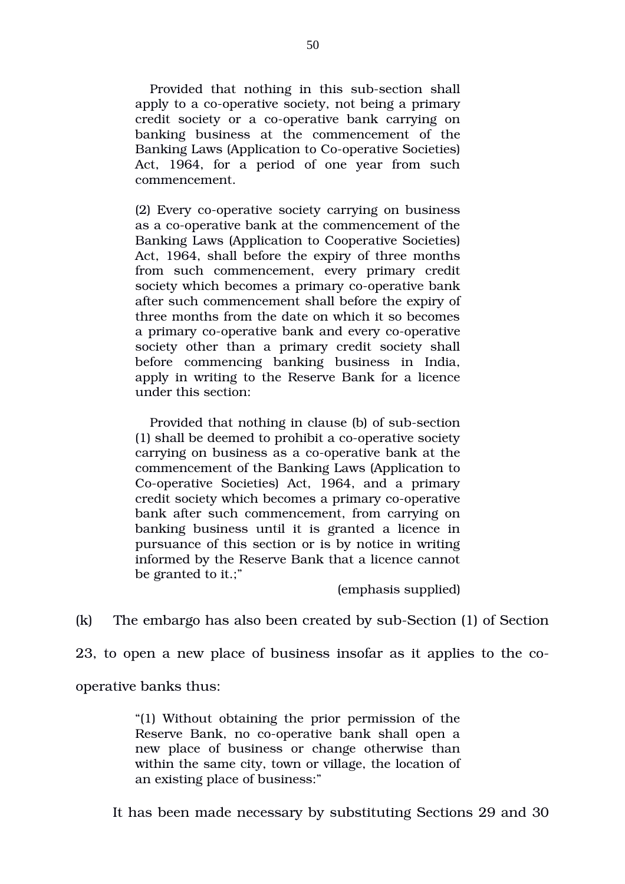Provided that nothing in this sub-section shall apply to a co-operative society, not being a primary credit society or a co-operative bank carrying on banking business at the commencement of the Banking Laws (Application to Co-operative Societies) Act, 1964, for a period of one year from such commencement.

(2) Every co-operative society carrying on business as a co-operative bank at the commencement of the Banking Laws (Application to Cooperative Societies) Act, 1964, shall before the expiry of three months from such commencement, every primary credit society which becomes a primary co-operative bank after such commencement shall before the expiry of three months from the date on which it so becomes a primary co-operative bank and every co-operative society other than a primary credit society shall before commencing banking business in India, apply in writing to the Reserve Bank for a licence under this section:

Provided that nothing in clause (b) of sub-section  $(1)$  shall be deemed to prohibit a co-operative society carrying on business as a co-operative bank at the commencement of the Banking Laws (Application to Co-operative Societies) Act, 1964, and a primary credit society which becomes a primary co-operative bank after such commencement, from carrying on banking business until it is granted a licence in pursuance of this section or is by notice in writing informed by the Reserve Bank that a licence cannot be granted to it.;"

(emphasis supplied)

 $(k)$  The embargo has also been created by sub-Section  $(1)$  of Section

23, to open a new place of business insofar as it applies to the co-

operative banks thus:

"(1) Without obtaining the prior permission of the Reserve Bank, no co-operative bank shall open a new place of business or change otherwise than within the same city, town or village, the location of an existing place of business:"

It has been made necessary by substituting Sections 29 and 30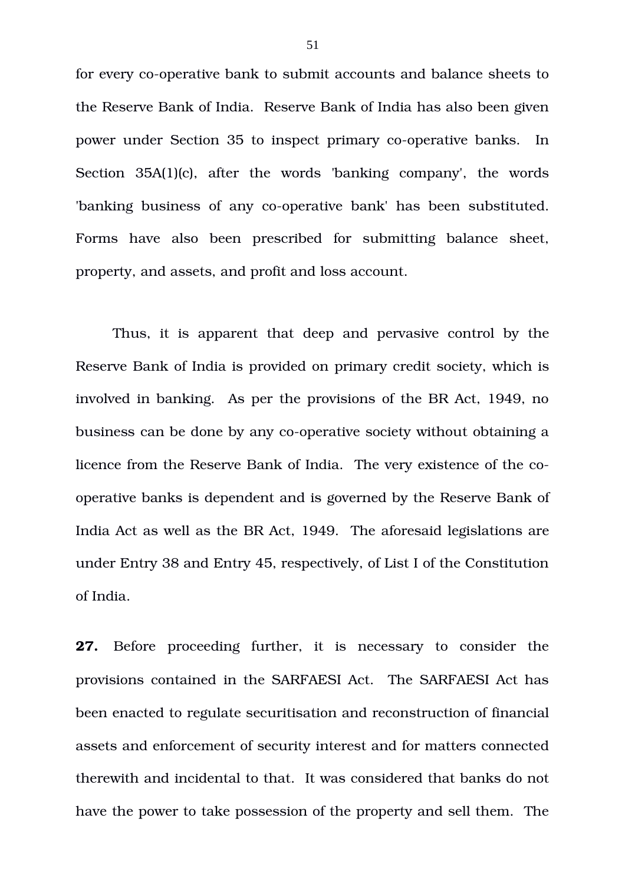for every co-operative bank to submit accounts and balance sheets to the Reserve Bank of India. Reserve Bank of India has also been given power under Section 35 to inspect primary co-operative banks. In Section  $35A(1)(c)$ , after the words 'banking company', the words 'banking business of any co-operative bank' has been substituted. Forms have also been prescribed for submitting balance sheet, property, and assets, and profit and loss account.

Thus, it is apparent that deep and pervasive control by the Reserve Bank of India is provided on primary credit society, which is involved in banking. As per the provisions of the BR Act, 1949, no business can be done by any co-operative society without obtaining a licence from the Reserve Bank of India. The very existence of the cooperative banks is dependent and is governed by the Reserve Bank of India Act as well as the BR Act, 1949. The aforesaid legislations are under Entry 38 and Entry 45, respectively, of List I of the Constitution of India.

**27.** Before proceeding further, it is necessary to consider the provisions contained in the SARFAESI Act. The SARFAESI Act has been enacted to regulate securitisation and reconstruction of financial assets and enforcement of security interest and for matters connected therewith and incidental to that. It was considered that banks do not have the power to take possession of the property and sell them. The

51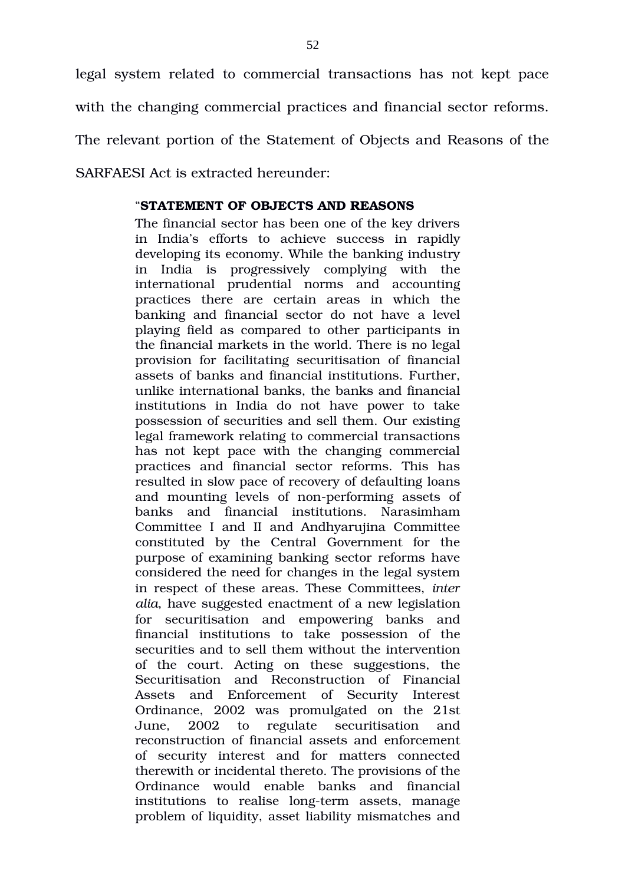legal system related to commercial transactions has not kept pace with the changing commercial practices and financial sector reforms. The relevant portion of the Statement of Objects and Reasons of the SARFAESI Act is extracted hereunder:

## "**STATEMENT OF OBJECTS AND REASONS**

The financial sector has been one of the key drivers in India's efforts to achieve success in rapidly developing its economy. While the banking industry in India is progressively complying with the international prudential norms and accounting practices there are certain areas in which the banking and financial sector do not have a level playing field as compared to other participants in the financial markets in the world. There is no legal provision for facilitating securitisation of financial assets of banks and financial institutions. Further unlike international banks, the banks and financial institutions in India do not have power to take possession of securities and sell them. Our existing legal framework relating to commercial transactions has not kept pace with the changing commercial practices and financial sector reforms. This has resulted in slow pace of recovery of defaulting loans and mounting levels of non-performing assets of banks and financial institutions. Narasimham Committee I and II and Andhyarujina Committee constituted by the Central Government for the purpose of examining banking sector reforms have considered the need for changes in the legal system in respect of these areas. These Committees, *inter alia*, have suggested enactment of a new legislation for securitisation and empowering banks and financial institutions to take possession of the securities and to sell them without the intervention of the court. Acting on these suggestions, the Securitisation and Reconstruction of Financial Assets and Enforcement of Security Interest Ordinance, 2002 was promulgated on the 21st June, 2002 to regulate securitisation and reconstruction of financial assets and enforcement of security interest and for matters connected therewith or incidental thereto. The provisions of the Ordinance would enable banks and financial institutions to realise long-term assets, manage problem of liquidity, asset liability mismatches and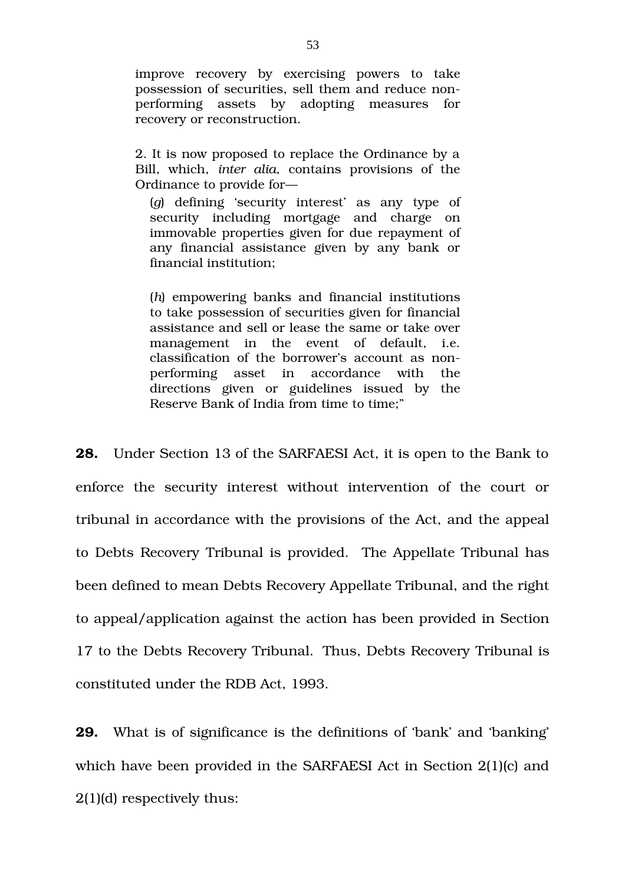improve recovery by exercising powers to take possession of securities, sell them and reduce nonperforming assets by adopting measures for recovery or reconstruction.

2. It is now proposed to replace the Ordinance by a Bill, which, *inter alia*, contains provisions of the Ordinance to provide for—

(*g*) defining 'security interest' as any type of security including mortgage and charge on immovable properties given for due repayment of any financial assistance given by any bank or financial institution;

(*h*) empowering banks and financial institutions to take possession of securities given for financial assistance and sell or lease the same or take over management in the event of default, i.e. classification of the borrower's account as nonperforming asset in accordance with the directions given or guidelines issued by the Reserve Bank of India from time to time;"

**28.** Under Section 13 of the SARFAESI Act, it is open to the Bank to enforce the security interest without intervention of the court or tribunal in accordance with the provisions of the Act, and the appeal to Debts Recovery Tribunal is provided. The Appellate Tribunal has been defined to mean Debts Recovery Appellate Tribunal, and the right to appeal/application against the action has been provided in Section 17 to the Debts Recovery Tribunal. Thus, Debts Recovery Tribunal is constituted under the RDB Act, 1993.

**29.** What is of significance is the definitions of 'bank' and 'banking' which have been provided in the SARFAESI Act in Section 2(1)(c) and 2(1)(d) respectively thus: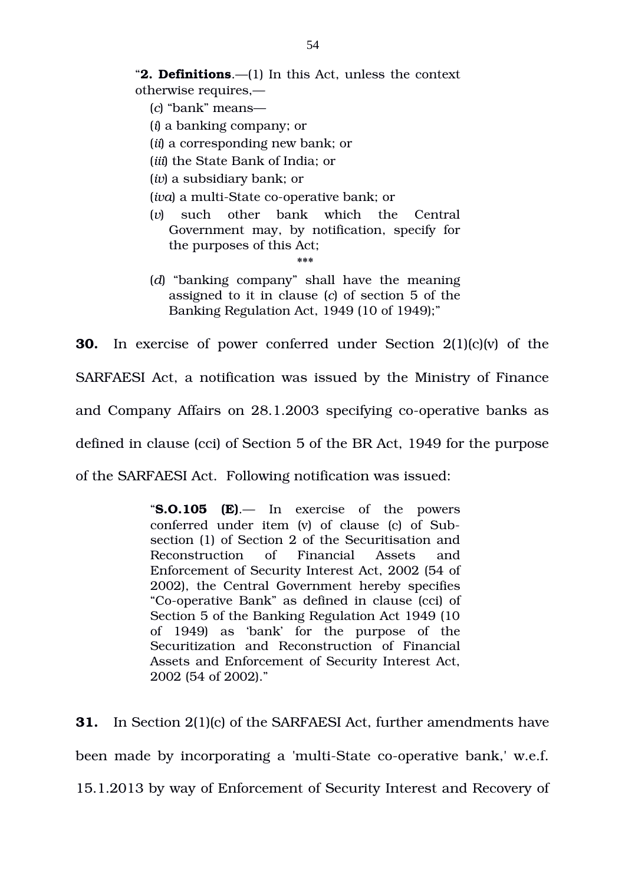"**2. Definitions**.—(1) In this Act, unless the context otherwise requires,—

(*c*) "bank" means—

(*i*) a banking company; or

(*ii*) a corresponding new bank; or

(*iii*) the State Bank of India; or

(*iv*) a subsidiary bank; or

(*iva*) a multi-State co-operative bank; or

- (*v*) such other bank which the Central Government may, by notification, specify for the purposes of this Act;
- (*d*) "banking company" shall have the meaning assigned to it in clause (*c*) of section 5 of the Banking Regulation Act, 1949 (10 of 1949);"

\*\*\*

**30.** In exercise of power conferred under Section 2(1)(c)(v) of the SARFAESI Act, a notification was issued by the Ministry of Finance and Company Affairs on 28.1.2003 specifying co-operative banks as defined in clause (cci) of Section 5 of the BR Act, 1949 for the purpose of the SARFAESI Act. Following notification was issued:

> "**S.O.105 (E)**.— In exercise of the powers conferred under item (v) of clause (c) of Subsection (1) of Section 2 of the Securitisation and Reconstruction of Financial Assets and Enforcement of Security Interest Act, 2002 (54 of 2002), the Central Government hereby specifies "Co-operative Bank" as defined in clause (cci) of Section 5 of the Banking Regulation Act 1949 (10 of 1949) as 'bank' for the purpose of the Securitization and Reconstruction of Financial Assets and Enforcement of Security Interest Act, 2002 (54 of 2002)."

**31.** In Section 2(1)(c) of the SARFAESI Act, further amendments have been made by incorporating a 'multi-State co-operative bank,' w.e.f. 15.1.2013 by way of Enforcement of Security Interest and Recovery of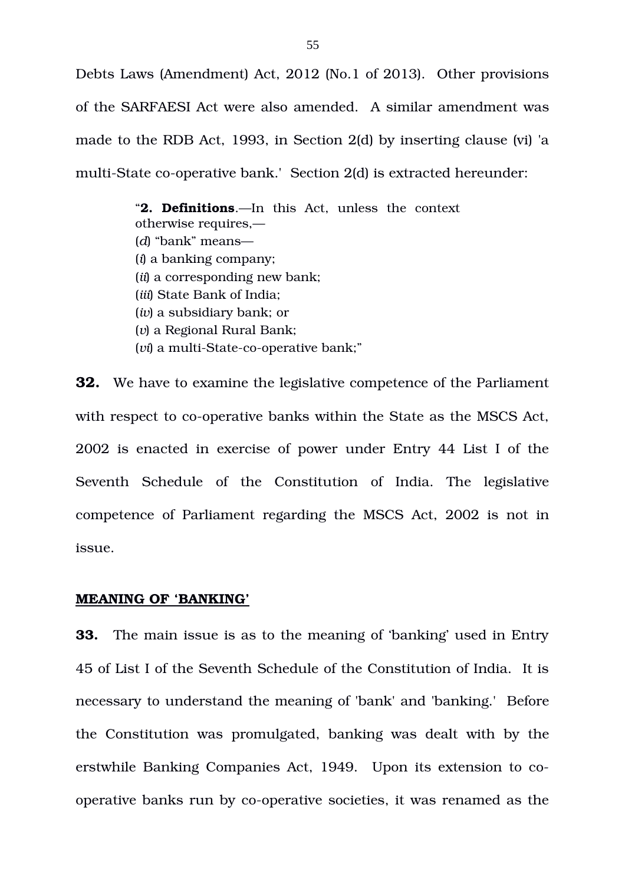Debts Laws (Amendment) Act, 2012 (No.1 of 2013). Other provisions of the SARFAESI Act were also amended. A similar amendment was made to the RDB Act, 1993, in Section 2(d) by inserting clause (vi) 'a multi-State co-operative bank.' Section 2(d) is extracted hereunder:

> "**2. Definitions**.—In this Act, unless the context otherwise requires,— (*d*) "bank" means— (*i*) a banking company; (*ii*) a corresponding new bank; (*iii*) State Bank of India; (*iv*) a subsidiary bank; or (*v*) a Regional Rural Bank; (*vi*) a multi-State-co-operative bank;"

**32.** We have to examine the legislative competence of the Parliament with respect to co-operative banks within the State as the MSCS Act, 2002 is enacted in exercise of power under Entry 44 List I of the Seventh Schedule of the Constitution of India. The legislative competence of Parliament regarding the MSCS Act, 2002 is not in issue.

## **MEANING OF 'BANKING'**

**33.** The main issue is as to the meaning of 'banking' used in Entry 45 of List I of the Seventh Schedule of the Constitution of India. It is necessary to understand the meaning of 'bank' and 'banking.' Before the Constitution was promulgated, banking was dealt with by the erstwhile Banking Companies Act, 1949. Upon its extension to cooperative banks run by co-operative societies, it was renamed as the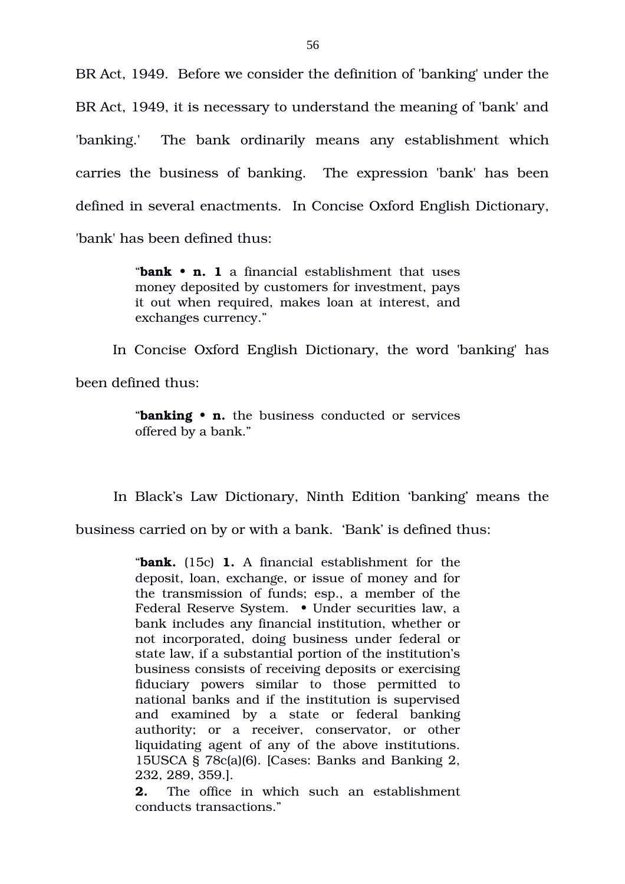BR Act, 1949. Before we consider the definition of 'banking' under the BR Act, 1949, it is necessary to understand the meaning of 'bank' and 'banking.' The bank ordinarily means any establishment which carries the business of banking. The expression 'bank' has been defined in several enactments. In Concise Oxford English Dictionary, 'bank' has been defined thus:

> "**bank • n. 1** a financial establishment that uses money deposited by customers for investment, pays it out when required, makes loan at interest, and exchanges currency."

In Concise Oxford English Dictionary, the word 'banking' has been defined thus:

> "**banking • n.** the business conducted or services offered by a bank."

In Black's Law Dictionary, Ninth Edition 'banking' means the

business carried on by or with a bank. 'Bank' is defined thus:

"**bank.** (15c) **1.** A financial establishment for the deposit, loan, exchange, or issue of money and for the transmission of funds; esp., a member of the Federal Reserve System. • Under securities law, a bank includes any financial institution, whether or not incorporated, doing business under federal or state law, if a substantial portion of the institution's business consists of receiving deposits or exercising fiduciary powers similar to those permitted to national banks and if the institution is supervised and examined by a state or federal banking authority; or a receiver, conservator, or other liquidating agent of any of the above institutions. 15USCA § 78c(a)(6). [Cases: Banks and Banking 2, 232, 289, 359.].

**2.** The office in which such an establishment conducts transactions."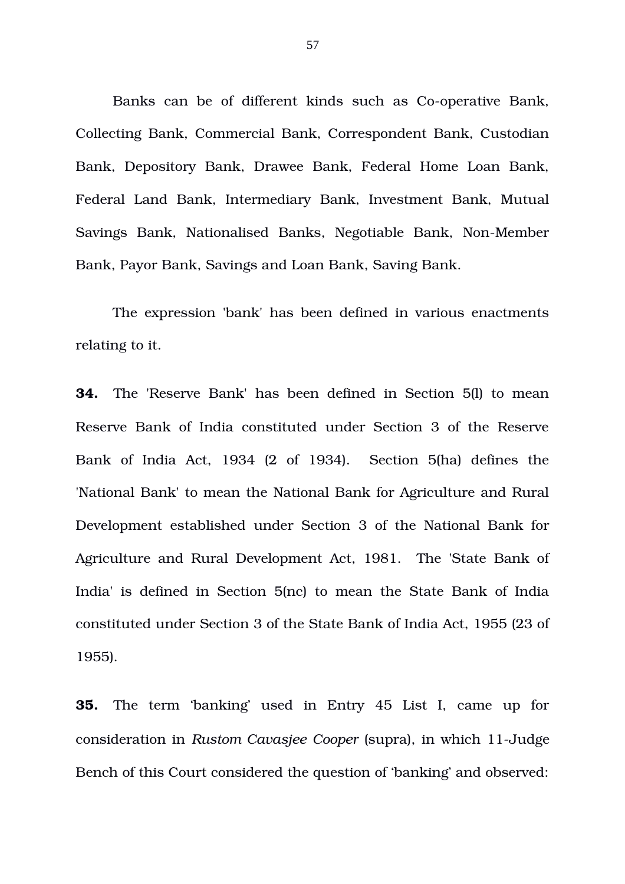Banks can be of different kinds such as Co-operative Bank, Collecting Bank, Commercial Bank, Correspondent Bank, Custodian Bank, Depository Bank, Drawee Bank, Federal Home Loan Bank, Federal Land Bank, Intermediary Bank, Investment Bank, Mutual Savings Bank, Nationalised Banks, Negotiable Bank, Non-Member Bank, Payor Bank, Savings and Loan Bank, Saving Bank.

The expression 'bank' has been defined in various enactments relating to it.

**34.** The 'Reserve Bank' has been defined in Section 5(l) to mean Reserve Bank of India constituted under Section 3 of the Reserve Bank of India Act, 1934 (2 of 1934). Section 5(ha) defines the 'National Bank' to mean the National Bank for Agriculture and Rural Development established under Section 3 of the National Bank for Agriculture and Rural Development Act, 1981. The 'State Bank of India' is defined in Section 5(nc) to mean the State Bank of India constituted under Section 3 of the State Bank of India Act, 1955 (23 of 1955).

**35.** The term 'banking' used in Entry 45 List I, came up for consideration in *Rustom Cavasjee Cooper* (supra), in which 11-Judge Bench of this Court considered the question of 'banking' and observed:

57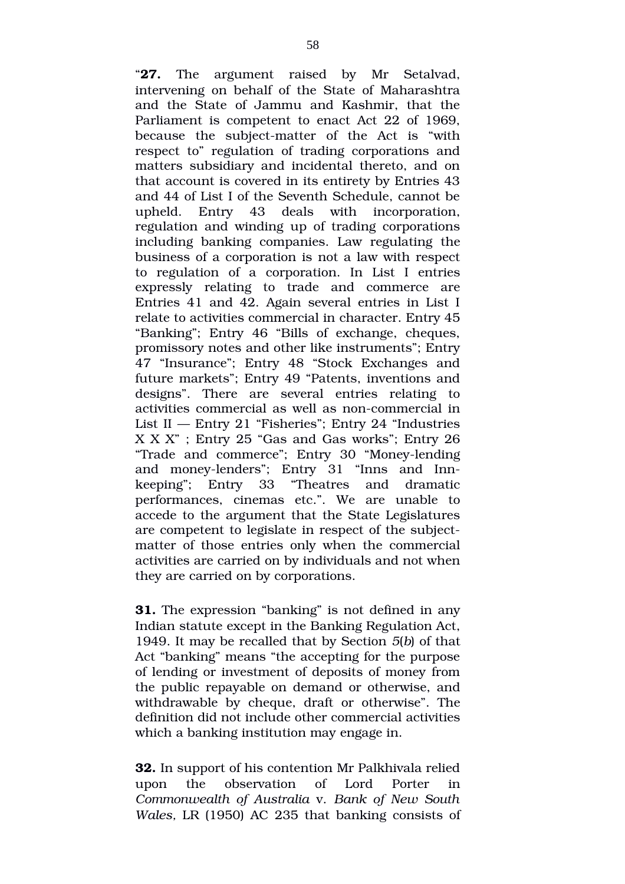"**27.** The argument raised by Mr Setalvad, intervening on behalf of the State of Maharashtra and the State of Jammu and Kashmir, that the Parliament is competent to enact Act 22 of 1969, because the subject-matter of the Act is "with respect to" regulation of trading corporations and matters subsidiary and incidental thereto, and on that account is covered in its entirety by Entries 43 and 44 of List I of the Seventh Schedule, cannot be upheld. Entry 43 deals with incorporation, regulation and winding up of trading corporations including banking companies. Law regulating the business of a corporation is not a law with respect to regulation of a corporation. In List I entries expressly relating to trade and commerce are Entries 41 and 42. Again several entries in List I relate to activities commercial in character. Entry 45 "Banking"; Entry 46 "Bills of exchange, cheques, promissory notes and other like instruments"; Entry 47 "Insurance"; Entry 48 "Stock Exchanges and future markets"; Entry 49 "Patents, inventions and designs". There are several entries relating to activities commercial as well as non-commercial in List II — Entry 21 "Fisheries"; Entry 24 "Industries X X X" ; Entry 25 "Gas and Gas works"; Entry 26 "Trade and commerce"; Entry 30 "Money-lending" and money-lenders"; Entry 31 "Inns and Innkeeping"; Entry 33 "Theatres and dramatic performances, cinemas etc.". We are unable to accede to the argument that the State Legislatures are competent to legislate in respect of the subjectmatter of those entries only when the commercial activities are carried on by individuals and not when they are carried on by corporations.

**31.** The expression "banking" is not defined in any Indian statute except in the Banking Regulation Act, 1949. It may be recalled that by Section *5*(*b*) of that Act "banking" means "the accepting for the purpose of lending or investment of deposits of money from the public repayable on demand or otherwise, and withdrawable by cheque, draft or otherwise". The definition did not include other commercial activities which a banking institution may engage in.

**32.** In support of his contention Mr Palkhivala relied upon the observation of Lord Porter in *Commonwealth of Australia* v. *Bank of New South Wales,* LR (1950) AC 235 that banking consists of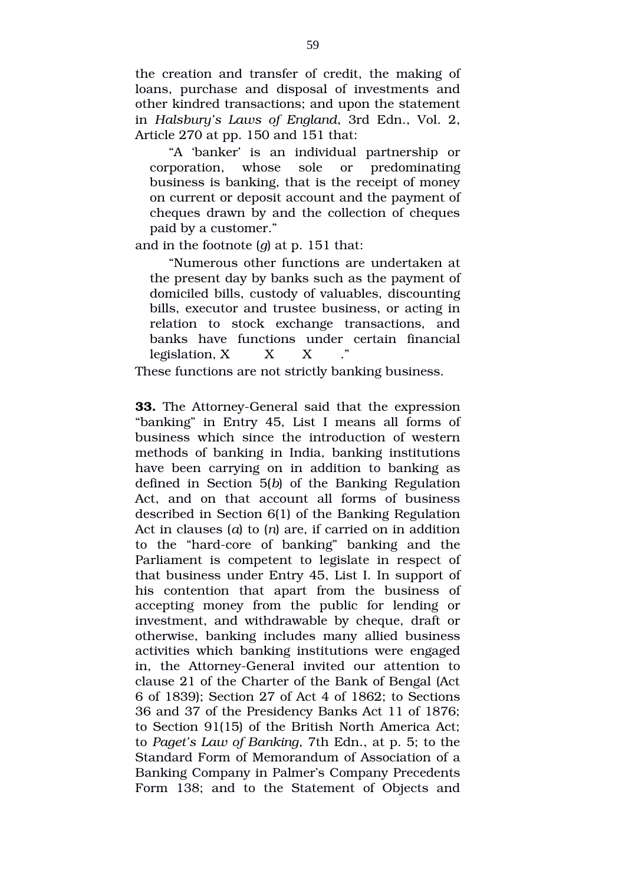the creation and transfer of credit, the making of loans, purchase and disposal of investments and other kindred transactions; and upon the statement in *Halsbury's Laws of England*, 3rd Edn., Vol. 2, Article 270 at pp. 150 and 151 that:

"A 'banker' is an individual partnership or corporation, whose sole or predominating business is banking, that is the receipt of money on current or deposit account and the payment of cheques drawn by and the collection of cheques paid by a customer."

and in the footnote (*g*) at p. 151 that:

"Numerous other functions are undertaken at the present day by banks such as the payment of domiciled bills, custody of valuables, discounting bills, executor and trustee business, or acting in relation to stock exchange transactions, and banks have functions under certain financial legislation, X X X

These functions are not strictly banking business.

**33.** The Attorney-General said that the expression "banking" in Entry 45, List I means all forms of business which since the introduction of western methods of banking in India, banking institutions have been carrying on in addition to banking as defined in Section 5(*b*) of the Banking Regulation Act, and on that account all forms of business described in Section 6(1) of the Banking Regulation Act in clauses (*a*) to (*n*) are, if carried on in addition to the "hard-core of banking" banking and the Parliament is competent to legislate in respect of that business under Entry 45, List I. In support of his contention that apart from the business of accepting money from the public for lending or investment, and withdrawable by cheque, draft or otherwise, banking includes many allied business activities which banking institutions were engaged in, the Attorney-General invited our attention to clause 21 of the Charter of the Bank of Bengal (Act 6 of 1839); Section 27 of Act 4 of 1862; to Sections 36 and 37 of the Presidency Banks Act 11 of 1876; to Section 91(15) of the British North America Act; to *Paget's Law of Banking*, 7th Edn., at p. 5; to the Standard Form of Memorandum of Association of a Banking Company in Palmer's Company Precedents Form 138; and to the Statement of Objects and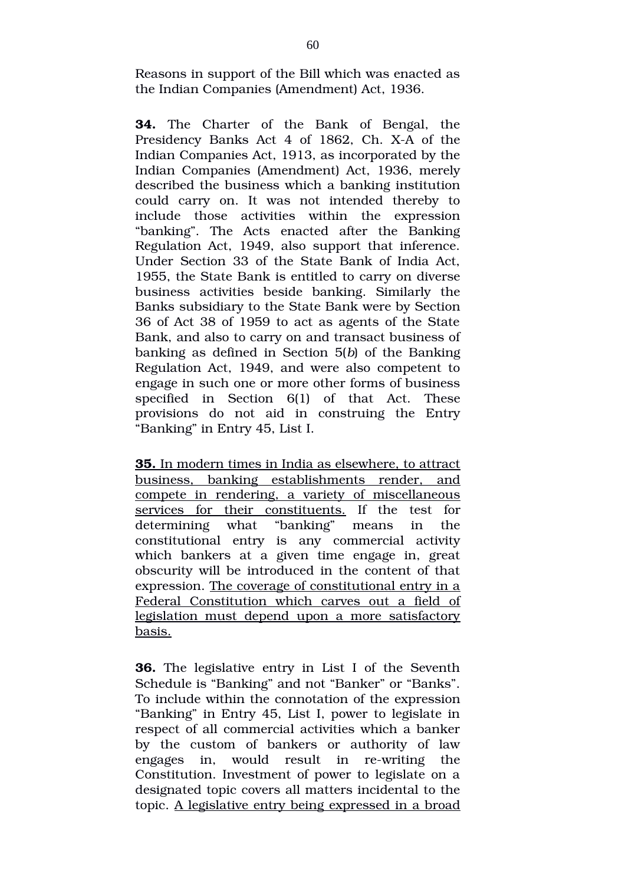Reasons in support of the Bill which was enacted as the Indian Companies (Amendment) Act, 1936.

**34.** The Charter of the Bank of Bengal, the Presidency Banks Act 4 of 1862, Ch. X-A of the Indian Companies Act, 1913, as incorporated by the Indian Companies (Amendment) Act, 1936, merely described the business which a banking institution could carry on. It was not intended thereby to include those activities within the expression "banking". The Acts enacted after the Banking Regulation Act, 1949, also support that inference. Under Section 33 of the State Bank of India Act, 1955, the State Bank is entitled to carry on diverse business activities beside banking. Similarly the Banks subsidiary to the State Bank were by Section 36 of Act 38 of 1959 to act as agents of the State Bank, and also to carry on and transact business of banking as defined in Section 5(*b*) of the Banking Regulation Act, 1949, and were also competent to engage in such one or more other forms of business specified in Section 6(1) of that Act. These provisions do not aid in construing the Entry "Banking" in Entry 45, List I.

 **35.** In modern times in India as elsewhere, to attract business, banking establishments render, and compete in rendering, a variety of miscellaneous services for their constituents. If the test for determining what "banking" means in the constitutional entry is any commercial activity which bankers at a given time engage in, great obscurity will be introduced in the content of that expression. The coverage of constitutional entry in a Federal Constitution which carves out a field of legislation must depend upon a more satisfactory basis.

**36.** The legislative entry in List I of the Seventh Schedule is "Banking" and not "Banker" or "Banks". To include within the connotation of the expression "Banking" in Entry 45, List I, power to legislate in respect of all commercial activities which a banker by the custom of bankers or authority of law engages in, would result in re-writing the Constitution. Investment of power to legislate on a designated topic covers all matters incidental to the topic. A legislative entry being expressed in a broad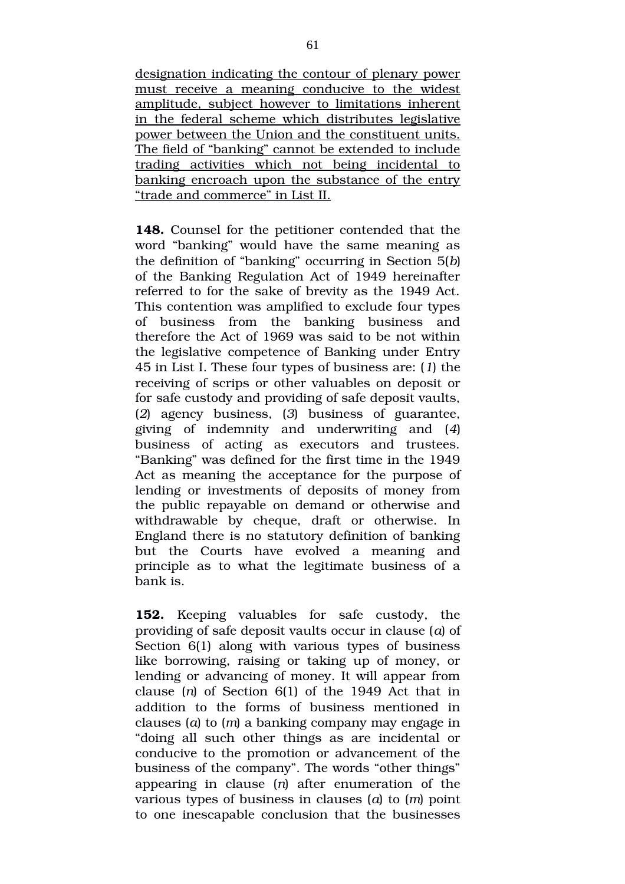designation indicating the contour of plenary power must receive a meaning conducive to the widest amplitude, subject however to limitations inherent in the federal scheme which distributes legislative power between the Union and the constituent units. The field of "banking" cannot be extended to include trading activities which not being incidental to banking encroach upon the substance of the entry "trade and commerce" in List II.

**148.** Counsel for the petitioner contended that the word "banking" would have the same meaning as the definition of "banking" occurring in Section 5(*b*) of the Banking Regulation Act of 1949 hereinafter referred to for the sake of brevity as the 1949 Act. This contention was amplified to exclude four types of business from the banking business and therefore the Act of 1969 was said to be not within the legislative competence of Banking under Entry 45 in List I. These four types of business are: (*1*) the receiving of scrips or other valuables on deposit or for safe custody and providing of safe deposit vaults, (*2*) agency business, (*3*) business of guarantee, giving of indemnity and underwriting and (*4*) business of acting as executors and trustees. "Banking" was defined for the first time in the 1949 Act as meaning the acceptance for the purpose of lending or investments of deposits of money from the public repayable on demand or otherwise and withdrawable by cheque, draft or otherwise. In England there is no statutory definition of banking but the Courts have evolved a meaning and principle as to what the legitimate business of a bank is.

**152.** Keeping valuables for safe custody, the providing of safe deposit vaults occur in clause (*a*) of Section 6(1) along with various types of business like borrowing, raising or taking up of money, or lending or advancing of money. It will appear from clause (*n*) of Section 6(1) of the 1949 Act that in addition to the forms of business mentioned in clauses (*a*) to (*m*) a banking company may engage in "doing all such other things as are incidental or conducive to the promotion or advancement of the business of the company". The words "other things" appearing in clause  $(n)$  after enumeration of the various types of business in clauses (*a*) to (*m*) point to one inescapable conclusion that the businesses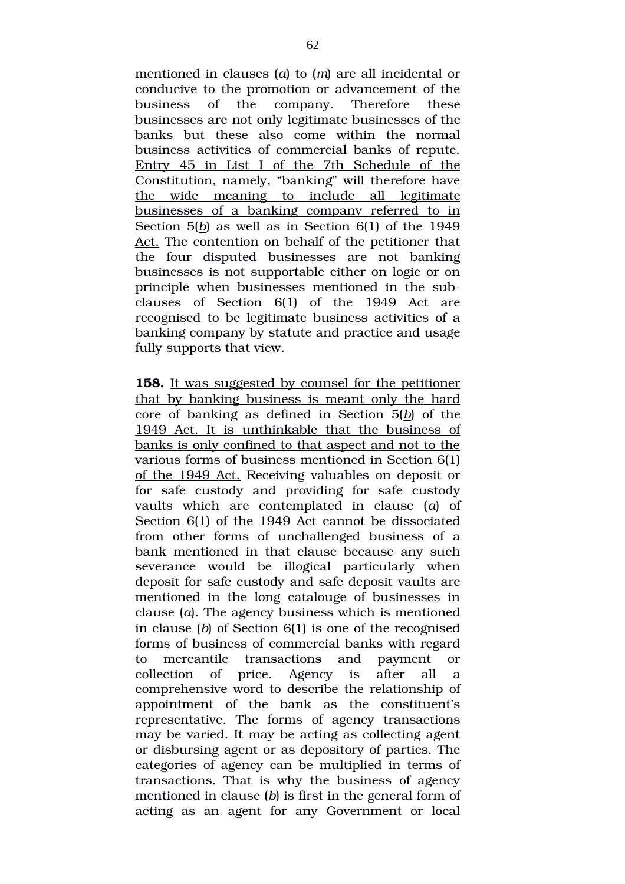mentioned in clauses (*a*) to (*m*) are all incidental or conducive to the promotion or advancement of the business of the company. Therefore these businesses are not only legitimate businesses of the banks but these also come within the normal business activities of commercial banks of repute. Entry 45 in List I of the 7th Schedule of the Constitution, namely, "banking" will therefore have the wide meaning to include all legitimate businesses of a banking company referred to in Section 5(*b*) as well as in Section 6(1) of the 1949 Act. The contention on behalf of the petitioner that the four disputed businesses are not banking businesses is not supportable either on logic or on principle when businesses mentioned in the subclauses of Section 6(1) of the 1949 Act are recognised to be legitimate business activities of a banking company by statute and practice and usage fully supports that view.

**158.** It was suggested by counsel for the petitioner that by banking business is meant only the hard core of banking as defined in Section 5(*b*) of the 1949 Act. It is unthinkable that the business of banks is only confined to that aspect and not to the various forms of business mentioned in Section 6(1) of the 1949 Act. Receiving valuables on deposit or for safe custody and providing for safe custody vaults which are contemplated in clause (*a*) of Section 6(1) of the 1949 Act cannot be dissociated from other forms of unchallenged business of a bank mentioned in that clause because any such severance would be illogical particularly when deposit for safe custody and safe deposit vaults are mentioned in the long catalouge of businesses in clause (*a*). The agency business which is mentioned in clause (*b*) of Section 6(1) is one of the recognised forms of business of commercial banks with regard to mercantile transactions and payment or collection of price. Agency is after all a comprehensive word to describe the relationship of appointment of the bank as the constituent's representative. The forms of agency transactions may be varied. It may be acting as collecting agent or disbursing agent or as depository of parties. The categories of agency can be multiplied in terms of transactions. That is why the business of agency mentioned in clause (*b*) is first in the general form of acting as an agent for any Government or local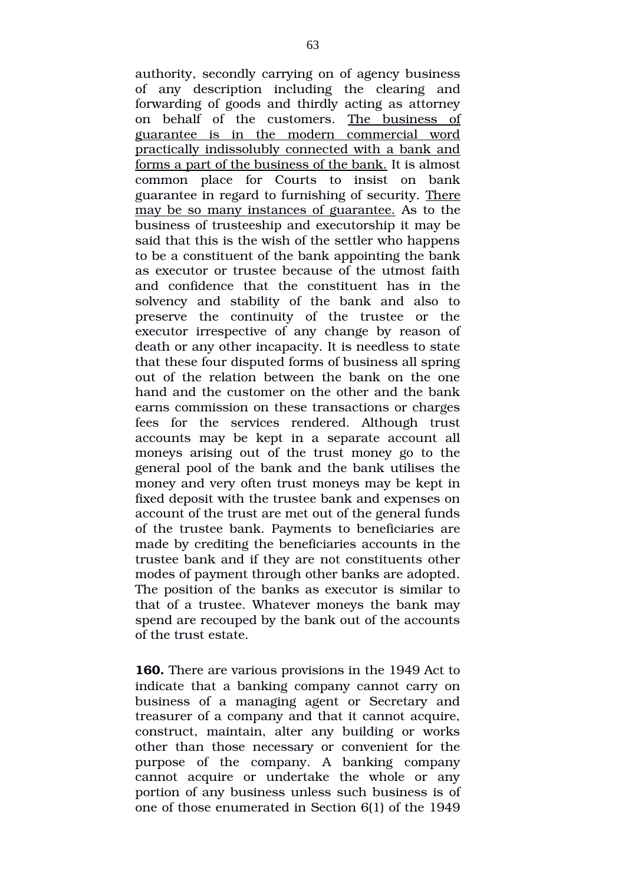authority, secondly carrying on of agency business of any description including the clearing and forwarding of goods and thirdly acting as attorney on behalf of the customers. The business of guarantee is in the modern commercial word practically indissolubly connected with a bank and forms a part of the business of the bank. It is almost common place for Courts to insist on bank guarantee in regard to furnishing of security. There may be so many instances of guarantee. As to the business of trusteeship and executorship it may be said that this is the wish of the settler who happens to be a constituent of the bank appointing the bank as executor or trustee because of the utmost faith and confidence that the constituent has in the solvency and stability of the bank and also to preserve the continuity of the trustee or the executor irrespective of any change by reason of death or any other incapacity. It is needless to state that these four disputed forms of business all spring out of the relation between the bank on the one hand and the customer on the other and the bank earns commission on these transactions or charges fees for the services rendered. Although trust accounts may be kept in a separate account all moneys arising out of the trust money go to the general pool of the bank and the bank utilises the money and very often trust moneys may be kept in fixed deposit with the trustee bank and expenses on account of the trust are met out of the general funds of the trustee bank. Payments to beneficiaries are made by crediting the beneficiaries accounts in the trustee bank and if they are not constituents other modes of payment through other banks are adopted. The position of the banks as executor is similar to that of a trustee. Whatever moneys the bank may spend are recouped by the bank out of the accounts of the trust estate.

**160.** There are various provisions in the 1949 Act to indicate that a banking company cannot carry on business of a managing agent or Secretary and treasurer of a company and that it cannot acquire, construct, maintain, alter any building or works other than those necessary or convenient for the purpose of the company. A banking company cannot acquire or undertake the whole or any portion of any business unless such business is of one of those enumerated in Section 6(1) of the 1949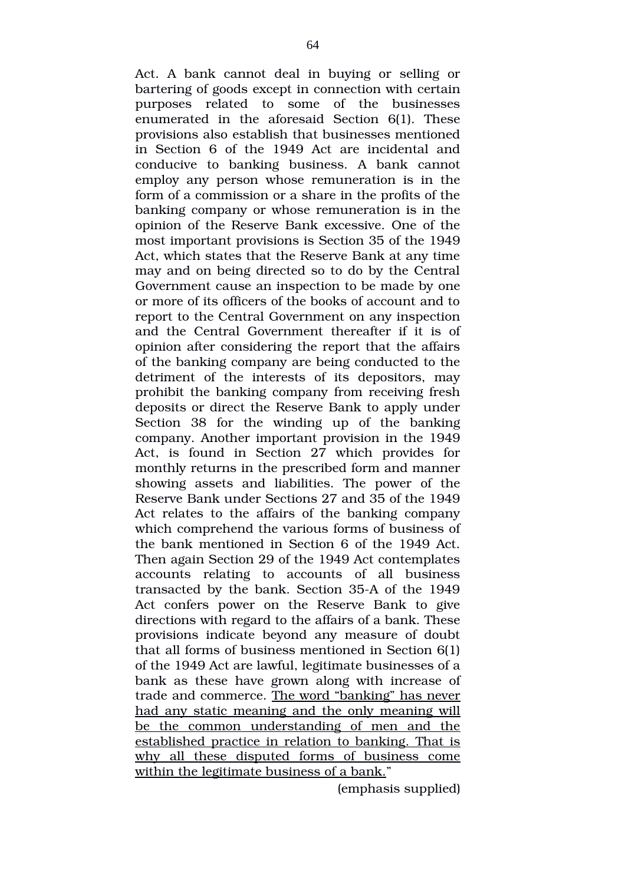Act. A bank cannot deal in buying or selling or bartering of goods except in connection with certain purposes related to some of the businesses enumerated in the aforesaid Section 6(1). These provisions also establish that businesses mentioned in Section 6 of the 1949 Act are incidental and conducive to banking business. A bank cannot employ any person whose remuneration is in the form of a commission or a share in the profits of the banking company or whose remuneration is in the opinion of the Reserve Bank excessive. One of the most important provisions is Section 35 of the 1949 Act, which states that the Reserve Bank at any time may and on being directed so to do by the Central Government cause an inspection to be made by one or more of its officers of the books of account and to report to the Central Government on any inspection and the Central Government thereafter if it is of opinion after considering the report that the affairs of the banking company are being conducted to the detriment of the interests of its depositors, may prohibit the banking company from receiving fresh deposits or direct the Reserve Bank to apply under Section 38 for the winding up of the banking company. Another important provision in the 1949 Act, is found in Section 27 which provides for monthly returns in the prescribed form and manner showing assets and liabilities. The power of the Reserve Bank under Sections 27 and 35 of the 1949 Act relates to the affairs of the banking company which comprehend the various forms of business of the bank mentioned in Section 6 of the 1949 Act. Then again Section 29 of the 1949 Act contemplates accounts relating to accounts of all business transacted by the bank. Section 35A of the 1949 Act confers power on the Reserve Bank to give directions with regard to the affairs of a bank. These provisions indicate beyond any measure of doubt that all forms of business mentioned in Section 6(1) of the 1949 Act are lawful, legitimate businesses of a bank as these have grown along with increase of trade and commerce. The word "banking" has never had any static meaning and the only meaning will be the common understanding of men and the established practice in relation to banking. That is why all these disputed forms of business come within the legitimate business of a bank."

(emphasis supplied)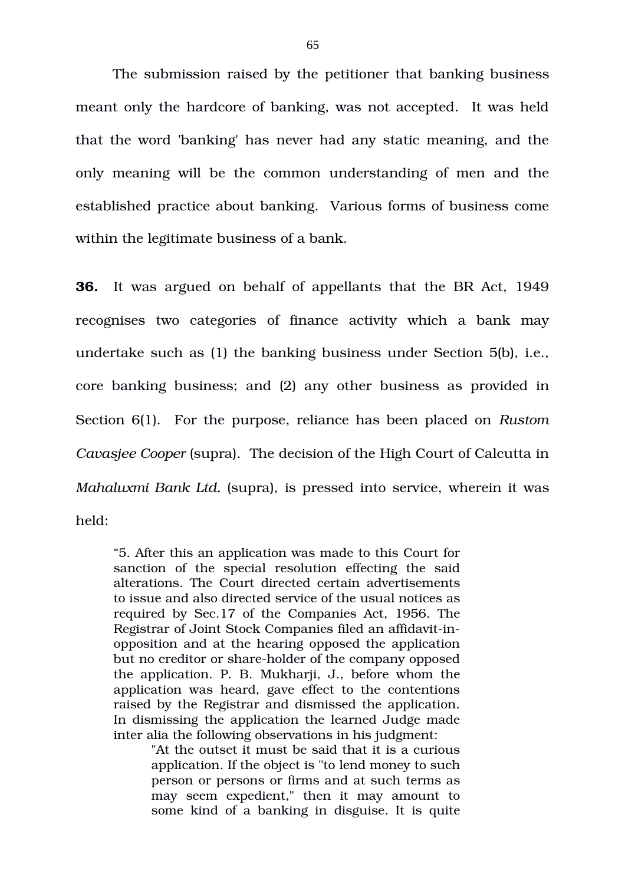The submission raised by the petitioner that banking business meant only the hardcore of banking, was not accepted. It was held that the word 'banking' has never had any static meaning, and the only meaning will be the common understanding of men and the established practice about banking. Various forms of business come within the legitimate business of a bank.

**36.** It was argued on behalf of appellants that the BR Act, 1949 recognises two categories of finance activity which a bank may undertake such as (1) the banking business under Section 5(b), i.e., core banking business; and (2) any other business as provided in Section 6(1). For the purpose, reliance has been placed on *Rustom Cavasjee Cooper* (supra). The decision of the High Court of Calcutta in *Mahaluxmi Bank Ltd.* (supra), is pressed into service, wherein it was held:

"5. After this an application was made to this Court for sanction of the special resolution effecting the said alterations. The Court directed certain advertisements to issue and also directed service of the usual notices as required by Sec.17 of the Companies Act, 1956. The Registrar of Joint Stock Companies filed an affidavit-inopposition and at the hearing opposed the application but no creditor or share-holder of the company opposed the application. P. B. Mukharji, J., before whom the application was heard, gave effect to the contentions raised by the Registrar and dismissed the application. In dismissing the application the learned Judge made inter alia the following observations in his judgment:

> "At the outset it must be said that it is a curious application. If the object is "to lend money to such person or persons or firms and at such terms as may seem expedient," then it may amount to some kind of a banking in disguise. It is quite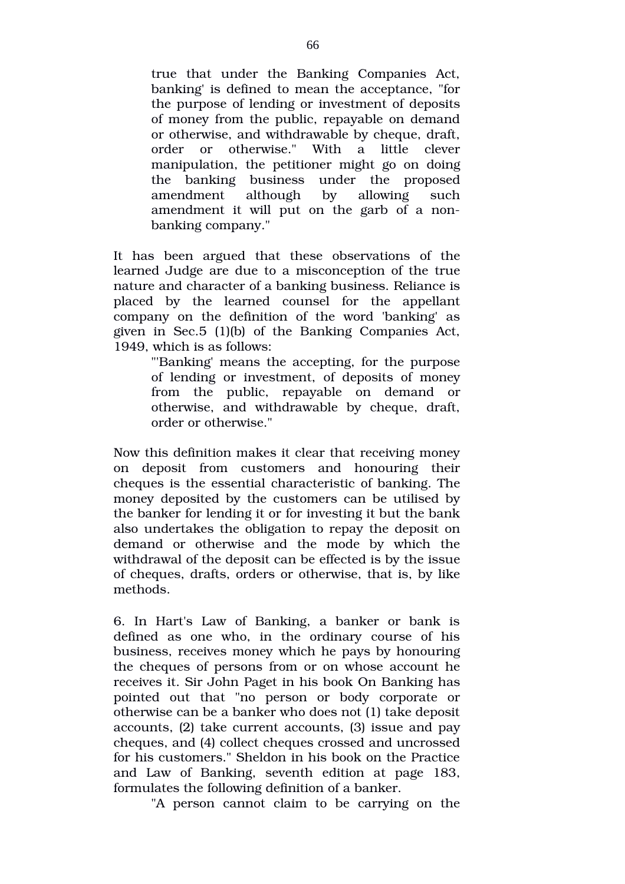true that under the Banking Companies Act, banking' is defined to mean the acceptance, "for the purpose of lending or investment of deposits of money from the public, repayable on demand or otherwise, and withdrawable by cheque, draft, order or otherwise." With a little clever manipulation, the petitioner might go on doing the banking business under the proposed amendment although by allowing such amendment it will put on the garb of a nonbanking company."

It has been argued that these observations of the learned Judge are due to a misconception of the true nature and character of a banking business. Reliance is placed by the learned counsel for the appellant company on the definition of the word 'banking' as given in Sec.5 (1)(b) of the Banking Companies Act, 1949, which is as follows:

> "'Banking' means the accepting, for the purpose of lending or investment, of deposits of money from the public, repayable on demand or otherwise, and withdrawable by cheque, draft, order or otherwise."

Now this definition makes it clear that receiving money on deposit from customers and honouring their cheques is the essential characteristic of banking. The money deposited by the customers can be utilised by the banker for lending it or for investing it but the bank also undertakes the obligation to repay the deposit on demand or otherwise and the mode by which the withdrawal of the deposit can be effected is by the issue of cheques, drafts, orders or otherwise, that is, by like methods.

6. In Hart's Law of Banking, a banker or bank is defined as one who, in the ordinary course of his business, receives money which he pays by honouring the cheques of persons from or on whose account he receives it. Sir John Paget in his book On Banking has pointed out that "no person or body corporate or otherwise can be a banker who does not (1) take deposit accounts, (2) take current accounts, (3) issue and pay cheques, and (4) collect cheques crossed and uncrossed for his customers." Sheldon in his book on the Practice and Law of Banking, seventh edition at page 183, formulates the following definition of a banker.

"A person cannot claim to be carrying on the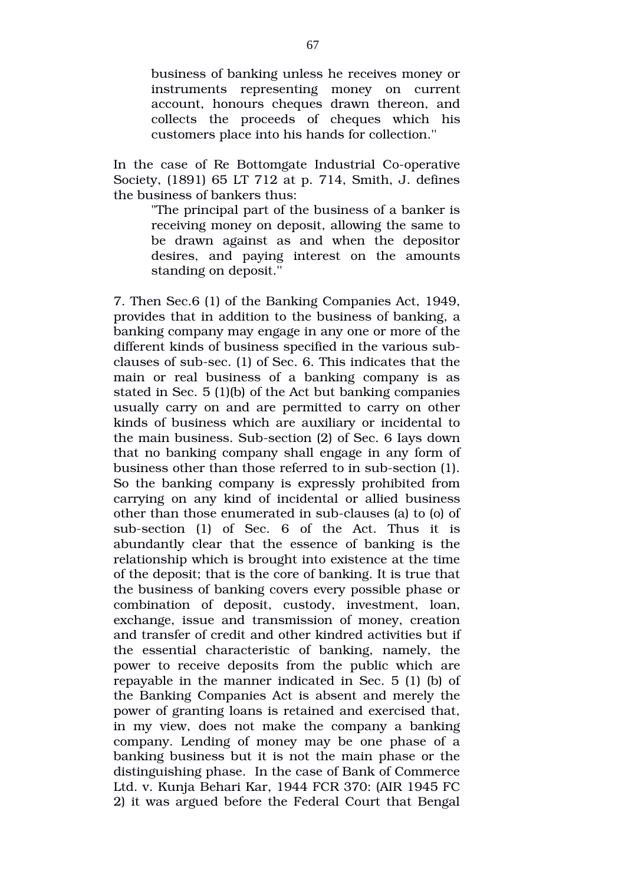business of banking unless he receives money or instruments representing money on current account, honours cheques drawn thereon, and collects the proceeds of cheques which his customers place into his hands for collection.''

In the case of Re Bottomgate Industrial Co-operative Society, (1891) 65 LT 712 at p. 714, Smith, J. defines the business of bankers thus:

> "The principal part of the business of a banker is receiving money on deposit, allowing the same to be drawn against as and when the depositor desires, and paying interest on the amounts standing on deposit.''

7. Then Sec.6 (1) of the Banking Companies Act, 1949, provides that in addition to the business of banking, a banking company may engage in any one or more of the different kinds of business specified in the various subclauses of sub-sec.  $(1)$  of Sec. 6. This indicates that the main or real business of a banking company is as stated in Sec. 5 (1)(b) of the Act but banking companies usually carry on and are permitted to carry on other kinds of business which are auxiliary or incidental to the main business. Sub-section (2) of Sec. 6 lays down that no banking company shall engage in any form of business other than those referred to in sub-section (1). So the banking company is expressly prohibited from carrying on any kind of incidental or allied business other than those enumerated in sub-clauses (a) to (o) of sub-section (1) of Sec. 6 of the Act. Thus it is abundantly clear that the essence of banking is the relationship which is brought into existence at the time of the deposit; that is the core of banking. It is true that the business of banking covers every possible phase or combination of deposit, custody, investment, loan, exchange, issue and transmission of money, creation and transfer of credit and other kindred activities but if the essential characteristic of banking, namely, the power to receive deposits from the public which are repayable in the manner indicated in Sec. 5 (1) (b) of the Banking Companies Act is absent and merely the power of granting loans is retained and exercised that, in my view, does not make the company a banking company. Lending of money may be one phase of a banking business but it is not the main phase or the distinguishing phase. In the case of Bank of Commerce Ltd. v. Kunja Behari Kar, 1944 FCR 370: (AIR 1945 FC 2) it was argued before the Federal Court that Bengal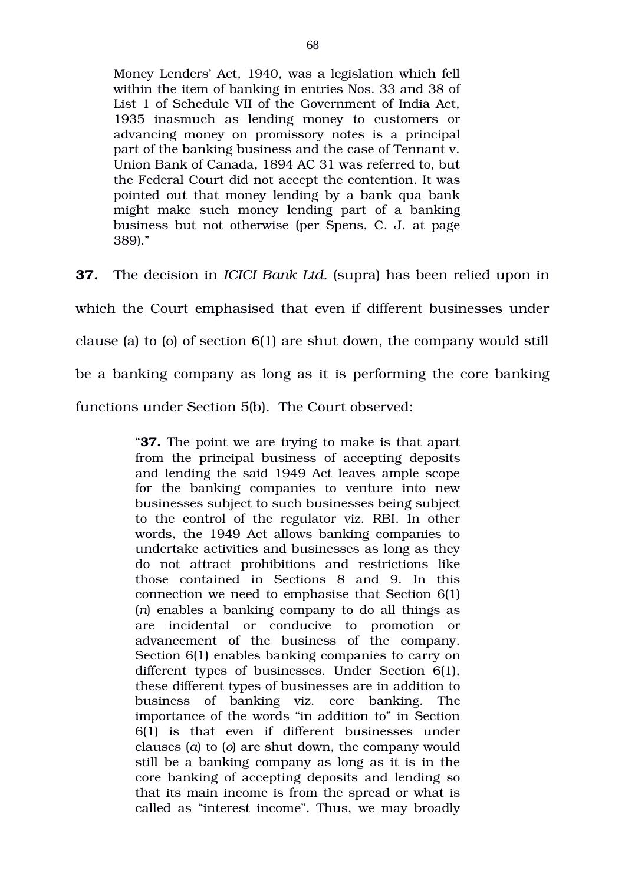Money Lenders' Act, 1940, was a legislation which fell within the item of banking in entries Nos. 33 and 38 of List 1 of Schedule VII of the Government of India Act, 1935 inasmuch as lending money to customers or advancing money on promissory notes is a principal part of the banking business and the case of Tennant v. Union Bank of Canada, 1894 AC 31 was referred to, but the Federal Court did not accept the contention. It was pointed out that money lending by a bank qua bank might make such money lending part of a banking business but not otherwise (per Spens, C. J. at page 389)."

**37.** The decision in *ICICI Bank Ltd.* (supra) has been relied upon in

which the Court emphasised that even if different businesses under

clause (a) to (o) of section 6(1) are shut down, the company would still

be a banking company as long as it is performing the core banking

functions under Section 5(b). The Court observed:

"**37.** The point we are trying to make is that apart from the principal business of accepting deposits and lending the said 1949 Act leaves ample scope for the banking companies to venture into new businesses subject to such businesses being subject to the control of the regulator viz. RBI. In other words, the 1949 Act allows banking companies to undertake activities and businesses as long as they do not attract prohibitions and restrictions like those contained in Sections 8 and 9. In this connection we need to emphasise that Section 6(1) (*n*) enables a banking company to do all things as are incidental or conducive to promotion or advancement of the business of the company. Section 6(1) enables banking companies to carry on different types of businesses. Under Section 6(1), these different types of businesses are in addition to business of banking viz. core banking. The importance of the words "in addition to" in Section  $6(1)$  is that even if different businesses under clauses (*a*) to (*o*) are shut down, the company would still be a banking company as long as it is in the core banking of accepting deposits and lending so that its main income is from the spread or what is called as "interest income". Thus, we may broadly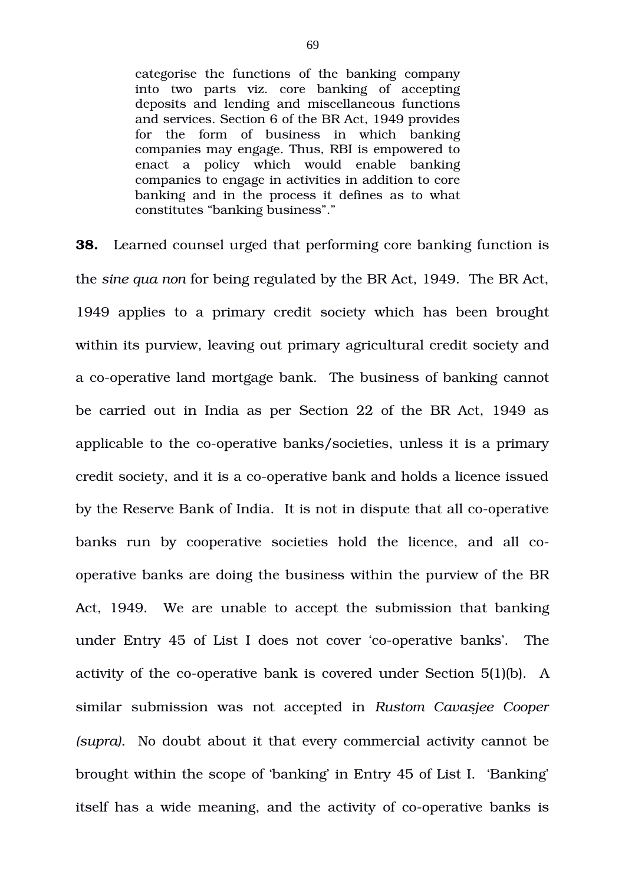categorise the functions of the banking company into two parts viz. core banking of accepting deposits and lending and miscellaneous functions and services. Section 6 of the BR Act, 1949 provides for the form of business in which banking companies may engage. Thus, RBI is empowered to enact a policy which would enable banking companies to engage in activities in addition to core banking and in the process it defines as to what constitutes "banking business"."

**38.** Learned counsel urged that performing core banking function is the *sine qua non* for being regulated by the BR Act, 1949. The BR Act, 1949 applies to a primary credit society which has been brought within its purview, leaving out primary agricultural credit society and a co-operative land mortgage bank. The business of banking cannot be carried out in India as per Section 22 of the BR Act, 1949 as applicable to the co-operative banks/societies, unless it is a primary credit society, and it is a co-operative bank and holds a licence issued by the Reserve Bank of India. It is not in dispute that all co-operative banks run by cooperative societies hold the licence, and all cooperative banks are doing the business within the purview of the BR Act, 1949. We are unable to accept the submission that banking under Entry 45 of List I does not cover 'co-operative banks'. The activity of the co-operative bank is covered under Section  $5(1)(b)$ . A similar submission was not accepted in *Rustom Cavasjee Cooper (supra).* No doubt about it that every commercial activity cannot be brought within the scope of 'banking' in Entry 45 of List I. 'Banking' itself has a wide meaning, and the activity of co-operative banks is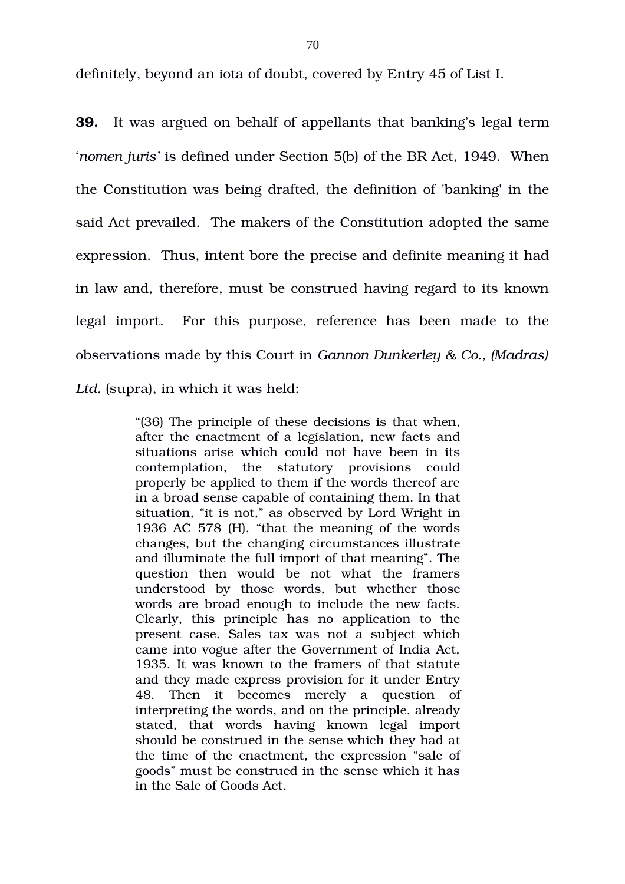definitely, beyond an iota of doubt, covered by Entry 45 of List I.

**39.** It was argued on behalf of appellants that banking's legal term '*nomen juris'* is defined under Section 5(b) of the BR Act, 1949. When the Constitution was being drafted, the definition of 'banking' in the said Act prevailed. The makers of the Constitution adopted the same expression. Thus, intent bore the precise and definite meaning it had in law and, therefore, must be construed having regard to its known legal import. For this purpose, reference has been made to the observations made by this Court in *Gannon Dunkerley & Co., (Madras) Ltd.* (supra), in which it was held:

> "(36) The principle of these decisions is that when, after the enactment of a legislation, new facts and situations arise which could not have been in its contemplation, the statutory provisions could properly be applied to them if the words thereof are in a broad sense capable of containing them. In that situation, "it is not," as observed by Lord Wright in 1936 AC 578 (H), "that the meaning of the words changes, but the changing circumstances illustrate and illuminate the full import of that meaning". The question then would be not what the framers understood by those words, but whether those words are broad enough to include the new facts. Clearly, this principle has no application to the present case. Sales tax was not a subject which came into vogue after the Government of India Act, 1935. It was known to the framers of that statute and they made express provision for it under Entry 48. Then it becomes merely a question of interpreting the words, and on the principle, already stated, that words having known legal import should be construed in the sense which they had at the time of the enactment, the expression "sale of goods" must be construed in the sense which it has in the Sale of Goods Act.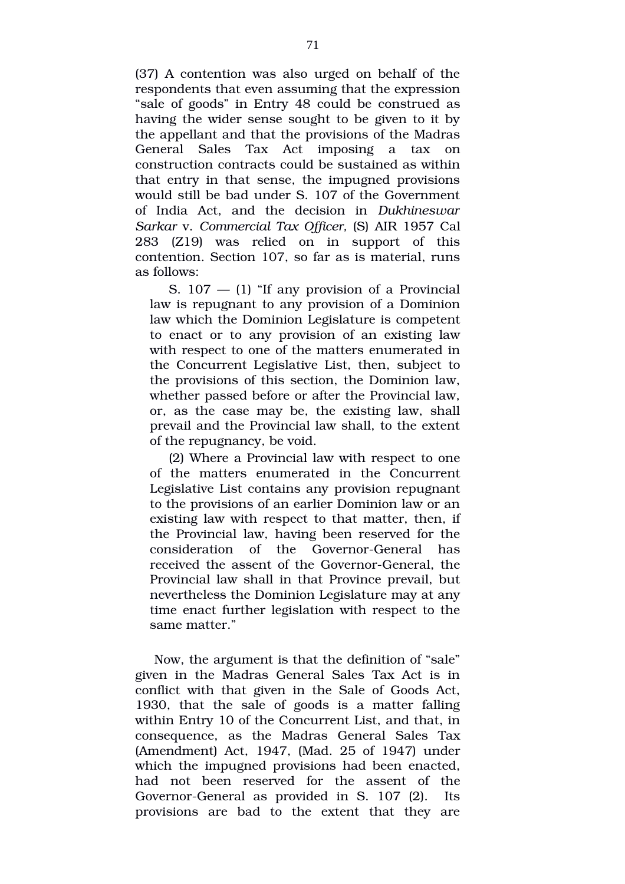(37) A contention was also urged on behalf of the respondents that even assuming that the expression "sale of goods" in Entry 48 could be construed as having the wider sense sought to be given to it by the appellant and that the provisions of the Madras General Sales Tax Act imposing a tax on construction contracts could be sustained as within that entry in that sense, the impugned provisions would still be bad under S. 107 of the Government of India Act, and the decision in *Dukhineswar Sarkar* v. *Commercial Tax Officer,* (S) AIR 1957 Cal 283 (Z19) was relied on in support of this contention. Section 107, so far as is material, runs as follows:

S.  $107 - (1)$  "If any provision of a Provincial law is repugnant to any provision of a Dominion law which the Dominion Legislature is competent to enact or to any provision of an existing law with respect to one of the matters enumerated in the Concurrent Legislative List, then, subject to the provisions of this section, the Dominion law, whether passed before or after the Provincial law, or, as the case may be, the existing law, shall prevail and the Provincial law shall, to the extent of the repugnancy, be void.

(2) Where a Provincial law with respect to one of the matters enumerated in the Concurrent Legislative List contains any provision repugnant to the provisions of an earlier Dominion law or an existing law with respect to that matter, then, if the Provincial law, having been reserved for the consideration of the Governor-General has received the assent of the Governor-General, the Provincial law shall in that Province prevail, but nevertheless the Dominion Legislature may at any time enact further legislation with respect to the same matter."

Now, the argument is that the definition of "sale" given in the Madras General Sales Tax Act is in conflict with that given in the Sale of Goods Act, 1930, that the sale of goods is a matter falling within Entry 10 of the Concurrent List, and that, in consequence, as the Madras General Sales Tax (Amendment) Act, 1947, (Mad. 25 of 1947) under which the impugned provisions had been enacted, had not been reserved for the assent of the Governor-General as provided in S. 107 (2). Its provisions are bad to the extent that they are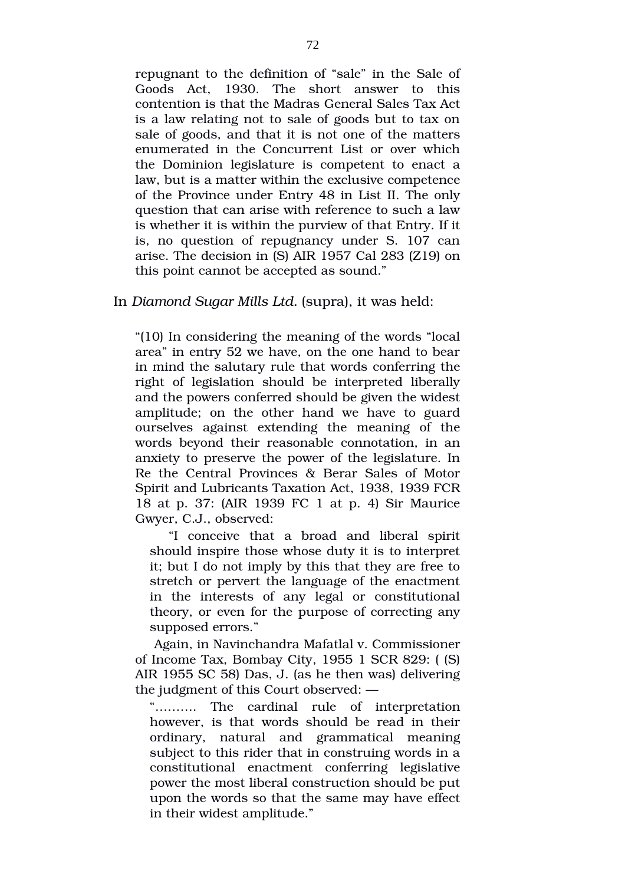repugnant to the definition of "sale" in the Sale of Goods Act, 1930. The short answer to this contention is that the Madras General Sales Tax Act is a law relating not to sale of goods but to tax on sale of goods, and that it is not one of the matters enumerated in the Concurrent List or over which the Dominion legislature is competent to enact a law, but is a matter within the exclusive competence of the Province under Entry 48 in List II. The only question that can arise with reference to such a law is whether it is within the purview of that Entry. If it is, no question of repugnancy under S. 107 can arise. The decision in (S) AIR 1957 Cal 283 (Z19) on this point cannot be accepted as sound."

In *Diamond Sugar Mills Ltd.* (supra), it was held:

"(10) In considering the meaning of the words "local area" in entry 52 we have, on the one hand to bear in mind the salutary rule that words conferring the right of legislation should be interpreted liberally and the powers conferred should be given the widest amplitude; on the other hand we have to guard ourselves against extending the meaning of the words beyond their reasonable connotation, in an anxiety to preserve the power of the legislature. In Re the Central Provinces & Berar Sales of Motor Spirit and Lubricants Taxation Act, 1938, 1939 FCR 18 at p. 37: (AIR 1939 FC 1 at p. 4) Sir Maurice Gwyer, C.J., observed:

"I conceive that a broad and liberal spirit should inspire those whose duty it is to interpret it; but I do not imply by this that they are free to stretch or pervert the language of the enactment in the interests of any legal or constitutional theory, or even for the purpose of correcting any supposed errors."

Again, in Navinchandra Mafatlal v. Commissioner of Income Tax, Bombay City, 1955 1 SCR 829: ( (S) AIR 1955 SC 58) Das, J. (as he then was) delivering the judgment of this Court observed: —

"………. The cardinal rule of interpretation however, is that words should be read in their ordinary, natural and grammatical meaning subject to this rider that in construing words in a constitutional enactment conferring legislative power the most liberal construction should be put upon the words so that the same may have effect in their widest amplitude."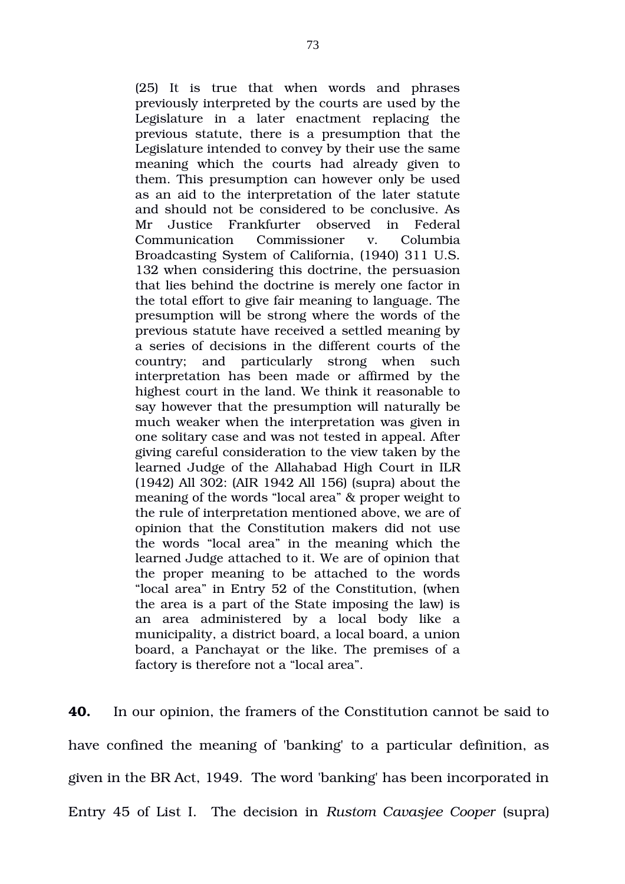(25) It is true that when words and phrases previously interpreted by the courts are used by the Legislature in a later enactment replacing the previous statute, there is a presumption that the Legislature intended to convey by their use the same meaning which the courts had already given to them. This presumption can however only be used as an aid to the interpretation of the later statute and should not be considered to be conclusive. As Mr Justice Frankfurter observed in Federal Communication Commissioner v. Columbia Broadcasting System of California, (1940) 311 U.S. 132 when considering this doctrine, the persuasion that lies behind the doctrine is merely one factor in the total effort to give fair meaning to language. The presumption will be strong where the words of the previous statute have received a settled meaning by a series of decisions in the different courts of the country; and particularly strong when such interpretation has been made or affirmed by the highest court in the land. We think it reasonable to say however that the presumption will naturally be much weaker when the interpretation was given in one solitary case and was not tested in appeal. After giving careful consideration to the view taken by the learned Judge of the Allahabad High Court in ILR (1942) All 302: (AIR 1942 All 156) (supra) about the meaning of the words "local area" & proper weight to the rule of interpretation mentioned above, we are of opinion that the Constitution makers did not use the words "local area" in the meaning which the learned Judge attached to it. We are of opinion that the proper meaning to be attached to the words "local area" in Entry 52 of the Constitution, (when the area is a part of the State imposing the law) is an area administered by a local body like a municipality, a district board, a local board, a union board, a Panchayat or the like. The premises of a factory is therefore not a "local area".

**40.** In our opinion, the framers of the Constitution cannot be said to have confined the meaning of 'banking' to a particular definition, as given in the BR Act, 1949. The word 'banking' has been incorporated in Entry 45 of List I. The decision in *Rustom Cavasjee Cooper* (supra)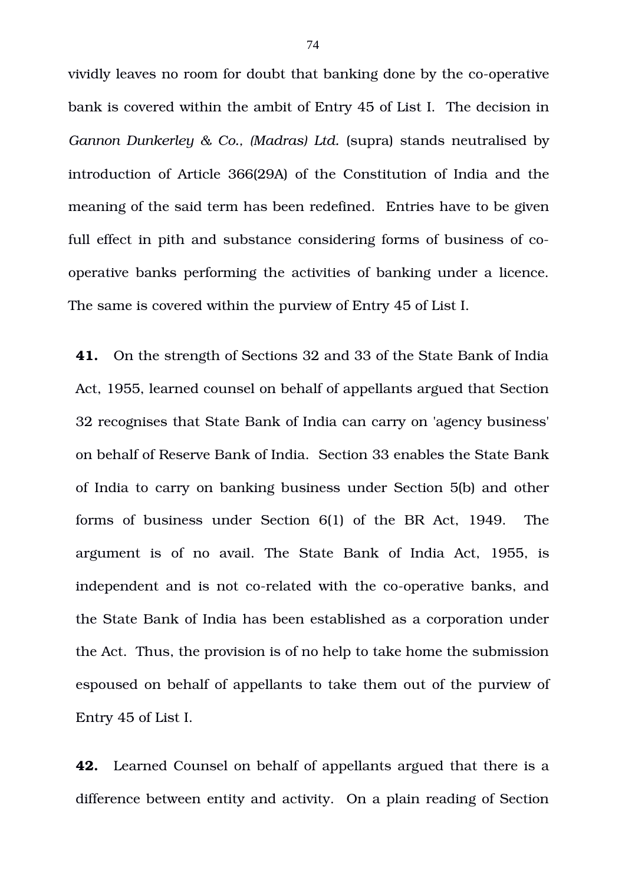vividly leaves no room for doubt that banking done by the co-operative bank is covered within the ambit of Entry 45 of List I. The decision in *Gannon Dunkerley & Co., (Madras) Ltd.* (supra) stands neutralised by introduction of Article 366(29A) of the Constitution of India and the meaning of the said term has been redefined. Entries have to be given full effect in pith and substance considering forms of business of cooperative banks performing the activities of banking under a licence. The same is covered within the purview of Entry 45 of List I.

**41.** On the strength of Sections 32 and 33 of the State Bank of India Act, 1955, learned counsel on behalf of appellants argued that Section 32 recognises that State Bank of India can carry on 'agency business' on behalf of Reserve Bank of India. Section 33 enables the State Bank of India to carry on banking business under Section 5(b) and other forms of business under Section  $6(1)$  of the BR Act, 1949. The argument is of no avail. The State Bank of India Act, 1955, is independent and is not co-related with the co-operative banks, and the State Bank of India has been established as a corporation under the Act. Thus, the provision is of no help to take home the submission espoused on behalf of appellants to take them out of the purview of Entry 45 of List I.

**42.** Learned Counsel on behalf of appellants argued that there is a difference between entity and activity. On a plain reading of Section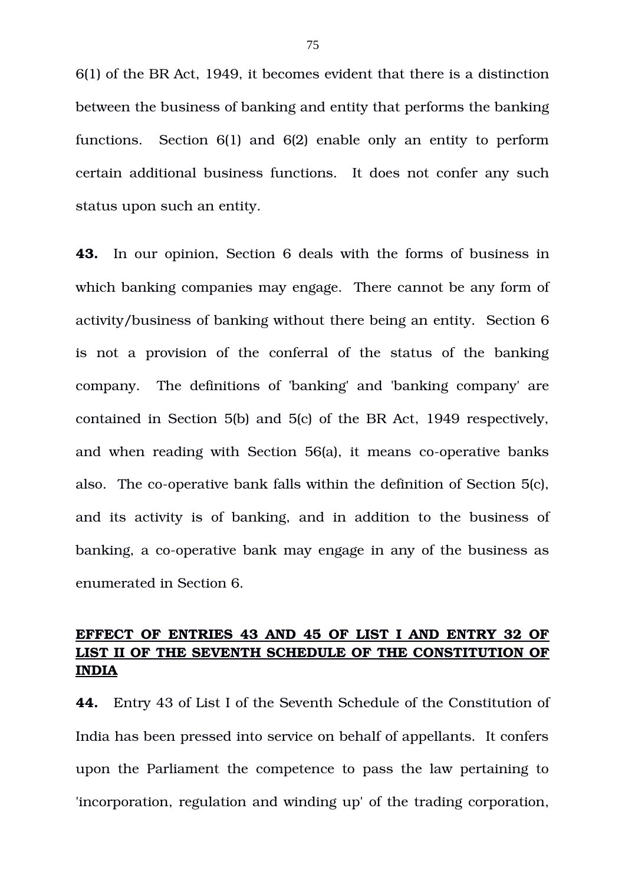6(1) of the BR Act, 1949, it becomes evident that there is a distinction between the business of banking and entity that performs the banking functions. Section 6(1) and 6(2) enable only an entity to perform certain additional business functions. It does not confer any such status upon such an entity.

**43.** In our opinion, Section 6 deals with the forms of business in which banking companies may engage. There cannot be any form of activity/business of banking without there being an entity. Section 6 is not a provision of the conferral of the status of the banking company. The definitions of 'banking' and 'banking company' are contained in Section 5(b) and 5(c) of the BR Act, 1949 respectively, and when reading with Section  $56(a)$ , it means co-operative banks also. The co-operative bank falls within the definition of Section 5(c), and its activity is of banking, and in addition to the business of banking, a co-operative bank may engage in any of the business as enumerated in Section 6.

# **EFFECT OF ENTRIES 43 AND 45 OF LIST I AND ENTRY 32 OF LIST II OF THE SEVENTH SCHEDULE OF THE CONSTITUTION OF INDIA**

**44.** Entry 43 of List I of the Seventh Schedule of the Constitution of India has been pressed into service on behalf of appellants. It confers upon the Parliament the competence to pass the law pertaining to 'incorporation, regulation and winding up' of the trading corporation,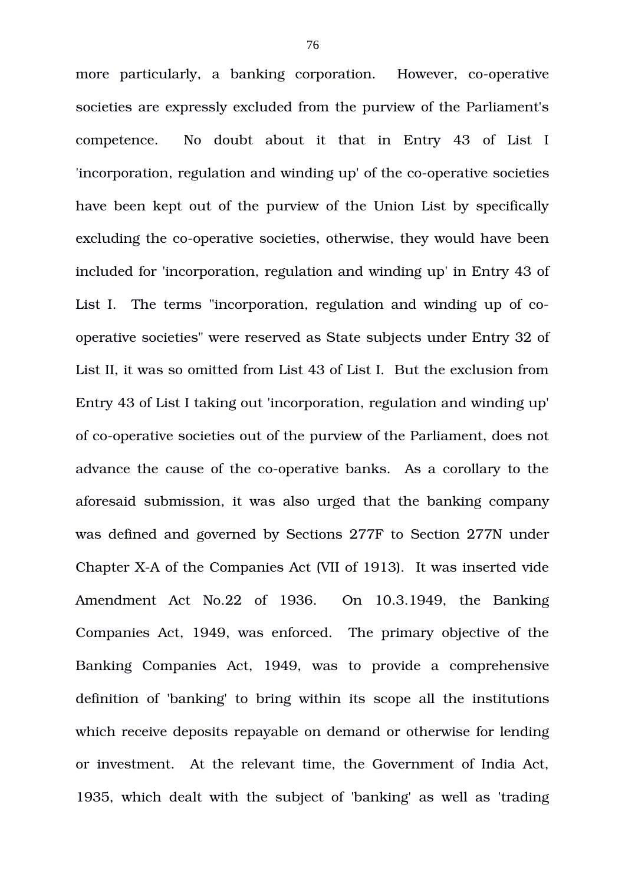more particularly, a banking corporation. However, co-operative societies are expressly excluded from the purview of the Parliament's competence. No doubt about it that in Entry 43 of List I 'incorporation, regulation and winding up' of the co-operative societies have been kept out of the purview of the Union List by specifically excluding the co-operative societies, otherwise, they would have been included for 'incorporation, regulation and winding up' in Entry 43 of List I. The terms "incorporation, regulation and winding up of cooperative societies" were reserved as State subjects under Entry 32 of List II, it was so omitted from List 43 of List I. But the exclusion from Entry 43 of List I taking out 'incorporation, regulation and winding up' of co-operative societies out of the purview of the Parliament, does not advance the cause of the co-operative banks. As a corollary to the aforesaid submission, it was also urged that the banking company was defined and governed by Sections 277F to Section 277N under Chapter XA of the Companies Act (VII of 1913). It was inserted vide Amendment Act No.22 of 1936. On 10.3.1949, the Banking Companies Act, 1949, was enforced. The primary objective of the Banking Companies Act, 1949, was to provide a comprehensive definition of 'banking' to bring within its scope all the institutions which receive deposits repayable on demand or otherwise for lending or investment. At the relevant time, the Government of India Act, 1935, which dealt with the subject of 'banking' as well as 'trading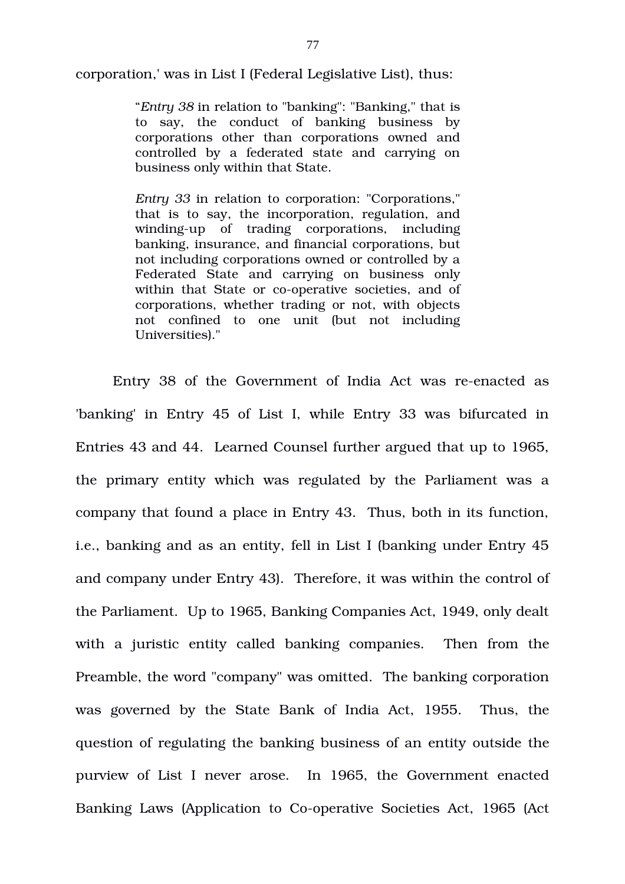corporation,' was in List I (Federal Legislative List), thus:

"*Entry 38* in relation to "banking": "Banking," that is to say, the conduct of banking business by corporations other than corporations owned and controlled by a federated state and carrying on business only within that State.

*Entry 33* in relation to corporation: "Corporations," that is to say, the incorporation, regulation, and winding-up of trading corporations, including banking, insurance, and financial corporations, but not including corporations owned or controlled by a Federated State and carrying on business only within that State or co-operative societies, and of corporations, whether trading or not, with objects not confined to one unit (but not including Universities)."

Entry 38 of the Government of India Act was re-enacted as 'banking' in Entry 45 of List I, while Entry 33 was bifurcated in Entries 43 and 44. Learned Counsel further argued that up to 1965, the primary entity which was regulated by the Parliament was a company that found a place in Entry 43. Thus, both in its function, i.e., banking and as an entity, fell in List I (banking under Entry 45 and company under Entry 43). Therefore, it was within the control of the Parliament. Up to 1965, Banking Companies Act, 1949, only dealt with a juristic entity called banking companies. Then from the Preamble, the word "company" was omitted. The banking corporation was governed by the State Bank of India Act, 1955. Thus, the question of regulating the banking business of an entity outside the purview of List I never arose. In 1965, the Government enacted Banking Laws (Application to Co-operative Societies Act, 1965 (Act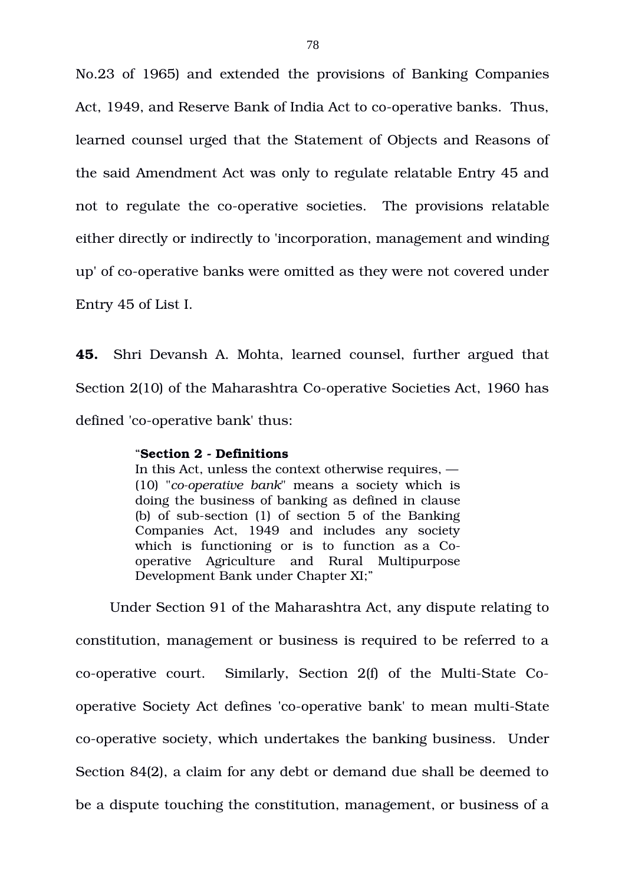No.23 of 1965) and extended the provisions of Banking Companies Act, 1949, and Reserve Bank of India Act to co-operative banks. Thus, learned counsel urged that the Statement of Objects and Reasons of the said Amendment Act was only to regulate relatable Entry 45 and not to regulate the co-operative societies. The provisions relatable either directly or indirectly to 'incorporation, management and winding up' of co-operative banks were omitted as they were not covered under Entry 45 of List I.

**45.** Shri Devansh A. Mohta, learned counsel, further argued that Section 2(10) of the Maharashtra Co-operative Societies Act, 1960 has defined 'co-operative bank' thus:

### "**Section 2 Definitions**

In this Act, unless the context otherwise requires, — (10) "*cooperative bank*" means a society which is doing the business of banking as defined in clause (b) of sub-section  $(1)$  of section 5 of the Banking Companies Act, 1949 and includes any society which is functioning or is to function as a Cooperative Agriculture and Rural Multipurpose Development Bank under Chapter XI;"

 Under Section 91 of the Maharashtra Act, any dispute relating to constitution, management or business is required to be referred to a  $co$ -operative court. Similarly, Section 2(f) of the Multi-State Cooperative Society Act defines 'co-operative bank' to mean multi-State co-operative society, which undertakes the banking business. Under Section 84(2), a claim for any debt or demand due shall be deemed to be a dispute touching the constitution, management, or business of a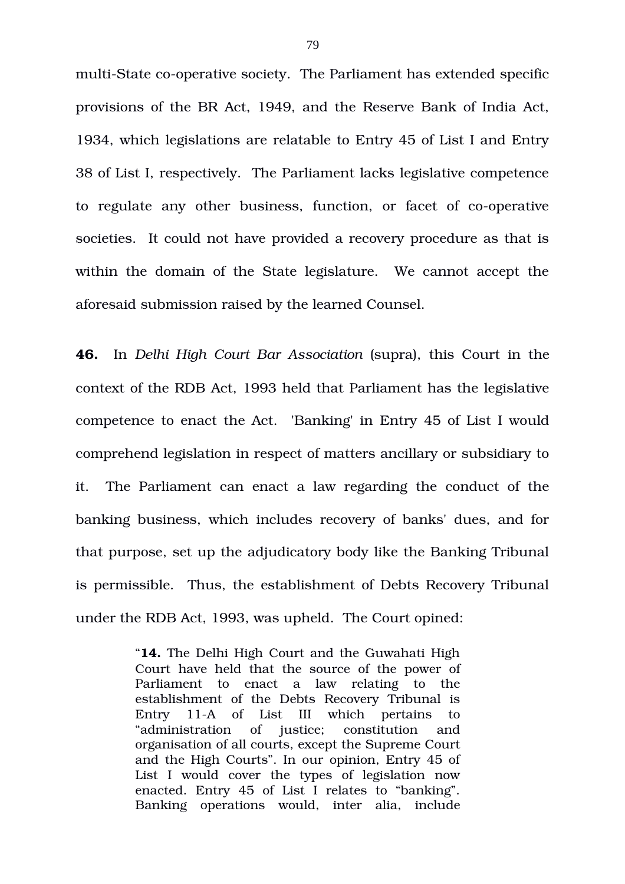multi-State co-operative society. The Parliament has extended specific provisions of the BR Act, 1949, and the Reserve Bank of India Act, 1934, which legislations are relatable to Entry 45 of List I and Entry 38 of List I, respectively. The Parliament lacks legislative competence to regulate any other business, function, or facet of co-operative societies. It could not have provided a recovery procedure as that is within the domain of the State legislature. We cannot accept the aforesaid submission raised by the learned Counsel.

**46.** In Delhi High Court Bar Association (supra), this Court in the context of the RDB Act, 1993 held that Parliament has the legislative competence to enact the Act. 'Banking' in Entry 45 of List I would comprehend legislation in respect of matters ancillary or subsidiary to it. The Parliament can enact a law regarding the conduct of the banking business, which includes recovery of banks' dues, and for that purpose, set up the adjudicatory body like the Banking Tribunal is permissible. Thus, the establishment of Debts Recovery Tribunal under the RDB Act, 1993, was upheld. The Court opined:

> "**14.** The Delhi High Court and the Guwahati High Court have held that the source of the power of Parliament to enact a law relating to the establishment of the Debts Recovery Tribunal is Entry 11-A of List III which pertains to "administration of justice; constitution and organisation of all courts, except the Supreme Court and the High Courts". In our opinion, Entry 45 of List I would cover the types of legislation now enacted. Entry 45 of List I relates to "banking". Banking operations would, inter alia, include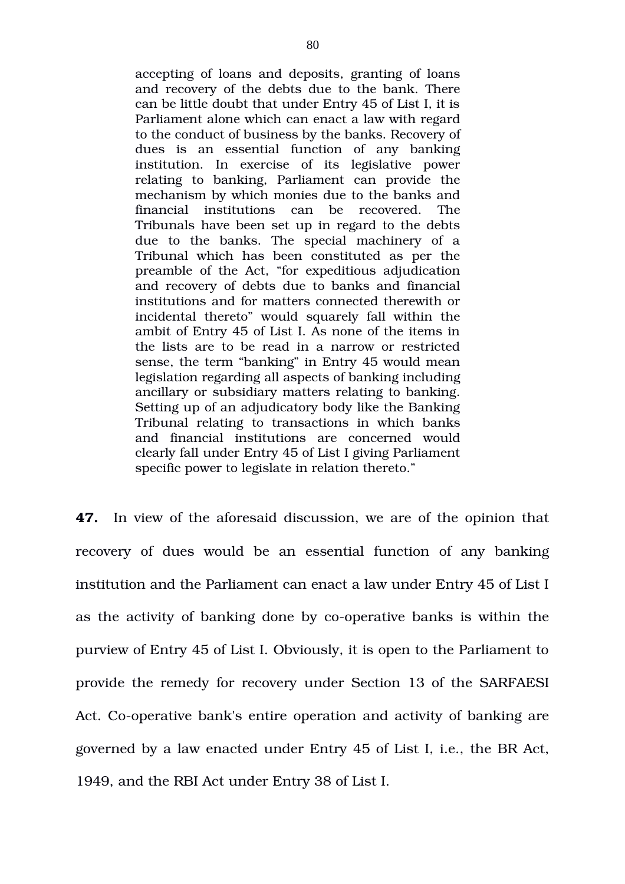accepting of loans and deposits, granting of loans and recovery of the debts due to the bank. There can be little doubt that under Entry 45 of List I, it is Parliament alone which can enact a law with regard to the conduct of business by the banks. Recovery of dues is an essential function of any banking institution. In exercise of its legislative power relating to banking, Parliament can provide the mechanism by which monies due to the banks and financial institutions can be recovered. The Tribunals have been set up in regard to the debts due to the banks. The special machinery of a Tribunal which has been constituted as per the preamble of the Act, "for expeditious adjudication and recovery of debts due to banks and financial institutions and for matters connected therewith or incidental thereto" would squarely fall within the ambit of Entry 45 of List I. As none of the items in the lists are to be read in a narrow or restricted sense, the term "banking" in Entry 45 would mean legislation regarding all aspects of banking including ancillary or subsidiary matters relating to banking. Setting up of an adjudicatory body like the Banking Tribunal relating to transactions in which banks and financial institutions are concerned would clearly fall under Entry 45 of List I giving Parliament specific power to legislate in relation thereto."

**47.** In view of the aforesaid discussion, we are of the opinion that recovery of dues would be an essential function of any banking institution and the Parliament can enact a law under Entry 45 of List I as the activity of banking done by co-operative banks is within the purview of Entry 45 of List I. Obviously, it is open to the Parliament to provide the remedy for recovery under Section 13 of the SARFAESI Act. Co-operative bank's entire operation and activity of banking are governed by a law enacted under Entry 45 of List I, i.e., the BR Act, 1949, and the RBI Act under Entry 38 of List I.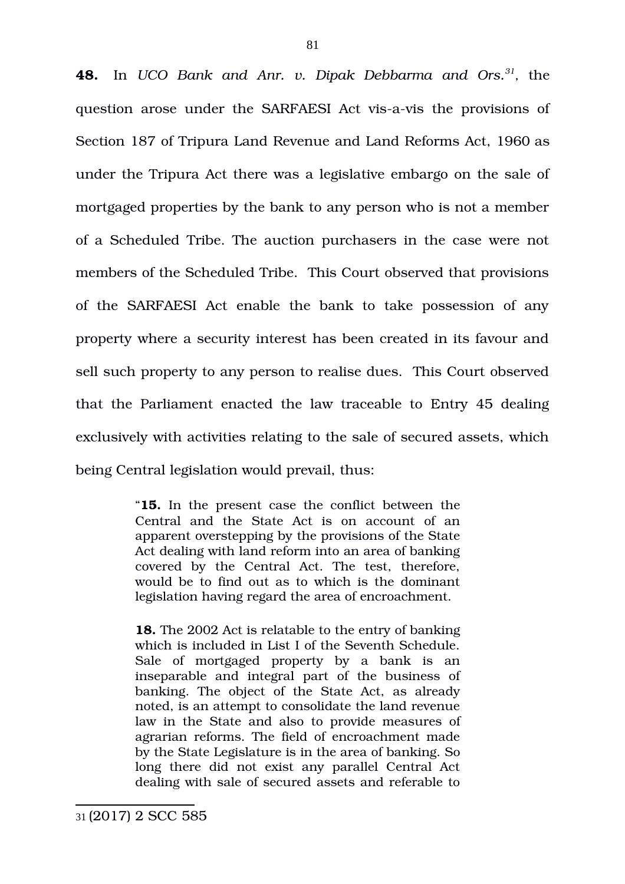**48.** In UCO Bank and Anr. v. Dipak Debbarma and Ors.<sup>[31](#page-80-0)</sup>, the question arose under the SARFAESI Act vis-a-vis the provisions of Section 187 of Tripura Land Revenue and Land Reforms Act, 1960 as under the Tripura Act there was a legislative embargo on the sale of mortgaged properties by the bank to any person who is not a member of a Scheduled Tribe. The auction purchasers in the case were not members of the Scheduled Tribe. This Court observed that provisions of the SARFAESI Act enable the bank to take possession of any property where a security interest has been created in its favour and sell such property to any person to realise dues. This Court observed that the Parliament enacted the law traceable to Entry 45 dealing exclusively with activities relating to the sale of secured assets, which being Central legislation would prevail, thus:

> "**15.** In the present case the conflict between the Central and the State Act is on account of an apparent overstepping by the provisions of the State Act dealing with land reform into an area of banking covered by the Central Act. The test, therefore, would be to find out as to which is the dominant legislation having regard the area of encroachment.

> **18.** The 2002 Act is relatable to the entry of banking which is included in List I of the Seventh Schedule. Sale of mortgaged property by a bank is an inseparable and integral part of the business of banking. The object of the State Act, as already noted, is an attempt to consolidate the land revenue law in the State and also to provide measures of agrarian reforms. The field of encroachment made by the State Legislature is in the area of banking. So long there did not exist any parallel Central Act dealing with sale of secured assets and referable to

<span id="page-80-0"></span><sup>31</sup> (2017) 2 SCC 585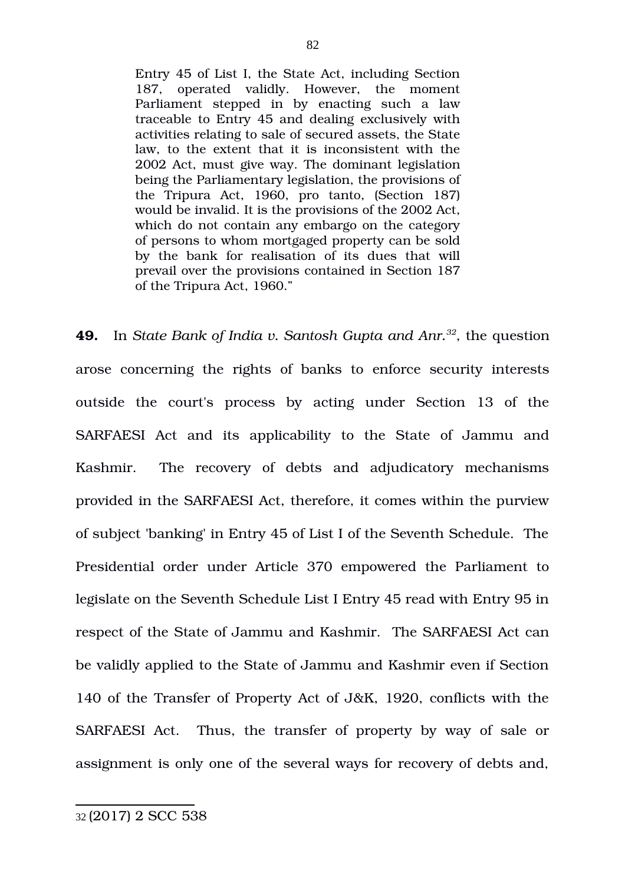Entry 45 of List I, the State Act, including Section 187, operated validly. However, the moment Parliament stepped in by enacting such a law traceable to Entry 45 and dealing exclusively with activities relating to sale of secured assets, the State law, to the extent that it is inconsistent with the 2002 Act, must give way. The dominant legislation being the Parliamentary legislation, the provisions of the Tripura Act, 1960, pro tanto, (Section 187) would be invalid. It is the provisions of the 2002 Act, which do not contain any embargo on the category of persons to whom mortgaged property can be sold by the bank for realisation of its dues that will prevail over the provisions contained in Section 187 of the Tripura Act, 1960."

<span id="page-81-0"></span>**49.** In *State Bank of India v. Santosh Gupta and Anr.[32](#page-81-0)*, the question arose concerning the rights of banks to enforce security interests outside the court's process by acting under Section 13 of the SARFAESI Act and its applicability to the State of Jammu and Kashmir. The recovery of debts and adjudicatory mechanisms provided in the SARFAESI Act, therefore, it comes within the purview of subject 'banking' in Entry 45 of List I of the Seventh Schedule. The Presidential order under Article 370 empowered the Parliament to legislate on the Seventh Schedule List I Entry 45 read with Entry 95 in respect of the State of Jammu and Kashmir. The SARFAESI Act can be validly applied to the State of Jammu and Kashmir even if Section 140 of the Transfer of Property Act of J&K, 1920, conflicts with the SARFAESI Act. Thus, the transfer of property by way of sale or assignment is only one of the several ways for recovery of debts and,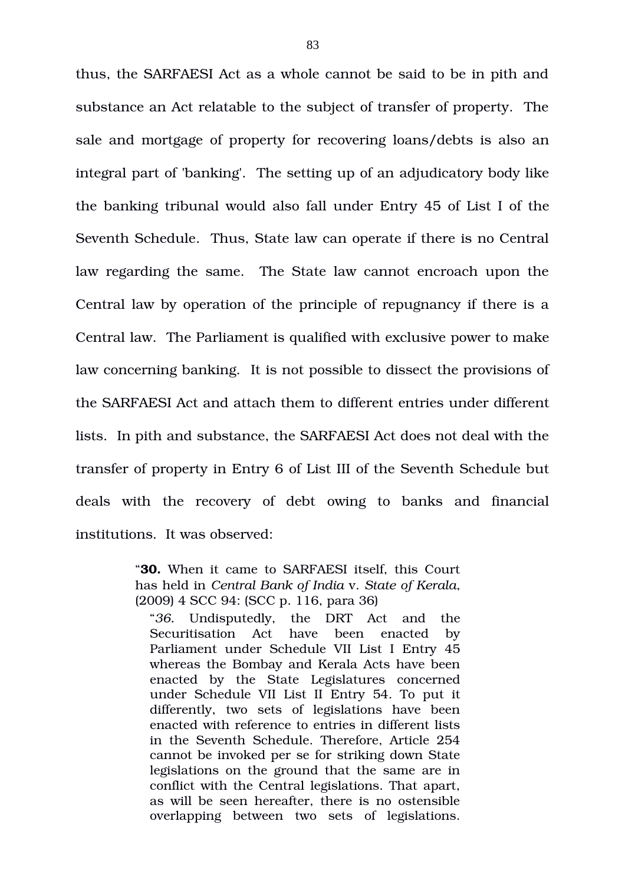thus, the SARFAESI Act as a whole cannot be said to be in pith and substance an Act relatable to the subject of transfer of property. The sale and mortgage of property for recovering loans/debts is also an integral part of 'banking'. The setting up of an adjudicatory body like the banking tribunal would also fall under Entry 45 of List I of the Seventh Schedule. Thus, State law can operate if there is no Central law regarding the same. The State law cannot encroach upon the Central law by operation of the principle of repugnancy if there is a Central law. The Parliament is qualified with exclusive power to make law concerning banking. It is not possible to dissect the provisions of the SARFAESI Act and attach them to different entries under different lists. In pith and substance, the SARFAESI Act does not deal with the transfer of property in Entry 6 of List III of the Seventh Schedule but deals with the recovery of debt owing to banks and financial institutions. It was observed:

> "**30.** When it came to SARFAESI itself, this Court has held in *Central Bank of India* v. *State of Kerala*, (2009) 4 SCC 94: (SCC p. 116, para 36)

"*36.* Undisputedly, the DRT Act and the Securitisation Act have been enacted by Parliament under Schedule VII List I Entry 45 whereas the Bombay and Kerala Acts have been enacted by the State Legislatures concerned under Schedule VII List II Entry 54. To put it differently, two sets of legislations have been enacted with reference to entries in different lists in the Seventh Schedule. Therefore, Article 254 cannot be invoked per se for striking down State legislations on the ground that the same are in conflict with the Central legislations. That apart, as will be seen hereafter, there is no ostensible overlapping between two sets of legislations.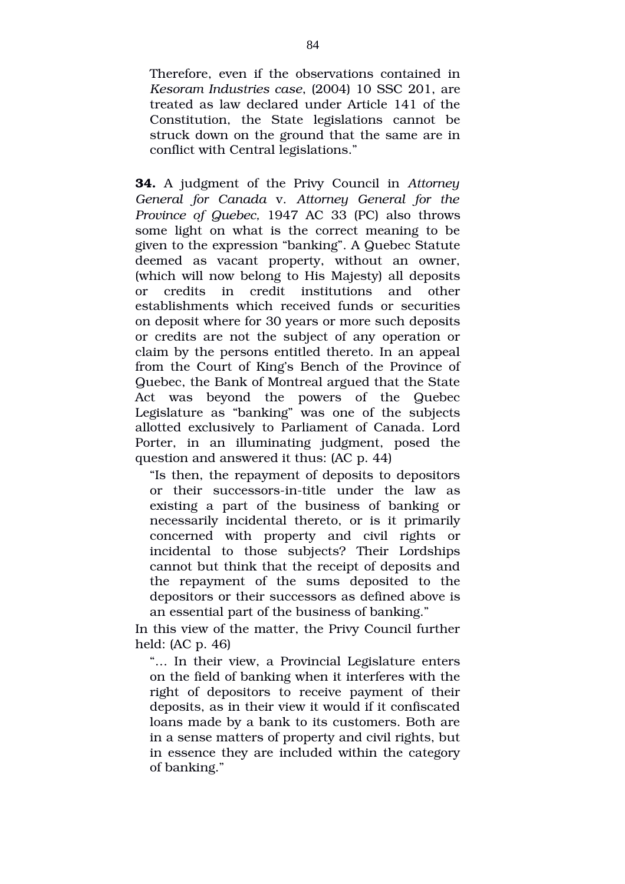Therefore, even if the observations contained in *Kesoram Industries case*, (2004) 10 SSC 201, are treated as law declared under Article 141 of the Constitution, the State legislations cannot be struck down on the ground that the same are in conflict with Central legislations."

**34.** A judgment of the Privy Council in *Attorney General for Canada* v. *Attorney General for the Province of Quebec, 1947 AC 33 (PC) also throws* some light on what is the correct meaning to be given to the expression "banking". A Quebec Statute deemed as vacant property, without an owner, (which will now belong to His Majesty) all deposits or credits in credit institutions and other establishments which received funds or securities on deposit where for 30 years or more such deposits or credits are not the subject of any operation or claim by the persons entitled thereto. In an appeal from the Court of King's Bench of the Province of Quebec, the Bank of Montreal argued that the State Act was beyond the powers of the Quebec Legislature as "banking" was one of the subjects allotted exclusively to Parliament of Canada. Lord Porter, in an illuminating judgment, posed the question and answered it thus: (AC p. 44)

"Is then, the repayment of deposits to depositors or their successors-in-title under the law as existing a part of the business of banking or necessarily incidental thereto, or is it primarily concerned with property and civil rights or incidental to those subjects? Their Lordships cannot but think that the receipt of deposits and the repayment of the sums deposited to the depositors or their successors as defined above is an essential part of the business of banking."

In this view of the matter, the Privy Council further held: (AC p. 46)

"… In their view, a Provincial Legislature enters on the field of banking when it interferes with the right of depositors to receive payment of their deposits, as in their view it would if it confiscated loans made by a bank to its customers. Both are in a sense matters of property and civil rights, but in essence they are included within the category of banking."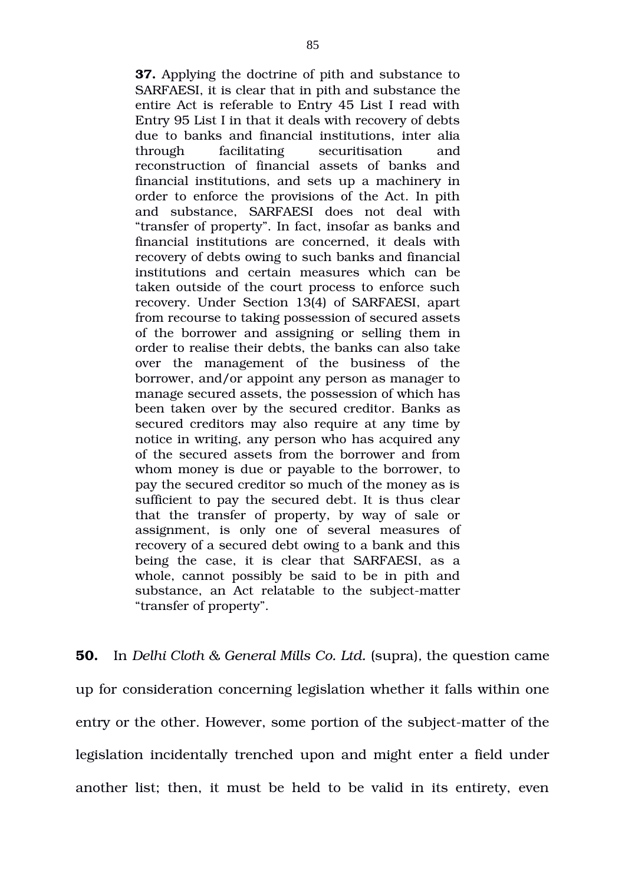**37.** Applying the doctrine of pith and substance to SARFAESI, it is clear that in pith and substance the entire Act is referable to Entry 45 List I read with Entry 95 List I in that it deals with recovery of debts due to banks and financial institutions, inter alia through facilitating securitisation and reconstruction of financial assets of banks and financial institutions, and sets up a machinery in order to enforce the provisions of the Act. In pith and substance, SARFAESI does not deal with "transfer of property". In fact, insofar as banks and financial institutions are concerned, it deals with recovery of debts owing to such banks and financial institutions and certain measures which can be taken outside of the court process to enforce such recovery. Under Section 13(4) of SARFAESI, apart from recourse to taking possession of secured assets of the borrower and assigning or selling them in order to realise their debts, the banks can also take over the management of the business of the borrower, and/or appoint any person as manager to manage secured assets, the possession of which has been taken over by the secured creditor. Banks as secured creditors may also require at any time by notice in writing, any person who has acquired any of the secured assets from the borrower and from whom money is due or payable to the borrower, to pay the secured creditor so much of the money as is sufficient to pay the secured debt. It is thus clear that the transfer of property, by way of sale or assignment, is only one of several measures of recovery of a secured debt owing to a bank and this being the case, it is clear that SARFAESI, as a whole, cannot possibly be said to be in pith and substance, an Act relatable to the subject-matter "transfer of property".

**50.** In *Delhi Cloth & General Mills Co. Ltd.* (supra)*,* the question came up for consideration concerning legislation whether it falls within one entry or the other. However, some portion of the subject-matter of the legislation incidentally trenched upon and might enter a field under another list; then, it must be held to be valid in its entirety, even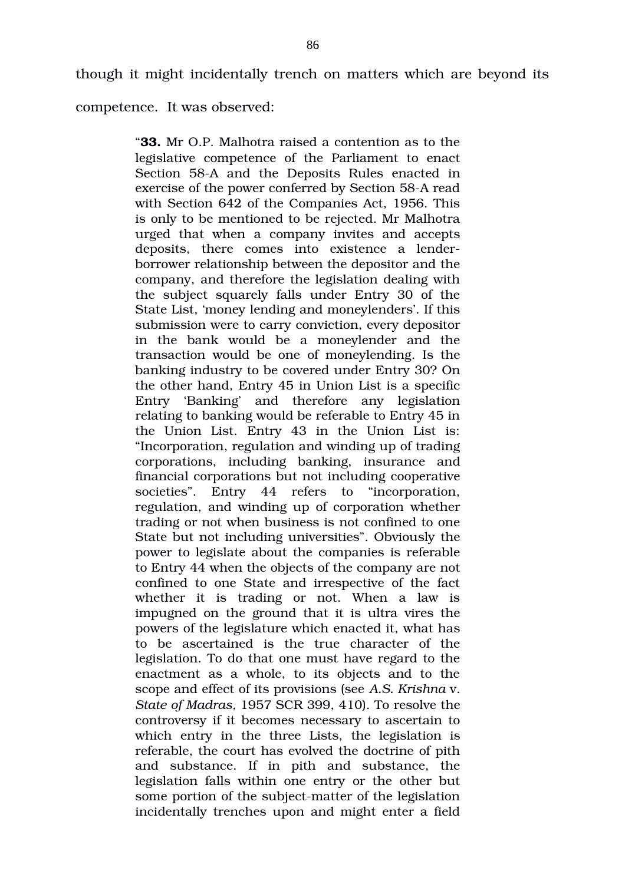though it might incidentally trench on matters which are beyond its

competence. It was observed:

"**33.** Mr O.P. Malhotra raised a contention as to the legislative competence of the Parliament to enact Section 58-A and the Deposits Rules enacted in exercise of the power conferred by Section 58-A read with Section 642 of the Companies Act, 1956. This is only to be mentioned to be rejected. Mr Malhotra urged that when a company invites and accepts deposits, there comes into existence a lenderborrower relationship between the depositor and the company, and therefore the legislation dealing with the subject squarely falls under Entry 30 of the State List, 'money lending and moneylenders'. If this submission were to carry conviction, every depositor in the bank would be a moneylender and the transaction would be one of moneylending. Is the banking industry to be covered under Entry 30? On the other hand, Entry 45 in Union List is a specific Entry 'Banking' and therefore any legislation relating to banking would be referable to Entry 45 in the Union List. Entry 43 in the Union List is: "Incorporation, regulation and winding up of trading corporations, including banking, insurance and financial corporations but not including cooperative societies". Entry 44 refers to "incorporation, regulation, and winding up of corporation whether trading or not when business is not confined to one State but not including universities". Obviously the power to legislate about the companies is referable to Entry 44 when the objects of the company are not confined to one State and irrespective of the fact whether it is trading or not. When a law is impugned on the ground that it is ultra vires the powers of the legislature which enacted it, what has to be ascertained is the true character of the legislation. To do that one must have regard to the enactment as a whole, to its objects and to the scope and effect of its provisions (see *A.S. Krishna* v. *State of Madras,* 1957 SCR 399, 410). To resolve the controversy if it becomes necessary to ascertain to which entry in the three Lists, the legislation is referable, the court has evolved the doctrine of pith and substance. If in pith and substance, the legislation falls within one entry or the other but some portion of the subject-matter of the legislation incidentally trenches upon and might enter a field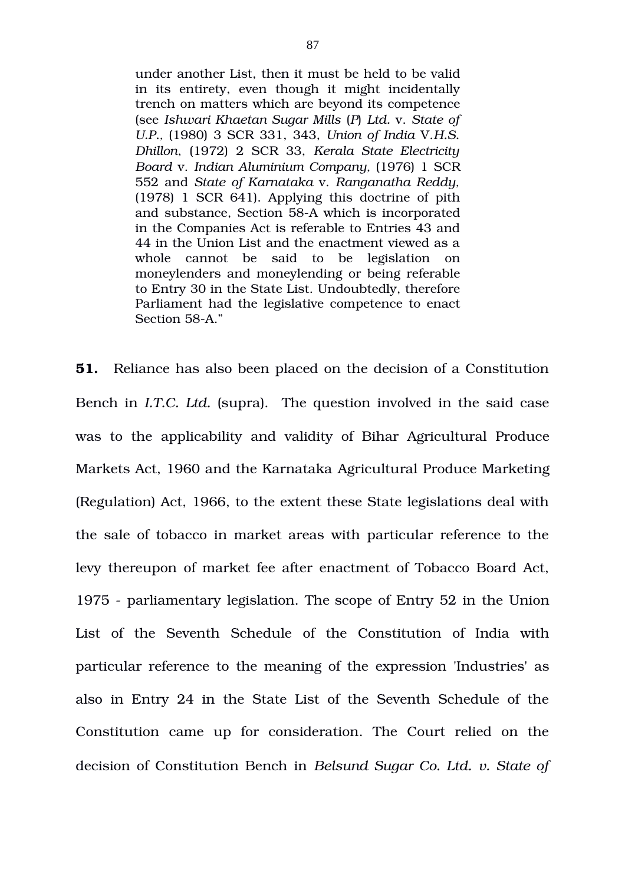under another List, then it must be held to be valid in its entirety, even though it might incidentally trench on matters which are beyond its competence (see *Ishwari Khaetan Sugar Mills* (*P*) *Ltd.* v. *State of U.P.,* (1980) 3 SCR 331, 343, *Union of India* V.*H.S. Dhillon*, (1972) 2 SCR 33, *Kerala State Electricity Board* v. *Indian Aluminium Company,* (1976) 1 SCR 552 and *State of Karnataka* v. *Ranganatha Reddy,* (1978) 1 SCR 641). Applying this doctrine of pith and substance, Section 58A which is incorporated in the Companies Act is referable to Entries 43 and 44 in the Union List and the enactment viewed as a whole cannot be said to be legislation on moneylenders and moneylending or being referable to Entry 30 in the State List. Undoubtedly, therefore Parliament had the legislative competence to enact Section 58-A."

**51.** Reliance has also been placed on the decision of a Constitution Bench in *I.T.C. Ltd.* (supra). The question involved in the said case was to the applicability and validity of Bihar Agricultural Produce Markets Act, 1960 and the Karnataka Agricultural Produce Marketing (Regulation) Act, 1966, to the extent these State legislations deal with the sale of tobacco in market areas with particular reference to the levy thereupon of market fee after enactment of Tobacco Board Act, 1975 parliamentary legislation. The scope of Entry 52 in the Union List of the Seventh Schedule of the Constitution of India with particular reference to the meaning of the expression 'Industries' as also in Entry 24 in the State List of the Seventh Schedule of the Constitution came up for consideration. The Court relied on the decision of Constitution Bench in *Belsund Sugar Co. Ltd. v. State of*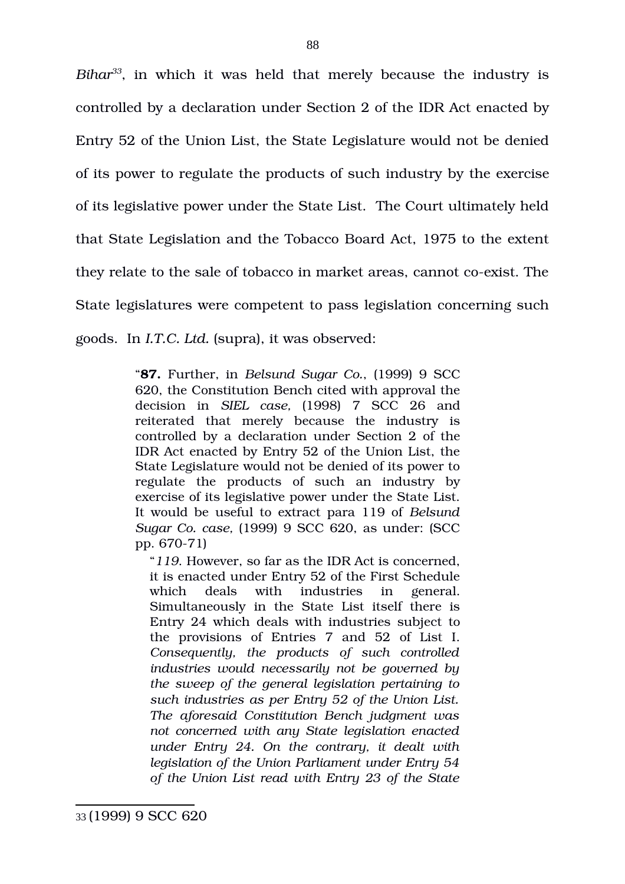*Bihar[33](#page-87-0)*, in which it was held that merely because the industry is controlled by a declaration under Section 2 of the IDR Act enacted by Entry 52 of the Union List, the State Legislature would not be denied of its power to regulate the products of such industry by the exercise of its legislative power under the State List. The Court ultimately held that State Legislation and the Tobacco Board Act, 1975 to the extent they relate to the sale of tobacco in market areas, cannot co-exist. The State legislatures were competent to pass legislation concerning such goods. In *I.T.C. Ltd.* (supra), it was observed:

> "**87.** Further, in *Belsund Sugar Co.*, (1999) 9 SCC 620, the Constitution Bench cited with approval the decision in *SIEL case,* (1998) 7 SCC 26 and reiterated that merely because the industry is controlled by a declaration under Section 2 of the IDR Act enacted by Entry 52 of the Union List, the State Legislature would not be denied of its power to regulate the products of such an industry by exercise of its legislative power under the State List. It would be useful to extract para 119 of *Belsund Sugar Co. case,* (1999) 9 SCC 620, as under: (SCC pp. 670-71)

<span id="page-87-0"></span>"*119*. However, so far as the IDR Act is concerned, it is enacted under Entry 52 of the First Schedule which deals with industries in general. Simultaneously in the State List itself there is Entry 24 which deals with industries subject to the provisions of Entries 7 and 52 of List I. *Consequently, the products of such controlled industries would necessarily not be governed by the sweep of the general legislation pertaining to such industries as per Entry 52 of the Union List. The aforesaid Constitution Bench judgment was not concerned with any State legislation enacted under Entry 24. On the contrary, it dealt with legislation of the Union Parliament under Entry 54 of the Union List read with Entry 23 of the State*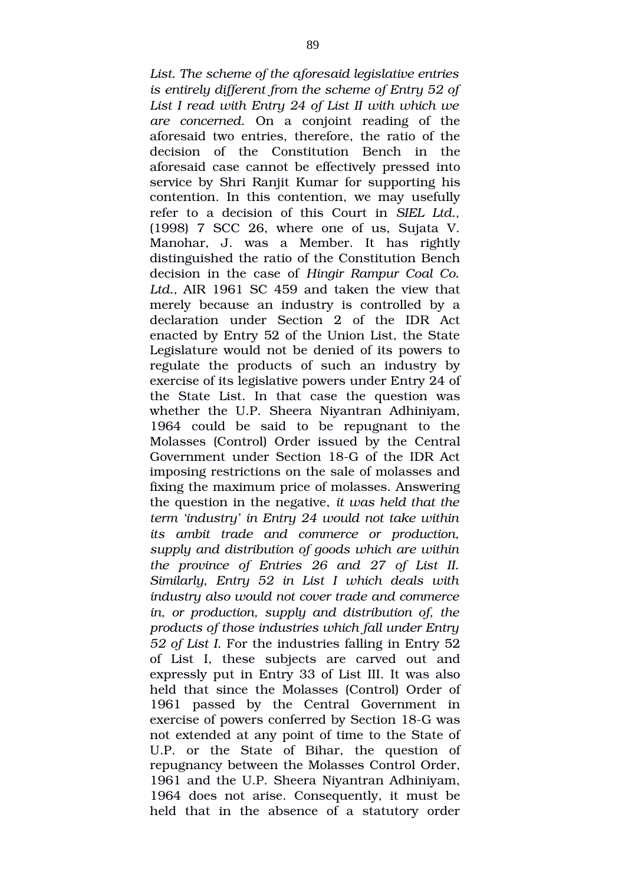*List. The scheme of the aforesaid legislative entries is entirely different from the scheme of Entry 52 of List I read with Entry 24 of List II with which we are concerned*. On a conjoint reading of the aforesaid two entries, therefore, the ratio of the decision of the Constitution Bench in the aforesaid case cannot be effectively pressed into service by Shri Ranjit Kumar for supporting his contention. In this contention, we may usefully refer to a decision of this Court in SIEL Ltd.,  $(1998)$  7 SCC 26, where one of us, Sujata V. Manohar, J. was a Member. It has rightly distinguished the ratio of the Constitution Bench decision in the case of *Hingir Rampur Coal Co.* Ltd., AIR 1961 SC 459 and taken the view that merely because an industry is controlled by a declaration under Section 2 of the IDR Act enacted by Entry 52 of the Union List, the State Legislature would not be denied of its powers to regulate the products of such an industry by exercise of its legislative powers under Entry 24 of the State List. In that case the question was whether the U.P. Sheera Niyantran Adhiniyam, 1964 could be said to be repugnant to the Molasses (Control) Order issued by the Central Government under Section 18-G of the IDR Act imposing restrictions on the sale of molasses and fixing the maximum price of molasses. Answering the question in the negative, *it was held that the term 'industry' in Entry 24 would not take within its ambit trade and commerce or production, supply and distribution of goods which are within the province of Entries 26 and 27 of List II. Similarly, Entry 52 in List I which deals with industry also would not cover trade and commerce in, or production, supply and distribution of, the products of those industries which fall under Entry 52 of List I*. For the industries falling in Entry 52 of List I, these subjects are carved out and expressly put in Entry 33 of List III. It was also held that since the Molasses (Control) Order of 1961 passed by the Central Government in exercise of powers conferred by Section 18-G was not extended at any point of time to the State of U.P. or the State of Bihar, the question of repugnancy between the Molasses Control Order, 1961 and the U.P. Sheera Niyantran Adhiniyam, 1964 does not arise. Consequently, it must be held that in the absence of a statutory order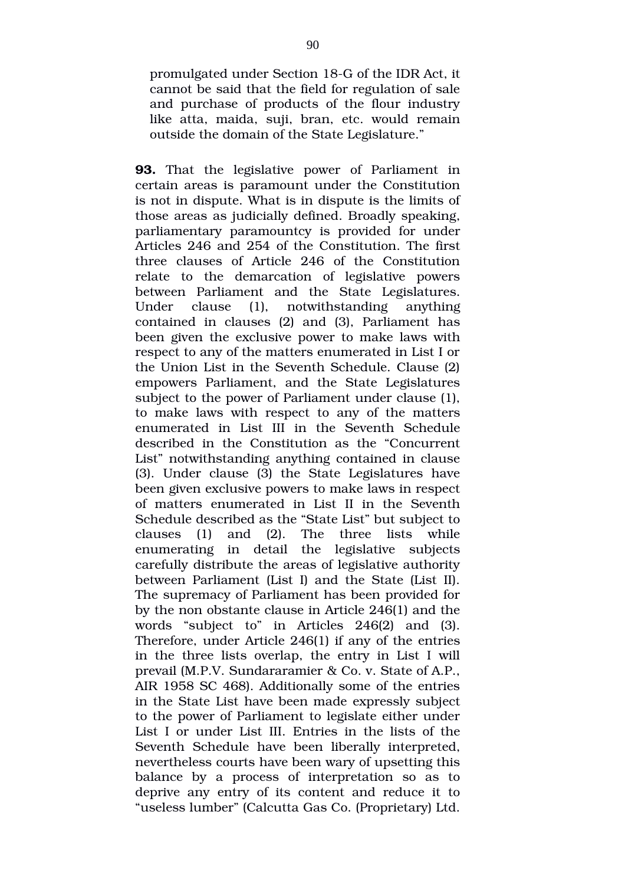promulgated under Section 18-G of the IDR Act, it cannot be said that the field for regulation of sale and purchase of products of the flour industry like atta, maida, suji, bran, etc. would remain outside the domain of the State Legislature."

**93.** That the legislative power of Parliament in certain areas is paramount under the Constitution is not in dispute. What is in dispute is the limits of those areas as judicially defined. Broadly speaking, parliamentary paramountcy is provided for under Articles 246 and 254 of the Constitution. The first three clauses of Article 246 of the Constitution relate to the demarcation of legislative powers between Parliament and the State Legislatures. Under clause (1), notwithstanding anything contained in clauses (2) and (3), Parliament has been given the exclusive power to make laws with respect to any of the matters enumerated in List I or the Union List in the Seventh Schedule. Clause (2) empowers Parliament, and the State Legislatures subject to the power of Parliament under clause (1), to make laws with respect to any of the matters enumerated in List III in the Seventh Schedule described in the Constitution as the "Concurrent List" notwithstanding anything contained in clause (3). Under clause (3) the State Legislatures have been given exclusive powers to make laws in respect of matters enumerated in List II in the Seventh Schedule described as the "State List" but subject to clauses (1) and (2). The three lists while enumerating in detail the legislative subjects carefully distribute the areas of legislative authority between Parliament (List I) and the State (List II). The supremacy of Parliament has been provided for by the non obstante clause in Article 246(1) and the words "subject to" in Articles 246(2) and (3). Therefore, under Article 246(1) if any of the entries in the three lists overlap, the entry in List I will prevail (M.P.V. Sundararamier & Co. v. State of A.P., AIR 1958 SC 468). Additionally some of the entries in the State List have been made expressly subject to the power of Parliament to legislate either under List I or under List III. Entries in the lists of the Seventh Schedule have been liberally interpreted, nevertheless courts have been wary of upsetting this balance by a process of interpretation so as to deprive any entry of its content and reduce it to "useless lumber" (Calcutta Gas Co. (Proprietary) Ltd.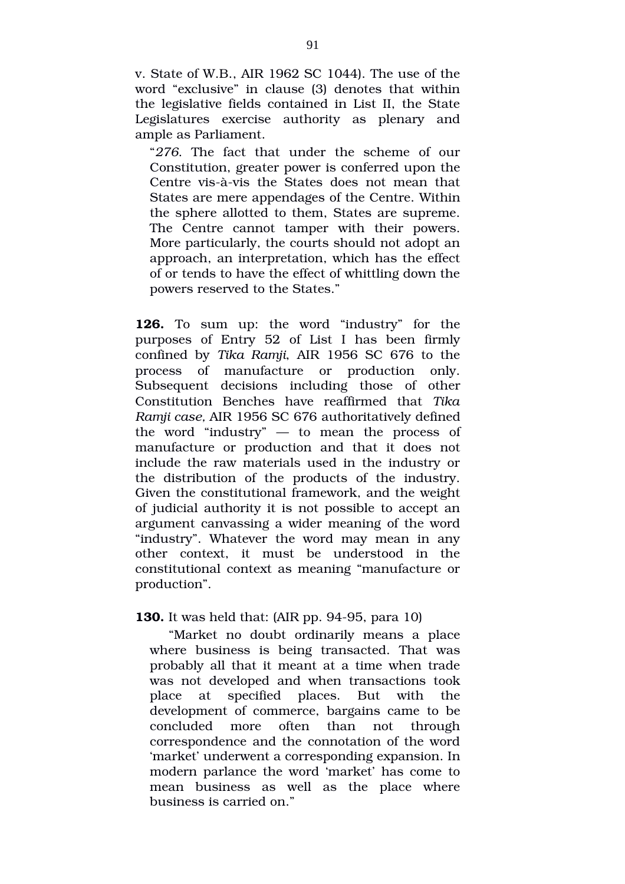v. State of W.B., AIR 1962 SC 1044). The use of the word "exclusive" in clause (3) denotes that within the legislative fields contained in List II, the State Legislatures exercise authority as plenary and ample as Parliament.

"276. The fact that under the scheme of our Constitution, greater power is conferred upon the Centre vis-à-vis the States does not mean that States are mere appendages of the Centre. Within the sphere allotted to them, States are supreme. The Centre cannot tamper with their powers. More particularly, the courts should not adopt an approach, an interpretation, which has the effect of or tends to have the effect of whittling down the powers reserved to the States."

**126.** To sum up: the word "industry" for the purposes of Entry 52 of List I has been firmly confined by *Tika Ramji*, AIR 1956 SC 676 to the process of manufacture or production only. Subsequent decisions including those of other Constitution Benches have reaffirmed that *Tika Ramji case,* AIR 1956 SC 676 authoritatively defined the word "industry"  $-$  to mean the process of manufacture or production and that it does not include the raw materials used in the industry or the distribution of the products of the industry. Given the constitutional framework, and the weight of judicial authority it is not possible to accept an argument canvassing a wider meaning of the word "industry". Whatever the word may mean in any other context, it must be understood in the constitutional context as meaning "manufacture or production".

### **130.** It was held that: (AIR pp. 94-95, para 10)

"Market no doubt ordinarily means a place where business is being transacted. That was probably all that it meant at a time when trade was not developed and when transactions took place at specified places. But with the development of commerce, bargains came to be concluded more often than not through correspondence and the connotation of the word 'market' underwent a corresponding expansion. In modern parlance the word 'market' has come to mean business as well as the place where business is carried on."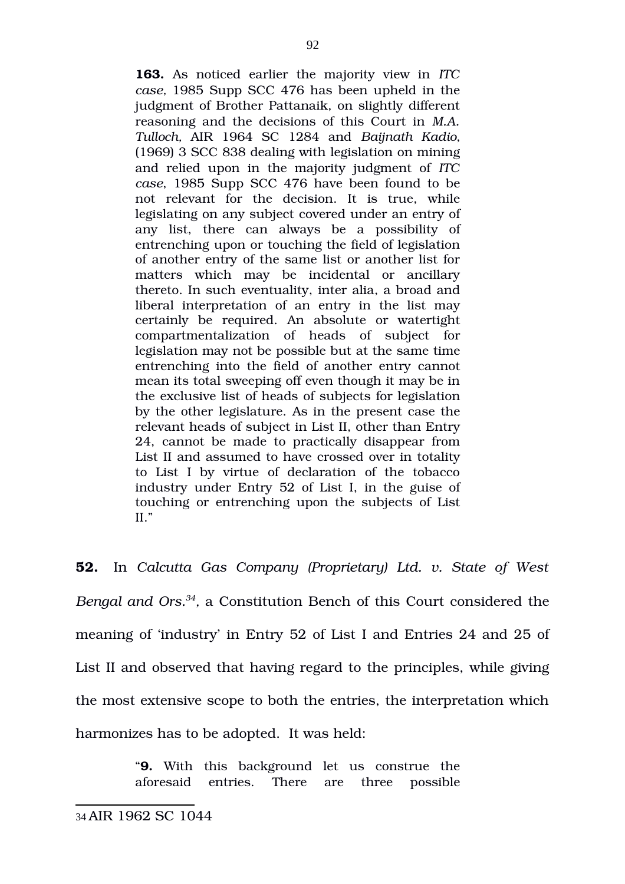**163.** As noticed earlier the majority view in *ITC case,* 1985 Supp SCC 476 has been upheld in the judgment of Brother Pattanaik, on slightly different reasoning and the decisions of this Court in *M.A. Tulloch,* AIR 1964 SC 1284 and *Baijnath Kadio*, (1969) 3 SCC 838 dealing with legislation on mining and relied upon in the majority judgment of *ITC case*, 1985 Supp SCC 476 have been found to be not relevant for the decision. It is true, while legislating on any subject covered under an entry of any list, there can always be a possibility of entrenching upon or touching the field of legislation of another entry of the same list or another list for matters which may be incidental or ancillary thereto. In such eventuality, inter alia, a broad and liberal interpretation of an entry in the list may certainly be required. An absolute or watertight compartmentalization of heads of subject for legislation may not be possible but at the same time entrenching into the field of another entry cannot mean its total sweeping off even though it may be in the exclusive list of heads of subjects for legislation by the other legislature. As in the present case the relevant heads of subject in List II, other than Entry 24, cannot be made to practically disappear from List II and assumed to have crossed over in totality to List I by virtue of declaration of the tobacco industry under Entry 52 of List I, in the guise of touching or entrenching upon the subjects of List II."

**52.** In *Calcutta Gas Company (Proprietary) Ltd. v. State of West Bengal and Ors.[34](#page-91-0) ,* a Constitution Bench of this Court considered the meaning of 'industry' in Entry 52 of List I and Entries 24 and 25 of List II and observed that having regard to the principles, while giving the most extensive scope to both the entries, the interpretation which harmonizes has to be adopted. It was held:

> <span id="page-91-0"></span>"**9.** With this background let us construe the aforesaid entries. There are three possible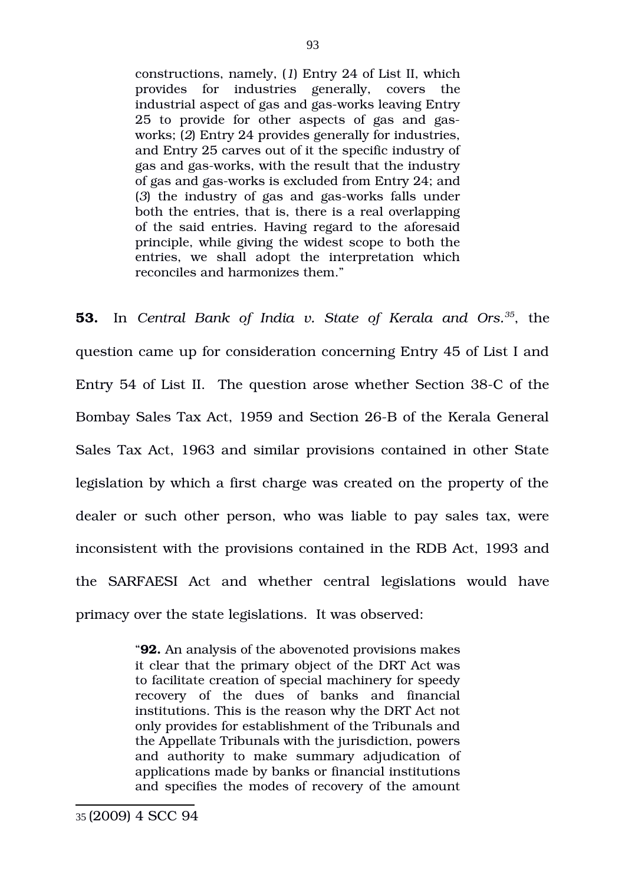constructions, namely, (*1*) Entry 24 of List II, which provides for industries generally, covers the industrial aspect of gas and gas-works leaving Entry 25 to provide for other aspects of gas and gasworks; (*2*) Entry 24 provides generally for industries, and Entry 25 carves out of it the specific industry of gas and gas-works, with the result that the industry of gas and gas-works is excluded from Entry 24; and (3) the industry of gas and gas-works falls under both the entries, that is, there is a real overlapping of the said entries. Having regard to the aforesaid principle, while giving the widest scope to both the entries, we shall adopt the interpretation which reconciles and harmonizes them."

**53.** In *Central Bank of India v. State of Kerala and Ors.[35](#page-92-0)*, the question came up for consideration concerning Entry 45 of List I and Entry 54 of List II. The question arose whether Section 38-C of the Bombay Sales Tax Act, 1959 and Section 26-B of the Kerala General Sales Tax Act, 1963 and similar provisions contained in other State legislation by which a first charge was created on the property of the dealer or such other person, who was liable to pay sales tax, were inconsistent with the provisions contained in the RDB Act, 1993 and the SARFAESI Act and whether central legislations would have primacy over the state legislations. It was observed:

> <span id="page-92-0"></span>"**92.** An analysis of the abovenoted provisions makes it clear that the primary object of the DRT Act was to facilitate creation of special machinery for speedy recovery of the dues of banks and financial institutions. This is the reason why the DRT Act not only provides for establishment of the Tribunals and the Appellate Tribunals with the jurisdiction, powers and authority to make summary adjudication of applications made by banks or financial institutions and specifies the modes of recovery of the amount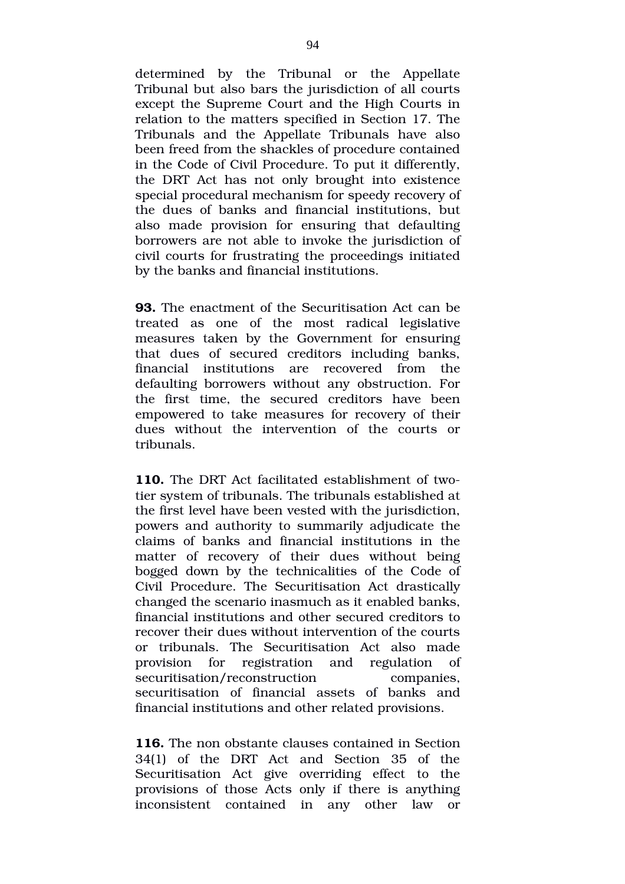determined by the Tribunal or the Appellate Tribunal but also bars the jurisdiction of all courts except the Supreme Court and the High Courts in relation to the matters specified in Section 17. The Tribunals and the Appellate Tribunals have also been freed from the shackles of procedure contained in the Code of Civil Procedure. To put it differently, the DRT Act has not only brought into existence special procedural mechanism for speedy recovery of the dues of banks and financial institutions, but also made provision for ensuring that defaulting borrowers are not able to invoke the jurisdiction of civil courts for frustrating the proceedings initiated by the banks and financial institutions.

**93.** The enactment of the Securitisation Act can be treated as one of the most radical legislative measures taken by the Government for ensuring that dues of secured creditors including banks, financial institutions are recovered from the defaulting borrowers without any obstruction. For the first time, the secured creditors have been empowered to take measures for recovery of their dues without the intervention of the courts or tribunals.

**110.** The DRT Act facilitated establishment of twotier system of tribunals. The tribunals established at the first level have been vested with the jurisdiction, powers and authority to summarily adjudicate the claims of banks and financial institutions in the matter of recovery of their dues without being bogged down by the technicalities of the Code of Civil Procedure. The Securitisation Act drastically changed the scenario inasmuch as it enabled banks, financial institutions and other secured creditors to recover their dues without intervention of the courts or tribunals. The Securitisation Act also made provision for registration and regulation of securitisation/reconstruction companies, securitisation of financial assets of banks and financial institutions and other related provisions.

**116.** The non obstante clauses contained in Section 34(1) of the DRT Act and Section 35 of the Securitisation Act give overriding effect to the provisions of those Acts only if there is anything inconsistent contained in any other law or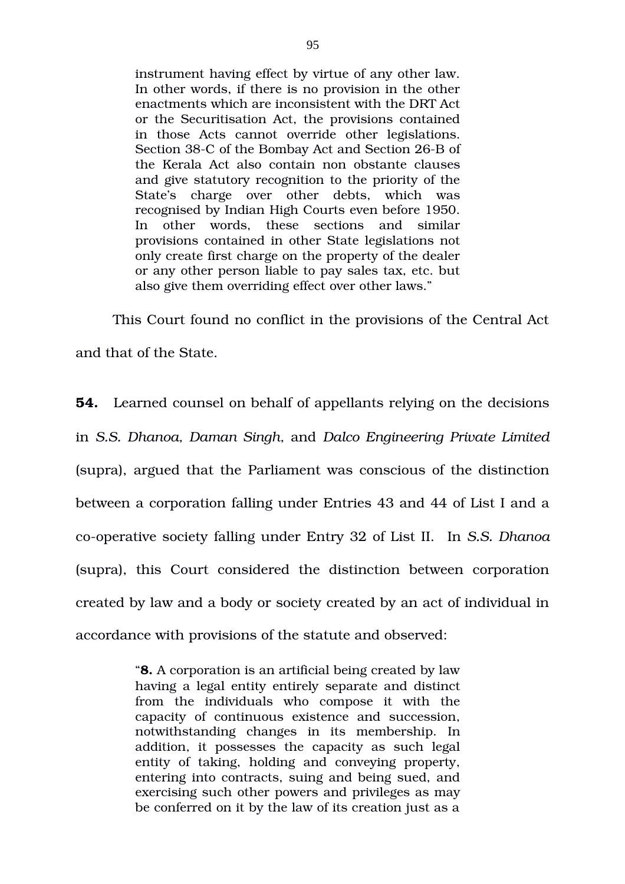instrument having effect by virtue of any other law. In other words, if there is no provision in the other enactments which are inconsistent with the DRT Act or the Securitisation Act, the provisions contained in those Acts cannot override other legislations. Section 38-C of the Bombay Act and Section 26-B of the Kerala Act also contain non obstante clauses and give statutory recognition to the priority of the State's charge over other debts, which was recognised by Indian High Courts even before 1950. In other words, these sections and similar provisions contained in other State legislations not only create first charge on the property of the dealer or any other person liable to pay sales tax, etc. but also give them overriding effect over other laws."

This Court found no conflict in the provisions of the Central Act and that of the State.

**54.** Learned counsel on behalf of appellants relying on the decisions in *S.S. Dhanoa, Daman Singh,* and *Dalco Engineering Private Limited* (supra), argued that the Parliament was conscious of the distinction between a corporation falling under Entries 43 and 44 of List I and a cooperative society falling under Entry 32 of List II. In *S.S. Dhanoa* (supra), this Court considered the distinction between corporation created by law and a body or society created by an act of individual in accordance with provisions of the statute and observed:

> "**8.** A corporation is an artificial being created by law having a legal entity entirely separate and distinct from the individuals who compose it with the capacity of continuous existence and succession, notwithstanding changes in its membership. In addition, it possesses the capacity as such legal entity of taking, holding and conveying property, entering into contracts, suing and being sued, and exercising such other powers and privileges as may be conferred on it by the law of its creation just as a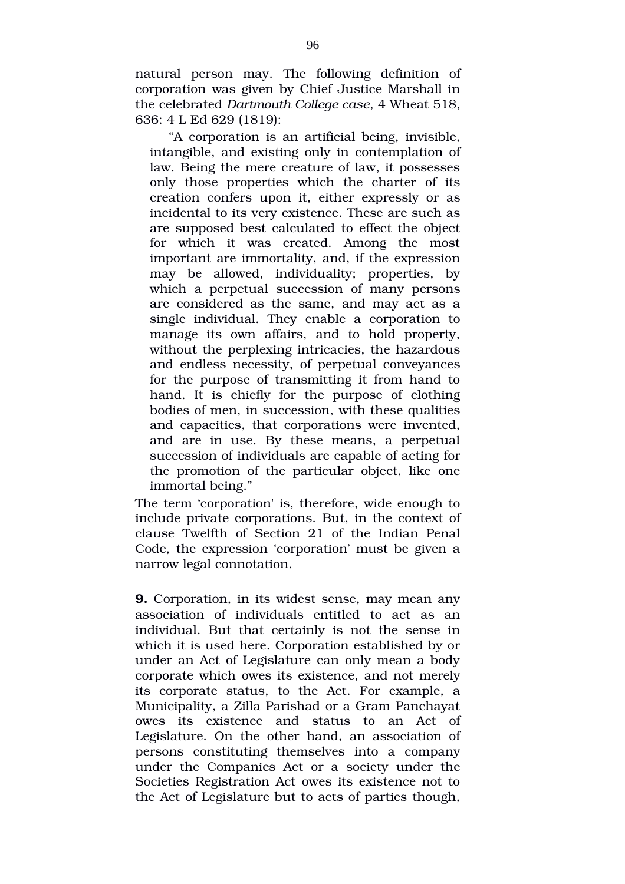natural person may. The following definition of corporation was given by Chief Justice Marshall in the celebrated *Dartmouth College case*, 4 Wheat 518, 636: 4 L Ed 629 (1819):

"A corporation is an artificial being, invisible, intangible, and existing only in contemplation of law. Being the mere creature of law, it possesses only those properties which the charter of its creation confers upon it, either expressly or as incidental to its very existence. These are such as are supposed best calculated to effect the object for which it was created. Among the most important are immortality, and, if the expression may be allowed, individuality; properties, by which a perpetual succession of many persons are considered as the same, and may act as a single individual. They enable a corporation to manage its own affairs, and to hold property, without the perplexing intricacies, the hazardous and endless necessity, of perpetual conveyances for the purpose of transmitting it from hand to hand. It is chiefly for the purpose of clothing bodies of men, in succession, with these qualities and capacities, that corporations were invented, and are in use. By these means, a perpetual succession of individuals are capable of acting for the promotion of the particular object, like one immortal being."

The term 'corporation' is, therefore, wide enough to include private corporations. But, in the context of clause Twelfth of Section 21 of the Indian Penal Code, the expression 'corporation' must be given a narrow legal connotation.

**9.** Corporation, in its widest sense, may mean any association of individuals entitled to act as an individual. But that certainly is not the sense in which it is used here. Corporation established by or under an Act of Legislature can only mean a body corporate which owes its existence, and not merely its corporate status, to the Act. For example, a Municipality, a Zilla Parishad or a Gram Panchayat owes its existence and status to an Act of Legislature. On the other hand, an association of persons constituting themselves into a company under the Companies Act or a society under the Societies Registration Act owes its existence not to the Act of Legislature but to acts of parties though,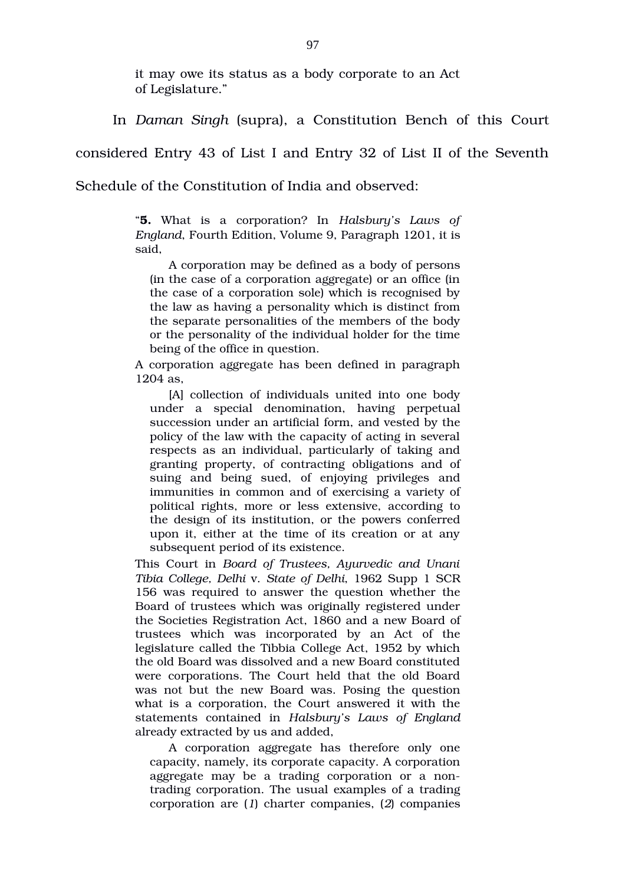it may owe its status as a body corporate to an Act of Legislature."

In *Daman Singh* (supra), a Constitution Bench of this Court

considered Entry 43 of List I and Entry 32 of List II of the Seventh

Schedule of the Constitution of India and observed:

"**5.** What is a corporation? In *Halsbury's Laws of England*, Fourth Edition, Volume 9, Paragraph 1201, it is said,

A corporation may be defined as a body of persons (in the case of a corporation aggregate) or an office (in the case of a corporation sole) which is recognised by the law as having a personality which is distinct from the separate personalities of the members of the body or the personality of the individual holder for the time being of the office in question.

A corporation aggregate has been defined in paragraph 1204 as,

[A] collection of individuals united into one body under a special denomination, having perpetual succession under an artificial form, and vested by the policy of the law with the capacity of acting in several respects as an individual, particularly of taking and granting property, of contracting obligations and of suing and being sued, of enjoying privileges and immunities in common and of exercising a variety of political rights, more or less extensive, according to the design of its institution, or the powers conferred upon it, either at the time of its creation or at any subsequent period of its existence.

This Court in *Board of Trustees, Ayurvedic and Unani Tibia College, Delhi* v. *State of Delhi*, 1962 Supp 1 SCR 156 was required to answer the question whether the Board of trustees which was originally registered under the Societies Registration Act, 1860 and a new Board of trustees which was incorporated by an Act of the legislature called the Tibbia College Act, 1952 by which the old Board was dissolved and a new Board constituted were corporations. The Court held that the old Board was not but the new Board was. Posing the question what is a corporation, the Court answered it with the statements contained in *Halsbury's Laws of England* already extracted by us and added,

A corporation aggregate has therefore only one capacity, namely, its corporate capacity. A corporation aggregate may be a trading corporation or a nontrading corporation. The usual examples of a trading corporation are (*1*) charter companies, (*2*) companies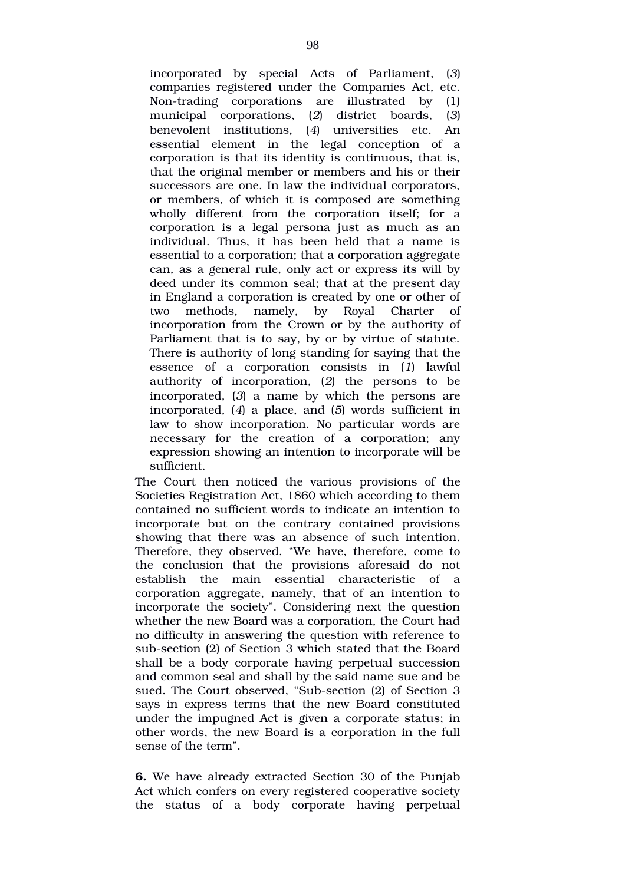incorporated by special Acts of Parliament, (*3*) companies registered under the Companies Act, etc. Non-trading corporations are illustrated by (1) municipal corporations, (*2*) district boards, (*3*) benevolent institutions, (*4*) universities etc. An essential element in the legal conception of a corporation is that its identity is continuous, that is, that the original member or members and his or their successors are one. In law the individual corporators, or members, of which it is composed are something wholly different from the corporation itself; for a corporation is a legal persona just as much as an individual. Thus, it has been held that a name is essential to a corporation; that a corporation aggregate can, as a general rule, only act or express its will by deed under its common seal; that at the present day in England a corporation is created by one or other of two methods, namely, by Royal Charter of incorporation from the Crown or by the authority of Parliament that is to say, by or by virtue of statute. There is authority of long standing for saying that the essence of a corporation consists in  $(1)$  lawful authority of incorporation, (2) the persons to be incorporated, (*3*) a name by which the persons are incorporated, (*4*) a place, and (*5*) words sufficient in law to show incorporation. No particular words are necessary for the creation of a corporation; any expression showing an intention to incorporate will be sufficient.

The Court then noticed the various provisions of the Societies Registration Act, 1860 which according to them contained no sufficient words to indicate an intention to incorporate but on the contrary contained provisions showing that there was an absence of such intention. Therefore, they observed, "We have, therefore, come to the conclusion that the provisions aforesaid do not establish the main essential characteristic of a corporation aggregate, namely, that of an intention to incorporate the society". Considering next the question whether the new Board was a corporation, the Court had no difficulty in answering the question with reference to sub-section (2) of Section 3 which stated that the Board shall be a body corporate having perpetual succession and common seal and shall by the said name sue and be sued. The Court observed, "Sub-section (2) of Section 3 says in express terms that the new Board constituted under the impugned Act is given a corporate status; in other words, the new Board is a corporation in the full sense of the term".

**6.** We have already extracted Section 30 of the Punjab Act which confers on every registered cooperative society the status of a body corporate having perpetual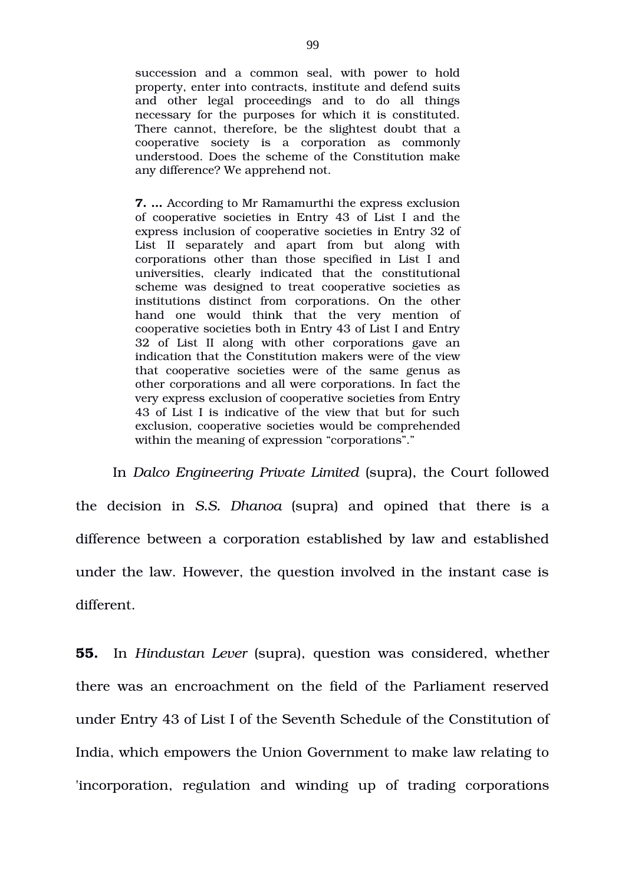succession and a common seal, with power to hold property, enter into contracts, institute and defend suits and other legal proceedings and to do all things necessary for the purposes for which it is constituted. There cannot, therefore, be the slightest doubt that a cooperative society is a corporation as commonly understood. Does the scheme of the Constitution make any difference? We apprehend not.

**7. …** According to Mr Ramamurthi the express exclusion of cooperative societies in Entry 43 of List I and the express inclusion of cooperative societies in Entry 32 of List II separately and apart from but along with corporations other than those specified in List I and universities, clearly indicated that the constitutional scheme was designed to treat cooperative societies as institutions distinct from corporations. On the other hand one would think that the very mention of cooperative societies both in Entry 43 of List I and Entry 32 of List II along with other corporations gave an indication that the Constitution makers were of the view that cooperative societies were of the same genus as other corporations and all were corporations. In fact the very express exclusion of cooperative societies from Entry 43 of List I is indicative of the view that but for such exclusion, cooperative societies would be comprehended within the meaning of expression "corporations"."

In *Dalco Engineering Private Limited* (supra), the Court followed the decision in *S.S. Dhanoa* (supra) and opined that there is a difference between a corporation established by law and established under the law. However, the question involved in the instant case is different.

**55.** In *Hindustan Lever* (supra), question was considered, whether there was an encroachment on the field of the Parliament reserved under Entry 43 of List I of the Seventh Schedule of the Constitution of India, which empowers the Union Government to make law relating to 'incorporation, regulation and winding up of trading corporations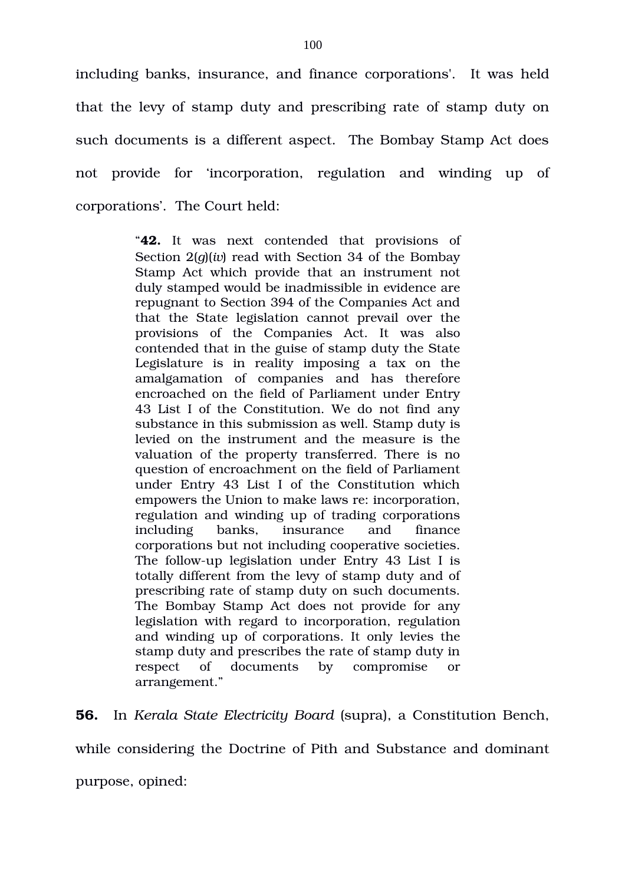including banks, insurance, and finance corporations'. It was held that the levy of stamp duty and prescribing rate of stamp duty on such documents is a different aspect. The Bombay Stamp Act does not provide for 'incorporation, regulation and winding up of corporations'. The Court held:

> "**42.** It was next contended that provisions of Section 2(*g*)(*iv*) read with Section 34 of the Bombay Stamp Act which provide that an instrument not duly stamped would be inadmissible in evidence are repugnant to Section 394 of the Companies Act and that the State legislation cannot prevail over the provisions of the Companies Act. It was also contended that in the guise of stamp duty the State Legislature is in reality imposing a tax on the amalgamation of companies and has therefore encroached on the field of Parliament under Entry 43 List I of the Constitution. We do not find any substance in this submission as well. Stamp duty is levied on the instrument and the measure is the valuation of the property transferred. There is no question of encroachment on the field of Parliament under Entry 43 List I of the Constitution which empowers the Union to make laws re: incorporation, regulation and winding up of trading corporations including banks, insurance and finance corporations but not including cooperative societies. The follow-up legislation under Entry 43 List I is totally different from the levy of stamp duty and of prescribing rate of stamp duty on such documents. The Bombay Stamp Act does not provide for any legislation with regard to incorporation, regulation and winding up of corporations. It only levies the stamp duty and prescribes the rate of stamp duty in respect of documents by compromise or arrangement."

**56.** In *Kerala State Electricity Board* (supra), a Constitution Bench,

while considering the Doctrine of Pith and Substance and dominant

purpose, opined: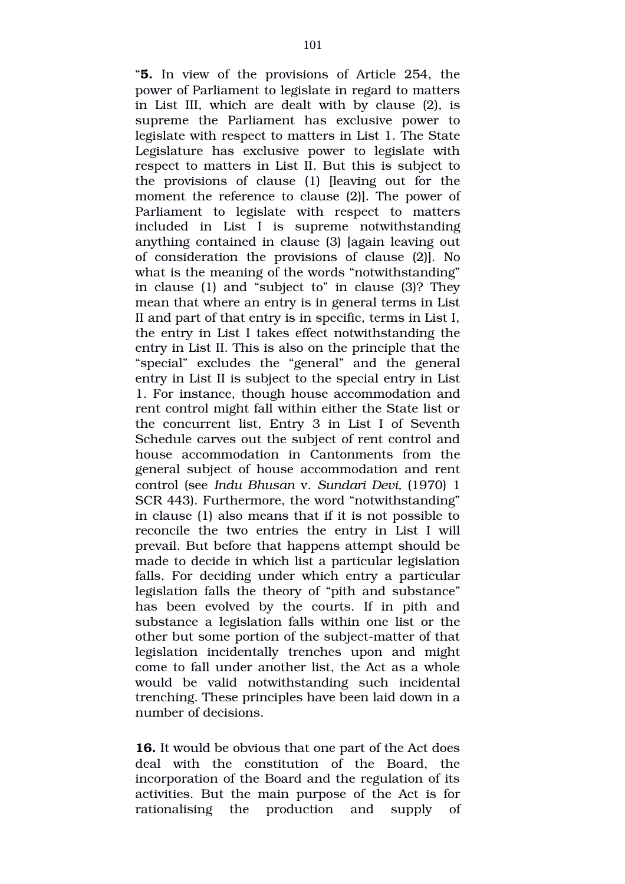"**5.** In view of the provisions of Article 254, the power of Parliament to legislate in regard to matters in List III, which are dealt with by clause (2), is supreme the Parliament has exclusive power to legislate with respect to matters in List 1. The State Legislature has exclusive power to legislate with respect to matters in List II. But this is subject to the provisions of clause  $(1)$  [leaving out for the moment the reference to clause (2)]. The power of Parliament to legislate with respect to matters included in List I is supreme notwithstanding anything contained in clause (3) [again leaving out of consideration the provisions of clause (2)]. No what is the meaning of the words "notwithstanding" in clause (1) and "subject to" in clause (3)? They mean that where an entry is in general terms in List II and part of that entry is in specific, terms in List I, the entry in List I takes effect notwithstanding the entry in List II. This is also on the principle that the "special" excludes the "general" and the general entry in List II is subject to the special entry in List 1. For instance, though house accommodation and rent control might fall within either the State list or the concurrent list, Entry 3 in List I of Seventh Schedule carves out the subject of rent control and house accommodation in Cantonments from the general subject of house accommodation and rent control (see *Indu Bhusan* v. *Sundari Devi,* (1970) 1 SCR 443). Furthermore, the word "notwithstanding" in clause (1) also means that if it is not possible to reconcile the two entries the entry in List I will prevail. But before that happens attempt should be made to decide in which list a particular legislation falls. For deciding under which entry a particular legislation falls the theory of "pith and substance" has been evolved by the courts. If in pith and substance a legislation falls within one list or the other but some portion of the subject-matter of that legislation incidentally trenches upon and might come to fall under another list, the Act as a whole would be valid notwithstanding such incidental trenching. These principles have been laid down in a number of decisions.

**16.** It would be obvious that one part of the Act does deal with the constitution of the Board, the incorporation of the Board and the regulation of its activities. But the main purpose of the Act is for rationalising the production and supply of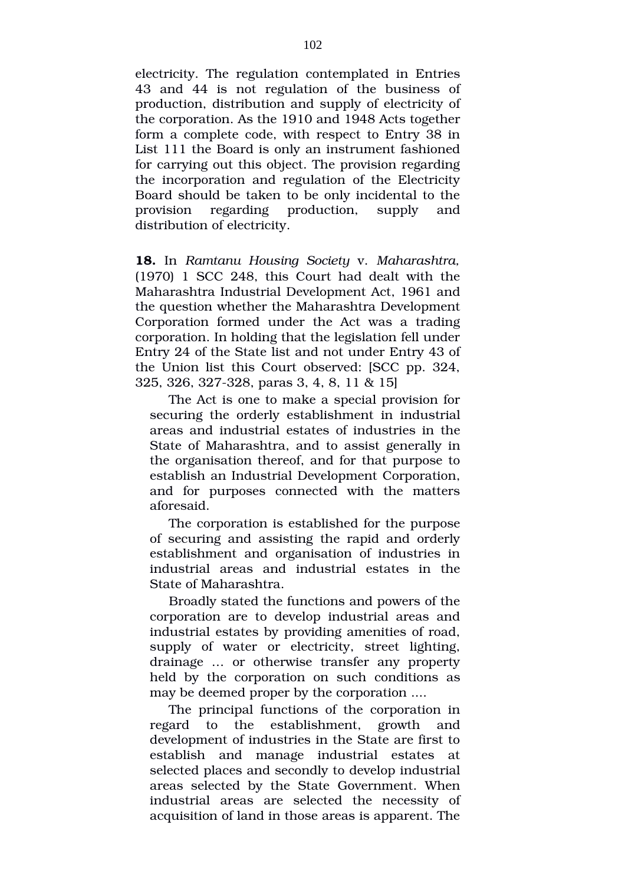electricity. The regulation contemplated in Entries 43 and 44 is not regulation of the business of production, distribution and supply of electricity of the corporation. As the 1910 and 1948 Acts together form a complete code, with respect to Entry 38 in List 111 the Board is only an instrument fashioned for carrying out this object. The provision regarding the incorporation and regulation of the Electricity Board should be taken to be only incidental to the provision regarding production, supply and distribution of electricity.

**18.** In *Ramtanu Housing Society* v. *Maharashtra,* (1970) 1 SCC 248, this Court had dealt with the Maharashtra Industrial Development Act, 1961 and the question whether the Maharashtra Development Corporation formed under the Act was a trading corporation. In holding that the legislation fell under Entry 24 of the State list and not under Entry 43 of the Union list this Court observed: [SCC pp. 324, 325, 326, 327-328, paras 3, 4, 8, 11 & 15]

The Act is one to make a special provision for securing the orderly establishment in industrial areas and industrial estates of industries in the State of Maharashtra, and to assist generally in the organisation thereof, and for that purpose to establish an Industrial Development Corporation, and for purposes connected with the matters aforesaid.

The corporation is established for the purpose of securing and assisting the rapid and orderly establishment and organisation of industries in industrial areas and industrial estates in the State of Maharashtra.

Broadly stated the functions and powers of the corporation are to develop industrial areas and industrial estates by providing amenities of road, supply of water or electricity, street lighting, drainage ... or otherwise transfer any property held by the corporation on such conditions as may be deemed proper by the corporation ....

The principal functions of the corporation in regard to the establishment, growth and development of industries in the State are first to establish and manage industrial estates at selected places and secondly to develop industrial areas selected by the State Government. When industrial areas are selected the necessity of acquisition of land in those areas is apparent. The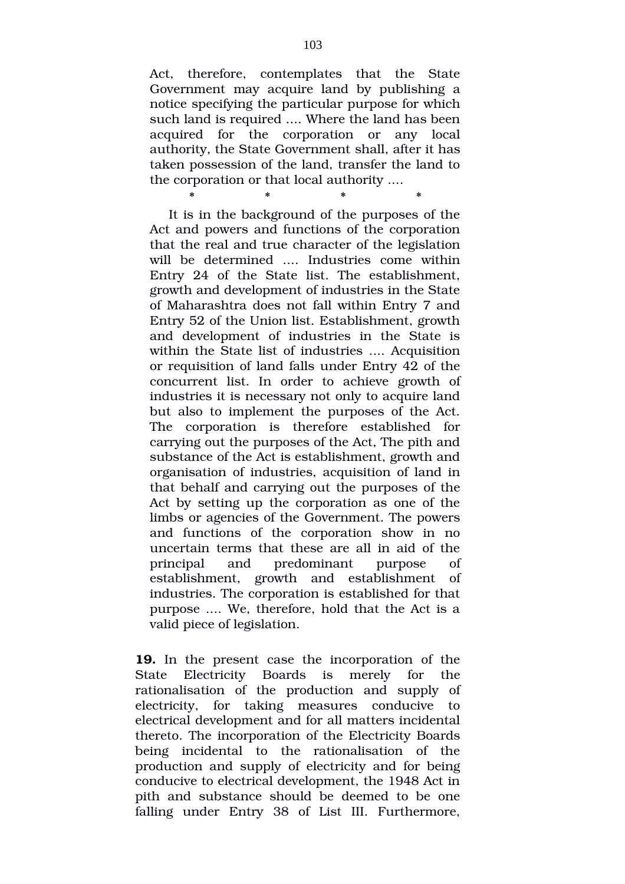Act, therefore, contemplates that the State Government may acquire land by publishing a notice specifying the particular purpose for which such land is required .... Where the land has been acquired for the corporation or any local authority, the State Government shall, after it has taken possession of the land, transfer the land to the corporation or that local authority ....

\* \* \* \* \* \* \*

It is in the background of the purposes of the Act and powers and functions of the corporation that the real and true character of the legislation will be determined .... Industries come within Entry 24 of the State list. The establishment, growth and development of industries in the State of Maharashtra does not fall within Entry 7 and Entry 52 of the Union list. Establishment, growth and development of industries in the State is within the State list of industries .... Acquisition or requisition of land falls under Entry 42 of the concurrent list. In order to achieve growth of industries it is necessary not only to acquire land but also to implement the purposes of the Act. The corporation is therefore established for carrying out the purposes of the Act, The pith and substance of the Act is establishment, growth and organisation of industries, acquisition of land in that behalf and carrying out the purposes of the Act by setting up the corporation as one of the limbs or agencies of the Government. The powers and functions of the corporation show in no uncertain terms that these are all in aid of the principal and predominant purpose of establishment, growth and establishment of industries. The corporation is established for that purpose .... We, therefore, hold that the Act is a valid piece of legislation.

**19.** In the present case the incorporation of the State Electricity Boards is merely for the rationalisation of the production and supply of electricity, for taking measures conducive to electrical development and for all matters incidental thereto. The incorporation of the Electricity Boards being incidental to the rationalisation of the production and supply of electricity and for being conducive to electrical development, the 1948 Act in pith and substance should be deemed to be one falling under Entry 38 of List III. Furthermore,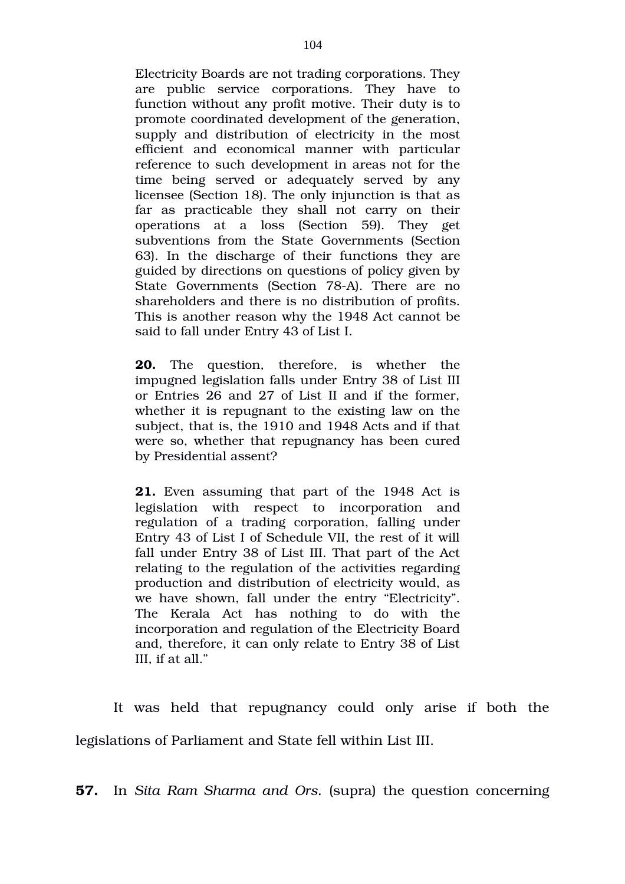Electricity Boards are not trading corporations. They are public service corporations. They have to function without any profit motive. Their duty is to promote coordinated development of the generation, supply and distribution of electricity in the most efficient and economical manner with particular reference to such development in areas not for the time being served or adequately served by any licensee (Section 18). The only injunction is that as far as practicable they shall not carry on their operations at a loss (Section 59). They get subventions from the State Governments (Section 63). In the discharge of their functions they are guided by directions on questions of policy given by State Governments (Section 78-A). There are no shareholders and there is no distribution of profits. This is another reason why the 1948 Act cannot be said to fall under Entry 43 of List I.

**20.** The question, therefore, is whether the impugned legislation falls under Entry 38 of List III or Entries 26 and 27 of List II and if the former, whether it is repugnant to the existing law on the subject, that is, the 1910 and 1948 Acts and if that were so, whether that repugnancy has been cured by Presidential assent?

**21.** Even assuming that part of the 1948 Act is legislation with respect to incorporation and regulation of a trading corporation, falling under Entry 43 of List I of Schedule VII, the rest of it will fall under Entry 38 of List III. That part of the Act relating to the regulation of the activities regarding production and distribution of electricity would, as we have shown, fall under the entry "Electricity". The Kerala Act has nothing to do with the incorporation and regulation of the Electricity Board and, therefore, it can only relate to Entry 38 of List III, if at all."

It was held that repugnancy could only arise if both the legislations of Parliament and State fell within List III.

**57.** In *Sita Ram Sharma and Ors.* (supra) the question concerning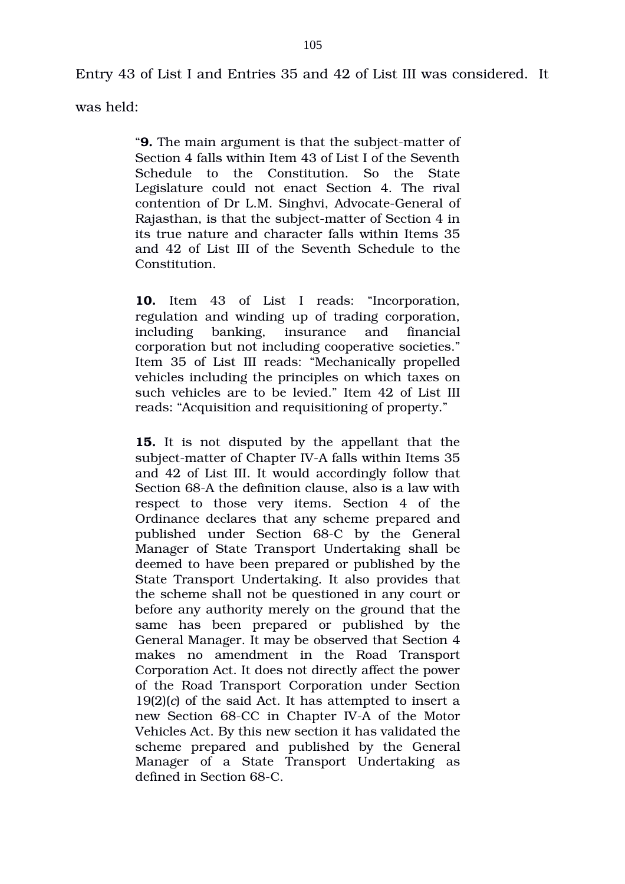Entry 43 of List I and Entries 35 and 42 of List III was considered. It

was held:

"**9.** The main argument is that the subject-matter of Section 4 falls within Item 43 of List I of the Seventh Schedule to the Constitution. So the State Legislature could not enact Section 4. The rival contention of Dr L.M. Singhvi, Advocate-General of Rajasthan, is that the subject-matter of Section 4 in its true nature and character falls within Items 35 and 42 of List III of the Seventh Schedule to the Constitution.

10. Item 43 of List I reads: "Incorporation, regulation and winding up of trading corporation, including banking, insurance and financial corporation but not including cooperative societies." Item 35 of List III reads: "Mechanically propelled vehicles including the principles on which taxes on such vehicles are to be levied." Item 42 of List III reads: "Acquisition and requisitioning of property."

**15.** It is not disputed by the appellant that the subject-matter of Chapter IV-A falls within Items 35 and 42 of List III. It would accordingly follow that Section 68-A the definition clause, also is a law with respect to those very items. Section 4 of the Ordinance declares that any scheme prepared and published under Section 68-C by the General Manager of State Transport Undertaking shall be deemed to have been prepared or published by the State Transport Undertaking. It also provides that the scheme shall not be questioned in any court or before any authority merely on the ground that the same has been prepared or published by the General Manager. It may be observed that Section 4 makes no amendment in the Road Transport Corporation Act. It does not directly affect the power of the Road Transport Corporation under Section 19(2)(*c*) of the said Act. It has attempted to insert a new Section 68-CC in Chapter IV-A of the Motor Vehicles Act. By this new section it has validated the scheme prepared and published by the General Manager of a State Transport Undertaking as defined in Section 68-C.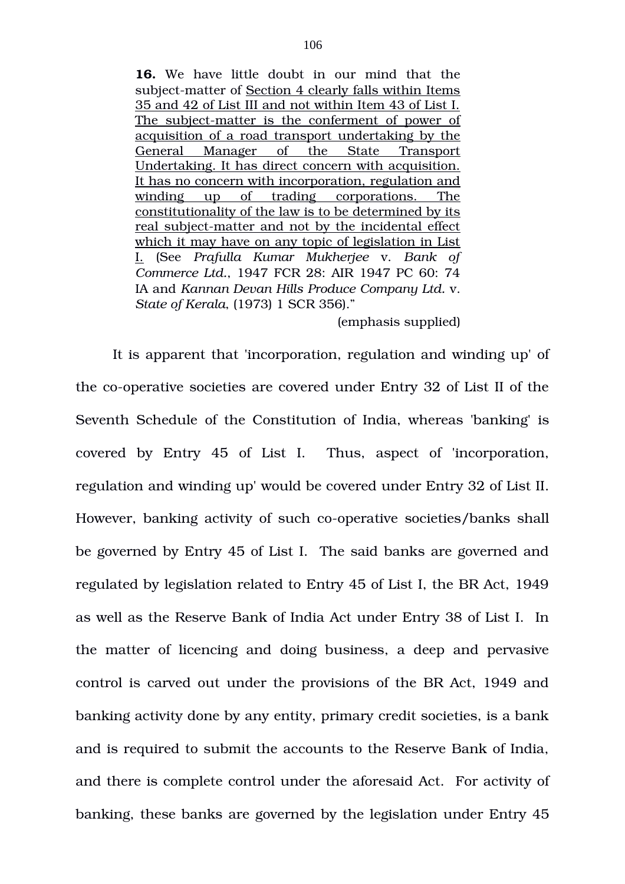**16.** We have little doubt in our mind that the subject-matter of Section 4 clearly falls within Items 35 and 42 of List III and not within Item 43 of List I. The subject-matter is the conferment of power of acquisition of a road transport undertaking by the General Manager of the State Transport Undertaking. It has direct concern with acquisition. It has no concern with incorporation, regulation and winding up of trading corporations. The constitutionality of the law is to be determined by its real subject-matter and not by the incidental effect which it may have on any topic of legislation in List I. (See *Prafulla Kumar Mukherjee* v. *Bank of Commerce Ltd.*, 1947 FCR 28: AIR 1947 PC 60: 74 IA and *Kannan Devan Hills Produce Company Ltd.* v. *State of Kerala*, (1973) 1 SCR 356)."

### (emphasis supplied)

It is apparent that 'incorporation, regulation and winding up' of the co-operative societies are covered under Entry 32 of List II of the Seventh Schedule of the Constitution of India, whereas 'banking' is covered by Entry 45 of List I. Thus, aspect of 'incorporation, regulation and winding up' would be covered under Entry 32 of List II. However, banking activity of such co-operative societies/banks shall be governed by Entry 45 of List I. The said banks are governed and regulated by legislation related to Entry 45 of List I, the BR Act, 1949 as well as the Reserve Bank of India Act under Entry 38 of List I. In the matter of licencing and doing business, a deep and pervasive control is carved out under the provisions of the BR Act, 1949 and banking activity done by any entity, primary credit societies, is a bank and is required to submit the accounts to the Reserve Bank of India, and there is complete control under the aforesaid Act. For activity of banking, these banks are governed by the legislation under Entry 45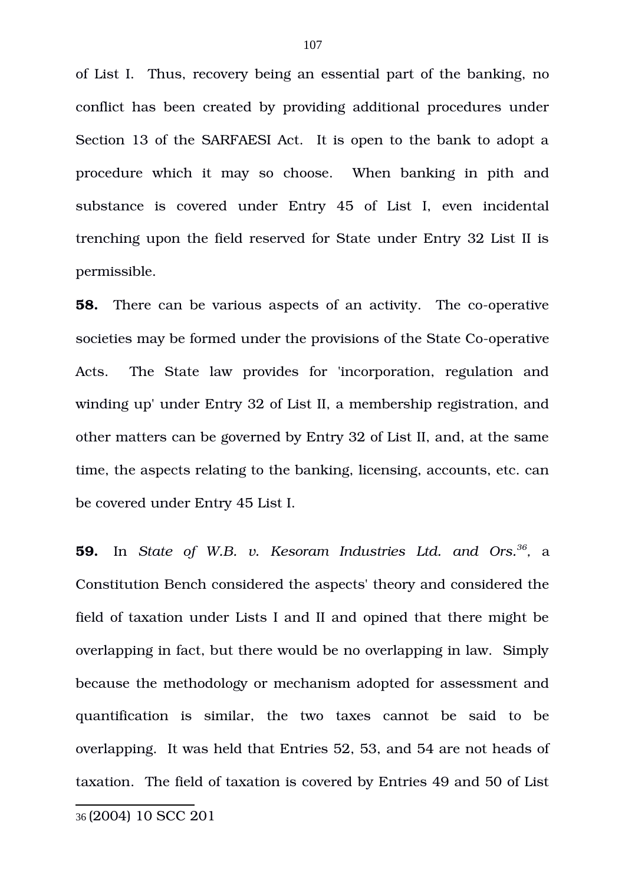of List I. Thus, recovery being an essential part of the banking, no conflict has been created by providing additional procedures under Section 13 of the SARFAESI Act. It is open to the bank to adopt a procedure which it may so choose. When banking in pith and substance is covered under Entry 45 of List I, even incidental trenching upon the field reserved for State under Entry 32 List II is permissible.

**58.** There can be various aspects of an activity. The co-operative societies may be formed under the provisions of the State Co-operative Acts. The State law provides for 'incorporation, regulation and winding up' under Entry 32 of List II, a membership registration, and other matters can be governed by Entry 32 of List II, and, at the same time, the aspects relating to the banking, licensing, accounts, etc. can be covered under Entry 45 List I.

<span id="page-106-0"></span>**59.** In State of W.B. v. Kesoram Industries Ltd. and Ors.<sup>[36](#page-106-0)</sup>, a Constitution Bench considered the aspects' theory and considered the field of taxation under Lists I and II and opined that there might be overlapping in fact, but there would be no overlapping in law. Simply because the methodology or mechanism adopted for assessment and quantification is similar, the two taxes cannot be said to be overlapping. It was held that Entries 52, 53, and 54 are not heads of taxation. The field of taxation is covered by Entries 49 and 50 of List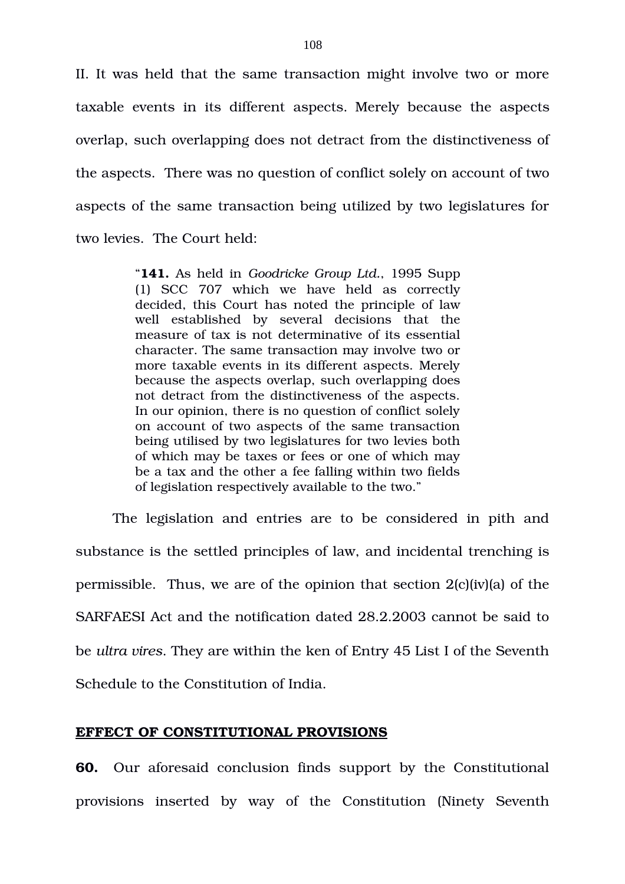II. It was held that the same transaction might involve two or more taxable events in its different aspects. Merely because the aspects overlap, such overlapping does not detract from the distinctiveness of the aspects. There was no question of conflict solely on account of two aspects of the same transaction being utilized by two legislatures for two levies. The Court held:

> "**141.** As held in *Goodricke Group Ltd.*, 1995 Supp (1) SCC 707 which we have held as correctly decided, this Court has noted the principle of law well established by several decisions that the measure of tax is not determinative of its essential character. The same transaction may involve two or more taxable events in its different aspects. Merely because the aspects overlap, such overlapping does not detract from the distinctiveness of the aspects. In our opinion, there is no question of conflict solely on account of two aspects of the same transaction being utilised by two legislatures for two levies both of which may be taxes or fees or one of which may be a tax and the other a fee falling within two fields of legislation respectively available to the two."

The legislation and entries are to be considered in pith and substance is the settled principles of law, and incidental trenching is permissible. Thus, we are of the opinion that section 2(c)(iv)(a) of the SARFAESI Act and the notification dated 28.2.2003 cannot be said to be *ultra vires*. They are within the ken of Entry 45 List I of the Seventh Schedule to the Constitution of India.

## **EFFECT OF CONSTITUTIONAL PROVISIONS**

**60.** Our aforesaid conclusion finds support by the Constitutional provisions inserted by way of the Constitution (Ninety Seventh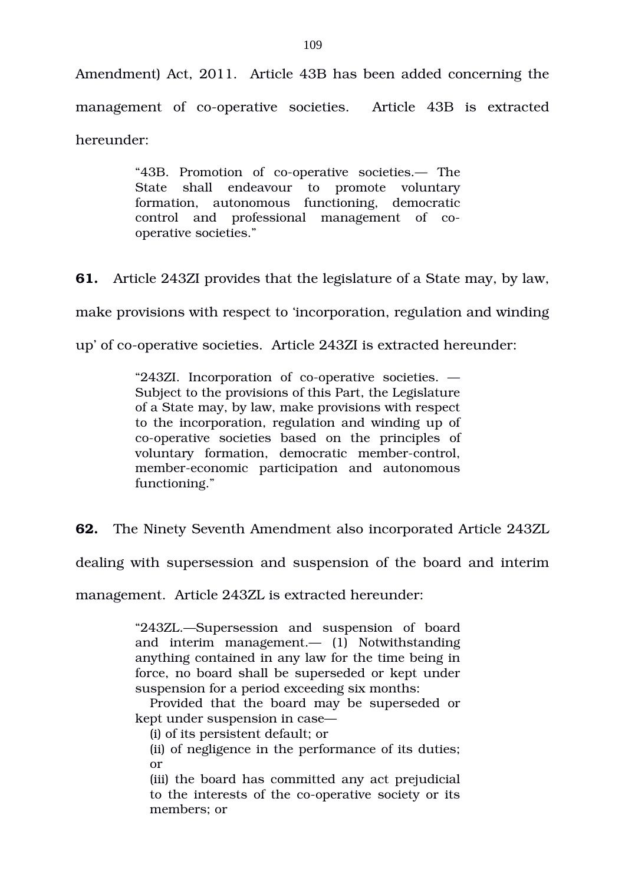Amendment) Act, 2011. Article 43B has been added concerning the management of co-operative societies. Article 43B is extracted hereunder:

> "43B. Promotion of co-operative societies.— The State shall endeavour to promote voluntary formation, autonomous functioning, democratic control and professional management of cooperative societies."

**61.** Article 243ZI provides that the legislature of a State may, by law,

make provisions with respect to 'incorporation, regulation and winding

up' of co-operative societies. Article 243ZI is extracted hereunder:

"243ZI. Incorporation of co-operative societies.  $-$ Subject to the provisions of this Part, the Legislature of a State may, by law, make provisions with respect to the incorporation, regulation and winding up of co-operative societies based on the principles of voluntary formation, democratic member-control, member-economic participation and autonomous functioning."

**62.** The Ninety Seventh Amendment also incorporated Article 243ZL

dealing with supersession and suspension of the board and interim

management. Article 243ZL is extracted hereunder:

"243ZL.—Supersession and suspension of board and interim management.—  $(1)$  Notwithstanding anything contained in any law for the time being in force, no board shall be superseded or kept under suspension for a period exceeding six months:

Provided that the board may be superseded or kept under suspension in case—

(i) of its persistent default; or

(ii) of negligence in the performance of its duties; or

(iii) the board has committed any act prejudicial to the interests of the co-operative society or its members; or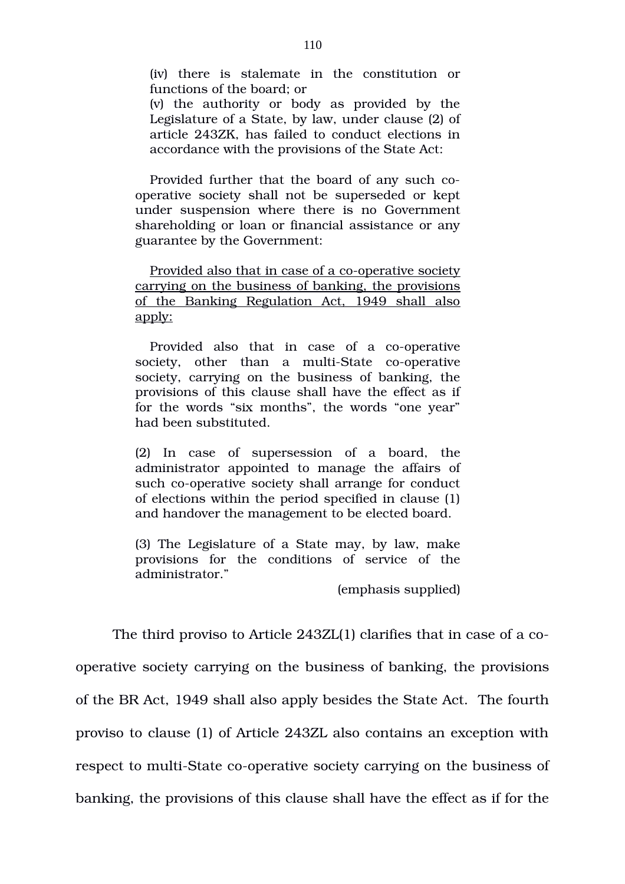(iv) there is stalemate in the constitution or functions of the board; or

(v) the authority or body as provided by the Legislature of a State, by law, under clause (2) of article 243ZK, has failed to conduct elections in accordance with the provisions of the State Act:

Provided further that the board of any such cooperative society shall not be superseded or kept under suspension where there is no Government shareholding or loan or financial assistance or any guarantee by the Government:

Provided also that in case of a co-operative society carrying on the business of banking, the provisions of the Banking Regulation Act, 1949 shall also apply:

Provided also that in case of a co-operative society, other than a multi-State co-operative society, carrying on the business of banking, the provisions of this clause shall have the effect as if for the words "six months", the words "one year" had been substituted.

(2) In case of supersession of a board, the administrator appointed to manage the affairs of such co-operative society shall arrange for conduct of elections within the period specified in clause (1) and handover the management to be elected board.

(3) The Legislature of a State may, by law, make provisions for the conditions of service of the administrator."

(emphasis supplied)

The third proviso to Article 243ZL(1) clarifies that in case of a cooperative society carrying on the business of banking, the provisions of the BR Act, 1949 shall also apply besides the State Act. The fourth proviso to clause (1) of Article 243ZL also contains an exception with respect to multi-State co-operative society carrying on the business of banking, the provisions of this clause shall have the effect as if for the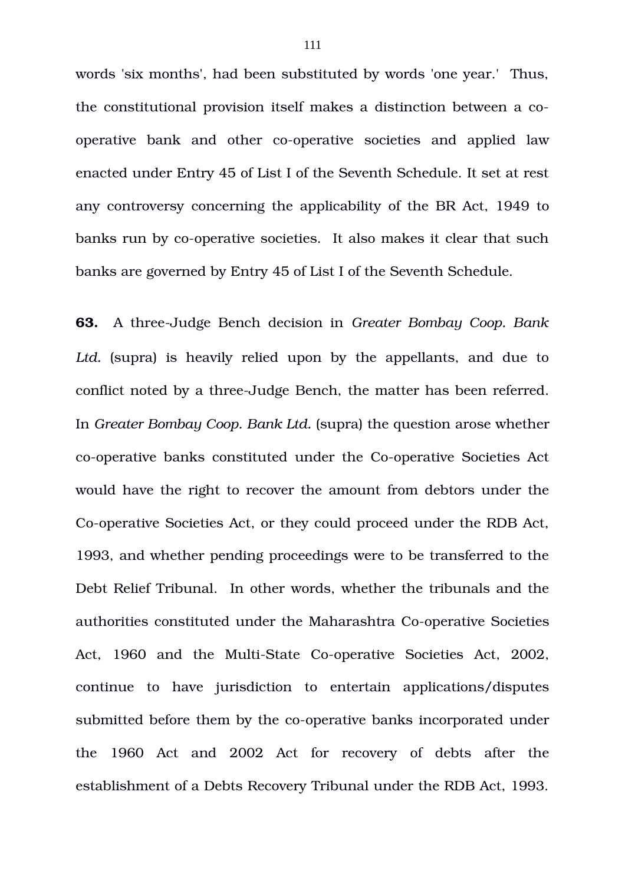words 'six months', had been substituted by words 'one year.' Thus, the constitutional provision itself makes a distinction between a cooperative bank and other co-operative societies and applied law enacted under Entry 45 of List I of the Seventh Schedule. It set at rest any controversy concerning the applicability of the BR Act, 1949 to banks run by co-operative societies. It also makes it clear that such banks are governed by Entry 45 of List I of the Seventh Schedule.

**63.** A threeJudge Bench decision in *Greater Bombay Coop. Bank* Ltd. (supra) is heavily relied upon by the appellants, and due to conflict noted by a three-Judge Bench, the matter has been referred. In *Greater Bombay Coop. Bank Ltd.* (supra) the question arose whether co-operative banks constituted under the Co-operative Societies Act would have the right to recover the amount from debtors under the Co-operative Societies Act, or they could proceed under the RDB Act, 1993, and whether pending proceedings were to be transferred to the Debt Relief Tribunal. In other words, whether the tribunals and the authorities constituted under the Maharashtra Co-operative Societies Act, 1960 and the Multi-State Co-operative Societies Act, 2002, continue to have jurisdiction to entertain applications/disputes submitted before them by the co-operative banks incorporated under the 1960 Act and 2002 Act for recovery of debts after the establishment of a Debts Recovery Tribunal under the RDB Act, 1993.

111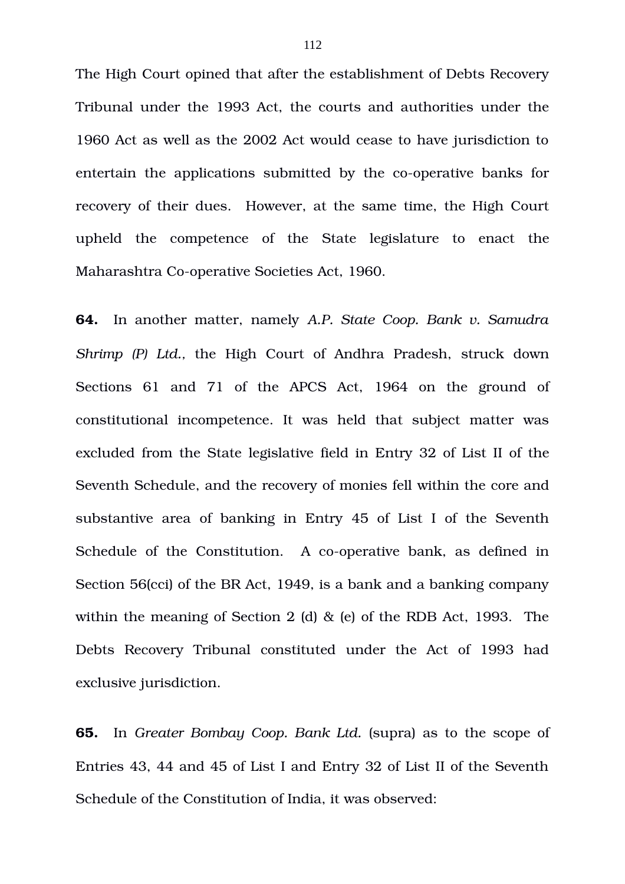The High Court opined that after the establishment of Debts Recovery Tribunal under the 1993 Act, the courts and authorities under the 1960 Act as well as the 2002 Act would cease to have jurisdiction to entertain the applications submitted by the co-operative banks for recovery of their dues. However, at the same time, the High Court upheld the competence of the State legislature to enact the Maharashtra Co-operative Societies Act, 1960.

**64.** In another matter, namely *A.P. State Coop. Bank v. Samudra Shrimp (P) Ltd., the High Court of Andhra Pradesh, struck down* Sections 61 and 71 of the APCS Act, 1964 on the ground of constitutional incompetence. It was held that subject matter was excluded from the State legislative field in Entry 32 of List II of the Seventh Schedule, and the recovery of monies fell within the core and substantive area of banking in Entry 45 of List I of the Seventh Schedule of the Constitution. A co-operative bank, as defined in Section 56(cci) of the BR Act, 1949, is a bank and a banking company within the meaning of Section 2 (d) & (e) of the RDB Act, 1993. The Debts Recovery Tribunal constituted under the Act of 1993 had exclusive jurisdiction.

**65.** In *Greater Bombay Coop. Bank Ltd.* (supra) as to the scope of Entries 43, 44 and 45 of List I and Entry 32 of List II of the Seventh Schedule of the Constitution of India, it was observed: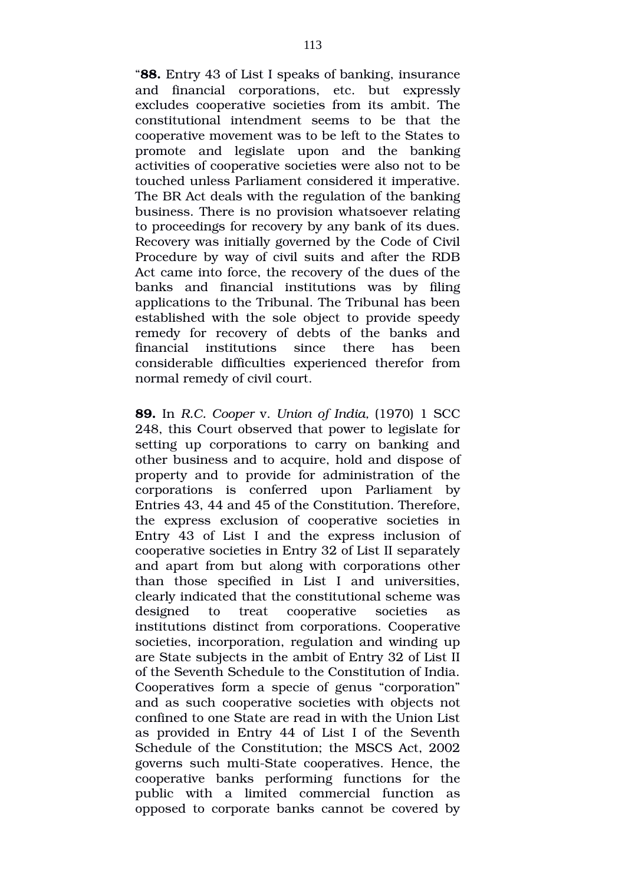"**88.** Entry 43 of List I speaks of banking, insurance and financial corporations, etc. but expressly excludes cooperative societies from its ambit. The constitutional intendment seems to be that the cooperative movement was to be left to the States to promote and legislate upon and the banking activities of cooperative societies were also not to be touched unless Parliament considered it imperative. The BR Act deals with the regulation of the banking business. There is no provision whatsoever relating to proceedings for recovery by any bank of its dues. Recovery was initially governed by the Code of Civil Procedure by way of civil suits and after the RDB Act came into force, the recovery of the dues of the banks and financial institutions was by filing applications to the Tribunal. The Tribunal has been established with the sole object to provide speedy remedy for recovery of debts of the banks and financial institutions since there has been considerable difficulties experienced therefor from normal remedy of civil court.

**89.** In *R.C. Cooper* v. *Union of India,* (1970) 1 SCC 248, this Court observed that power to legislate for setting up corporations to carry on banking and other business and to acquire, hold and dispose of property and to provide for administration of the corporations is conferred upon Parliament by Entries 43, 44 and 45 of the Constitution. Therefore, the express exclusion of cooperative societies in Entry 43 of List I and the express inclusion of cooperative societies in Entry 32 of List II separately and apart from but along with corporations other than those specified in List I and universities, clearly indicated that the constitutional scheme was designed to treat cooperative societies as institutions distinct from corporations. Cooperative societies, incorporation, regulation and winding up are State subjects in the ambit of Entry 32 of List II of the Seventh Schedule to the Constitution of India. Cooperatives form a specie of genus "corporation" and as such cooperative societies with objects not confined to one State are read in with the Union List as provided in Entry 44 of List I of the Seventh Schedule of the Constitution; the MSCS Act, 2002 governs such multi-State cooperatives. Hence, the cooperative banks performing functions for the public with a limited commercial function as opposed to corporate banks cannot be covered by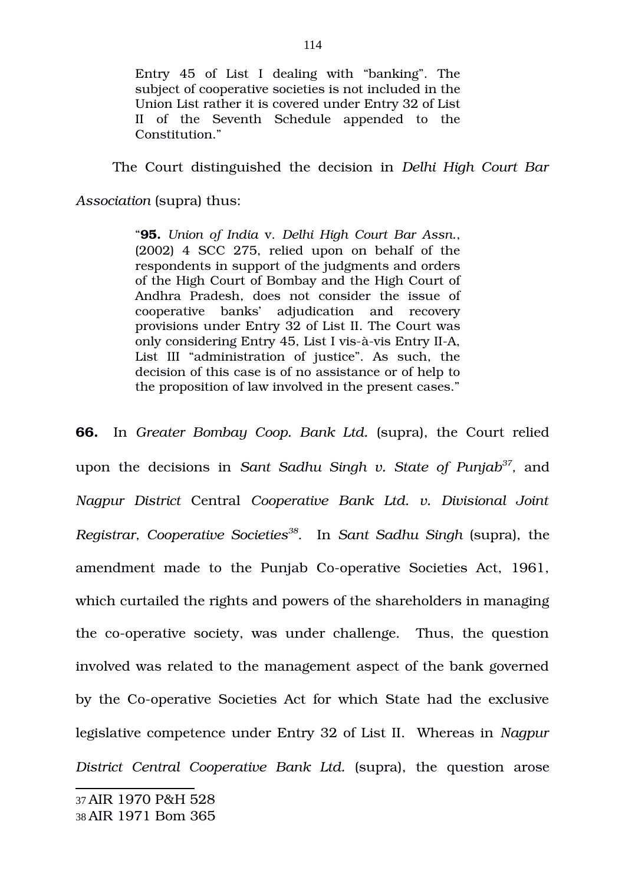Entry 45 of List I dealing with "banking". The subject of cooperative societies is not included in the Union List rather it is covered under Entry 32 of List II of the Seventh Schedule appended to the Constitution."

The Court distinguished the decision in *Delhi High Court Bar*

*Association* (supra) thus:

"**95.** *Union of India* v. *Delhi High Court Bar Assn.*,  $(2002)$  4 SCC 275, relied upon on behalf of the respondents in support of the judgments and orders of the High Court of Bombay and the High Court of Andhra Pradesh, does not consider the issue of cooperative banks' adjudication and recovery provisions under Entry 32 of List II. The Court was only considering Entry 45, List I vis-à-vis Entry II-A, List III "administration of justice". As such, the decision of this case is of no assistance or of help to the proposition of law involved in the present cases."

<span id="page-113-1"></span><span id="page-113-0"></span>**66.** In *Greater Bombay Coop. Bank Ltd.* (supra), the Court relied upon the decisions in *Sant Sadhu Singh v. State of Punjab[37](#page-113-0) ,* and *Nagpur District* Central *Cooperative Bank Ltd. v. Divisional Joint Registrar, Cooperative Societies[38](#page-113-1)*. In *Sant Sadhu Singh* (supra), the amendment made to the Punjab Co-operative Societies Act, 1961, which curtailed the rights and powers of the shareholders in managing the co-operative society, was under challenge. Thus, the question involved was related to the management aspect of the bank governed by the Co-operative Societies Act for which State had the exclusive legislative competence under Entry 32 of List II. Whereas in *Nagpur District Central Cooperative Bank Ltd.* (supra), the question arose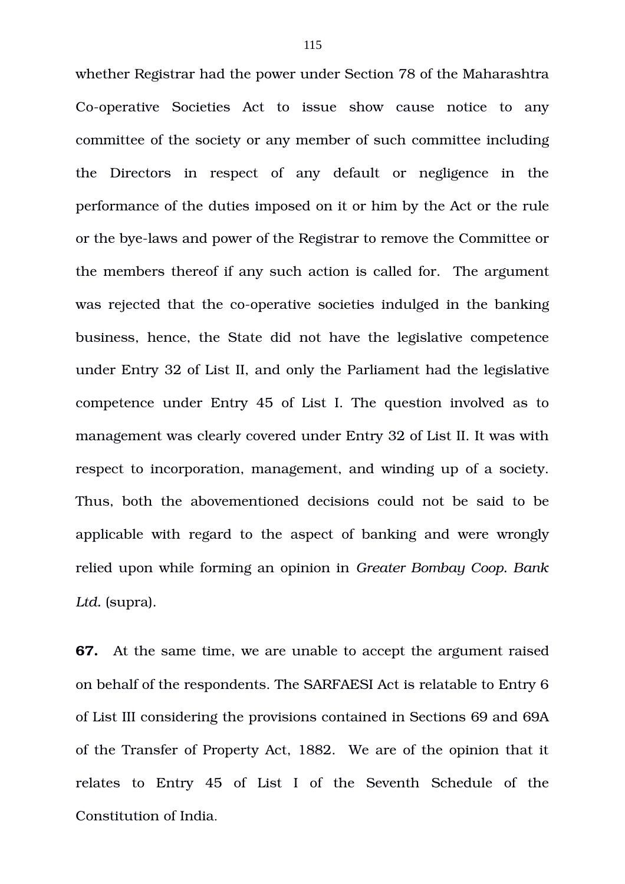whether Registrar had the power under Section 78 of the Maharashtra Co-operative Societies Act to issue show cause notice to any committee of the society or any member of such committee including the Directors in respect of any default or negligence in the performance of the duties imposed on it or him by the Act or the rule or the bye-laws and power of the Registrar to remove the Committee or the members thereof if any such action is called for. The argument was rejected that the co-operative societies indulged in the banking business, hence, the State did not have the legislative competence under Entry 32 of List II, and only the Parliament had the legislative competence under Entry 45 of List I. The question involved as to management was clearly covered under Entry 32 of List II. It was with respect to incorporation, management, and winding up of a society. Thus, both the abovementioned decisions could not be said to be applicable with regard to the aspect of banking and were wrongly relied upon while forming an opinion in *Greater Bombay Coop. Bank Ltd.* (supra).

**67.** At the same time, we are unable to accept the argument raised on behalf of the respondents. The SARFAESI Act is relatable to Entry 6 of List III considering the provisions contained in Sections 69 and 69A of the Transfer of Property Act, 1882. We are of the opinion that it relates to Entry 45 of List I of the Seventh Schedule of the Constitution of India.

115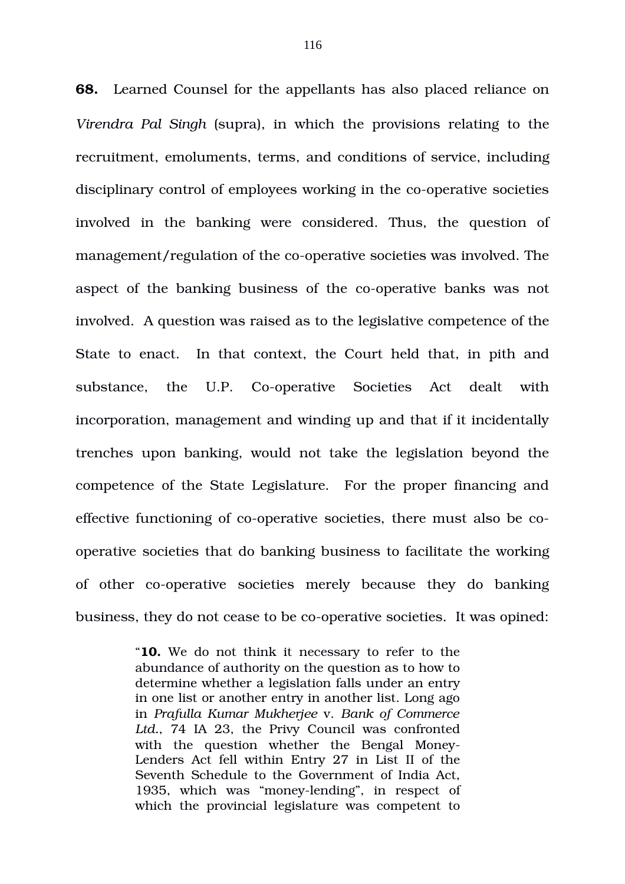**68.** Learned Counsel for the appellants has also placed reliance on *Virendra Pal Singh* (supra), in which the provisions relating to the recruitment, emoluments, terms, and conditions of service, including disciplinary control of employees working in the co-operative societies involved in the banking were considered. Thus, the question of management/regulation of the co-operative societies was involved. The aspect of the banking business of the co-operative banks was not involved. A question was raised as to the legislative competence of the State to enact. In that context, the Court held that, in pith and substance, the U.P. Co-operative Societies Act dealt with incorporation, management and winding up and that if it incidentally trenches upon banking, would not take the legislation beyond the competence of the State Legislature. For the proper financing and effective functioning of co-operative societies, there must also be cooperative societies that do banking business to facilitate the working of other co-operative societies merely because they do banking business, they do not cease to be co-operative societies. It was opined:

> "**10.** We do not think it necessary to refer to the abundance of authority on the question as to how to determine whether a legislation falls under an entry in one list or another entry in another list. Long ago in *Prafulla Kumar Mukherjee* v. *Bank of Commerce Ltd.*, 74 IA 23, the Privy Council was confronted with the question whether the Bengal Money-Lenders Act fell within Entry 27 in List II of the Seventh Schedule to the Government of India Act, 1935, which was "money-lending", in respect of which the provincial legislature was competent to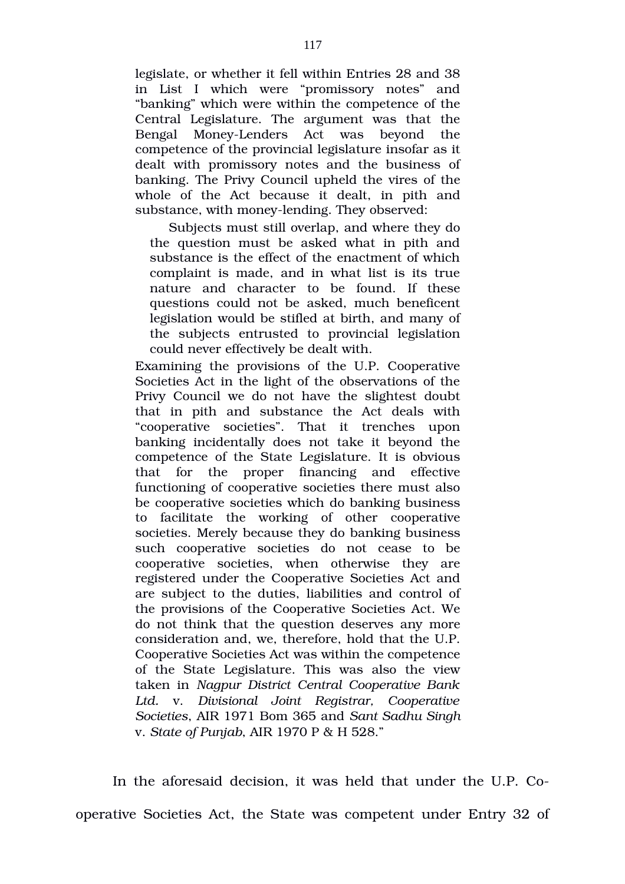legislate, or whether it fell within Entries 28 and 38 in List I which were "promissory notes" and "banking" which were within the competence of the Central Legislature. The argument was that the Bengal Money-Lenders Act was beyond the competence of the provincial legislature insofar as it dealt with promissory notes and the business of banking. The Privy Council upheld the vires of the whole of the Act because it dealt, in pith and substance, with money-lending. They observed:

Subjects must still overlap, and where they do the question must be asked what in pith and substance is the effect of the enactment of which complaint is made, and in what list is its true nature and character to be found. If these questions could not be asked, much beneficent legislation would be stifled at birth, and many of the subjects entrusted to provincial legislation could never effectively be dealt with.

Examining the provisions of the U.P. Cooperative Societies Act in the light of the observations of the Privy Council we do not have the slightest doubt that in pith and substance the Act deals with "cooperative societies". That it trenches upon banking incidentally does not take it beyond the competence of the State Legislature. It is obvious that for the proper financing and effective functioning of cooperative societies there must also be cooperative societies which do banking business to facilitate the working of other cooperative societies. Merely because they do banking business such cooperative societies do not cease to be cooperative societies, when otherwise they are registered under the Cooperative Societies Act and are subject to the duties, liabilities and control of the provisions of the Cooperative Societies Act. We do not think that the question deserves any more consideration and, we, therefore, hold that the U.P. Cooperative Societies Act was within the competence of the State Legislature. This was also the view taken in *Nagpur District Central Cooperative Bank Ltd.* v. *Divisional Joint Registrar, Cooperative Societies*, AIR 1971 Bom 365 and *Sant Sadhu Singh* v. *State of Punjab*, AIR 1970 P & H 528."

In the aforesaid decision, it was held that under the U.P. Cooperative Societies Act, the State was competent under Entry 32 of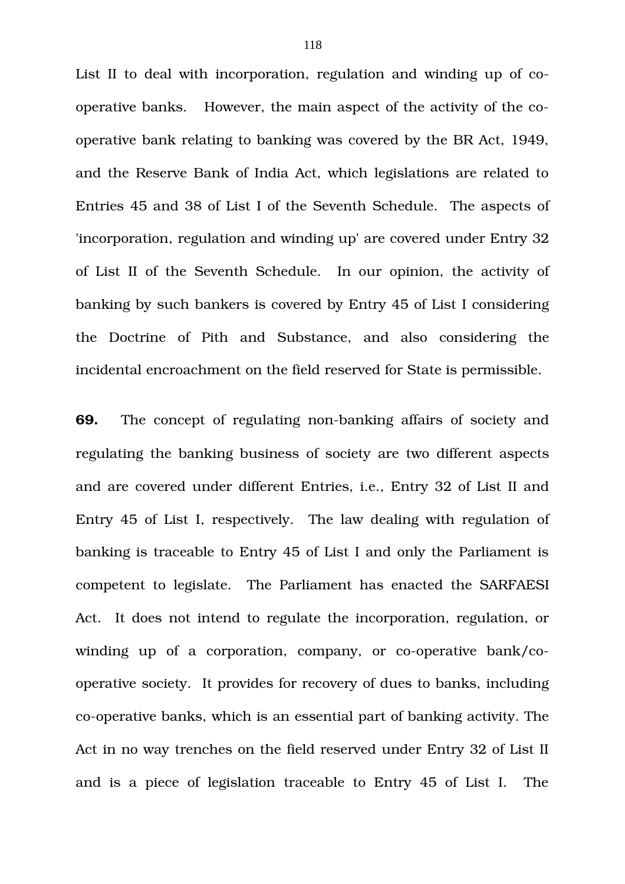List II to deal with incorporation, regulation and winding up of cooperative banks. However, the main aspect of the activity of the cooperative bank relating to banking was covered by the BR Act, 1949, and the Reserve Bank of India Act, which legislations are related to Entries 45 and 38 of List I of the Seventh Schedule. The aspects of 'incorporation, regulation and winding up' are covered under Entry 32 of List II of the Seventh Schedule. In our opinion, the activity of banking by such bankers is covered by Entry 45 of List I considering the Doctrine of Pith and Substance, and also considering the incidental encroachment on the field reserved for State is permissible.

**69.** The concept of regulating non-banking affairs of society and regulating the banking business of society are two different aspects and are covered under different Entries, i.e., Entry 32 of List II and Entry 45 of List I, respectively. The law dealing with regulation of banking is traceable to Entry 45 of List I and only the Parliament is competent to legislate. The Parliament has enacted the SARFAESI Act. It does not intend to regulate the incorporation, regulation, or winding up of a corporation, company, or co-operative  $bank/co$ operative society. It provides for recovery of dues to banks, including co-operative banks, which is an essential part of banking activity. The Act in no way trenches on the field reserved under Entry 32 of List II and is a piece of legislation traceable to Entry 45 of List I. The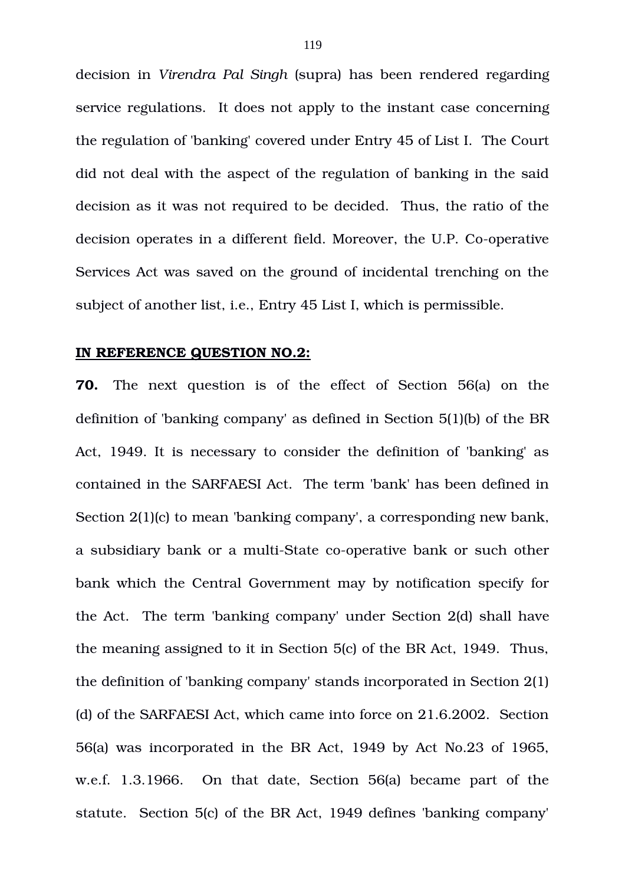decision in *Virendra Pal Singh* (supra) has been rendered regarding service regulations. It does not apply to the instant case concerning the regulation of 'banking' covered under Entry 45 of List I. The Court did not deal with the aspect of the regulation of banking in the said decision as it was not required to be decided. Thus, the ratio of the decision operates in a different field. Moreover, the U.P. Co-operative Services Act was saved on the ground of incidental trenching on the subject of another list, i.e., Entry 45 List I, which is permissible.

#### **IN REFERENCE QUESTION NO.2:**

**70.** The next question is of the effect of Section 56(a) on the definition of 'banking company' as defined in Section 5(1)(b) of the BR Act, 1949. It is necessary to consider the definition of 'banking' as contained in the SARFAESI Act. The term 'bank' has been defined in Section 2(1)(c) to mean 'banking company', a corresponding new bank, a subsidiary bank or a multi-State co-operative bank or such other bank which the Central Government may by notification specify for the Act. The term 'banking company' under Section 2(d) shall have the meaning assigned to it in Section 5(c) of the BR Act, 1949. Thus, the definition of 'banking company' stands incorporated in Section 2(1) (d) of the SARFAESI Act, which came into force on 21.6.2002. Section 56(a) was incorporated in the BR Act, 1949 by Act No.23 of 1965, w.e.f. 1.3.1966. On that date, Section 56(a) became part of the statute. Section 5(c) of the BR Act, 1949 defines 'banking company'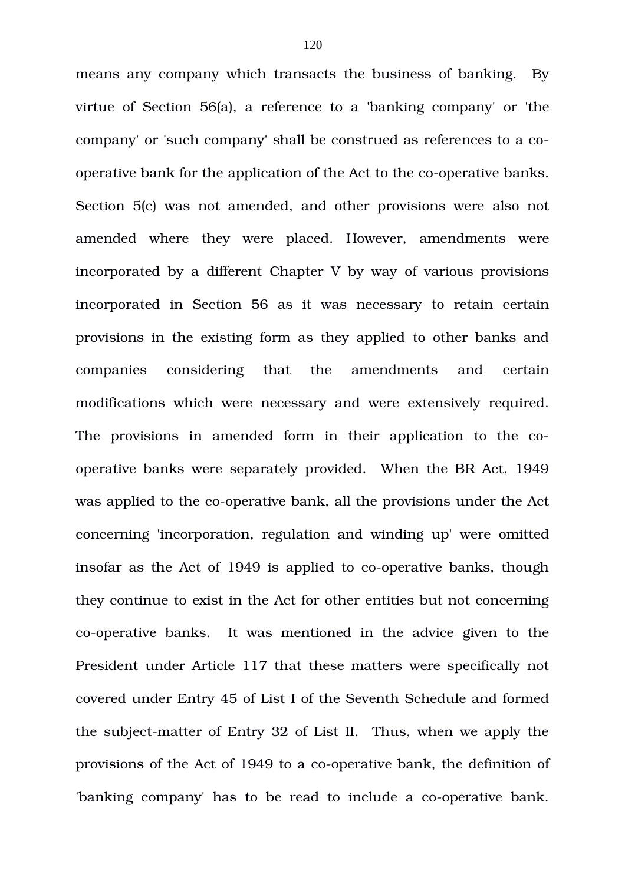means any company which transacts the business of banking. By virtue of Section 56(a), a reference to a 'banking company' or 'the company' or 'such company' shall be construed as references to a cooperative bank for the application of the Act to the co-operative banks. Section 5(c) was not amended, and other provisions were also not amended where they were placed. However, amendments were incorporated by a different Chapter V by way of various provisions incorporated in Section 56 as it was necessary to retain certain provisions in the existing form as they applied to other banks and companies considering that the amendments and certain modifications which were necessary and were extensively required. The provisions in amended form in their application to the cooperative banks were separately provided. When the BR Act, 1949 was applied to the co-operative bank, all the provisions under the Act concerning 'incorporation, regulation and winding up' were omitted insofar as the Act of 1949 is applied to co-operative banks, though they continue to exist in the Act for other entities but not concerning co-operative banks. It was mentioned in the advice given to the President under Article 117 that these matters were specifically not covered under Entry 45 of List I of the Seventh Schedule and formed the subject-matter of Entry 32 of List II. Thus, when we apply the provisions of the Act of 1949 to a co-operative bank, the definition of 'banking company' has to be read to include a co-operative bank.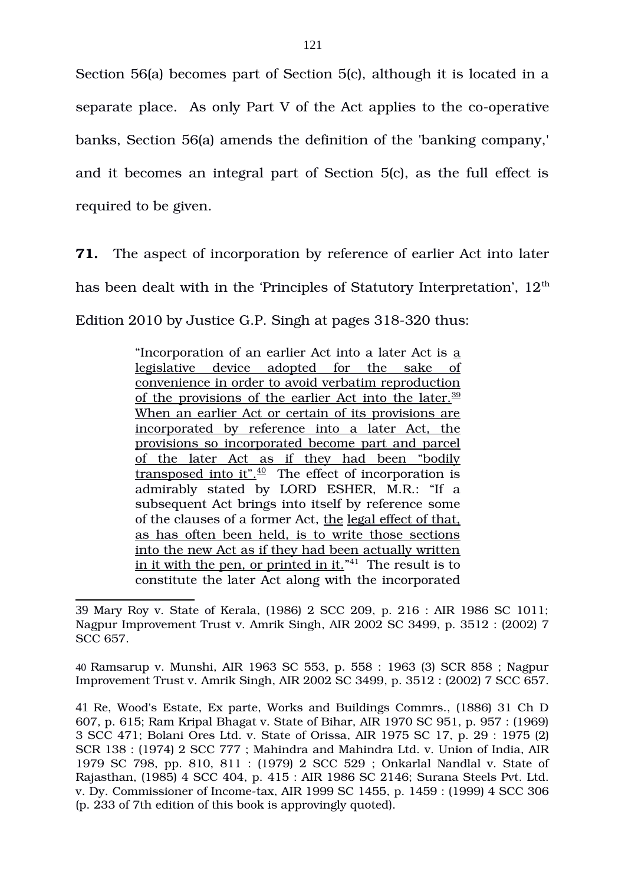Section 56(a) becomes part of Section 5(c), although it is located in a separate place. As only Part V of the Act applies to the co-operative banks, Section 56(a) amends the definition of the 'banking company,' and it becomes an integral part of Section 5(c), as the full effect is required to be given.

**71.** The aspect of incorporation by reference of earlier Act into later has been dealt with in the 'Principles of Statutory Interpretation',  $12<sup>th</sup>$ Edition 2010 by Justice G.P. Singh at pages 318-320 thus:

> "Incorporation of an earlier Act into a later Act is a legislative device adopted for the sake of convenience in order to avoid verbatim reproduction of the provisions of the earlier Act into the later. $39$ When an earlier Act or certain of its provisions are incorporated by reference into a later Act, the provisions so incorporated become part and parcel of the later Act as if they had been "bodily transposed into it". $40$  The effect of incorporation is admirably stated by LORD ESHER, M.R.: "If a subsequent Act brings into itself by reference some of the clauses of a former Act, the legal effect of that, as has often been held, is to write those sections into the new Act as if they had been actually written <u>in it with the pen, or printed in it.</u>"<sup>[41](#page-120-2)</sup> The result is to constitute the later Act along with the incorporated

<span id="page-120-1"></span>40 Ramsarup v. Munshi, AIR 1963 SC 553, p. 558 : 1963 (3) SCR 858 ; Nagpur Improvement Trust v. Amrik Singh, AIR 2002 SC 3499, p. 3512 : (2002) 7 SCC 657.

<span id="page-120-0"></span><sup>39</sup> Mary Roy v. State of Kerala, (1986) 2 SCC 209, p. 216 : AIR 1986 SC 1011; Nagpur Improvement Trust v. Amrik Singh, AIR 2002 SC 3499, p. 3512 : (2002) 7 SCC 657.

<span id="page-120-2"></span><sup>41</sup> Re, Wood's Estate, Ex parte, Works and Buildings Commrs., (1886) 31 Ch D 607, p. 615; Ram Kripal Bhagat v. State of Bihar, AIR 1970 SC 951, p. 957 : (1969) 3 SCC 471; Bolani Ores Ltd. v. State of Orissa, AIR 1975 SC 17, p. 29 : 1975 (2) SCR 138 : (1974) 2 SCC 777 ; Mahindra and Mahindra Ltd. v. Union of India, AIR 1979 SC 798, pp. 810, 811 : (1979) 2 SCC 529 ; Onkarlal Nandlal v. State of Rajasthan, (1985) 4 SCC 404, p. 415 : AIR 1986 SC 2146; Surana Steels Pvt. Ltd. v. Dy. Commissioner of Income-tax, AIR 1999 SC 1455, p. 1459 : (1999) 4 SCC 306 (p. 233 of 7th edition of this book is approvingly quoted).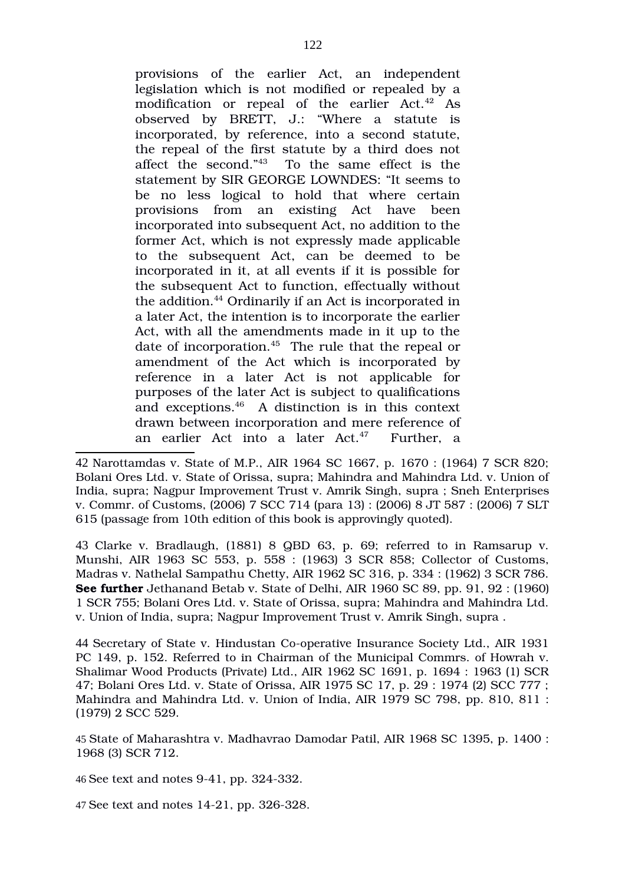provisions of the earlier Act, an independent legislation which is not modified or repealed by a modification or repeal of the earlier Act.<sup>[42](#page-121-0)</sup> As observed by BRETT, J.: "Where a statute is incorporated, by reference, into a second statute, the repeal of the first statute by a third does not affect the second."<sup>[43](#page-121-1)</sup> To the same effect is the statement by SIR GEORGE LOWNDES: "It seems to be no less logical to hold that where certain provisions from an existing Act have been incorporated into subsequent Act, no addition to the former Act, which is not expressly made applicable to the subsequent Act, can be deemed to be incorporated in it, at all events if it is possible for the subsequent Act to function, effectually without the addition.<sup>[44](#page-121-2)</sup> Ordinarily if an Act is incorporated in a later Act, the intention is to incorporate the earlier Act, with all the amendments made in it up to the date of incorporation. $45$  The rule that the repeal or amendment of the Act which is incorporated by reference in a later Act is not applicable for purposes of the later Act is subject to qualifications and exceptions.[46](#page-121-4) A distinction is in this context drawn between incorporation and mere reference of an earlier Act into a later  $Act<sup>47</sup>$  $Act<sup>47</sup>$  $Act<sup>47</sup>$  Further, a

<span id="page-121-0"></span>42 Narottamdas v. State of M.P., AIR 1964 SC 1667, p. 1670 : (1964) 7 SCR 820; Bolani Ores Ltd. v. State of Orissa, supra; Mahindra and Mahindra Ltd. v. Union of India, supra; Nagpur Improvement Trust v. Amrik Singh, supra ; Sneh Enterprises v. Commr. of Customs, (2006) 7 SCC 714 (para 13) : (2006) 8 JT 587 : (2006) 7 SLT 615 (passage from 10th edition of this book is approvingly quoted).

<span id="page-121-1"></span>43 Clarke v. Bradlaugh, (1881) 8 QBD 63, p. 69; referred to in Ramsarup v. Munshi, AIR 1963 SC 553, p. 558 : (1963) 3 SCR 858; Collector of Customs, Madras v. Nathelal Sampathu Chetty, AIR 1962 SC 316, p. 334 : (1962) 3 SCR 786. **See further** Jethanand Betab v. State of Delhi, AIR 1960 SC 89, pp. 91, 92 : (1960) 1 SCR 755; Bolani Ores Ltd. v. State of Orissa, supra; Mahindra and Mahindra Ltd. v. Union of India, supra; Nagpur Improvement Trust v. Amrik Singh, supra .

<span id="page-121-2"></span>44 Secretary of State v. Hindustan Co-operative Insurance Society Ltd., AIR 1931 PC 149, p. 152. Referred to in Chairman of the Municipal Commrs. of Howrah v. Shalimar Wood Products (Private) Ltd., AIR 1962 SC 1691, p. 1694 : 1963 (1) SCR 47; Bolani Ores Ltd. v. State of Orissa, AIR 1975 SC 17, p. 29 : 1974 (2) SCC 777 ; Mahindra and Mahindra Ltd. v. Union of India, AIR 1979 SC 798, pp. 810, 811 : (1979) 2 SCC 529.

<span id="page-121-3"></span>45 State of Maharashtra v. Madhavrao Damodar Patil, AIR 1968 SC 1395, p. 1400 : 1968 (3) SCR 712.

<span id="page-121-4"></span>46 See text and notes 9-41, pp. 324-332.

<span id="page-121-5"></span>47 See text and notes 14-21, pp. 326-328.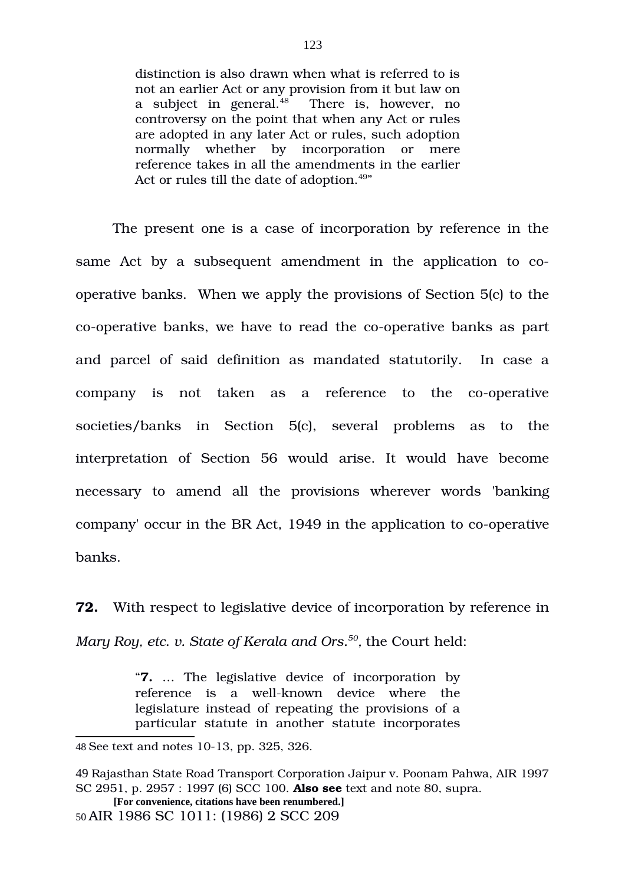distinction is also drawn when what is referred to is not an earlier Act or any provision from it but law on a subject in general.<sup>[48](#page-122-0)</sup> There is, however, no controversy on the point that when any Act or rules are adopted in any later Act or rules, such adoption normally whether by incorporation or mere reference takes in all the amendments in the earlier Act or rules till the date of adoption.<sup>[49](#page-122-1)</sup>"

The present one is a case of incorporation by reference in the same Act by a subsequent amendment in the application to cooperative banks. When we apply the provisions of Section 5(c) to the co-operative banks, we have to read the co-operative banks as part and parcel of said definition as mandated statutorily. In case a company is not taken as a reference to the co-operative societies/banks in Section 5(c), several problems as to the interpretation of Section 56 would arise. It would have become necessary to amend all the provisions wherever words 'banking' company' occur in the BR Act, 1949 in the application to co-operative banks.

**72.** With respect to legislative device of incorporation by reference in *Mary Roy, etc. v. State of Kerala and Ors.[50](#page-122-2) ,* the Court held:

> "**7.** … The legislative device of incorporation by reference is a well-known device where the legislature instead of repeating the provisions of a particular statute in another statute incorporates

<span id="page-122-0"></span><sup>48</sup> See text and notes 10-13, pp. 325, 326.

<span id="page-122-1"></span><sup>49</sup> Rajasthan State Road Transport Corporation Jaipur v. Poonam Pahwa, AIR 1997 SC 2951, p. 2957 : 1997 (6) SCC 100. **Also see** text and note 80, supra.

<span id="page-122-2"></span>**<sup>[</sup>For convenience, citations have been renumbered.]**  50 AIR 1986 SC 1011: (1986) 2 SCC 209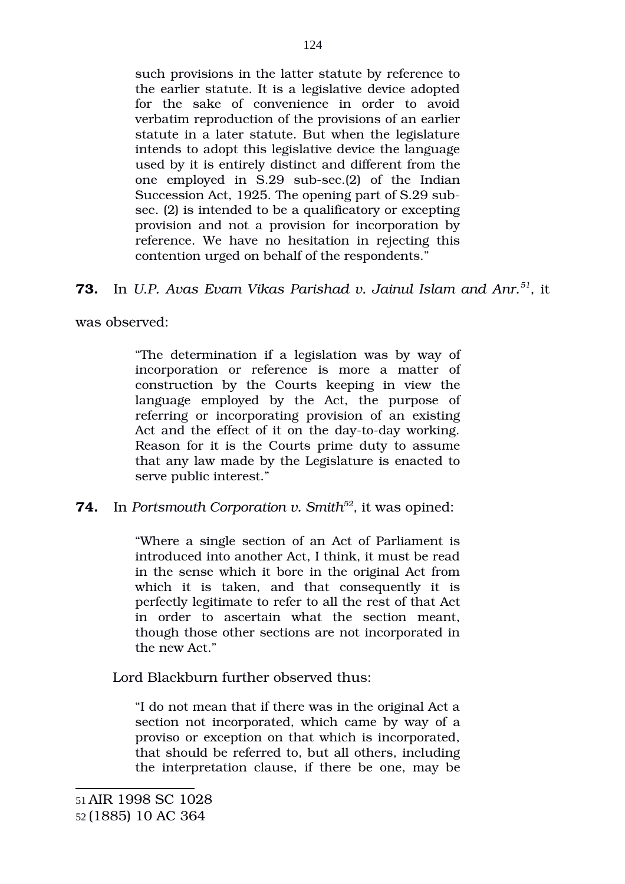such provisions in the latter statute by reference to the earlier statute. It is a legislative device adopted for the sake of convenience in order to avoid verbatim reproduction of the provisions of an earlier statute in a later statute. But when the legislature intends to adopt this legislative device the language used by it is entirely distinct and different from the one employed in  $S.29$  sub-sec.(2) of the Indian Succession Act, 1925. The opening part of S.29 subsec. (2) is intended to be a qualificatory or excepting provision and not a provision for incorporation by reference. We have no hesitation in rejecting this contention urged on behalf of the respondents."

# **73.** In *U.P. Avas Evam Vikas Parishad v. Jainul Islam and Anr.[51](#page-123-0) ,* it

was observed:

"The determination if a legislation was by way of incorporation or reference is more a matter of construction by the Courts keeping in view the language employed by the Act, the purpose of referring or incorporating provision of an existing Act and the effect of it on the day-to-day working. Reason for it is the Courts prime duty to assume that any law made by the Legislature is enacted to serve public interest."

# **74.** In *Portsmouth Corporation v. Smith[52](#page-123-1) ,* it was opined:

"Where a single section of an Act of Parliament is introduced into another Act, I think, it must be read in the sense which it bore in the original Act from which it is taken, and that consequently it is perfectly legitimate to refer to all the rest of that Act in order to ascertain what the section meant, though those other sections are not incorporated in the new Act."

Lord Blackburn further observed thus:

<span id="page-123-1"></span><span id="page-123-0"></span>"I do not mean that if there was in the original Act a section not incorporated, which came by way of a proviso or exception on that which is incorporated, that should be referred to, but all others, including the interpretation clause, if there be one, may be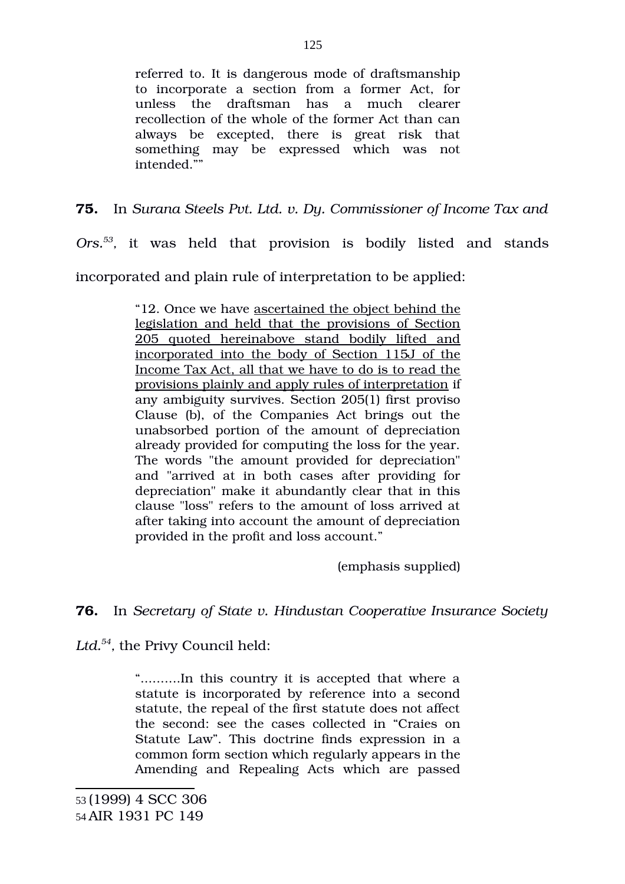referred to. It is dangerous mode of draftsmanship to incorporate a section from a former Act, for unless the draftsman has a much clearer recollection of the whole of the former Act than can always be excepted, there is great risk that something may be expressed which was not intended.""

**75.** In *Surana Steels Pvt. Ltd. v. Dy. Commissioner of Income Tax and*

Ors.<sup>[53](#page-124-0)</sup>, it was held that provision is bodily listed and stands incorporated and plain rule of interpretation to be applied:

> "12. Once we have ascertained the object behind the legislation and held that the provisions of Section 205 quoted hereinabove stand bodily lifted and incorporated into the body of Section 115J of the Income Tax Act, all that we have to do is to read the provisions plainly and apply rules of interpretation if any ambiguity survives. Section 205(1) first proviso Clause (b), of the Companies Act brings out the unabsorbed portion of the amount of depreciation already provided for computing the loss for the year. The words "the amount provided for depreciation" and "arrived at in both cases after providing for depreciation" make it abundantly clear that in this clause "loss" refers to the amount of loss arrived at after taking into account the amount of depreciation provided in the profit and loss account."

> > (emphasis supplied)

**76.** In *Secretary of State v. Hindustan Cooperative Insurance Society*

*Ltd.[54](#page-124-1) ,* the Privy Council held:

<span id="page-124-1"></span><span id="page-124-0"></span>"..........In this country it is accepted that where a statute is incorporated by reference into a second statute, the repeal of the first statute does not affect the second: see the cases collected in "Craies on Statute Law". This doctrine finds expression in a common form section which regularly appears in the Amending and Repealing Acts which are passed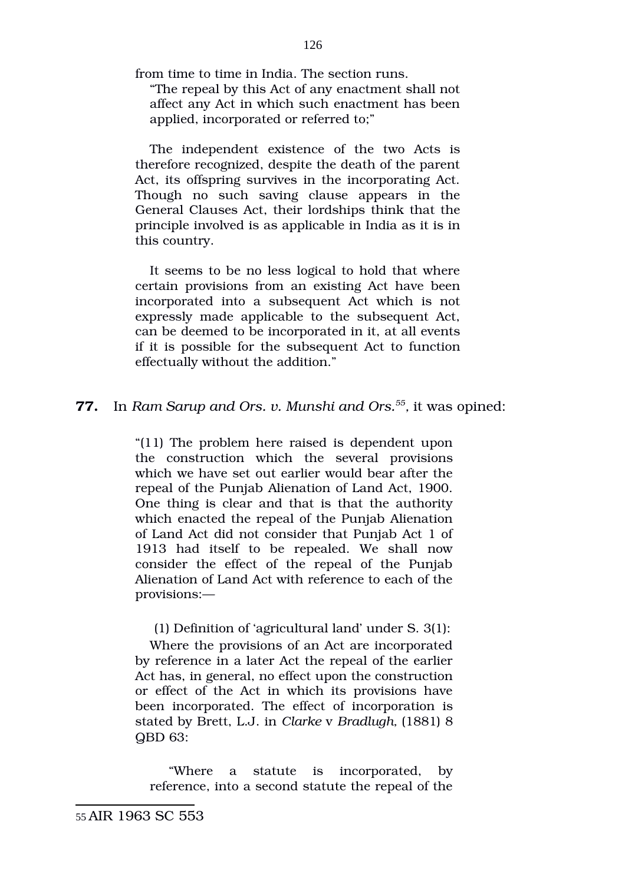from time to time in India. The section runs.

"The repeal by this Act of any enactment shall not affect any Act in which such enactment has been applied, incorporated or referred to;"

The independent existence of the two Acts is therefore recognized, despite the death of the parent Act, its offspring survives in the incorporating Act. Though no such saving clause appears in the General Clauses Act, their lordships think that the principle involved is as applicable in India as it is in this country.

It seems to be no less logical to hold that where certain provisions from an existing Act have been incorporated into a subsequent Act which is not expressly made applicable to the subsequent Act, can be deemed to be incorporated in it, at all events if it is possible for the subsequent Act to function effectually without the addition."

## **77.** In *Ram Sarup and Ors. v. Munshi and Ors.[55](#page-125-0) ,* it was opined:

"(11) The problem here raised is dependent upon the construction which the several provisions which we have set out earlier would bear after the repeal of the Punjab Alienation of Land Act, 1900. One thing is clear and that is that the authority which enacted the repeal of the Punjab Alienation of Land Act did not consider that Punjab Act 1 of 1913 had itself to be repealed. We shall now consider the effect of the repeal of the Punjab Alienation of Land Act with reference to each of the provisions:—

(1) Definition of 'agricultural land' under S. 3(1):

Where the provisions of an Act are incorporated by reference in a later Act the repeal of the earlier Act has, in general, no effect upon the construction or effect of the Act in which its provisions have been incorporated. The effect of incorporation is stated by Brett, L.J. in *Clarke* v *Bradlugh,* (1881) 8 QBD 63:

<span id="page-125-0"></span>"Where a statute is incorporated, by reference, into a second statute the repeal of the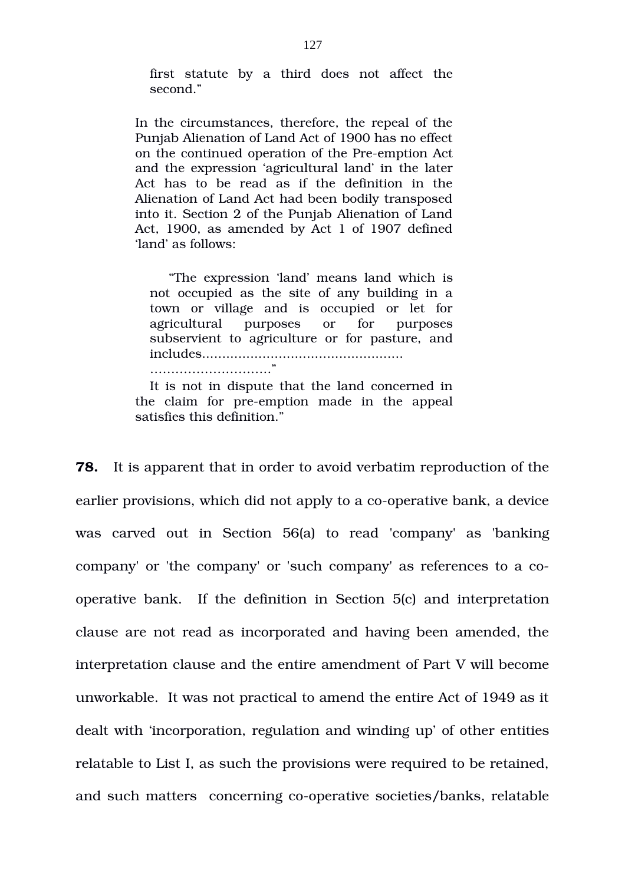first statute by a third does not affect the second<sup>"</sup>

In the circumstances, therefore, the repeal of the Punjab Alienation of Land Act of 1900 has no effect on the continued operation of the Pre-emption Act and the expression 'agricultural land' in the later Act has to be read as if the definition in the Alienation of Land Act had been bodily transposed into it. Section 2 of the Punjab Alienation of Land Act, 1900, as amended by Act 1 of 1907 defined 'land' as follows:

"The expression 'land' means land which is not occupied as the site of any building in a town or village and is occupied or let for agricultural purposes or for purposes subservient to agriculture or for pasture, and includes.................................................. ……………………….."

It is not in dispute that the land concerned in the claim for pre-emption made in the appeal satisfies this definition."

**78.** It is apparent that in order to avoid verbatim reproduction of the earlier provisions, which did not apply to a co-operative bank, a device was carved out in Section 56(a) to read 'company' as 'banking company' or 'the company' or 'such company' as references to a cooperative bank. If the definition in Section 5(c) and interpretation clause are not read as incorporated and having been amended, the interpretation clause and the entire amendment of Part V will become unworkable. It was not practical to amend the entire Act of 1949 as it dealt with 'incorporation, regulation and winding up' of other entities relatable to List I, as such the provisions were required to be retained, and such matters concerning co-operative societies/banks, relatable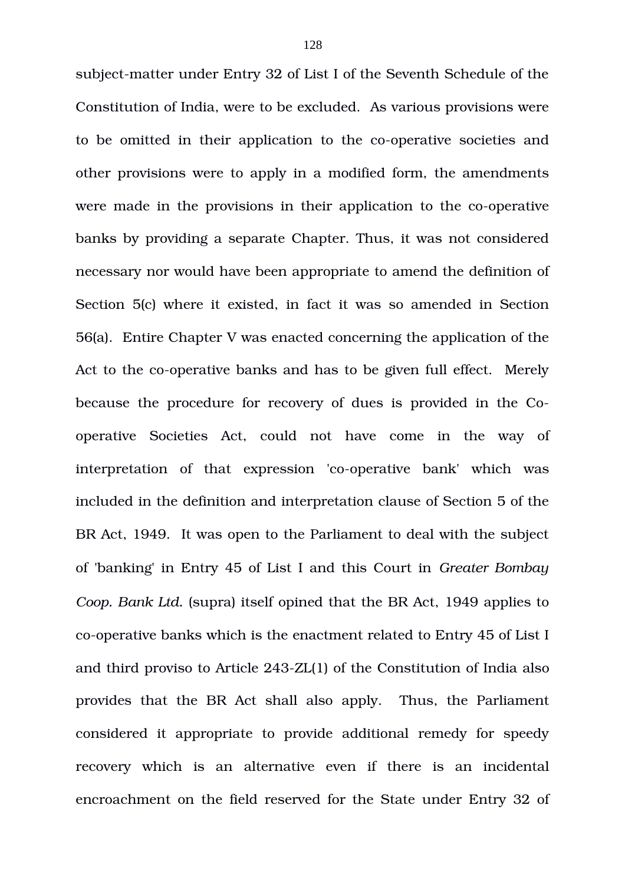subject-matter under Entry 32 of List I of the Seventh Schedule of the Constitution of India, were to be excluded. As various provisions were to be omitted in their application to the co-operative societies and other provisions were to apply in a modified form, the amendments were made in the provisions in their application to the co-operative banks by providing a separate Chapter. Thus, it was not considered necessary nor would have been appropriate to amend the definition of Section 5(c) where it existed, in fact it was so amended in Section 56(a). Entire Chapter V was enacted concerning the application of the Act to the co-operative banks and has to be given full effect. Merely because the procedure for recovery of dues is provided in the Cooperative Societies Act, could not have come in the way of interpretation of that expression 'co-operative bank' which was included in the definition and interpretation clause of Section 5 of the BR Act, 1949. It was open to the Parliament to deal with the subject of 'banking' in Entry 45 of List I and this Court in *Greater Bombay Coop. Bank Ltd.* (supra) itself opined that the BR Act, 1949 applies to co-operative banks which is the enactment related to Entry 45 of List I and third proviso to Article 243ZL(1) of the Constitution of India also provides that the BR Act shall also apply. Thus, the Parliament considered it appropriate to provide additional remedy for speedy recovery which is an alternative even if there is an incidental encroachment on the field reserved for the State under Entry 32 of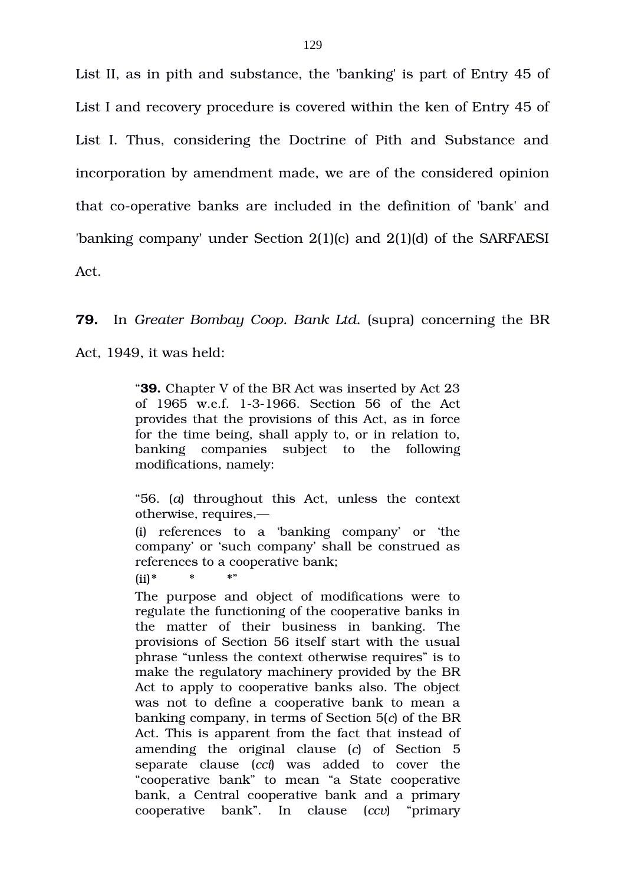List II, as in pith and substance, the 'banking' is part of Entry 45 of List I and recovery procedure is covered within the ken of Entry 45 of List I. Thus, considering the Doctrine of Pith and Substance and incorporation by amendment made, we are of the considered opinion that co-operative banks are included in the definition of 'bank' and 'banking company' under Section 2(1)(c) and 2(1)(d) of the SARFAESI Act.

### **79.** In *Greater Bombay Coop. Bank Ltd.* (supra) concerning the BR

Act, 1949, it was held:

"**39.** Chapter V of the BR Act was inserted by Act 23 of 1965 w.e.f. 1-3-1966. Section 56 of the Act provides that the provisions of this Act, as in force for the time being, shall apply to, or in relation to, banking companies subject to the following modifications, namely:

"56. (*a*) throughout this Act, unless the context otherwise, requires,—

(i) references to a 'banking company' or 'the company' or 'such company' shall be construed as references to a cooperative bank;

 $(ii)*$  \* \* \*

The purpose and object of modifications were to regulate the functioning of the cooperative banks in the matter of their business in banking. The provisions of Section 56 itself start with the usual phrase "unless the context otherwise requires" is to make the regulatory machinery provided by the BR Act to apply to cooperative banks also. The object was not to define a cooperative bank to mean a banking company, in terms of Section 5(*c*) of the BR Act. This is apparent from the fact that instead of amending the original clause (*c*) of Section 5 separate clause (*cci*) was added to cover the "cooperative bank" to mean "a State cooperative bank, a Central cooperative bank and a primary cooperative bank". In clause (*ccv*) "primary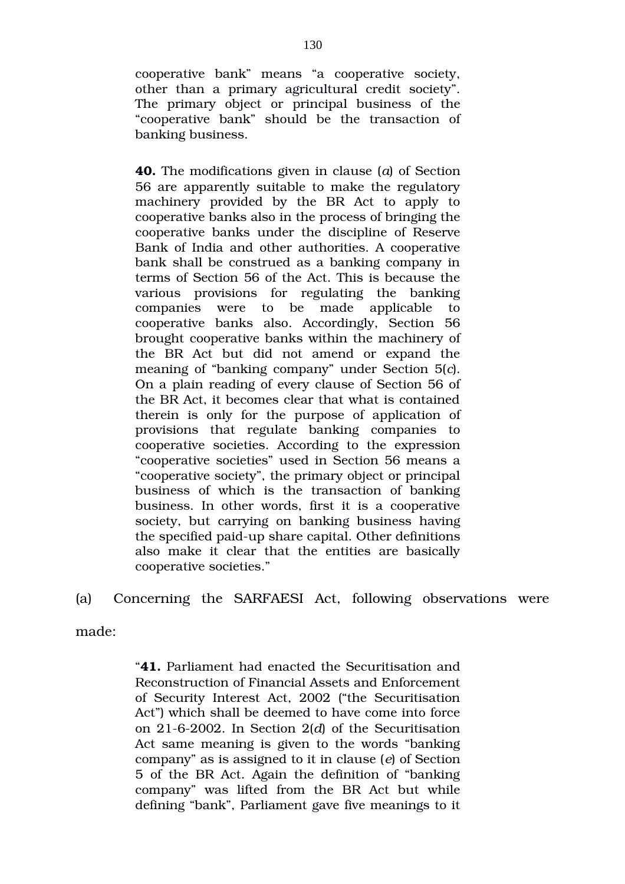cooperative bank" means "a cooperative society, other than a primary agricultural credit society". The primary object or principal business of the "cooperative bank" should be the transaction of banking business.

**40.** The modifications given in clause (*a*) of Section 56 are apparently suitable to make the regulatory machinery provided by the BR Act to apply to cooperative banks also in the process of bringing the cooperative banks under the discipline of Reserve Bank of India and other authorities. A cooperative bank shall be construed as a banking company in terms of Section 56 of the Act. This is because the various provisions for regulating the banking companies were to be made applicable to cooperative banks also. Accordingly, Section 56 brought cooperative banks within the machinery of the BR Act but did not amend or expand the meaning of "banking company" under Section 5(*c*). On a plain reading of every clause of Section 56 of the BR Act, it becomes clear that what is contained therein is only for the purpose of application of provisions that regulate banking companies to cooperative societies. According to the expression "cooperative societies" used in Section 56 means a "cooperative society", the primary object or principal business of which is the transaction of banking business. In other words, first it is a cooperative society, but carrying on banking business having the specified paid-up share capital. Other definitions also make it clear that the entities are basically cooperative societies."

(a) Concerning the SARFAESI Act, following observations were

made:

"**41.** Parliament had enacted the Securitisation and Reconstruction of Financial Assets and Enforcement of Security Interest Act, 2002 ("the Securitisation Act") which shall be deemed to have come into force on 2162002. In Section 2(*d*) of the Securitisation Act same meaning is given to the words "banking company" as is assigned to it in clause (*e*) of Section 5 of the BR Act. Again the definition of "banking company" was lifted from the BR Act but while defining "bank", Parliament gave five meanings to it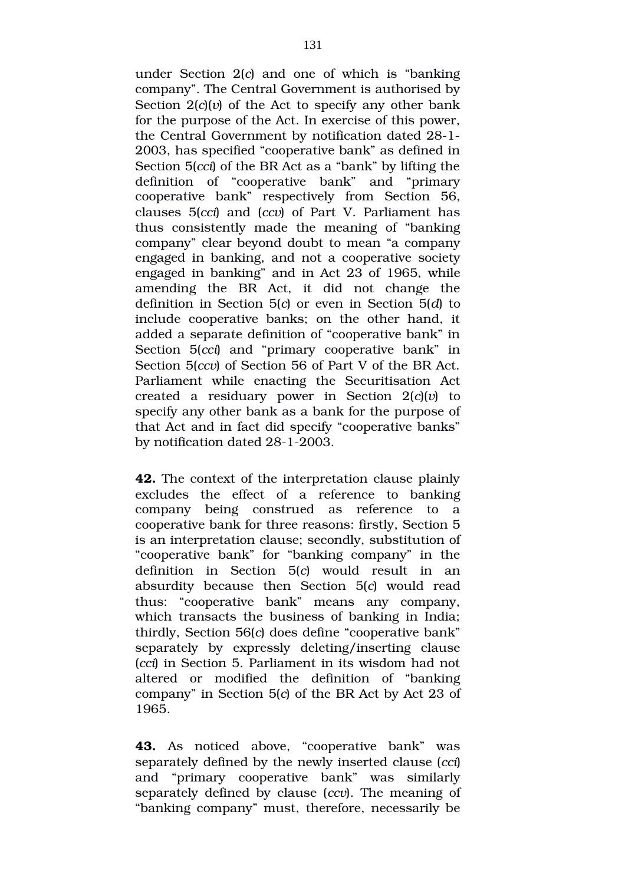under Section 2(*c*) and one of which is "banking company". The Central Government is authorised by Section  $2(c)(v)$  of the Act to specify any other bank for the purpose of the Act. In exercise of this power, the Central Government by notification dated 28-1-2003, has specified "cooperative bank" as defined in Section 5(*cci*) of the BR Act as a "bank" by lifting the definition of "cooperative bank" and "primary cooperative bank" respectively from Section 56, clauses 5(*cci*) and (*ccv*) of Part V. Parliament has thus consistently made the meaning of "banking" company" clear beyond doubt to mean "a company engaged in banking, and not a cooperative society engaged in banking" and in Act 23 of 1965, while amending the BR Act, it did not change the definition in Section 5(*c*) or even in Section 5(*d*) to include cooperative banks; on the other hand, it added a separate definition of "cooperative bank" in Section 5(*cci*) and "primary cooperative bank" in Section 5(*ccv*) of Section 56 of Part V of the BR Act. Parliament while enacting the Securitisation Act created a residuary power in Section 2(*c*)(*v*) to specify any other bank as a bank for the purpose of that Act and in fact did specify "cooperative banks" by notification dated 28-1-2003.

**42.** The context of the interpretation clause plainly excludes the effect of a reference to banking company being construed as reference to a cooperative bank for three reasons: firstly, Section 5 is an interpretation clause; secondly, substitution of "cooperative bank" for "banking company" in the definition in Section 5(*c*) would result in an absurdity because then Section 5(c) would read thus: "cooperative bank" means any company, which transacts the business of banking in India; thirdly, Section 56(*c*) does define "cooperative bank" separately by expressly deleting/inserting clause (*cci*) in Section 5. Parliament in its wisdom had not altered or modified the definition of "banking" company" in Section 5(*c*) of the BR Act by Act 23 of 1965.

43. As noticed above, "cooperative bank" was separately defined by the newly inserted clause (*cci*) and "primary cooperative bank" was similarly separately defined by clause (*ccv*). The meaning of "banking company" must, therefore, necessarily be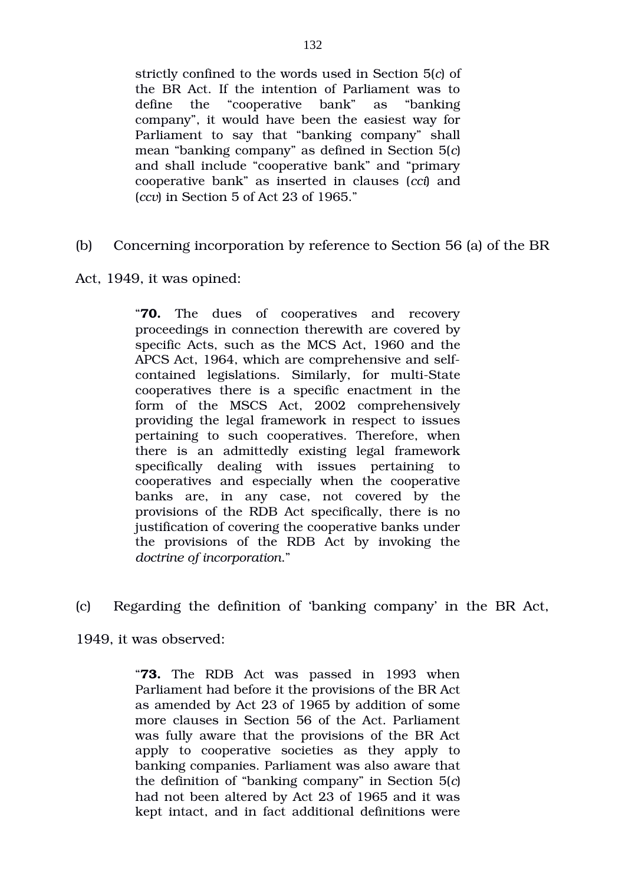strictly confined to the words used in Section 5(*c*) of the BR Act. If the intention of Parliament was to define the "cooperative bank" as "banking company", it would have been the easiest way for Parliament to say that "banking company" shall mean "banking company" as defined in Section 5(*c*) and shall include "cooperative bank" and "primary cooperative bank" as inserted in clauses (*cci*) and (*ccv*) in Section 5 of Act 23 of 1965."

(b) Concerning incorporation by reference to Section 56 (a) of the BR

Act, 1949, it was opined:

"**70.** The dues of cooperatives and recovery proceedings in connection therewith are covered by specific Acts, such as the MCS Act, 1960 and the APCS Act, 1964, which are comprehensive and selfcontained legislations. Similarly, for multi-State cooperatives there is a specific enactment in the form of the MSCS Act, 2002 comprehensively providing the legal framework in respect to issues pertaining to such cooperatives. Therefore, when there is an admittedly existing legal framework specifically dealing with issues pertaining to cooperatives and especially when the cooperative banks are, in any case, not covered by the provisions of the RDB Act specifically, there is no justification of covering the cooperative banks under the provisions of the RDB Act by invoking the *doctrine of incorporation*."

(c) Regarding the definition of 'banking company' in the BR Act,

1949, it was observed:

"**73.** The RDB Act was passed in 1993 when Parliament had before it the provisions of the BR Act as amended by Act 23 of 1965 by addition of some more clauses in Section 56 of the Act. Parliament was fully aware that the provisions of the BR Act apply to cooperative societies as they apply to banking companies. Parliament was also aware that the definition of "banking company" in Section 5(*c*) had not been altered by Act 23 of 1965 and it was kept intact, and in fact additional definitions were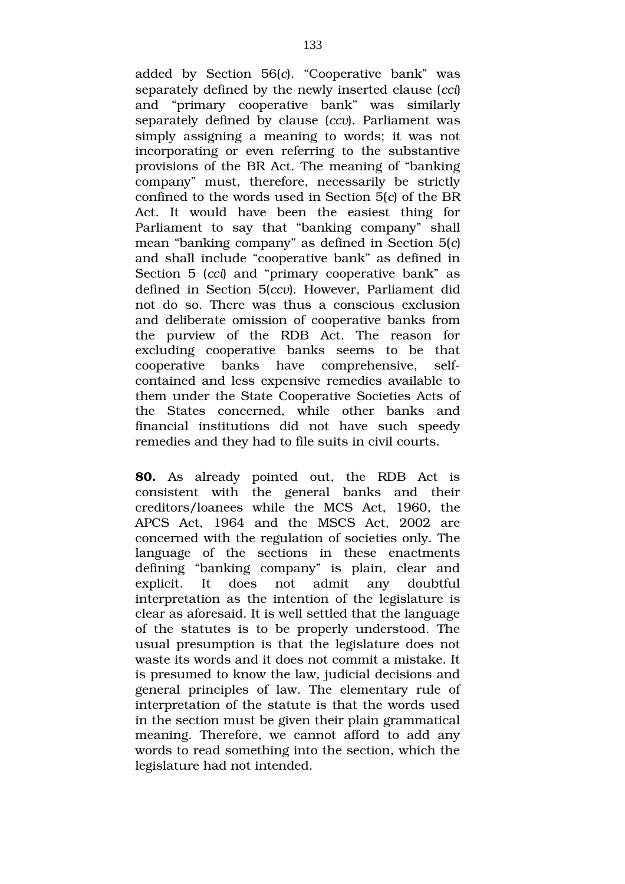added by Section 56(*c*). "Cooperative bank" was separately defined by the newly inserted clause (*cci*) and "primary cooperative bank" was similarly separately defined by clause (*ccv*). Parliament was simply assigning a meaning to words; it was not incorporating or even referring to the substantive provisions of the BR Act. The meaning of "banking company" must, therefore, necessarily be strictly confined to the words used in Section 5(*c*) of the BR Act. It would have been the easiest thing for Parliament to say that "banking company" shall mean "banking company" as defined in Section 5(*c*) and shall include "cooperative bank" as defined in Section 5 (*cci*) and "primary cooperative bank" as defined in Section 5(*ccv*). However, Parliament did not do so. There was thus a conscious exclusion and deliberate omission of cooperative banks from the purview of the RDB Act. The reason for excluding cooperative banks seems to be that cooperative banks have comprehensive, selfcontained and less expensive remedies available to them under the State Cooperative Societies Acts of the States concerned, while other banks and financial institutions did not have such speedy remedies and they had to file suits in civil courts.

**80.** As already pointed out, the RDB Act is consistent with the general banks and their creditors/loanees while the MCS Act, 1960, the APCS Act, 1964 and the MSCS Act, 2002 are concerned with the regulation of societies only. The language of the sections in these enactments defining "banking company" is plain, clear and explicit. It does not admit any doubtful interpretation as the intention of the legislature is clear as aforesaid. It is well settled that the language of the statutes is to be properly understood. The usual presumption is that the legislature does not waste its words and it does not commit a mistake. It is presumed to know the law, judicial decisions and general principles of law. The elementary rule of interpretation of the statute is that the words used in the section must be given their plain grammatical meaning. Therefore, we cannot afford to add any words to read something into the section, which the legislature had not intended.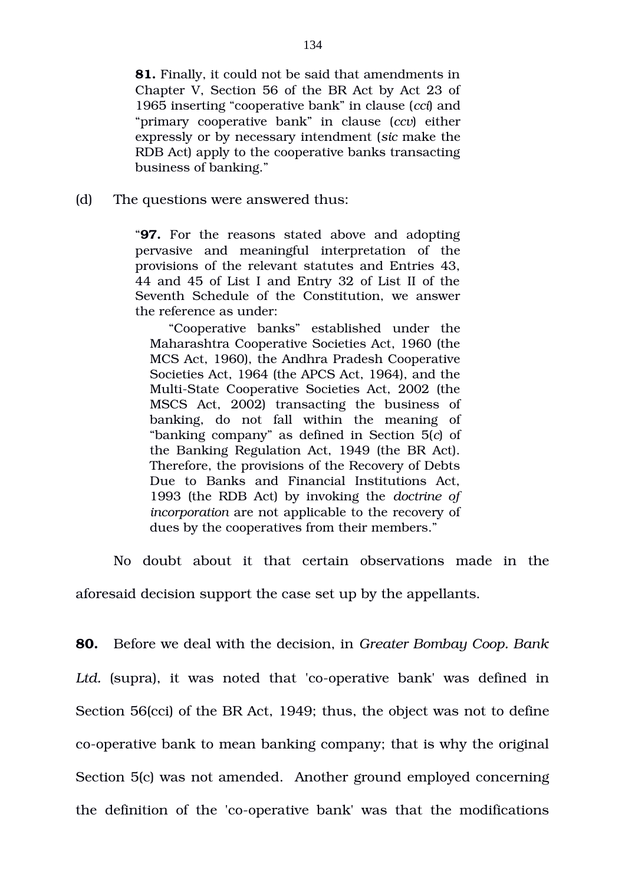**81.** Finally, it could not be said that amendments in Chapter V, Section 56 of the BR Act by Act 23 of 1965 inserting "cooperative bank" in clause (*cci*) and "primary cooperative bank" in clause (*ccv*) either expressly or by necessary intendment (*sic* make the RDB Act) apply to the cooperative banks transacting business of banking."

(d) The questions were answered thus:

"**97.** For the reasons stated above and adopting pervasive and meaningful interpretation of the provisions of the relevant statutes and Entries 43, 44 and 45 of List I and Entry 32 of List II of the Seventh Schedule of the Constitution, we answer the reference as under:

"Cooperative banks" established under the Maharashtra Cooperative Societies Act, 1960 (the MCS Act, 1960), the Andhra Pradesh Cooperative Societies Act, 1964 (the APCS Act, 1964), and the Multi-State Cooperative Societies Act, 2002 (the MSCS Act, 2002) transacting the business of banking, do not fall within the meaning of "banking company" as defined in Section 5(*c*) of the Banking Regulation Act, 1949 (the BR Act). Therefore, the provisions of the Recovery of Debts Due to Banks and Financial Institutions Act, 1993 (the RDB Act) by invoking the *doctrine of incorporation* are not applicable to the recovery of dues by the cooperatives from their members."

No doubt about it that certain observations made in the aforesaid decision support the case set up by the appellants.

**80.** Before we deal with the decision, in *Greater Bombay Coop. Bank Ltd.* (supra), it was noted that 'cooperative bank' was defined in Section 56(cci) of the BR Act, 1949; thus, the object was not to define co-operative bank to mean banking company; that is why the original Section 5(c) was not amended. Another ground employed concerning the definition of the 'co-operative bank' was that the modifications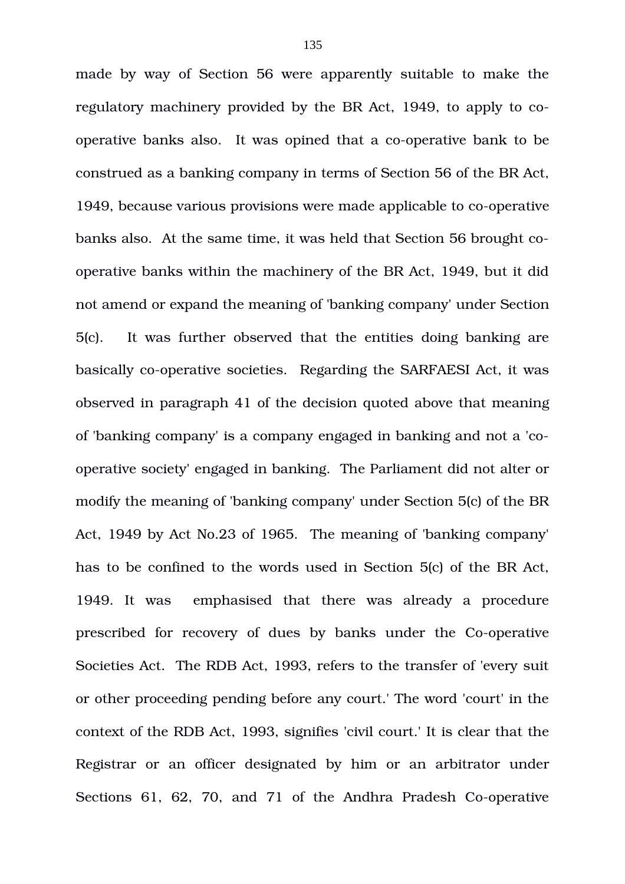made by way of Section 56 were apparently suitable to make the regulatory machinery provided by the BR Act, 1949, to apply to cooperative banks also. It was opined that a co-operative bank to be construed as a banking company in terms of Section 56 of the BR Act, 1949, because various provisions were made applicable to co-operative banks also. At the same time, it was held that Section 56 brought cooperative banks within the machinery of the BR Act, 1949, but it did not amend or expand the meaning of 'banking company' under Section 5(c). It was further observed that the entities doing banking are basically co-operative societies. Regarding the SARFAESI Act, it was observed in paragraph 41 of the decision quoted above that meaning of 'banking company' is a company engaged in banking and not a 'cooperative society' engaged in banking. The Parliament did not alter or modify the meaning of 'banking company' under Section 5(c) of the BR Act, 1949 by Act No.23 of 1965. The meaning of 'banking company' has to be confined to the words used in Section 5(c) of the BR Act, 1949. It was emphasised that there was already a procedure prescribed for recovery of dues by banks under the Co-operative Societies Act. The RDB Act, 1993, refers to the transfer of 'every suit or other proceeding pending before any court.' The word 'court' in the context of the RDB Act, 1993, signifies 'civil court.' It is clear that the Registrar or an officer designated by him or an arbitrator under Sections 61, 62, 70, and 71 of the Andhra Pradesh Co-operative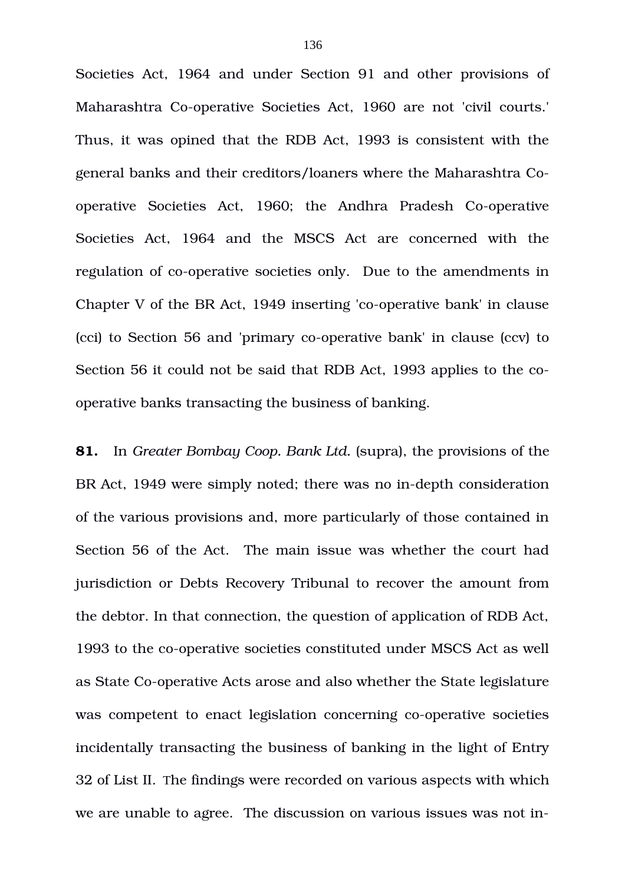Societies Act, 1964 and under Section 91 and other provisions of Maharashtra Co-operative Societies Act, 1960 are not 'civil courts.' Thus, it was opined that the RDB Act, 1993 is consistent with the general banks and their creditors/loaners where the Maharashtra Cooperative Societies Act, 1960; the Andhra Pradesh Co-operative Societies Act, 1964 and the MSCS Act are concerned with the regulation of co-operative societies only. Due to the amendments in Chapter V of the BR Act, 1949 inserting 'co-operative bank' in clause (cci) to Section 56 and 'primary co-operative bank' in clause (ccv) to Section 56 it could not be said that RDB Act, 1993 applies to the cooperative banks transacting the business of banking.

**81.** In *Greater Bombay Coop. Bank Ltd.* (supra), the provisions of the BR Act, 1949 were simply noted; there was no in-depth consideration of the various provisions and, more particularly of those contained in Section 56 of the Act. The main issue was whether the court had jurisdiction or Debts Recovery Tribunal to recover the amount from the debtor. In that connection, the question of application of RDB Act, 1993 to the co-operative societies constituted under MSCS Act as well as State Co-operative Acts arose and also whether the State legislature was competent to enact legislation concerning co-operative societies incidentally transacting the business of banking in the light of Entry 32 of List II. The findings were recorded on various aspects with which we are unable to agree. The discussion on various issues was not in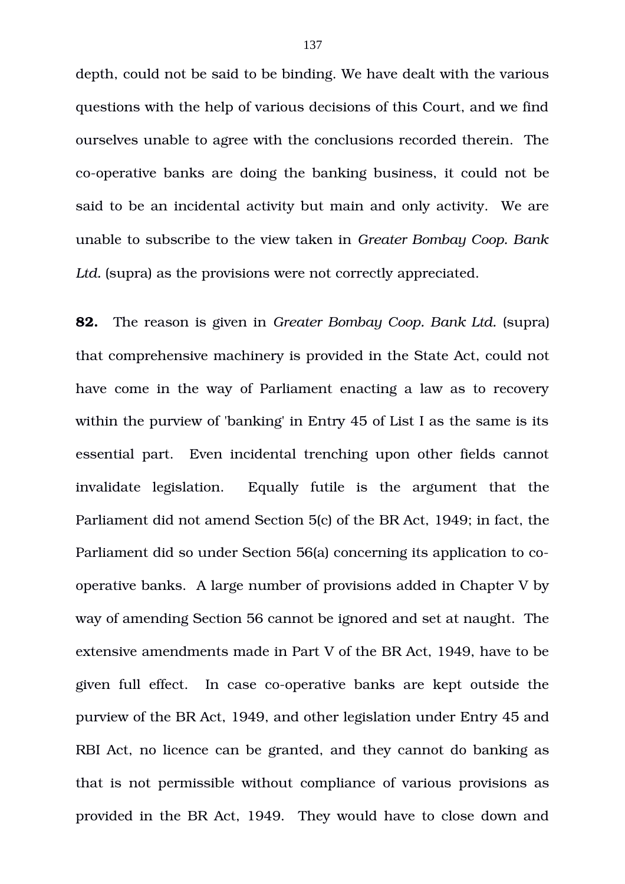depth, could not be said to be binding. We have dealt with the various questions with the help of various decisions of this Court, and we find ourselves unable to agree with the conclusions recorded therein. The co-operative banks are doing the banking business, it could not be said to be an incidental activity but main and only activity. We are unable to subscribe to the view taken in *Greater Bombay Coop. Bank* Ltd. (supra) as the provisions were not correctly appreciated.

**82.** The reason is given in *Greater Bombay Coop. Bank Ltd.* (supra) that comprehensive machinery is provided in the State Act, could not have come in the way of Parliament enacting a law as to recovery within the purview of 'banking' in Entry 45 of List I as the same is its essential part. Even incidental trenching upon other fields cannot invalidate legislation. Equally futile is the argument that the Parliament did not amend Section 5(c) of the BR Act, 1949; in fact, the Parliament did so under Section 56(a) concerning its application to cooperative banks. A large number of provisions added in Chapter V by way of amending Section 56 cannot be ignored and set at naught. The extensive amendments made in Part V of the BR Act, 1949, have to be given full effect. In case co-operative banks are kept outside the purview of the BR Act, 1949, and other legislation under Entry 45 and RBI Act, no licence can be granted, and they cannot do banking as that is not permissible without compliance of various provisions as provided in the BR Act, 1949. They would have to close down and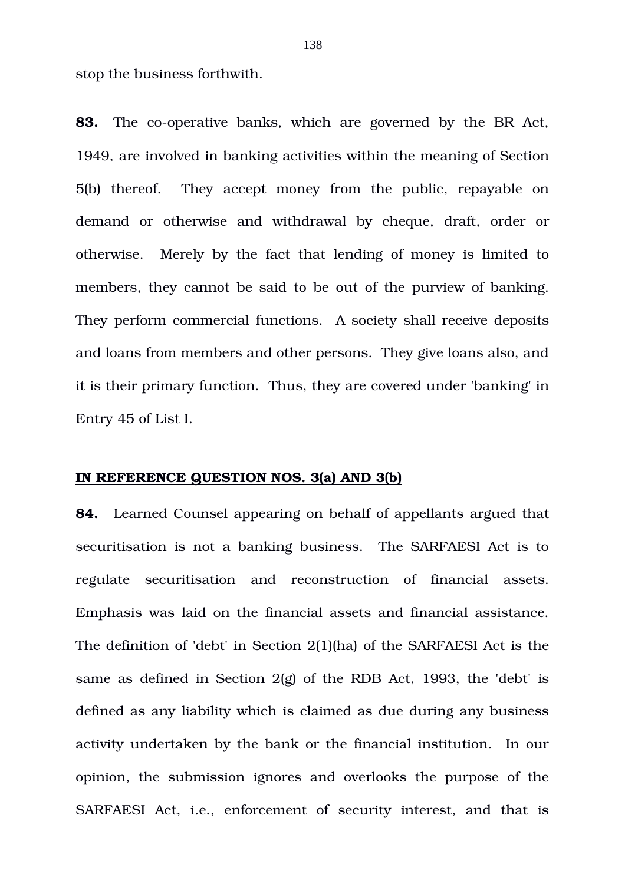stop the business forthwith.

**83.** The co-operative banks, which are governed by the BR Act, 1949, are involved in banking activities within the meaning of Section 5(b) thereof. They accept money from the public, repayable on demand or otherwise and withdrawal by cheque, draft, order or otherwise. Merely by the fact that lending of money is limited to members, they cannot be said to be out of the purview of banking. They perform commercial functions. A society shall receive deposits and loans from members and other persons. They give loans also, and it is their primary function. Thus, they are covered under 'banking' in Entry 45 of List I.

#### **IN REFERENCE QUESTION NOS. 3(a) AND 3(b)**

**84.** Learned Counsel appearing on behalf of appellants argued that securitisation is not a banking business. The SARFAESI Act is to regulate securitisation and reconstruction of financial assets. Emphasis was laid on the financial assets and financial assistance. The definition of 'debt' in Section 2(1)(ha) of the SARFAESI Act is the same as defined in Section 2(g) of the RDB Act, 1993, the 'debt' is defined as any liability which is claimed as due during any business activity undertaken by the bank or the financial institution. In our opinion, the submission ignores and overlooks the purpose of the SARFAESI Act, i.e., enforcement of security interest, and that is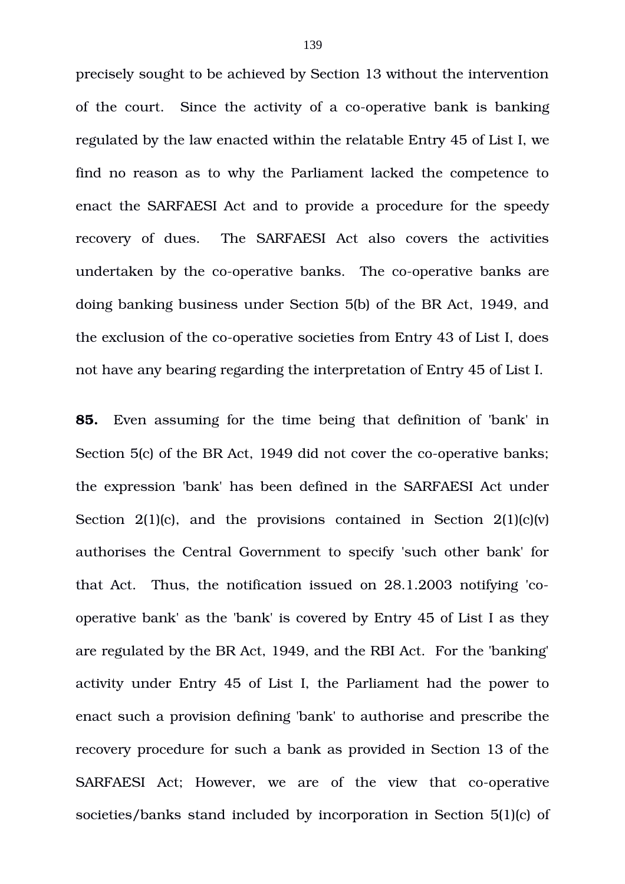precisely sought to be achieved by Section 13 without the intervention of the court. Since the activity of a co-operative bank is banking regulated by the law enacted within the relatable Entry 45 of List I, we find no reason as to why the Parliament lacked the competence to enact the SARFAESI Act and to provide a procedure for the speedy recovery of dues. The SARFAESI Act also covers the activities undertaken by the co-operative banks. The co-operative banks are doing banking business under Section 5(b) of the BR Act, 1949, and the exclusion of the co-operative societies from Entry 43 of List I, does not have any bearing regarding the interpretation of Entry 45 of List I.

**85.** Even assuming for the time being that definition of 'bank' in Section 5(c) of the BR Act, 1949 did not cover the co-operative banks; the expression 'bank' has been defined in the SARFAESI Act under Section  $2(1)(c)$ , and the provisions contained in Section  $2(1)(c)(v)$ authorises the Central Government to specify 'such other bank' for that Act. Thus, the notification issued on 28.1.2003 notifying 'cooperative bank' as the 'bank' is covered by Entry 45 of List I as they are regulated by the BR Act, 1949, and the RBI Act. For the 'banking' activity under Entry 45 of List I, the Parliament had the power to enact such a provision defining 'bank' to authorise and prescribe the recovery procedure for such a bank as provided in Section 13 of the SARFAESI Act; However, we are of the view that co-operative societies/banks stand included by incorporation in Section 5(1)(c) of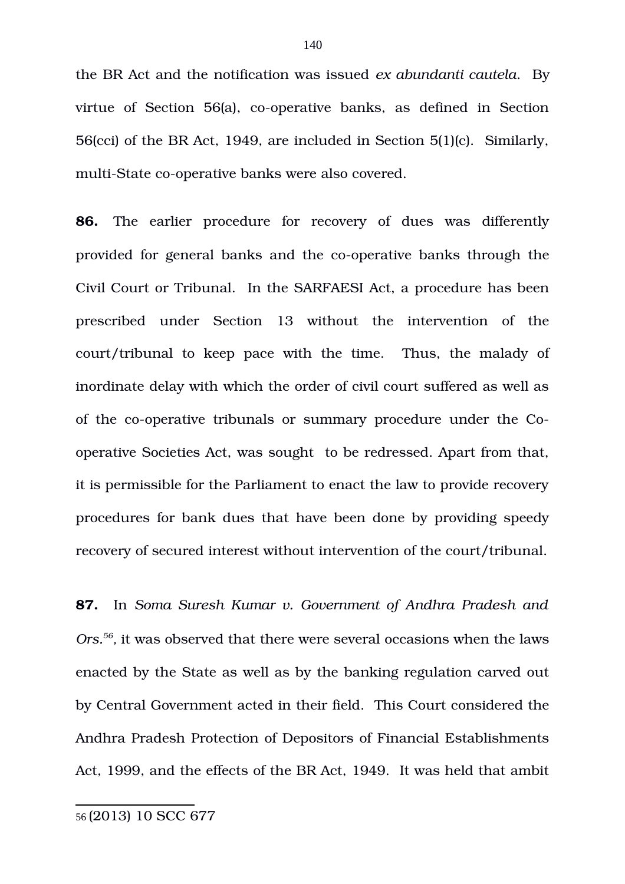the BR Act and the notification was issued *ex abundanti cautela*. By virtue of Section  $56(a)$ , co-operative banks, as defined in Section 56(cci) of the BR Act, 1949, are included in Section 5(1)(c). Similarly, multi-State co-operative banks were also covered.

**86.** The earlier procedure for recovery of dues was differently provided for general banks and the co-operative banks through the Civil Court or Tribunal. In the SARFAESI Act, a procedure has been prescribed under Section 13 without the intervention of the court/tribunal to keep pace with the time. Thus, the malady of inordinate delay with which the order of civil court suffered as well as of the co-operative tribunals or summary procedure under the Cooperative Societies Act, was sought to be redressed. Apart from that, it is permissible for the Parliament to enact the law to provide recovery procedures for bank dues that have been done by providing speedy recovery of secured interest without intervention of the court/tribunal.

<span id="page-139-0"></span>**87.** In *Soma Suresh Kumar v. Government of Andhra Pradesh and* Ors.<sup>[56](#page-139-0)</sup>, it was observed that there were several occasions when the laws enacted by the State as well as by the banking regulation carved out by Central Government acted in their field. This Court considered the Andhra Pradesh Protection of Depositors of Financial Establishments Act, 1999, and the effects of the BR Act, 1949. It was held that ambit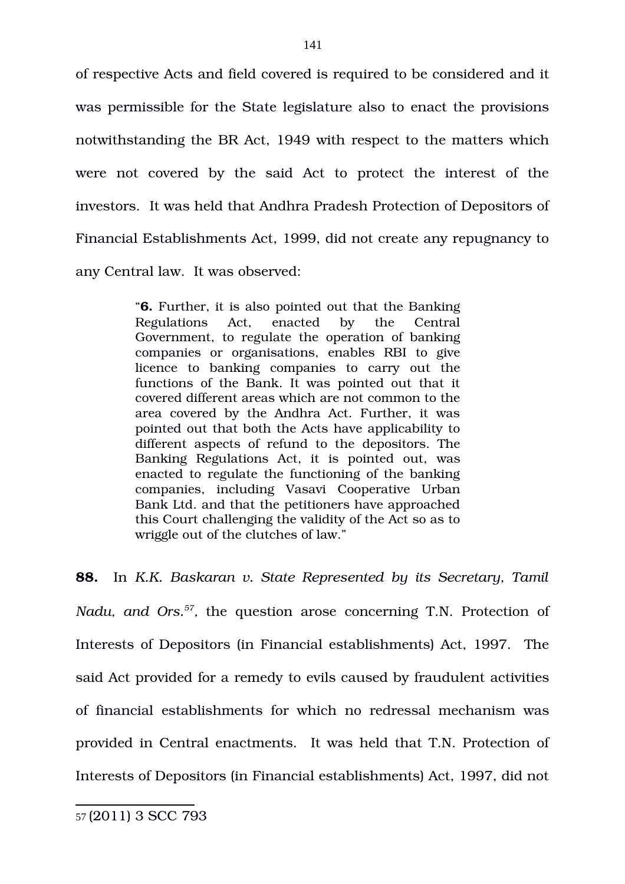of respective Acts and field covered is required to be considered and it was permissible for the State legislature also to enact the provisions notwithstanding the BR Act, 1949 with respect to the matters which were not covered by the said Act to protect the interest of the investors. It was held that Andhra Pradesh Protection of Depositors of Financial Establishments Act, 1999, did not create any repugnancy to any Central law. It was observed:

> "**6.** Further, it is also pointed out that the Banking Regulations Act, enacted by the Central Government, to regulate the operation of banking companies or organisations, enables RBI to give licence to banking companies to carry out the functions of the Bank. It was pointed out that it covered different areas which are not common to the area covered by the Andhra Act. Further, it was pointed out that both the Acts have applicability to different aspects of refund to the depositors. The Banking Regulations Act, it is pointed out, was enacted to regulate the functioning of the banking companies, including Vasavi Cooperative Urban Bank Ltd. and that the petitioners have approached this Court challenging the validity of the Act so as to wriggle out of the clutches of law."

**88.** In *K.K. Baskaran v. State Represented by its Secretary, Tamil Nadu, and Ors.<sup>[57](#page-140-0)</sup>, the question arose concerning T.N. Protection of* Interests of Depositors (in Financial establishments) Act, 1997. The said Act provided for a remedy to evils caused by fraudulent activities of financial establishments for which no redressal mechanism was provided in Central enactments. It was held that T.N. Protection of Interests of Depositors (in Financial establishments) Act, 1997, did not

<span id="page-140-0"></span><sup>57</sup> (2011) 3 SCC 793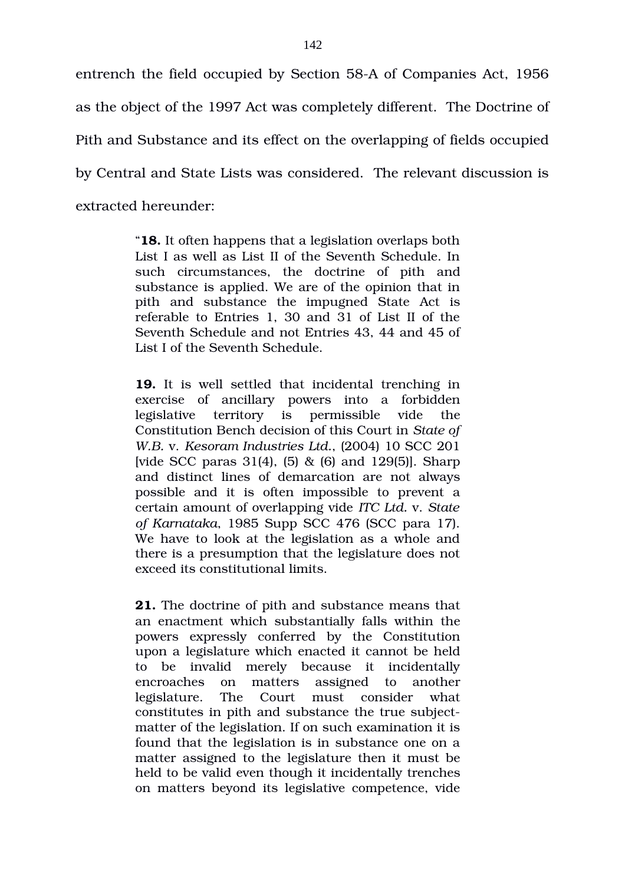entrench the field occupied by Section 58A of Companies Act, 1956 as the object of the 1997 Act was completely different. The Doctrine of Pith and Substance and its effect on the overlapping of fields occupied by Central and State Lists was considered. The relevant discussion is extracted hereunder:

> "**18.** It often happens that a legislation overlaps both List I as well as List II of the Seventh Schedule. In such circumstances, the doctrine of pith and substance is applied. We are of the opinion that in pith and substance the impugned State Act is referable to Entries 1, 30 and 31 of List II of the Seventh Schedule and not Entries 43, 44 and 45 of List I of the Seventh Schedule.

> **19.** It is well settled that incidental trenching in exercise of ancillary powers into a forbidden legislative territory is permissible vide the Constitution Bench decision of this Court in *State of W.B.* v. *Kesoram Industries Ltd.*, (2004) 10 SCC 201 [vide SCC paras 31(4), (5) & (6) and 129(5)]. Sharp and distinct lines of demarcation are not always possible and it is often impossible to prevent a certain amount of overlapping vide *ITC Ltd.* v. *State of Karnataka*, 1985 Supp SCC 476 (SCC para 17). We have to look at the legislation as a whole and there is a presumption that the legislature does not exceed its constitutional limits.

> **21.** The doctrine of pith and substance means that an enactment which substantially falls within the powers expressly conferred by the Constitution upon a legislature which enacted it cannot be held to be invalid merely because it incidentally encroaches on matters assigned to another legislature. The Court must consider what constitutes in pith and substance the true subjectmatter of the legislation. If on such examination it is found that the legislation is in substance one on a matter assigned to the legislature then it must be held to be valid even though it incidentally trenches on matters beyond its legislative competence, vide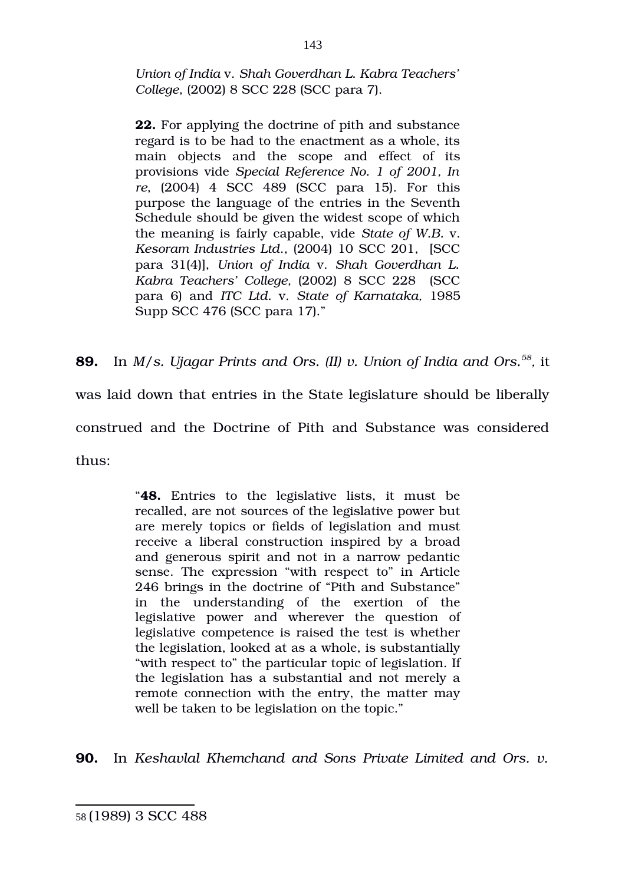*Union of India* v. *Shah Goverdhan L. Kabra Teachers' College*, (2002) 8 SCC 228 (SCC para 7).

**22.** For applying the doctrine of pith and substance regard is to be had to the enactment as a whole, its main objects and the scope and effect of its provisions vide *Special Reference No. 1 of 2001, In re*, (2004) 4 SCC 489 (SCC para 15). For this purpose the language of the entries in the Seventh Schedule should be given the widest scope of which the meaning is fairly capable, vide *State of W.B.* v. *Kesoram Industries Ltd*., (2004) 10 SCC 201, [SCC para 31(4)], *Union of India* v. *Shah Goverdhan L. Kabra Teachers' College,* (2002) 8 SCC 228 (SCC para 6) and *ITC Ltd.* v. *State of Karnataka,* 1985 Supp SCC 476 (SCC para 17)."

**89.** In *M/s. Ujagar Prints and Ors. (II) v. Union of India and Ors.[58](#page-142-0) ,* it

was laid down that entries in the State legislature should be liberally

construed and the Doctrine of Pith and Substance was considered

thus:

"**48.** Entries to the legislative lists, it must be recalled, are not sources of the legislative power but are merely topics or fields of legislation and must receive a liberal construction inspired by a broad and generous spirit and not in a narrow pedantic sense. The expression "with respect to" in Article 246 brings in the doctrine of "Pith and Substance" in the understanding of the exertion of the legislative power and wherever the question of legislative competence is raised the test is whether the legislation, looked at as a whole, is substantially "with respect to" the particular topic of legislation. If the legislation has a substantial and not merely a remote connection with the entry, the matter may well be taken to be legislation on the topic."

**90.** In *Keshavlal Khemchand and Sons Private Limited and Ors. v.*

<span id="page-142-0"></span><sup>58</sup> (1989) 3 SCC 488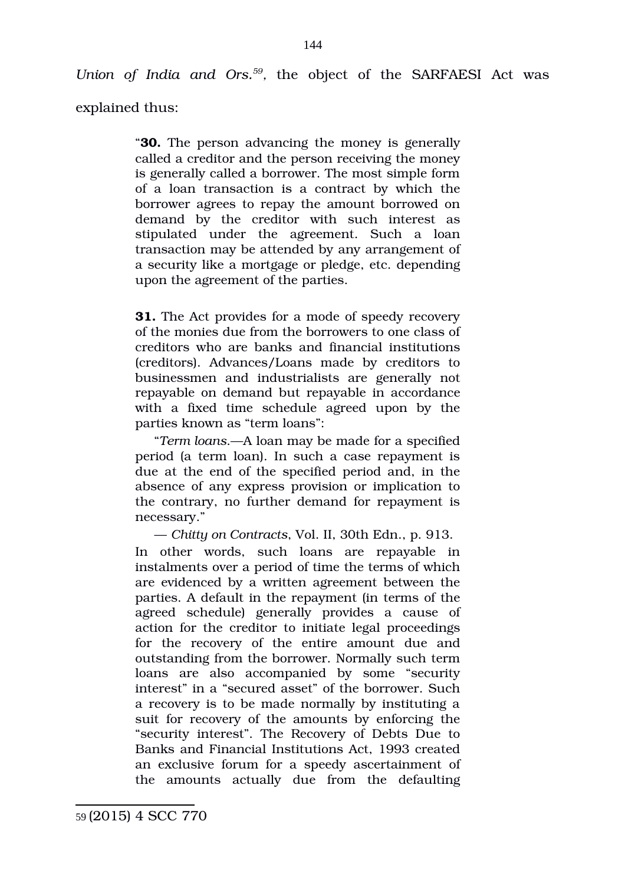Union of India and Ors.<sup>[59](#page-143-0)</sup>, the object of the SARFAESI Act was

explained thus:

"**30.** The person advancing the money is generally called a creditor and the person receiving the money is generally called a borrower. The most simple form of a loan transaction is a contract by which the borrower agrees to repay the amount borrowed on demand by the creditor with such interest as stipulated under the agreement. Such a loan transaction may be attended by any arrangement of a security like a mortgage or pledge, etc. depending upon the agreement of the parties.

**31.** The Act provides for a mode of speedy recovery of the monies due from the borrowers to one class of creditors who are banks and financial institutions (creditors). Advances/Loans made by creditors to businessmen and industrialists are generally not repayable on demand but repayable in accordance with a fixed time schedule agreed upon by the parties known as "term loans":

"*Term loans*.—A loan may be made for a specified period (a term loan). In such a case repayment is due at the end of the specified period and, in the absence of any express provision or implication to the contrary, no further demand for repayment is necessary."

— *Chitty on Contracts*, Vol. II, 30th Edn., p. 913.

In other words, such loans are repayable in instalments over a period of time the terms of which are evidenced by a written agreement between the parties. A default in the repayment (in terms of the agreed schedule) generally provides a cause of action for the creditor to initiate legal proceedings for the recovery of the entire amount due and outstanding from the borrower. Normally such term loans are also accompanied by some "security interest" in a "secured asset" of the borrower. Such a recovery is to be made normally by instituting a suit for recovery of the amounts by enforcing the "security interest". The Recovery of Debts Due to Banks and Financial Institutions Act, 1993 created an exclusive forum for a speedy ascertainment of the amounts actually due from the defaulting

<span id="page-143-0"></span><sup>59</sup> (2015) 4 SCC 770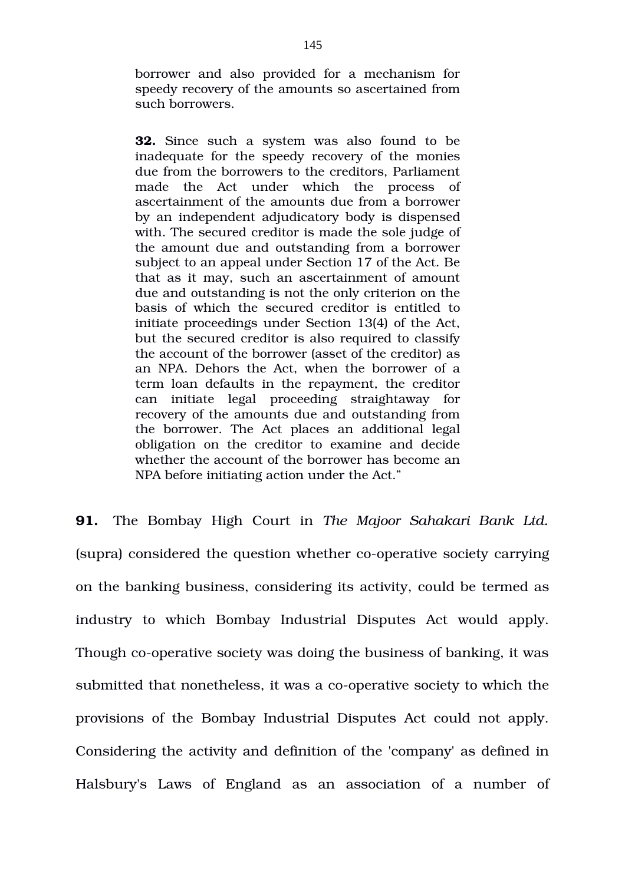borrower and also provided for a mechanism for speedy recovery of the amounts so ascertained from such borrowers.

**32.** Since such a system was also found to be inadequate for the speedy recovery of the monies due from the borrowers to the creditors, Parliament made the Act under which the process of ascertainment of the amounts due from a borrower by an independent adjudicatory body is dispensed with. The secured creditor is made the sole judge of the amount due and outstanding from a borrower subject to an appeal under Section 17 of the Act. Be that as it may, such an ascertainment of amount due and outstanding is not the only criterion on the basis of which the secured creditor is entitled to initiate proceedings under Section 13(4) of the Act, but the secured creditor is also required to classify the account of the borrower (asset of the creditor) as an NPA. Dehors the Act, when the borrower of a term loan defaults in the repayment, the creditor can initiate legal proceeding straightaway for recovery of the amounts due and outstanding from the borrower. The Act places an additional legal obligation on the creditor to examine and decide whether the account of the borrower has become an NPA before initiating action under the Act."

**91.** The Bombay High Court in *The Majoor Sahakari Bank Ltd.* (supra) considered the question whether co-operative society carrying on the banking business, considering its activity, could be termed as industry to which Bombay Industrial Disputes Act would apply. Though co-operative society was doing the business of banking, it was submitted that nonetheless, it was a co-operative society to which the provisions of the Bombay Industrial Disputes Act could not apply. Considering the activity and definition of the 'company' as defined in Halsbury's Laws of England as an association of a number of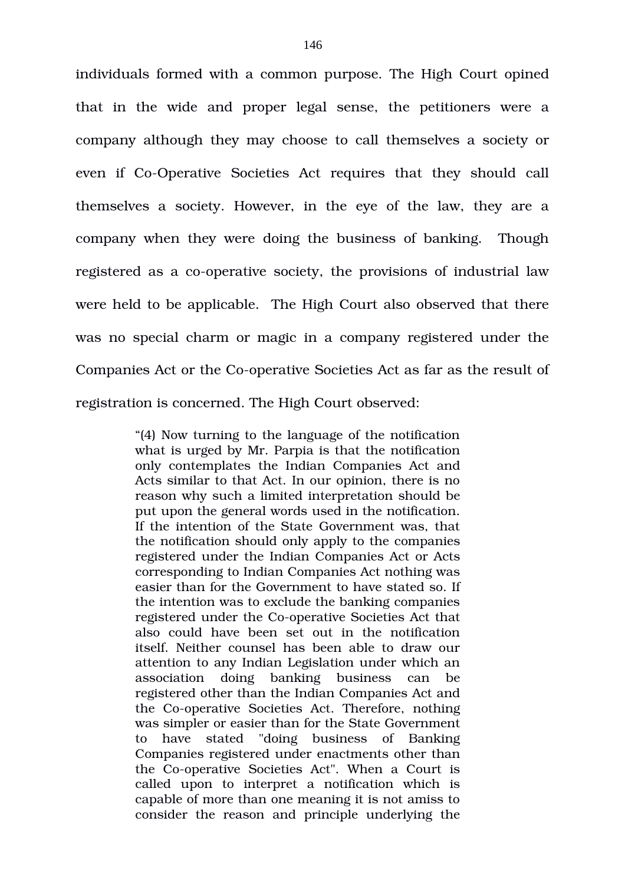individuals formed with a common purpose. The High Court opined that in the wide and proper legal sense, the petitioners were a company although they may choose to call themselves a society or even if Co-Operative Societies Act requires that they should call themselves a society. However, in the eye of the law, they are a company when they were doing the business of banking. Though registered as a co-operative society, the provisions of industrial law were held to be applicable. The High Court also observed that there was no special charm or magic in a company registered under the Companies Act or the Co-operative Societies Act as far as the result of registration is concerned. The High Court observed:

> "(4) Now turning to the language of the notification what is urged by Mr. Parpia is that the notification only contemplates the Indian Companies Act and Acts similar to that Act. In our opinion, there is no reason why such a limited interpretation should be put upon the general words used in the notification. If the intention of the State Government was, that the notification should only apply to the companies registered under the Indian Companies Act or Acts corresponding to Indian Companies Act nothing was easier than for the Government to have stated so. If the intention was to exclude the banking companies registered under the Co-operative Societies Act that also could have been set out in the notification itself. Neither counsel has been able to draw our attention to any Indian Legislation under which an association doing banking business can be registered other than the Indian Companies Act and the Co-operative Societies Act. Therefore, nothing was simpler or easier than for the State Government to have stated "doing business of Banking" Companies registered under enactments other than the Co-operative Societies Act". When a Court is called upon to interpret a notification which is capable of more than one meaning it is not amiss to consider the reason and principle underlying the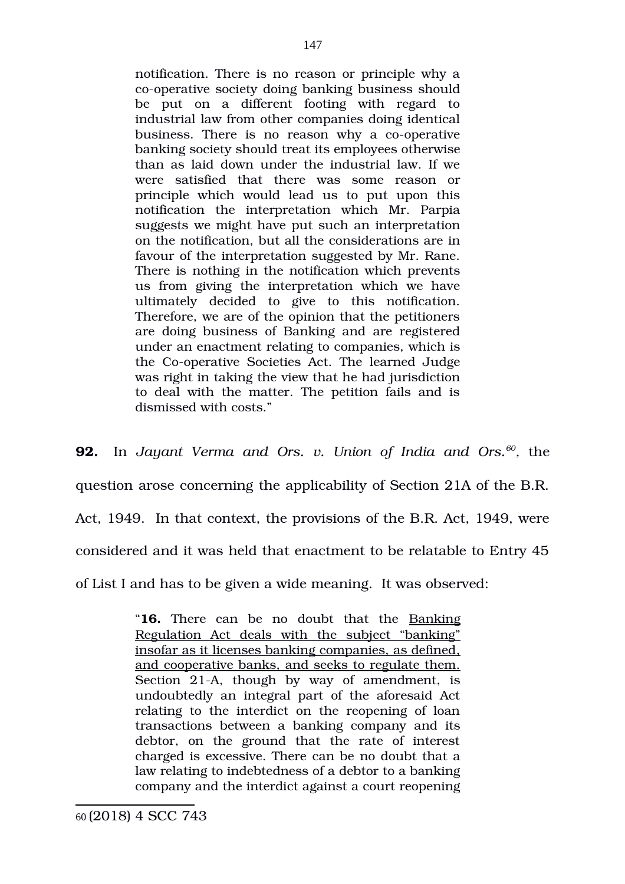notification. There is no reason or principle why a co-operative society doing banking business should be put on a different footing with regard to industrial law from other companies doing identical business. There is no reason why a co-operative banking society should treat its employees otherwise than as laid down under the industrial law. If we were satisfied that there was some reason or principle which would lead us to put upon this notification the interpretation which Mr. Parpia suggests we might have put such an interpretation on the notification, but all the considerations are in favour of the interpretation suggested by Mr. Rane. There is nothing in the notification which prevents us from giving the interpretation which we have ultimately decided to give to this notification. Therefore, we are of the opinion that the petitioners are doing business of Banking and are registered under an enactment relating to companies, which is the Co-operative Societies Act. The learned Judge was right in taking the view that he had jurisdiction to deal with the matter. The petition fails and is dismissed with costs."

**92.** In Jayant Verma and Ors. v. Union of India and Ors. $^{60}$  $^{60}$  $^{60}$ , the question arose concerning the applicability of Section 21A of the B.R. Act, 1949. In that context, the provisions of the B.R. Act, 1949, were considered and it was held that enactment to be relatable to Entry 45 of List I and has to be given a wide meaning. It was observed:

> <span id="page-146-0"></span>"**16.** There can be no doubt that the Banking Regulation Act deals with the subject "banking" insofar as it licenses banking companies, as defined, and cooperative banks, and seeks to regulate them. Section 21-A, though by way of amendment, is undoubtedly an integral part of the aforesaid Act relating to the interdict on the reopening of loan transactions between a banking company and its debtor, on the ground that the rate of interest charged is excessive. There can be no doubt that a law relating to indebtedness of a debtor to a banking company and the interdict against a court reopening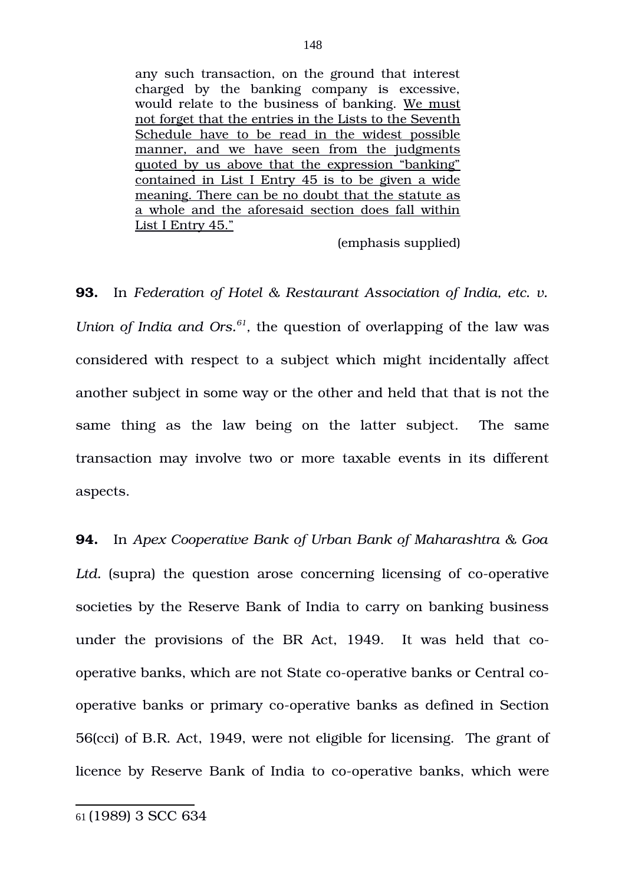any such transaction, on the ground that interest charged by the banking company is excessive, would relate to the business of banking. We must not forget that the entries in the Lists to the Seventh Schedule have to be read in the widest possible manner, and we have seen from the judgments quoted by us above that the expression "banking" contained in List I Entry 45 is to be given a wide meaning. There can be no doubt that the statute as a whole and the aforesaid section does fall within List I Entry 45."

(emphasis supplied)

**93.** In *Federation of Hotel & Restaurant Association of India, etc. v. Union of India and Ors.*<sup>[61](#page-147-0)</sup>, the question of overlapping of the law was considered with respect to a subject which might incidentally affect another subject in some way or the other and held that that is not the same thing as the law being on the latter subject. The same transaction may involve two or more taxable events in its different aspects.

**94.** In *Apex Cooperative Bank of Urban Bank of Maharashtra & Goa* Ltd. (supra) the question arose concerning licensing of co-operative societies by the Reserve Bank of India to carry on banking business under the provisions of the BR Act, 1949. It was held that cooperative banks, which are not State co-operative banks or Central cooperative banks or primary co-operative banks as defined in Section 56(cci) of B.R. Act, 1949, were not eligible for licensing. The grant of licence by Reserve Bank of India to co-operative banks, which were

<span id="page-147-0"></span><sup>61</sup> (1989) 3 SCC 634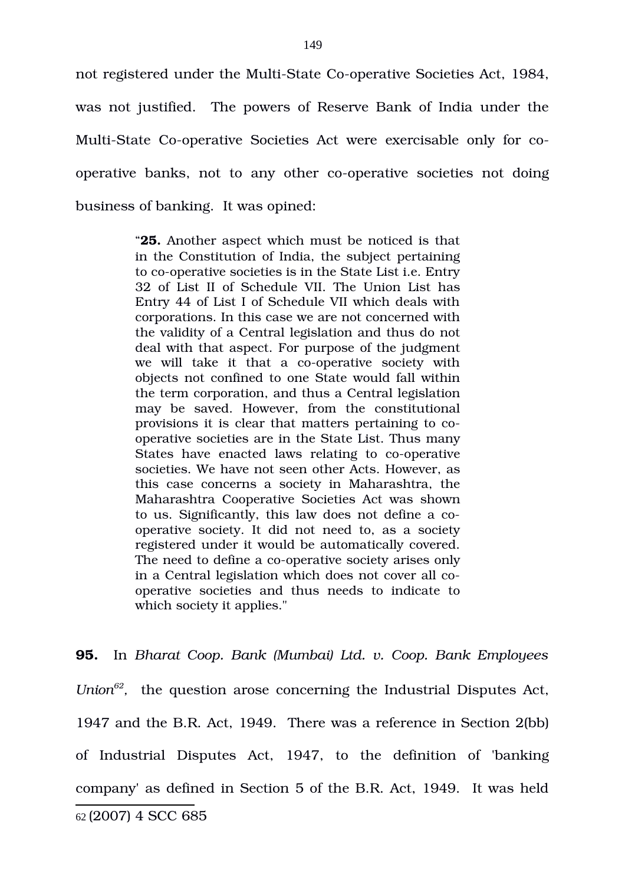not registered under the Multi-State Co-operative Societies Act, 1984, was not justified. The powers of Reserve Bank of India under the Multi-State Co-operative Societies Act were exercisable only for cooperative banks, not to any other co-operative societies not doing business of banking. It was opined:

> "**25.** Another aspect which must be noticed is that in the Constitution of India, the subject pertaining to co-operative societies is in the State List *i.e.* Entry 32 of List II of Schedule VII. The Union List has Entry 44 of List I of Schedule VII which deals with corporations. In this case we are not concerned with the validity of a Central legislation and thus do not deal with that aspect. For purpose of the judgment we will take it that a co-operative society with objects not confined to one State would fall within the term corporation, and thus a Central legislation may be saved. However, from the constitutional provisions it is clear that matters pertaining to cooperative societies are in the State List. Thus many States have enacted laws relating to co-operative societies. We have not seen other Acts. However, as this case concerns a society in Maharashtra, the Maharashtra Cooperative Societies Act was shown to us. Significantly, this law does not define a cooperative society. It did not need to, as a society registered under it would be automatically covered. The need to define a co-operative society arises only in a Central legislation which does not cover all cooperative societies and thus needs to indicate to which society it applies."

<span id="page-148-0"></span>**95.** In *Bharat Coop. Bank (Mumbai) Ltd. v. Coop. Bank Employees* Union<sup>[62](#page-148-0)</sup>, the question arose concerning the Industrial Disputes Act, 1947 and the B.R. Act, 1949. There was a reference in Section 2(bb) of Industrial Disputes Act, 1947, to the definition of 'banking company' as defined in Section 5 of the B.R. Act, 1949. It was held 62 (2007) 4 SCC 685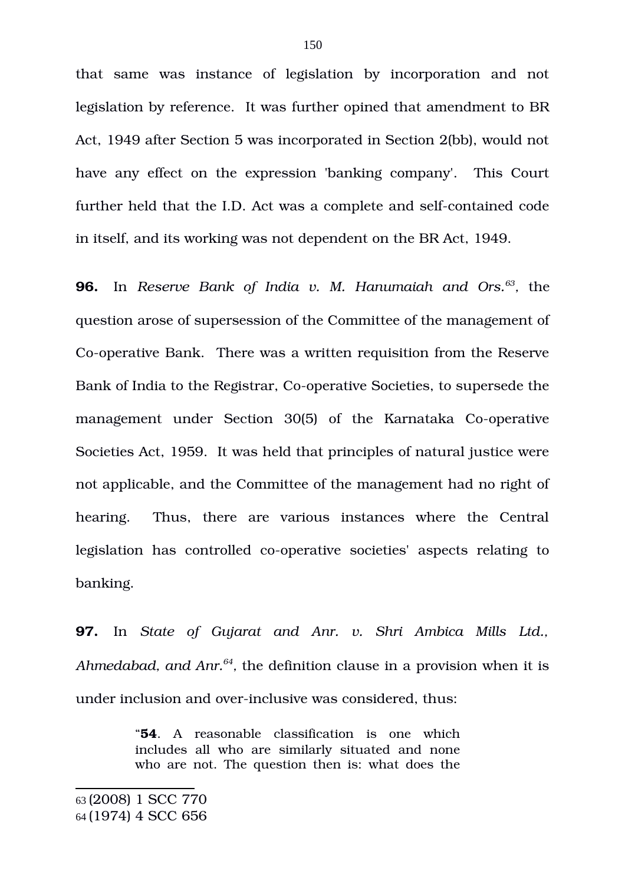that same was instance of legislation by incorporation and not legislation by reference. It was further opined that amendment to BR Act, 1949 after Section 5 was incorporated in Section 2(bb), would not have any effect on the expression 'banking company'. This Court further held that the I.D. Act was a complete and self-contained code in itself, and its working was not dependent on the BR Act, 1949.

**96.** In *Reserve Bank of India v. M. Hanumaiah and Ors.[63](#page-149-0) ,* the question arose of supersession of the Committee of the management of Co-operative Bank. There was a written requisition from the Reserve Bank of India to the Registrar, Co-operative Societies, to supersede the management under Section 30(5) of the Karnataka Co-operative Societies Act, 1959. It was held that principles of natural justice were not applicable, and the Committee of the management had no right of hearing. Thus, there are various instances where the Central legislation has controlled co-operative societies' aspects relating to banking.

**97.** In *State of Gujarat and Anr. v. Shri Ambica Mills Ltd.,* Ahmedabad, and Anr.<sup>[64](#page-149-1)</sup>, the definition clause in a provision when it is under inclusion and over-inclusive was considered, thus:

> "**54**. A reasonable classification is one which includes all who are similarly situated and none who are not. The question then is: what does the

<span id="page-149-0"></span><sup>63</sup> (2008) 1 SCC 770

<span id="page-149-1"></span><sup>64</sup> (1974) 4 SCC 656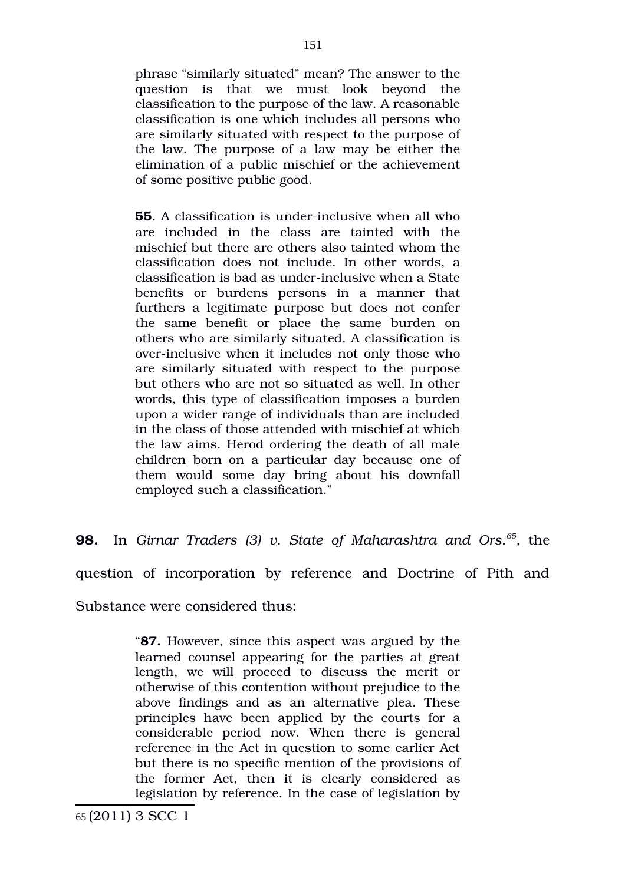phrase "similarly situated" mean? The answer to the question is that we must look beyond the classification to the purpose of the law. A reasonable classification is one which includes all persons who are similarly situated with respect to the purpose of the law. The purpose of a law may be either the elimination of a public mischief or the achievement of some positive public good.

**55**. A classification is under-inclusive when all who are included in the class are tainted with the mischief but there are others also tainted whom the classification does not include. In other words, a classification is bad as under-inclusive when a State benefits or burdens persons in a manner that furthers a legitimate purpose but does not confer the same benefit or place the same burden on others who are similarly situated. A classification is over-inclusive when it includes not only those who are similarly situated with respect to the purpose but others who are not so situated as well. In other words, this type of classification imposes a burden upon a wider range of individuals than are included in the class of those attended with mischief at which the law aims. Herod ordering the death of all male children born on a particular day because one of them would some day bring about his downfall employed such a classification."

**98.** In Girnar Traders (3) v. State of Maharashtra and Ors.<sup>[65](#page-150-0)</sup>, the

question of incorporation by reference and Doctrine of Pith and

Substance were considered thus:

"**87.** However, since this aspect was argued by the learned counsel appearing for the parties at great length, we will proceed to discuss the merit or otherwise of this contention without prejudice to the above findings and as an alternative plea. These principles have been applied by the courts for a considerable period now. When there is general reference in the Act in question to some earlier Act but there is no specific mention of the provisions of the former Act, then it is clearly considered as legislation by reference. In the case of legislation by

<span id="page-150-0"></span>65 (2011) 3 SCC 1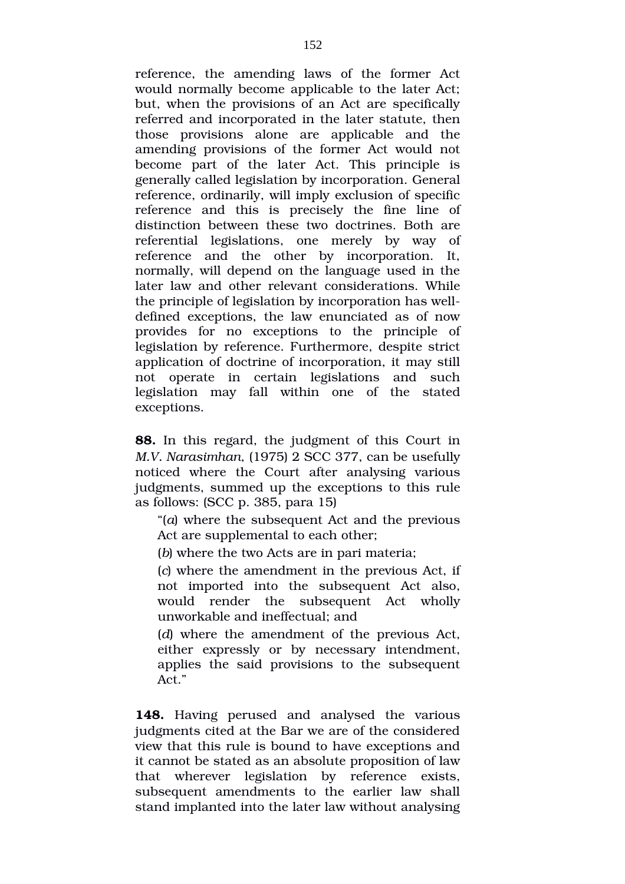reference, the amending laws of the former Act would normally become applicable to the later Act; but, when the provisions of an Act are specifically referred and incorporated in the later statute, then those provisions alone are applicable and the amending provisions of the former Act would not become part of the later Act. This principle is generally called legislation by incorporation. General reference, ordinarily, will imply exclusion of specific reference and this is precisely the fine line of distinction between these two doctrines. Both are referential legislations, one merely by way of reference and the other by incorporation. It, normally, will depend on the language used in the later law and other relevant considerations. While the principle of legislation by incorporation has welldefined exceptions, the law enunciated as of now provides for no exceptions to the principle of legislation by reference. Furthermore, despite strict application of doctrine of incorporation, it may still not operate in certain legislations and such legislation may fall within one of the stated exceptions.

**88.** In this regard, the judgment of this Court in *M.V. Narasimhan*, (1975) 2 SCC 377, can be usefully noticed where the Court after analysing various judgments, summed up the exceptions to this rule as follows: (SCC p. 385, para 15)

"(*a*) where the subsequent Act and the previous Act are supplemental to each other;

(*b*) where the two Acts are in pari materia;

(*c*) where the amendment in the previous Act, if not imported into the subsequent Act also, would render the subsequent Act wholly unworkable and ineffectual; and

(*d*) where the amendment of the previous Act, either expressly or by necessary intendment, applies the said provisions to the subsequent Act."

**148.** Having perused and analysed the various judgments cited at the Bar we are of the considered view that this rule is bound to have exceptions and it cannot be stated as an absolute proposition of law that wherever legislation by reference exists, subsequent amendments to the earlier law shall stand implanted into the later law without analysing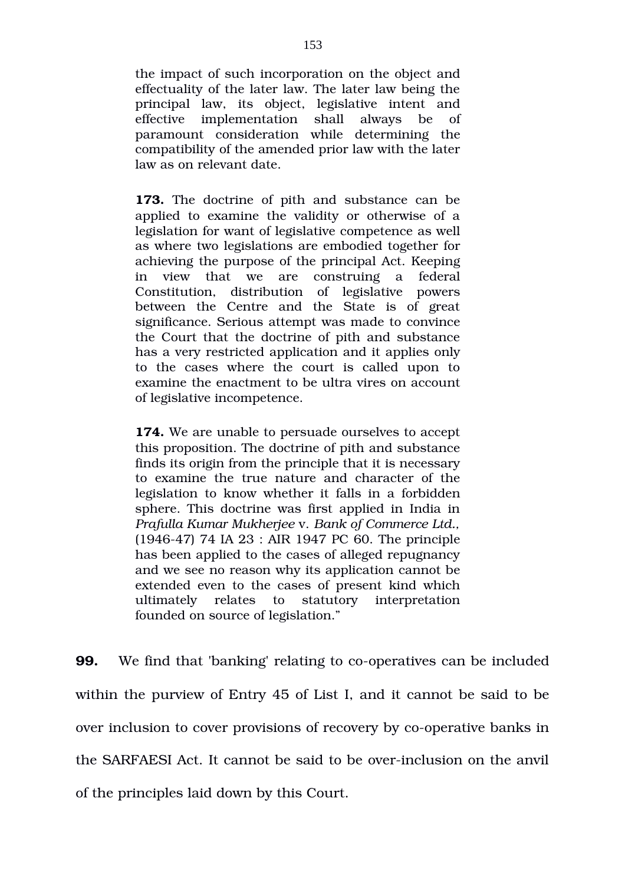the impact of such incorporation on the object and effectuality of the later law. The later law being the principal law, its object, legislative intent and effective implementation shall always be of paramount consideration while determining the compatibility of the amended prior law with the later law as on relevant date.

**173.** The doctrine of pith and substance can be applied to examine the validity or otherwise of a legislation for want of legislative competence as well as where two legislations are embodied together for achieving the purpose of the principal Act. Keeping in view that we are construing a federal Constitution, distribution of legislative powers between the Centre and the State is of great significance. Serious attempt was made to convince the Court that the doctrine of pith and substance has a very restricted application and it applies only to the cases where the court is called upon to examine the enactment to be ultra vires on account of legislative incompetence.

**174.** We are unable to persuade ourselves to accept this proposition. The doctrine of pith and substance finds its origin from the principle that it is necessary to examine the true nature and character of the legislation to know whether it falls in a forbidden sphere. This doctrine was first applied in India in *Prafulla Kumar Mukherjee* v. *Bank of Commerce Ltd.,* (194647) 74 IA 23 : AIR 1947 PC 60. The principle has been applied to the cases of alleged repugnancy and we see no reason why its application cannot be extended even to the cases of present kind which ultimately relates to statutory interpretation founded on source of legislation."

**99.** We find that 'banking' relating to co-operatives can be included within the purview of Entry 45 of List I, and it cannot be said to be over inclusion to cover provisions of recovery by co-operative banks in the SARFAESI Act. It cannot be said to be overinclusion on the anvil of the principles laid down by this Court.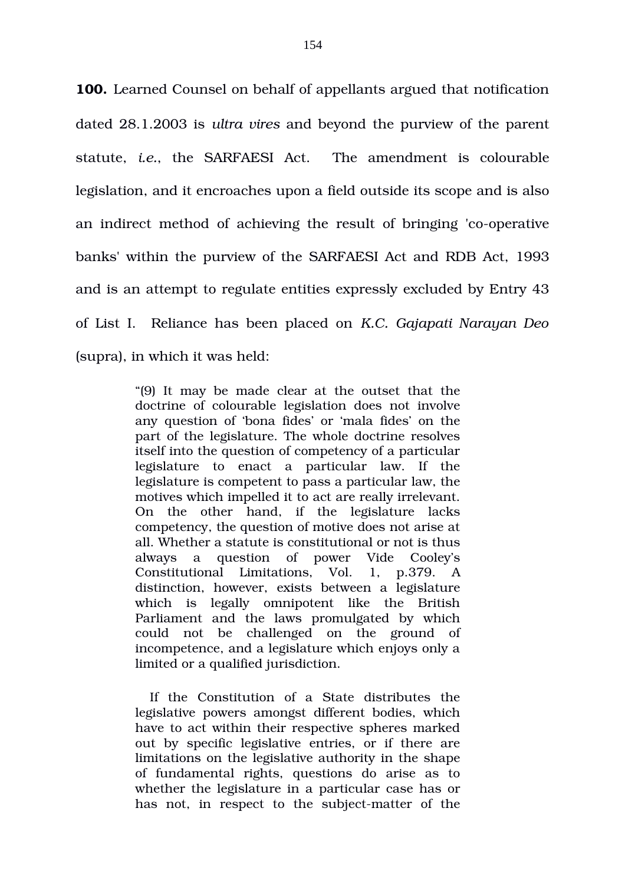**100.** Learned Counsel on behalf of appellants argued that notification dated 28.1.2003 is *ultra vires* and beyond the purview of the parent statute, *i.e.*, the SARFAESI Act.The amendment is colourable legislation, and it encroaches upon a field outside its scope and is also an indirect method of achieving the result of bringing 'co-operative banks' within the purview of the SARFAESI Act and RDB Act, 1993 and is an attempt to regulate entities expressly excluded by Entry 43 of List I. Reliance has been placed on *K.C. Gajapati Narayan Deo* (supra), in which it was held:

> "(9) It may be made clear at the outset that the doctrine of colourable legislation does not involve any question of 'bona fides' or 'mala fides' on the part of the legislature. The whole doctrine resolves itself into the question of competency of a particular legislature to enact a particular law. If the legislature is competent to pass a particular law, the motives which impelled it to act are really irrelevant. On the other hand, if the legislature lacks competency, the question of motive does not arise at all. Whether a statute is constitutional or not is thus always a question of power Vide Cooley's Constitutional Limitations, Vol. 1, p.379. A distinction, however, exists between a legislature which is legally omnipotent like the British Parliament and the laws promulgated by which could not be challenged on the ground of incompetence, and a legislature which enjoys only a limited or a qualified jurisdiction.

> If the Constitution of a State distributes the legislative powers amongst different bodies, which have to act within their respective spheres marked out by specific legislative entries, or if there are limitations on the legislative authority in the shape of fundamental rights, questions do arise as to whether the legislature in a particular case has or has not, in respect to the subject-matter of the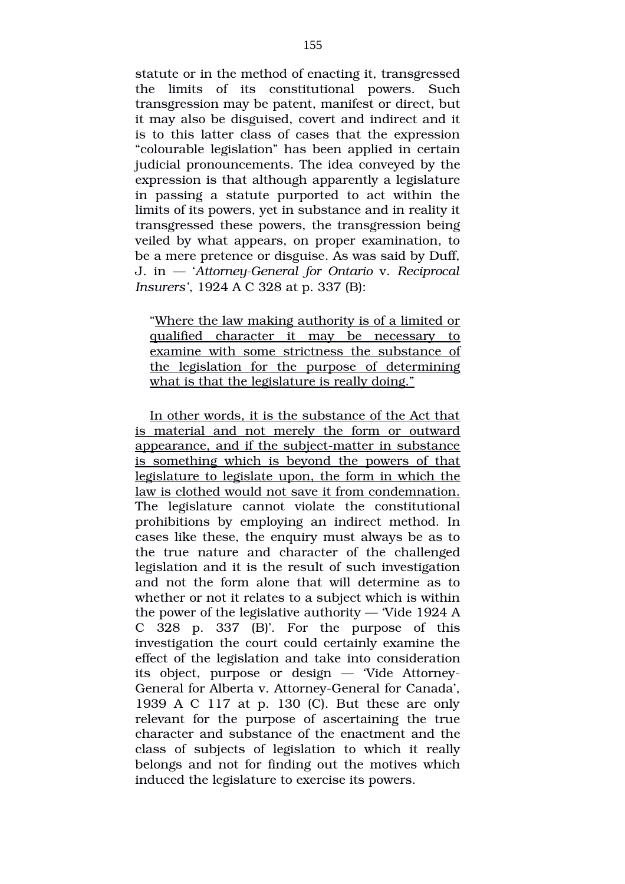statute or in the method of enacting it, transgressed the limits of its constitutional powers. Such transgression may be patent, manifest or direct, but it may also be disguised, covert and indirect and it is to this latter class of cases that the expression "colourable legislation" has been applied in certain judicial pronouncements. The idea conveyed by the expression is that although apparently a legislature in passing a statute purported to act within the limits of its powers, yet in substance and in reality it transgressed these powers, the transgression being veiled by what appears, on proper examination, to be a mere pretence or disguise. As was said by Duff, J. in  $-$  'Attorney-General for Ontario v. Reciprocal *Insurers'*, 1924 A C 328 at p. 337 (B):

"Where the law making authority is of a limited or qualified character it may be necessary to examine with some strictness the substance of the legislation for the purpose of determining what is that the legislature is really doing."

In other words, it is the substance of the Act that is material and not merely the form or outward appearance, and if the subject-matter in substance is something which is beyond the powers of that legislature to legislate upon, the form in which the law is clothed would not save it from condemnation. The legislature cannot violate the constitutional prohibitions by employing an indirect method. In cases like these, the enquiry must always be as to the true nature and character of the challenged legislation and it is the result of such investigation and not the form alone that will determine as to whether or not it relates to a subject which is within the power of the legislative authority — 'Vide 1924 A C  $328$  p.  $337$  (B)'. For the purpose of this investigation the court could certainly examine the effect of the legislation and take into consideration its object, purpose or design — 'Vide Attorney-General for Alberta v. Attorney-General for Canada'. 1939 A C 117 at p. 130 (C). But these are only relevant for the purpose of ascertaining the true character and substance of the enactment and the class of subjects of legislation to which it really belongs and not for finding out the motives which induced the legislature to exercise its powers.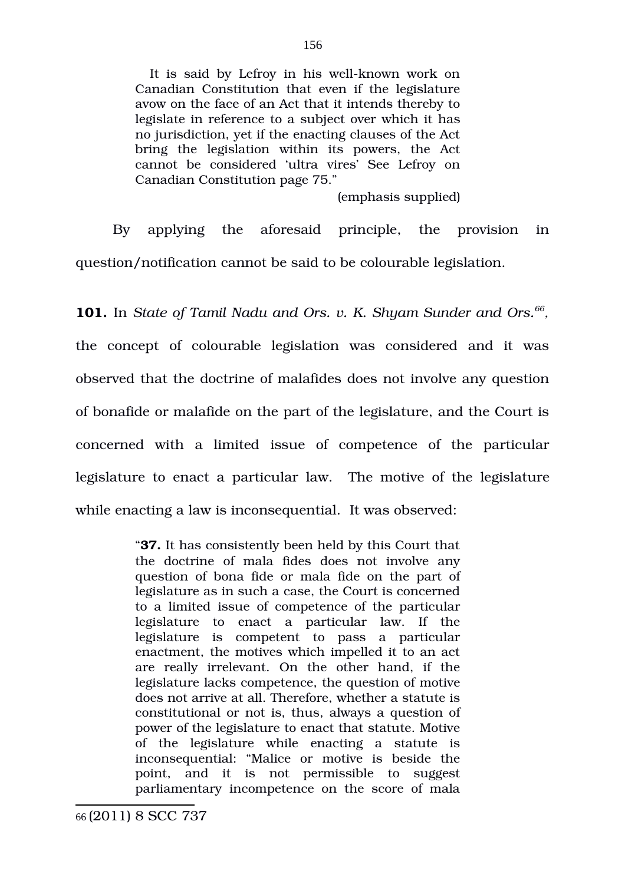It is said by Lefroy in his well-known work on Canadian Constitution that even if the legislature avow on the face of an Act that it intends thereby to legislate in reference to a subject over which it has no jurisdiction, yet if the enacting clauses of the Act bring the legislation within its powers, the Act cannot be considered 'ultra vires' See Lefroy on Canadian Constitution page 75."

(emphasis supplied)

By applying the aforesaid principle, the provision in question/notification cannot be said to be colourable legislation.

**101.** In *State of Tamil Nadu and Ors. v. K. Shyam Sunder and Ors.[66](#page-155-0) ,* the concept of colourable legislation was considered and it was observed that the doctrine of malafides does not involve any question of bonafide or malafide on the part of the legislature, and the Court is concerned with a limited issue of competence of the particular legislature to enact a particular law. The motive of the legislature while enacting a law is inconsequential. It was observed:

> <span id="page-155-0"></span>"**37.** It has consistently been held by this Court that the doctrine of mala fides does not involve any question of bona fide or mala fide on the part of legislature as in such a case, the Court is concerned to a limited issue of competence of the particular legislature to enact a particular law. If the legislature is competent to pass a particular enactment, the motives which impelled it to an act are really irrelevant. On the other hand, if the legislature lacks competence, the question of motive does not arrive at all. Therefore, whether a statute is constitutional or not is, thus, always a question of power of the legislature to enact that statute. Motive of the legislature while enacting a statute is inconsequential: "Malice or motive is beside the point, and it is not permissible to suggest parliamentary incompetence on the score of mala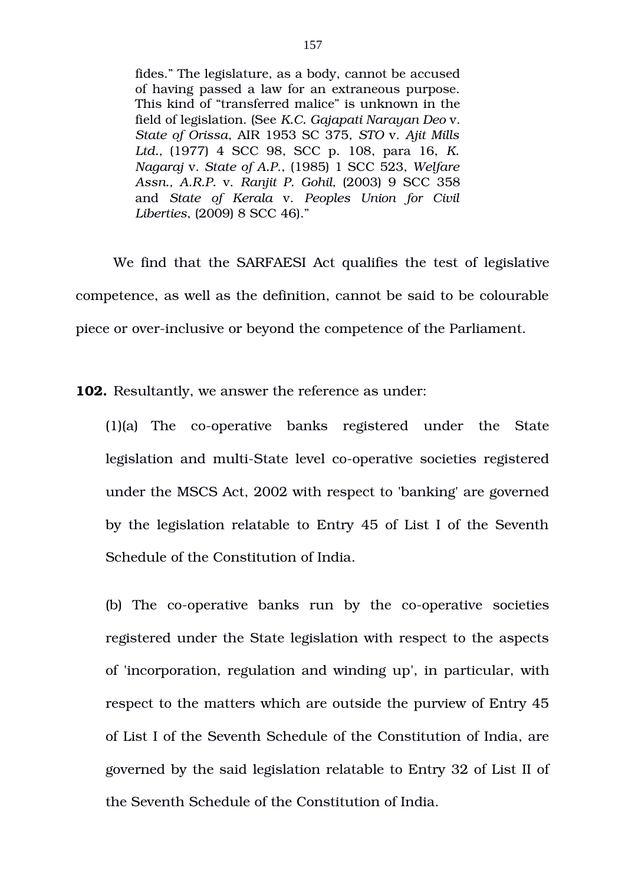fides." The legislature, as a body, cannot be accused of having passed a law for an extraneous purpose. This kind of "transferred malice" is unknown in the field of legislation. (See *K.C. Gajapati Narayan Deo* v. *State of Orissa*, AIR 1953 SC 375, *STO* v. *Ajit Mills* Ltd., (1977) 4 SCC 98, SCC p. 108, para 16, *K. Nagaraj* v. *State of A.P*., (1985) 1 SCC 523, *Welfare Assn., A.R.P.* v. *Ranjit P. Gohil,* (2003) 9 SCC 358 and *State of Kerala* v. *Peoples Union for Civil Liberties*, (2009) 8 SCC 46)."

We find that the SARFAESI Act qualifies the test of legislative competence, as well as the definition, cannot be said to be colourable piece or over-inclusive or beyond the competence of the Parliament.

**102.** Resultantly, we answer the reference as under:

 $(1)(a)$  The co-operative banks registered under the State legislation and multi-State level co-operative societies registered under the MSCS Act, 2002 with respect to 'banking' are governed by the legislation relatable to Entry 45 of List I of the Seventh Schedule of the Constitution of India.

(b) The co-operative banks run by the co-operative societies registered under the State legislation with respect to the aspects of 'incorporation, regulation and winding up', in particular, with respect to the matters which are outside the purview of Entry 45 of List I of the Seventh Schedule of the Constitution of India, are governed by the said legislation relatable to Entry 32 of List II of the Seventh Schedule of the Constitution of India.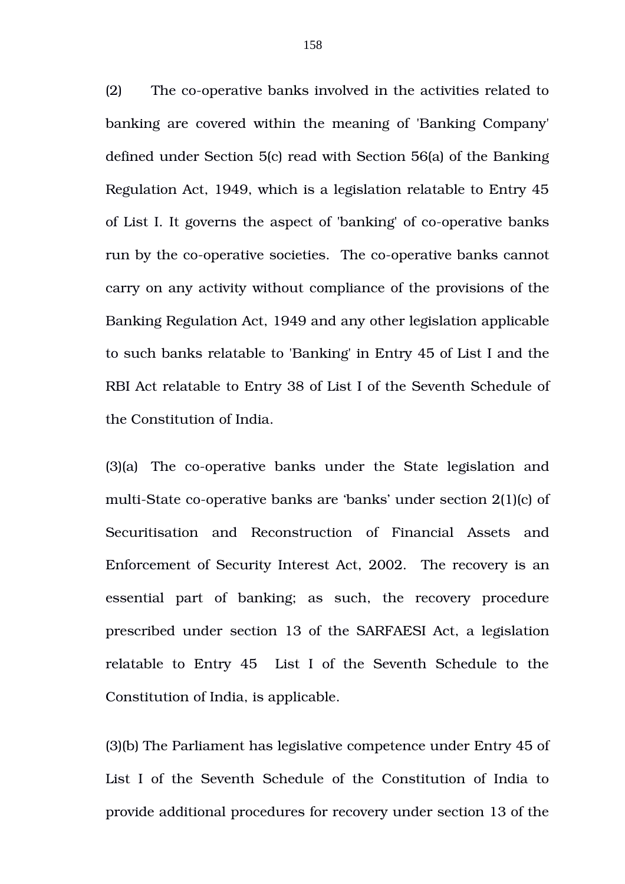(2) The co-operative banks involved in the activities related to banking are covered within the meaning of 'Banking Company' defined under Section 5(c) read with Section 56(a) of the Banking Regulation Act, 1949, which is a legislation relatable to Entry 45 of List I. It governs the aspect of 'banking' of co-operative banks run by the co-operative societies. The co-operative banks cannot carry on any activity without compliance of the provisions of the Banking Regulation Act, 1949 and any other legislation applicable to such banks relatable to 'Banking' in Entry 45 of List I and the RBI Act relatable to Entry 38 of List I of the Seventh Schedule of the Constitution of India.

(3)(a) The co-operative banks under the State legislation and multi-State co-operative banks are 'banks' under section  $2(1)(c)$  of Securitisation and Reconstruction of Financial Assets and Enforcement of Security Interest Act, 2002. The recovery is an essential part of banking; as such, the recovery procedure prescribed under section 13 of the SARFAESI Act, a legislation relatable to Entry 45 List I of the Seventh Schedule to the Constitution of India, is applicable.

(3)(b) The Parliament has legislative competence under Entry 45 of List I of the Seventh Schedule of the Constitution of India to provide additional procedures for recovery under section 13 of the